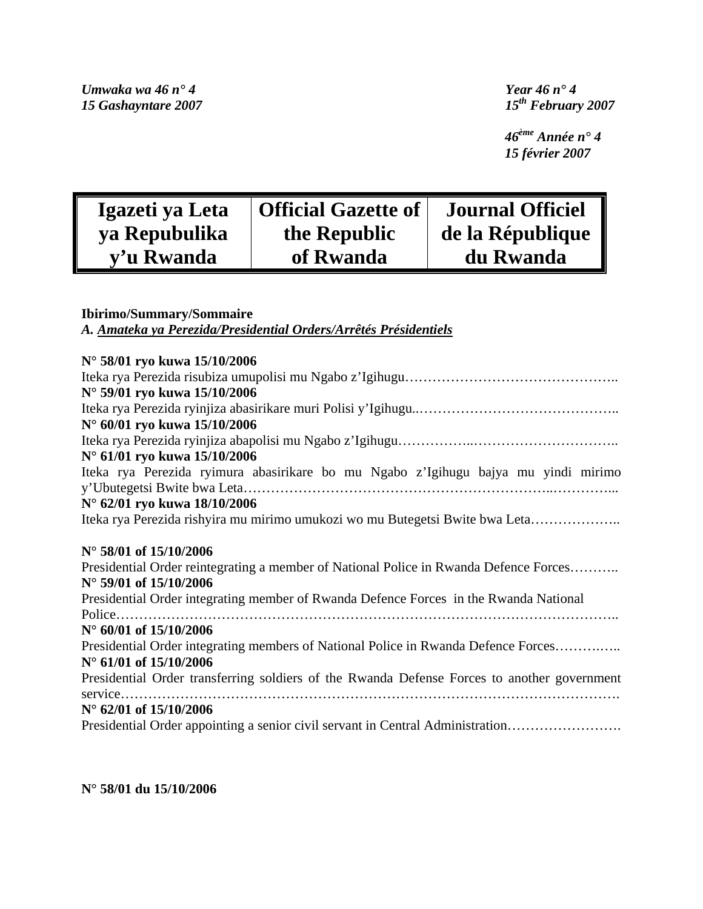*Umwaka wa 46 n° 4 Year 46 n° 4 15 Gashayntare 2007* 

 *46ème Année n° 4 15 février 2007* 

| Igazeti ya Leta | Official Gazette of | <b>Journal Officiel</b> |
|-----------------|---------------------|-------------------------|
| ya Repubulika   | the Republic        | de la République        |
| y'u Rwanda      | of Rwanda           | du Rwanda               |

# **Ibirimo/Summary/Sommaire**

*A. Amateka ya Perezida/Presidential Orders/Arrêtés Présidentiels*

| N° 58/01 ryo kuwa 15/10/2006                                                                             |
|----------------------------------------------------------------------------------------------------------|
|                                                                                                          |
| N° 59/01 ryo kuwa 15/10/2006                                                                             |
|                                                                                                          |
| N° 60/01 ryo kuwa 15/10/2006                                                                             |
|                                                                                                          |
| N° 61/01 ryo kuwa 15/10/2006                                                                             |
| Iteka rya Perezida ryimura abasirikare bo mu Ngabo z'Igihugu bajya mu yindi mirimo                       |
|                                                                                                          |
| N° 62/01 ryo kuwa 18/10/2006                                                                             |
| Iteka rya Perezida rishyira mu mirimo umukozi wo mu Butegetsi Bwite bwa Leta                             |
|                                                                                                          |
| N° 58/01 of 15/10/2006                                                                                   |
| Presidential Order reintegrating a member of National Police in Rwanda Defence Forces                    |
| N° 59/01 of 15/10/2006                                                                                   |
| Presidential Order integrating member of Rwanda Defence Forces in the Rwanda National                    |
|                                                                                                          |
| N° 60/01 of 15/10/2006                                                                                   |
| Presidential Order integrating members of National Police in Rwanda Defence Forces                       |
| N° 61/01 of 15/10/2006                                                                                   |
| Presidential Order transferring soldiers of the Rwanda Defense Forces to another government              |
|                                                                                                          |
| N° 62/01 of 15/10/2006<br>Presidential Order appointing a senior civil servant in Central Administration |

## **N° 58/01 du 15/10/2006**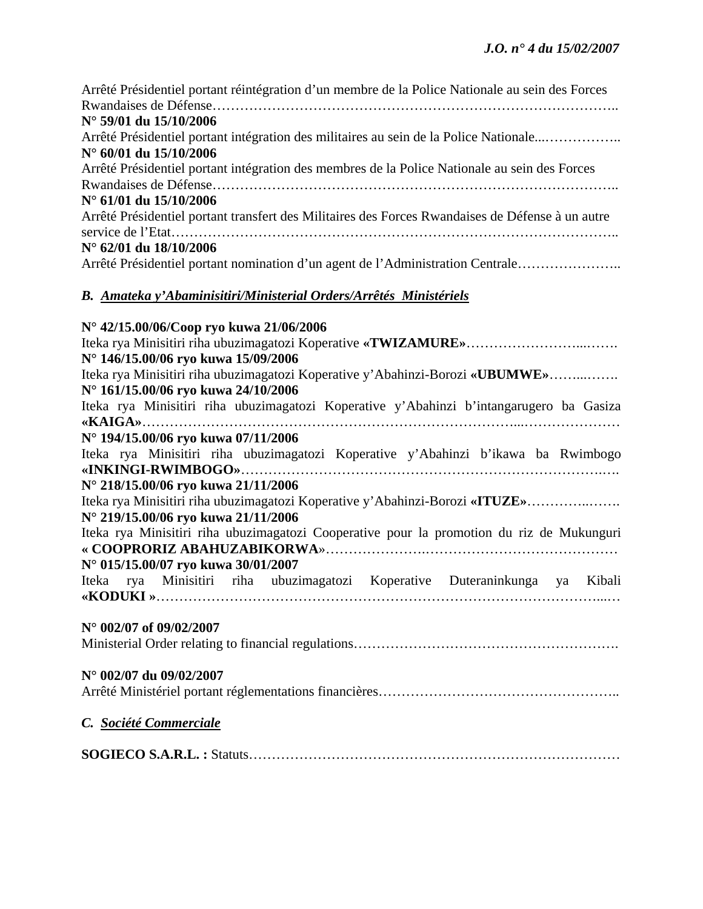| Arrêté Présidentiel portant réintégration d'un membre de la Police Nationale au sein des Forces  |
|--------------------------------------------------------------------------------------------------|
|                                                                                                  |
| $N^{\circ}$ 59/01 du 15/10/2006                                                                  |
| Arrêté Présidentiel portant intégration des militaires au sein de la Police Nationale            |
| $N^{\circ}$ 60/01 du 15/10/2006                                                                  |
| Arrêté Présidentiel portant intégration des membres de la Police Nationale au sein des Forces    |
|                                                                                                  |
| $N^{\circ}$ 61/01 du 15/10/2006                                                                  |
| Arrêté Présidentiel portant transfert des Militaires des Forces Rwandaises de Défense à un autre |
|                                                                                                  |
| $N^{\circ}$ 62/01 du 18/10/2006                                                                  |
| Arrêté Présidentiel portant nomination d'un agent de l'Administration Centrale                   |

# *B. Amateka y'Abaminisitiri/Ministerial Orders/Arrêtés Ministériels*

| N° 42/15.00/06/Coop ryo kuwa 21/06/2006                                                   |
|-------------------------------------------------------------------------------------------|
|                                                                                           |
| N° 146/15.00/06 ryo kuwa 15/09/2006                                                       |
| Iteka rya Minisitiri riha ubuzimagatozi Koperative y'Abahinzi-Borozi «UBUMWE»             |
| N° 161/15.00/06 ryo kuwa 24/10/2006                                                       |
| Iteka rya Minisitiri riha ubuzimagatozi Koperative y'Abahinzi b'intangarugero ba Gasiza   |
|                                                                                           |
| N° 194/15.00/06 ryo kuwa 07/11/2006                                                       |
| Iteka rya Minisitiri riha ubuzimagatozi Koperative y'Abahinzi b'ikawa ba Rwimbogo         |
|                                                                                           |
| N° 218/15.00/06 ryo kuwa 21/11/2006                                                       |
| Iteka rya Minisitiri riha ubuzimagatozi Koperative y'Abahinzi-Borozi «ITUZE»              |
| N° 219/15.00/06 ryo kuwa 21/11/2006                                                       |
| Iteka rya Minisitiri riha ubuzimagatozi Cooperative pour la promotion du riz de Mukunguri |
|                                                                                           |
| N° 015/15.00/07 ryo kuwa 30/01/2007                                                       |
| Iteka rya Minisitiri riha ubuzimagatozi Koperative Duteraninkunga ya Kibali               |
|                                                                                           |
|                                                                                           |
| $N^{\circ}$ 002/07 of 09/02/2007                                                          |
|                                                                                           |
|                                                                                           |
| N° 002/07 du 09/02/2007                                                                   |
|                                                                                           |
| C. Société Commerciale                                                                    |
|                                                                                           |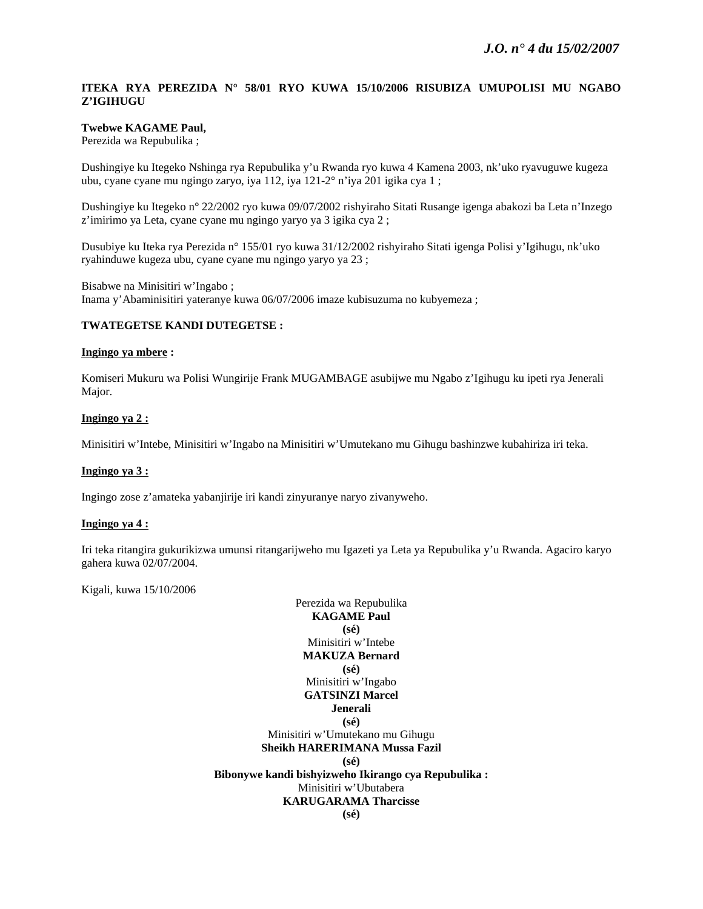## **ITEKA RYA PEREZIDA N° 58/01 RYO KUWA 15/10/2006 RISUBIZA UMUPOLISI MU NGABO Z'IGIHUGU**

## **Twebwe KAGAME Paul,**

Perezida wa Repubulika ;

Dushingiye ku Itegeko Nshinga rya Repubulika y'u Rwanda ryo kuwa 4 Kamena 2003, nk'uko ryavuguwe kugeza ubu, cyane cyane mu ngingo zaryo, iya 112, iya 121-2° n'iya 201 igika cya 1 ;

Dushingiye ku Itegeko n° 22/2002 ryo kuwa 09/07/2002 rishyiraho Sitati Rusange igenga abakozi ba Leta n'Inzego z'imirimo ya Leta, cyane cyane mu ngingo yaryo ya 3 igika cya 2 ;

Dusubiye ku Iteka rya Perezida n° 155/01 ryo kuwa 31/12/2002 rishyiraho Sitati igenga Polisi y'Igihugu, nk'uko ryahinduwe kugeza ubu, cyane cyane mu ngingo yaryo ya 23 ;

Bisabwe na Minisitiri w'Ingabo ; Inama y'Abaminisitiri yateranye kuwa 06/07/2006 imaze kubisuzuma no kubyemeza ;

### **TWATEGETSE KANDI DUTEGETSE :**

#### **Ingingo ya mbere :**

Komiseri Mukuru wa Polisi Wungirije Frank MUGAMBAGE asubijwe mu Ngabo z'Igihugu ku ipeti rya Jenerali Major.

### **Ingingo ya 2 :**

Minisitiri w'Intebe, Minisitiri w'Ingabo na Minisitiri w'Umutekano mu Gihugu bashinzwe kubahiriza iri teka.

## **Ingingo ya 3 :**

Ingingo zose z'amateka yabanjirije iri kandi zinyuranye naryo zivanyweho.

## **Ingingo ya 4 :**

Iri teka ritangira gukurikizwa umunsi ritangarijweho mu Igazeti ya Leta ya Repubulika y'u Rwanda. Agaciro karyo gahera kuwa 02/07/2004.

Kigali, kuwa 15/10/2006

Perezida wa Repubulika **KAGAME Paul (sé)**  Minisitiri w'Intebe **MAKUZA Bernard (sé)**  Minisitiri w'Ingabo **GATSINZI Marcel Jenerali (sé)**  Minisitiri w'Umutekano mu Gihugu **Sheikh HARERIMANA Mussa Fazil (sé) Bibonywe kandi bishyizweho Ikirango cya Repubulika :**  Minisitiri w'Ubutabera **KARUGARAMA Tharcisse (sé)**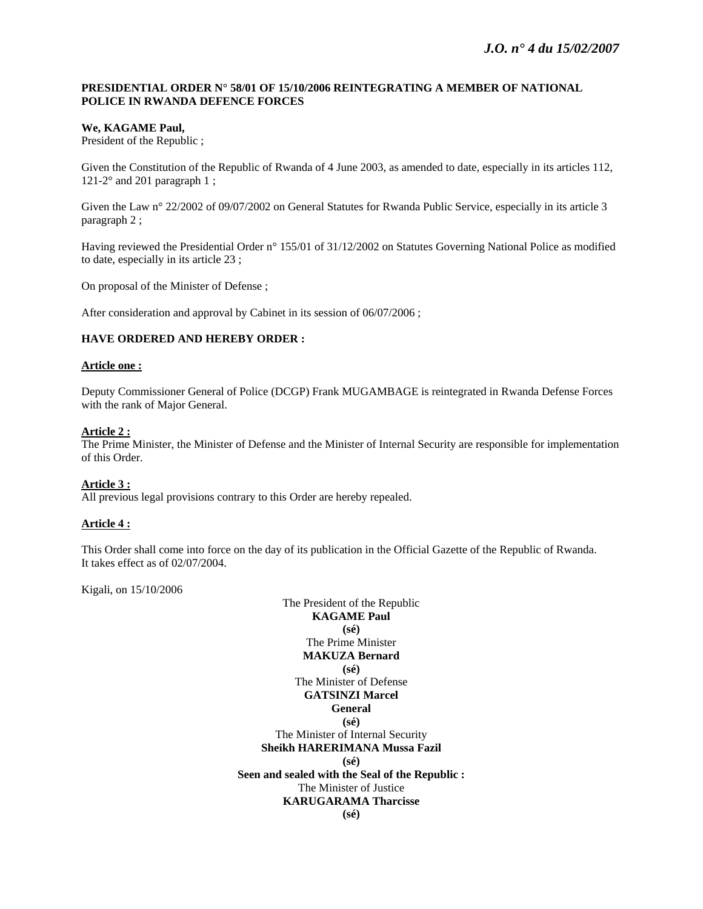### **PRESIDENTIAL ORDER N° 58/01 OF 15/10/2006 REINTEGRATING A MEMBER OF NATIONAL POLICE IN RWANDA DEFENCE FORCES**

## **We, KAGAME Paul,**

President of the Republic ;

Given the Constitution of the Republic of Rwanda of 4 June 2003, as amended to date, especially in its articles 112, 121-2 $\degree$  and 201 paragraph 1;

Given the Law n° 22/2002 of 09/07/2002 on General Statutes for Rwanda Public Service, especially in its article 3 paragraph 2 ;

Having reviewed the Presidential Order n° 155/01 of 31/12/2002 on Statutes Governing National Police as modified to date, especially in its article 23 ;

On proposal of the Minister of Defense ;

After consideration and approval by Cabinet in its session of 06/07/2006 ;

## **HAVE ORDERED AND HEREBY ORDER :**

### **Article one :**

Deputy Commissioner General of Police (DCGP) Frank MUGAMBAGE is reintegrated in Rwanda Defense Forces with the rank of Major General.

## **Article 2 :**

The Prime Minister, the Minister of Defense and the Minister of Internal Security are responsible for implementation of this Order.

## **Article 3 :**

All previous legal provisions contrary to this Order are hereby repealed.

## **Article 4 :**

This Order shall come into force on the day of its publication in the Official Gazette of the Republic of Rwanda. It takes effect as of 02/07/2004.

Kigali, on 15/10/2006

The President of the Republic **KAGAME Paul (sé)**  The Prime Minister **MAKUZA Bernard (sé)**  The Minister of Defense **GATSINZI Marcel General (sé)**  The Minister of Internal Security **Sheikh HARERIMANA Mussa Fazil (sé) Seen and sealed with the Seal of the Republic :**  The Minister of Justice **KARUGARAMA Tharcisse (sé)**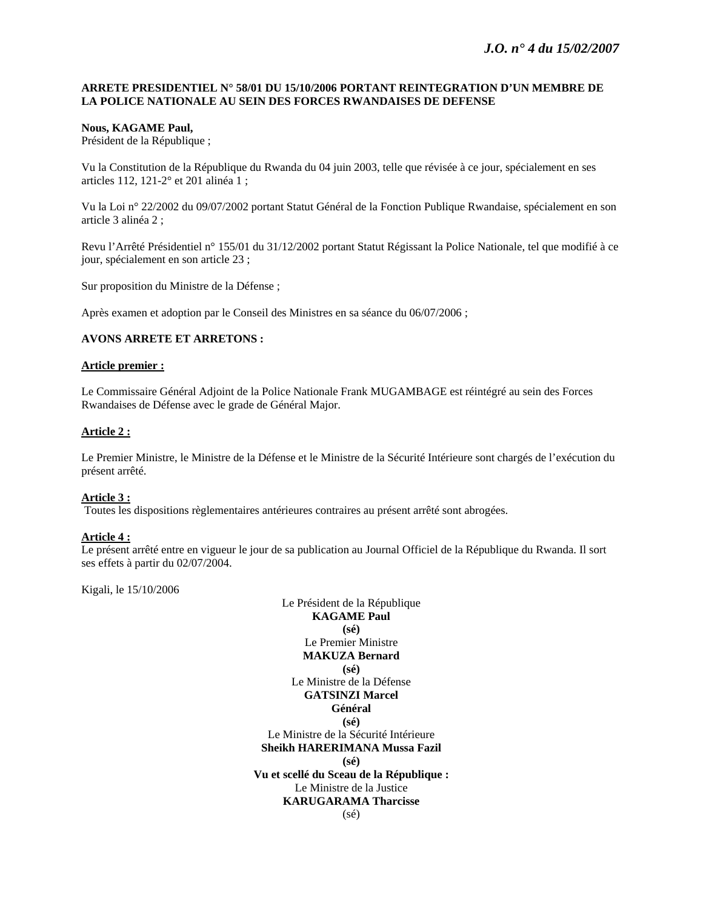### **ARRETE PRESIDENTIEL N° 58/01 DU 15/10/2006 PORTANT REINTEGRATION D'UN MEMBRE DE LA POLICE NATIONALE AU SEIN DES FORCES RWANDAISES DE DEFENSE**

### **Nous, KAGAME Paul,**

Président de la République ;

Vu la Constitution de la République du Rwanda du 04 juin 2003, telle que révisée à ce jour, spécialement en ses articles 112, 121-2° et 201 alinéa 1 ;

Vu la Loi n° 22/2002 du 09/07/2002 portant Statut Général de la Fonction Publique Rwandaise, spécialement en son article 3 alinéa 2 ;

Revu l'Arrêté Présidentiel n° 155/01 du 31/12/2002 portant Statut Régissant la Police Nationale, tel que modifié à ce jour, spécialement en son article 23 ;

Sur proposition du Ministre de la Défense ;

Après examen et adoption par le Conseil des Ministres en sa séance du 06/07/2006 ;

#### **AVONS ARRETE ET ARRETONS :**

#### **Article premier :**

Le Commissaire Général Adjoint de la Police Nationale Frank MUGAMBAGE est réintégré au sein des Forces Rwandaises de Défense avec le grade de Général Major.

### **Article 2 :**

Le Premier Ministre, le Ministre de la Défense et le Ministre de la Sécurité Intérieure sont chargés de l'exécution du présent arrêté.

### **Article 3 :**

Toutes les dispositions règlementaires antérieures contraires au présent arrêté sont abrogées.

## **Article 4 :**

Le présent arrêté entre en vigueur le jour de sa publication au Journal Officiel de la République du Rwanda. Il sort ses effets à partir du 02/07/2004.

Kigali, le 15/10/2006

Le Président de la République **KAGAME Paul (sé)**  Le Premier Ministre **MAKUZA Bernard (sé)**  Le Ministre de la Défense **GATSINZI Marcel Général (sé)**  Le Ministre de la Sécurité Intérieure **Sheikh HARERIMANA Mussa Fazil (sé) Vu et scellé du Sceau de la République :**  Le Ministre de la Justice **KARUGARAMA Tharcisse**  (sé)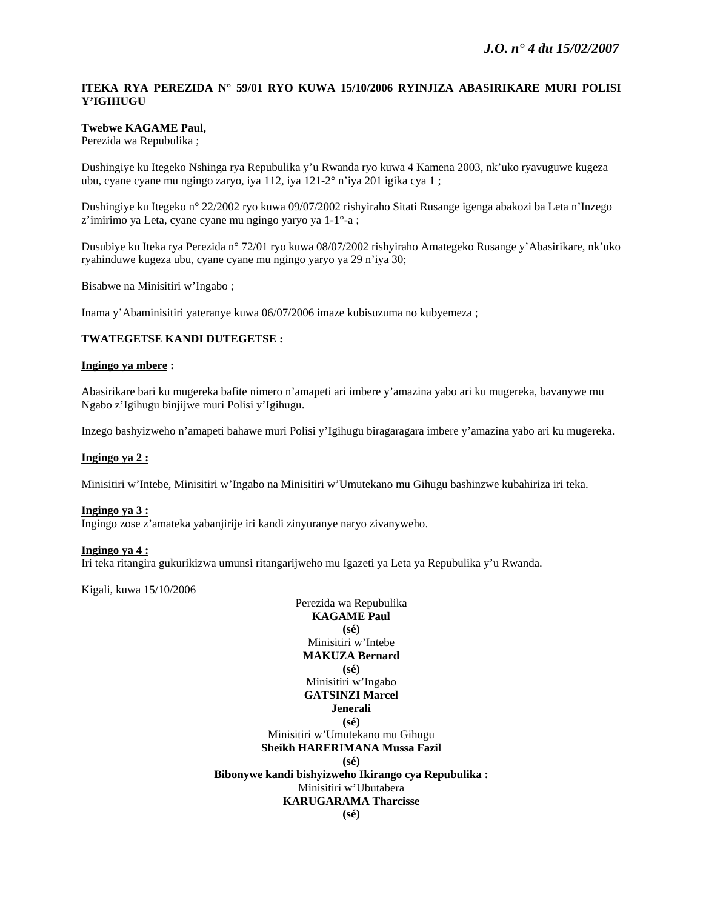## **ITEKA RYA PEREZIDA N° 59/01 RYO KUWA 15/10/2006 RYINJIZA ABASIRIKARE MURI POLISI Y'IGIHUGU**

## **Twebwe KAGAME Paul,**

Perezida wa Repubulika ;

Dushingiye ku Itegeko Nshinga rya Repubulika y'u Rwanda ryo kuwa 4 Kamena 2003, nk'uko ryavuguwe kugeza ubu, cyane cyane mu ngingo zaryo, iya 112, iya 121-2° n'iya 201 igika cya 1 ;

Dushingiye ku Itegeko n° 22/2002 ryo kuwa 09/07/2002 rishyiraho Sitati Rusange igenga abakozi ba Leta n'Inzego z'imirimo ya Leta, cyane cyane mu ngingo yaryo ya 1-1°-a ;

Dusubiye ku Iteka rya Perezida n° 72/01 ryo kuwa 08/07/2002 rishyiraho Amategeko Rusange y'Abasirikare, nk'uko ryahinduwe kugeza ubu, cyane cyane mu ngingo yaryo ya 29 n'iya 30;

Bisabwe na Minisitiri w'Ingabo ;

Inama y'Abaminisitiri yateranye kuwa 06/07/2006 imaze kubisuzuma no kubyemeza ;

#### **TWATEGETSE KANDI DUTEGETSE :**

#### **Ingingo ya mbere :**

Abasirikare bari ku mugereka bafite nimero n'amapeti ari imbere y'amazina yabo ari ku mugereka, bavanywe mu Ngabo z'Igihugu binjijwe muri Polisi y'Igihugu.

Inzego bashyizweho n'amapeti bahawe muri Polisi y'Igihugu biragaragara imbere y'amazina yabo ari ku mugereka.

#### **Ingingo ya 2 :**

Minisitiri w'Intebe, Minisitiri w'Ingabo na Minisitiri w'Umutekano mu Gihugu bashinzwe kubahiriza iri teka.

#### **Ingingo ya 3 :**

Ingingo zose z'amateka yabanjirije iri kandi zinyuranye naryo zivanyweho.

#### **Ingingo ya 4 :**

Iri teka ritangira gukurikizwa umunsi ritangarijweho mu Igazeti ya Leta ya Repubulika y'u Rwanda.

Kigali, kuwa 15/10/2006

Perezida wa Repubulika **KAGAME Paul (sé)**  Minisitiri w'Intebe **MAKUZA Bernard (sé)**  Minisitiri w'Ingabo **GATSINZI Marcel Jenerali (sé)**  Minisitiri w'Umutekano mu Gihugu **Sheikh HARERIMANA Mussa Fazil (sé) Bibonywe kandi bishyizweho Ikirango cya Repubulika :**  Minisitiri w'Ubutabera **KARUGARAMA Tharcisse (sé)**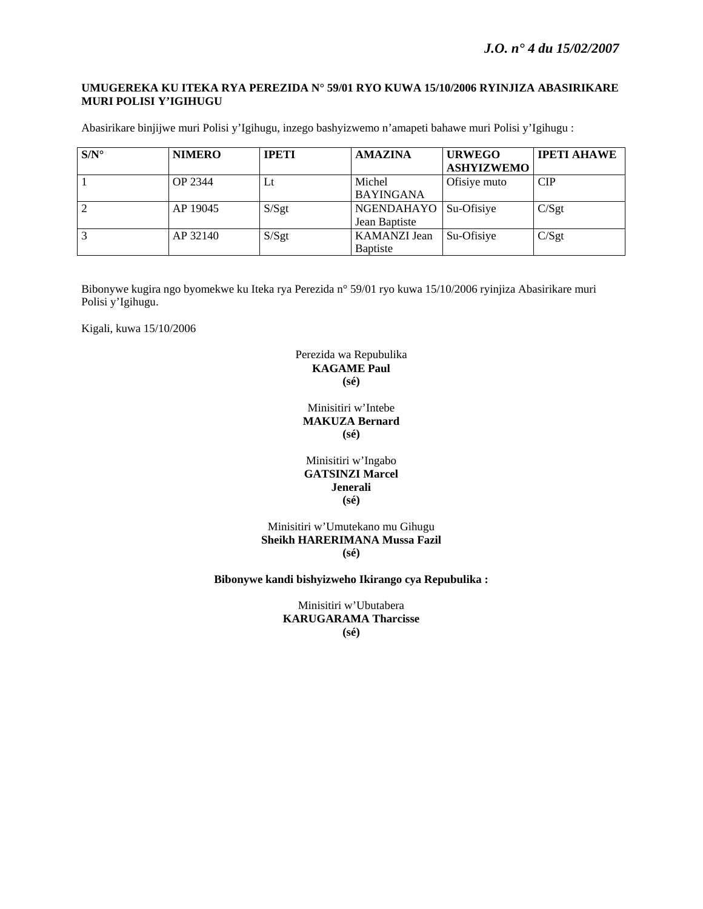### **UMUGEREKA KU ITEKA RYA PEREZIDA N° 59/01 RYO KUWA 15/10/2006 RYINJIZA ABASIRIKARE MURI POLISI Y'IGIHUGU**

Abasirikare binjijwe muri Polisi y'Igihugu, inzego bashyizwemo n'amapeti bahawe muri Polisi y'Igihugu :

| $S/N^{\circ}$ | <b>NIMERO</b>  | <b>IPETI</b> | <b>AMAZINA</b>                           | <b>URWEGO</b><br><b>ASHYIZWEMO</b> | <b>IPETI AHAWE</b> |
|---------------|----------------|--------------|------------------------------------------|------------------------------------|--------------------|
|               | <b>OP 2344</b> | Lt           | Michel<br><b>BAYINGANA</b>               | Ofisiye muto                       | <b>CIP</b>         |
| 2             | AP 19045       | S/Sgt        | NGENDAHAYO   Su-Ofisiye<br>Jean Baptiste |                                    | C/Sgt              |
| 3             | AP 32140       | S/Sgt        | <b>KAMANZI</b> Jean<br><b>B</b> aptiste  | Su-Ofisiye                         | C/Sgt              |

Bibonywe kugira ngo byomekwe ku Iteka rya Perezida n° 59/01 ryo kuwa 15/10/2006 ryinjiza Abasirikare muri Polisi y'Igihugu.

Kigali, kuwa 15/10/2006

## Perezida wa Repubulika **KAGAME Paul (sé)**

## Minisitiri w'Intebe **MAKUZA Bernard (sé)**

Minisitiri w'Ingabo **GATSINZI Marcel Jenerali (sé)** 

Minisitiri w'Umutekano mu Gihugu **Sheikh HARERIMANA Mussa Fazil (sé)** 

**Bibonywe kandi bishyizweho Ikirango cya Repubulika :** 

Minisitiri w'Ubutabera **KARUGARAMA Tharcisse (sé)**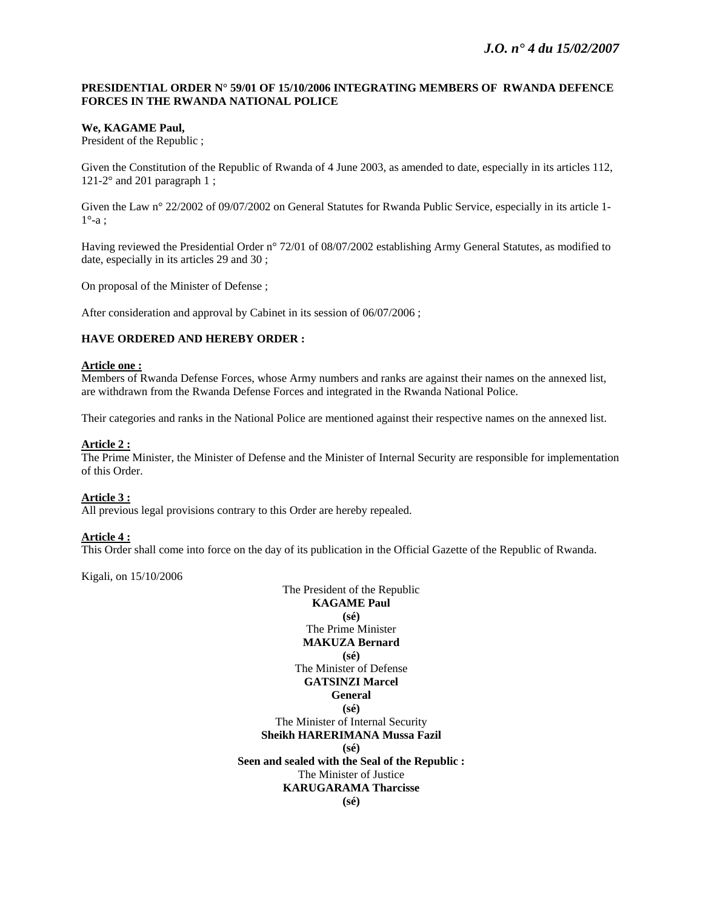## **PRESIDENTIAL ORDER N° 59/01 OF 15/10/2006 INTEGRATING MEMBERS OF RWANDA DEFENCE FORCES IN THE RWANDA NATIONAL POLICE**

## **We, KAGAME Paul,**

President of the Republic ;

Given the Constitution of the Republic of Rwanda of 4 June 2003, as amended to date, especially in its articles 112, 121-2 $\degree$  and 201 paragraph 1;

Given the Law n° 22/2002 of 09/07/2002 on General Statutes for Rwanda Public Service, especially in its article 1- $1^\circ$ -a;

Having reviewed the Presidential Order n° 72/01 of 08/07/2002 establishing Army General Statutes, as modified to date, especially in its articles 29 and 30 ;

On proposal of the Minister of Defense ;

After consideration and approval by Cabinet in its session of 06/07/2006 ;

## **HAVE ORDERED AND HEREBY ORDER :**

#### **Article one :**

Members of Rwanda Defense Forces, whose Army numbers and ranks are against their names on the annexed list, are withdrawn from the Rwanda Defense Forces and integrated in the Rwanda National Police.

Their categories and ranks in the National Police are mentioned against their respective names on the annexed list.

## **Article 2 :**

The Prime Minister, the Minister of Defense and the Minister of Internal Security are responsible for implementation of this Order.

## **Article 3 :**

All previous legal provisions contrary to this Order are hereby repealed.

## **Article 4 :**

This Order shall come into force on the day of its publication in the Official Gazette of the Republic of Rwanda.

Kigali, on 15/10/2006

The President of the Republic **KAGAME Paul (sé)**  The Prime Minister **MAKUZA Bernard (sé)**  The Minister of Defense **GATSINZI Marcel General (sé)**  The Minister of Internal Security **Sheikh HARERIMANA Mussa Fazil (sé) Seen and sealed with the Seal of the Republic :**  The Minister of Justice **KARUGARAMA Tharcisse (sé)**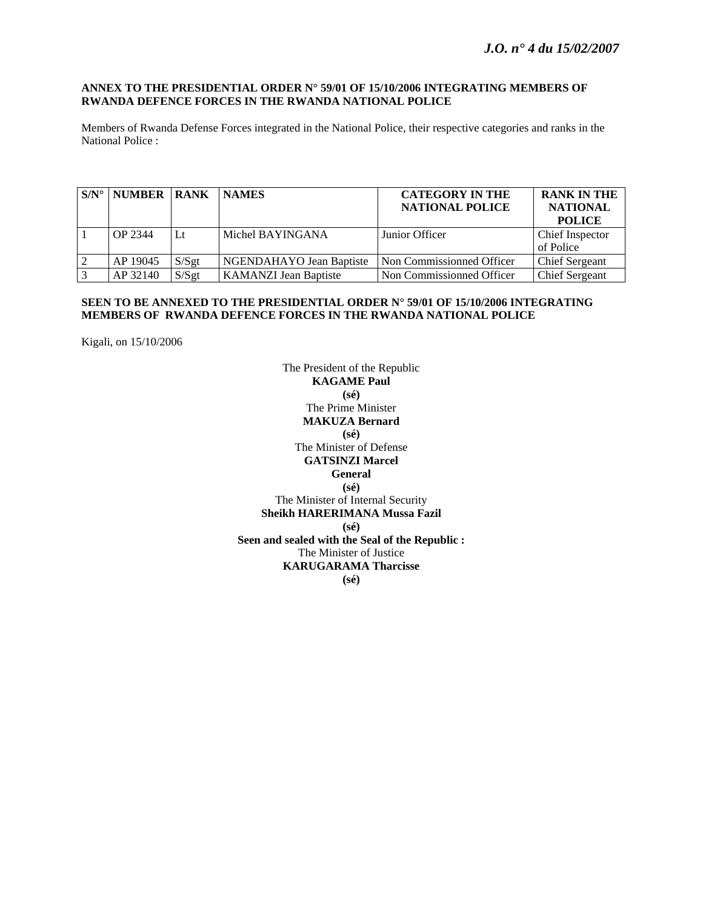### **ANNEX TO THE PRESIDENTIAL ORDER N° 59/01 OF 15/10/2006 INTEGRATING MEMBERS OF RWANDA DEFENCE FORCES IN THE RWANDA NATIONAL POLICE**

Members of Rwanda Defense Forces integrated in the National Police, their respective categories and ranks in the National Police :

| $S/N^{\circ}$ | <b>NUMBER RANK</b> |       | <b>NAMES</b>                 | <b>CATEGORY IN THE</b><br><b>NATIONAL POLICE</b> | <b>RANK IN THE</b><br><b>NATIONAL</b><br><b>POLICE</b> |
|---------------|--------------------|-------|------------------------------|--------------------------------------------------|--------------------------------------------------------|
|               | OP 2344            | Lt    | Michel BAYINGANA             | Junior Officer                                   | Chief Inspector                                        |
|               |                    |       |                              |                                                  | of Police                                              |
| 2             | AP 19045           | S/Sgt | NGENDAHAYO Jean Baptiste     | Non Commissionned Officer                        | Chief Sergeant                                         |
| 3             | AP 32140           | S/Sgt | <b>KAMANZI Jean Baptiste</b> | Non Commissionned Officer                        | <b>Chief Sergeant</b>                                  |

### **SEEN TO BE ANNEXED TO THE PRESIDENTIAL ORDER N° 59/01 OF 15/10/2006 INTEGRATING MEMBERS OF RWANDA DEFENCE FORCES IN THE RWANDA NATIONAL POLICE**

Kigali, on 15/10/2006

The President of the Republic **KAGAME Paul (sé)**  The Prime Minister **MAKUZA Bernard (sé)**  The Minister of Defense **GATSINZI Marcel General (sé)**  The Minister of Internal Security **Sheikh HARERIMANA Mussa Fazil (sé) Seen and sealed with the Seal of the Republic :**  The Minister of Justice **KARUGARAMA Tharcisse (sé)**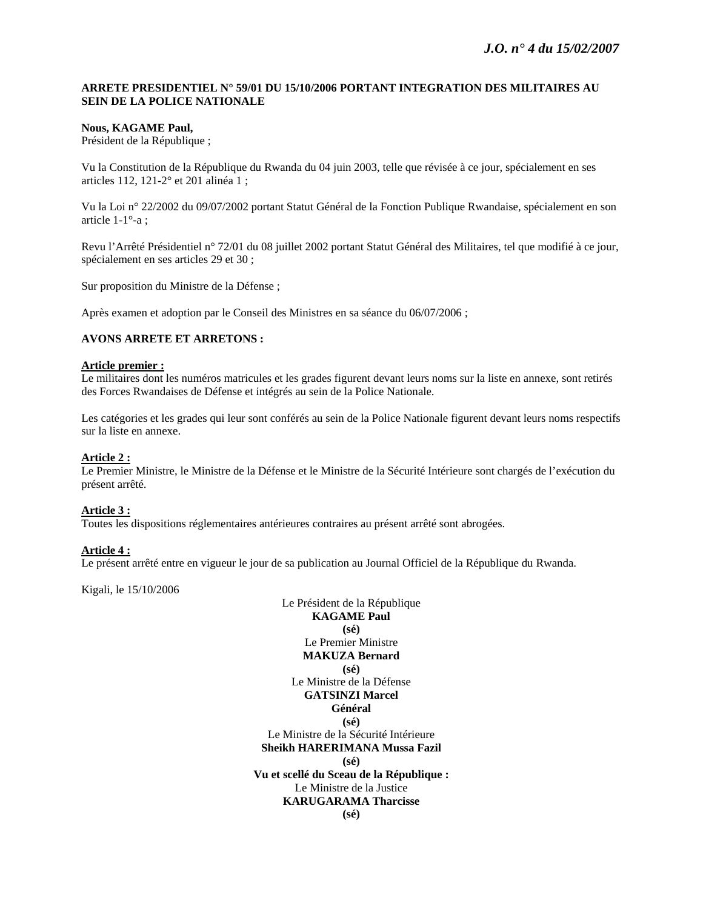## **ARRETE PRESIDENTIEL N° 59/01 DU 15/10/2006 PORTANT INTEGRATION DES MILITAIRES AU SEIN DE LA POLICE NATIONALE**

## **Nous, KAGAME Paul,**

Président de la République ;

Vu la Constitution de la République du Rwanda du 04 juin 2003, telle que révisée à ce jour, spécialement en ses articles 112, 121-2° et 201 alinéa 1 ;

Vu la Loi n° 22/2002 du 09/07/2002 portant Statut Général de la Fonction Publique Rwandaise, spécialement en son article 1-1°-a ;

Revu l'Arrêté Présidentiel n° 72/01 du 08 juillet 2002 portant Statut Général des Militaires, tel que modifié à ce jour, spécialement en ses articles 29 et 30 ;

Sur proposition du Ministre de la Défense ;

Après examen et adoption par le Conseil des Ministres en sa séance du 06/07/2006 ;

#### **AVONS ARRETE ET ARRETONS :**

#### **Article premier :**

Le militaires dont les numéros matricules et les grades figurent devant leurs noms sur la liste en annexe, sont retirés des Forces Rwandaises de Défense et intégrés au sein de la Police Nationale.

Les catégories et les grades qui leur sont conférés au sein de la Police Nationale figurent devant leurs noms respectifs sur la liste en annexe.

#### **Article 2 :**

Le Premier Ministre, le Ministre de la Défense et le Ministre de la Sécurité Intérieure sont chargés de l'exécution du présent arrêté.

#### **Article 3 :**

Toutes les dispositions réglementaires antérieures contraires au présent arrêté sont abrogées.

#### **Article 4 :**

Le présent arrêté entre en vigueur le jour de sa publication au Journal Officiel de la République du Rwanda.

Kigali, le 15/10/2006

Le Président de la République **KAGAME Paul (sé)**  Le Premier Ministre **MAKUZA Bernard (sé)**  Le Ministre de la Défense **GATSINZI Marcel Général (sé)**  Le Ministre de la Sécurité Intérieure **Sheikh HARERIMANA Mussa Fazil (sé) Vu et scellé du Sceau de la République :**  Le Ministre de la Justice **KARUGARAMA Tharcisse (sé)**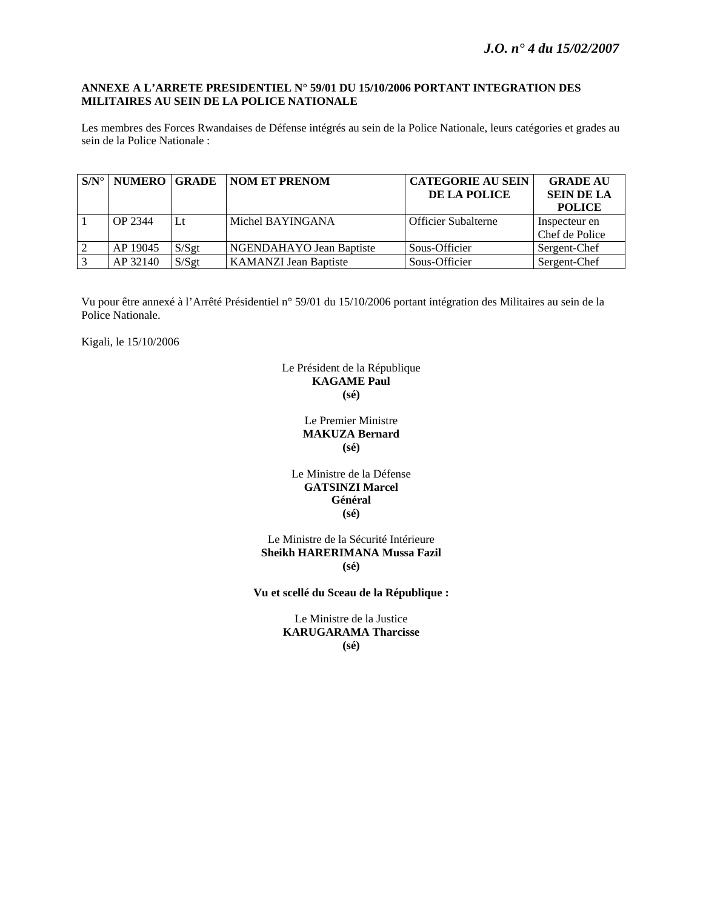### **ANNEXE A L'ARRETE PRESIDENTIEL N° 59/01 DU 15/10/2006 PORTANT INTEGRATION DES MILITAIRES AU SEIN DE LA POLICE NATIONALE**

Les membres des Forces Rwandaises de Défense intégrés au sein de la Police Nationale, leurs catégories et grades au sein de la Police Nationale :

| $\mathbf{S/N}^{\circ}$ | NUMERO GRADE |          | <b>NOM ET PRENOM</b>         | <b>CATEGORIE AU SEIN</b>   | <b>GRADE AU</b>   |
|------------------------|--------------|----------|------------------------------|----------------------------|-------------------|
|                        |              |          |                              | DE LA POLICE               | <b>SEIN DE LA</b> |
|                        |              |          |                              |                            | <b>POLICE</b>     |
|                        | OP 2344      | Lt       | Michel BAYINGANA             | <b>Officier Subalterne</b> | Inspecteur en     |
|                        |              |          |                              |                            | Chef de Police    |
| $\overline{2}$         | AP 19045     | S/Sgt    | NGENDAHAYO Jean Baptiste     | Sous-Officier              | Sergent-Chef      |
| 3                      | AP 32140     | $S/S$ gt | <b>KAMANZI Jean Baptiste</b> | Sous-Officier              | Sergent-Chef      |

Vu pour être annexé à l'Arrêté Présidentiel n° 59/01 du 15/10/2006 portant intégration des Militaires au sein de la Police Nationale.

Kigali, le 15/10/2006

## Le Président de la République **KAGAME Paul (sé)**

Le Premier Ministre **MAKUZA Bernard (sé)** 

## Le Ministre de la Défense **GATSINZI Marcel Général (sé)**

Le Ministre de la Sécurité Intérieure **Sheikh HARERIMANA Mussa Fazil (sé)** 

**Vu et scellé du Sceau de la République :** 

Le Ministre de la Justice **KARUGARAMA Tharcisse (sé)**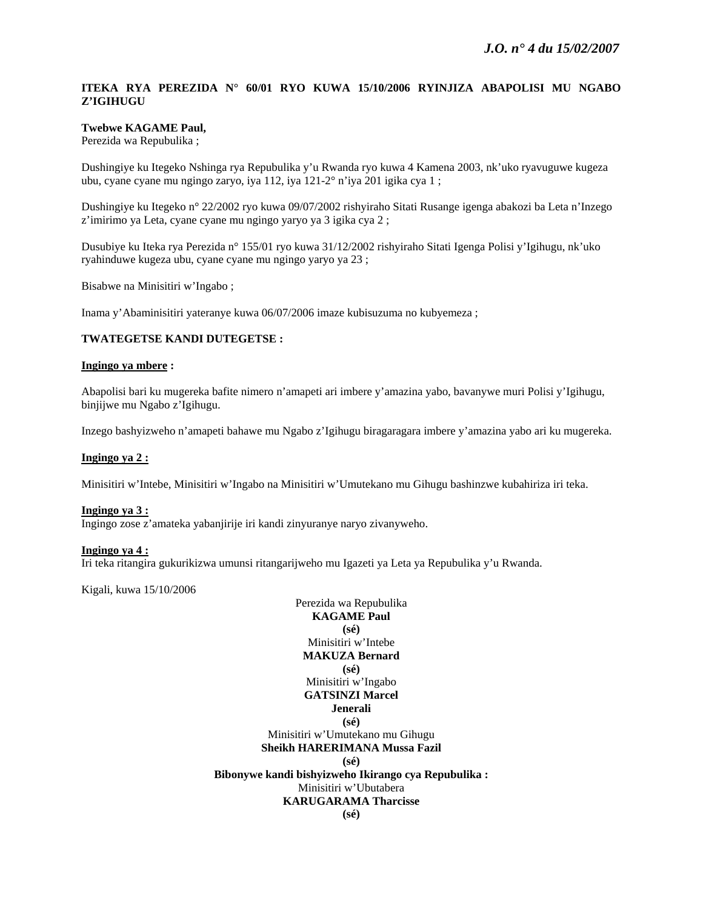## **ITEKA RYA PEREZIDA N° 60/01 RYO KUWA 15/10/2006 RYINJIZA ABAPOLISI MU NGABO Z'IGIHUGU**

## **Twebwe KAGAME Paul,**

Perezida wa Repubulika ;

Dushingiye ku Itegeko Nshinga rya Repubulika y'u Rwanda ryo kuwa 4 Kamena 2003, nk'uko ryavuguwe kugeza ubu, cyane cyane mu ngingo zaryo, iya 112, iya 121-2° n'iya 201 igika cya 1 ;

Dushingiye ku Itegeko n° 22/2002 ryo kuwa 09/07/2002 rishyiraho Sitati Rusange igenga abakozi ba Leta n'Inzego z'imirimo ya Leta, cyane cyane mu ngingo yaryo ya 3 igika cya 2 ;

Dusubiye ku Iteka rya Perezida n° 155/01 ryo kuwa 31/12/2002 rishyiraho Sitati Igenga Polisi y'Igihugu, nk'uko ryahinduwe kugeza ubu, cyane cyane mu ngingo yaryo ya 23 ;

Bisabwe na Minisitiri w'Ingabo ;

Inama y'Abaminisitiri yateranye kuwa 06/07/2006 imaze kubisuzuma no kubyemeza ;

#### **TWATEGETSE KANDI DUTEGETSE :**

#### **Ingingo ya mbere :**

Abapolisi bari ku mugereka bafite nimero n'amapeti ari imbere y'amazina yabo, bavanywe muri Polisi y'Igihugu, binjijwe mu Ngabo z'Igihugu.

Inzego bashyizweho n'amapeti bahawe mu Ngabo z'Igihugu biragaragara imbere y'amazina yabo ari ku mugereka.

#### **Ingingo ya 2 :**

Minisitiri w'Intebe, Minisitiri w'Ingabo na Minisitiri w'Umutekano mu Gihugu bashinzwe kubahiriza iri teka.

#### **Ingingo ya 3 :**

Ingingo zose z'amateka yabanjirije iri kandi zinyuranye naryo zivanyweho.

#### **Ingingo ya 4 :**

Iri teka ritangira gukurikizwa umunsi ritangarijweho mu Igazeti ya Leta ya Repubulika y'u Rwanda.

Kigali, kuwa 15/10/2006

Perezida wa Repubulika **KAGAME Paul (sé)**  Minisitiri w'Intebe **MAKUZA Bernard (sé)**  Minisitiri w'Ingabo **GATSINZI Marcel Jenerali (sé)**  Minisitiri w'Umutekano mu Gihugu **Sheikh HARERIMANA Mussa Fazil (sé) Bibonywe kandi bishyizweho Ikirango cya Repubulika :**  Minisitiri w'Ubutabera **KARUGARAMA Tharcisse (sé)**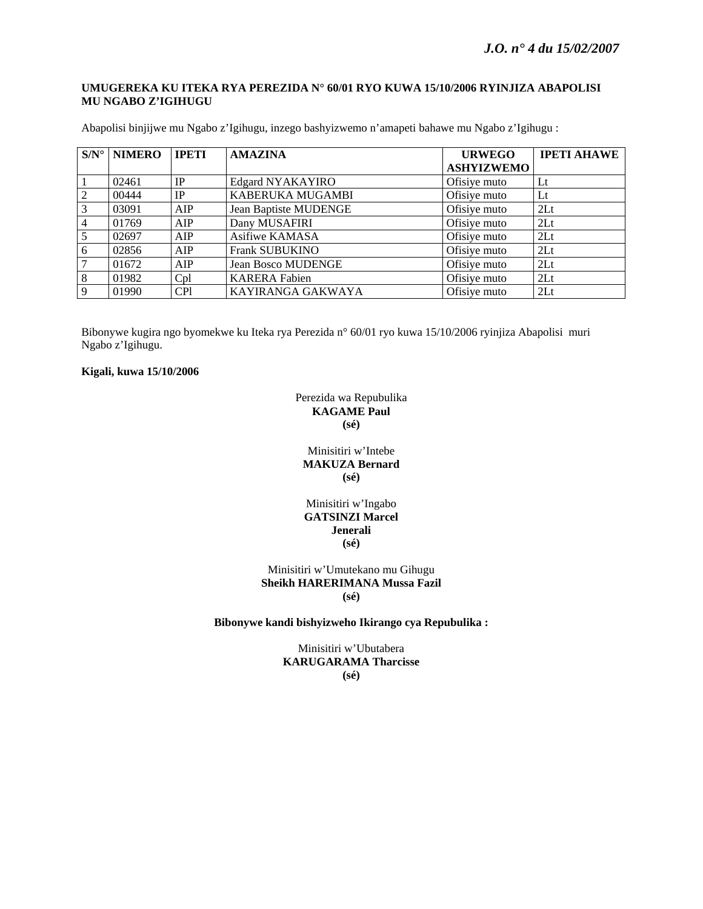### **UMUGEREKA KU ITEKA RYA PEREZIDA N° 60/01 RYO KUWA 15/10/2006 RYINJIZA ABAPOLISI MU NGABO Z'IGIHUGU**

| $S/N^{\circ}$ | <b>NIMERO</b> | <b>IPETI</b> | <b>AMAZINA</b>               | <b>URWEGO</b>     | <b>IPETI AHAWE</b> |
|---------------|---------------|--------------|------------------------------|-------------------|--------------------|
|               |               |              |                              | <b>ASHYIZWEMO</b> |                    |
|               | 02461         | IP           | Edgard NYAKAYIRO             | Ofisiye muto      | $_{\rm Lt}$        |
| 2             | 00444         | IP           | KABERUKA MUGAMBI             | Ofisiye muto      | $_{\rm Lt}$        |
|               | 03091         | AIP          | <b>Jean Baptiste MUDENGE</b> | Ofisiye muto      | 2 <sub>Lt</sub>    |
|               | 01769         | AIP          | Dany MUSAFIRI                | Ofisiye muto      | 2 <sub>Lt</sub>    |
|               | 02697         | AIP          | Asifiwe KAMASA               | Ofisiye muto      | 2 <sub>Lt</sub>    |
| 6             | 02856         | AIP          | <b>Frank SUBUKINO</b>        | Ofisiye muto      | 2 <sub>Lt</sub>    |
|               | 01672         | AIP          | <b>Jean Bosco MUDENGE</b>    | Ofisiye muto      | 2 <sub>Lt</sub>    |
| 8             | 01982         | Cpl          | <b>KARERA Fabien</b>         | Ofisiye muto      | 2Lt                |
| $\mathbf Q$   | 01990         | <b>CPI</b>   | KAYIRANGA GAKWAYA            | Ofisiye muto      | 2 <sub>Lt</sub>    |

Abapolisi binjijwe mu Ngabo z'Igihugu, inzego bashyizwemo n'amapeti bahawe mu Ngabo z'Igihugu :

Bibonywe kugira ngo byomekwe ku Iteka rya Perezida n° 60/01 ryo kuwa 15/10/2006 ryinjiza Abapolisi muri Ngabo z'Igihugu.

#### **Kigali, kuwa 15/10/2006**

## Perezida wa Repubulika **KAGAME Paul (sé)**

Minisitiri w'Intebe **MAKUZA Bernard (sé)** 

### Minisitiri w'Ingabo **GATSINZI Marcel Jenerali (sé)**

#### Minisitiri w'Umutekano mu Gihugu **Sheikh HARERIMANA Mussa Fazil (sé)**

### **Bibonywe kandi bishyizweho Ikirango cya Repubulika :**

Minisitiri w'Ubutabera **KARUGARAMA Tharcisse (sé)**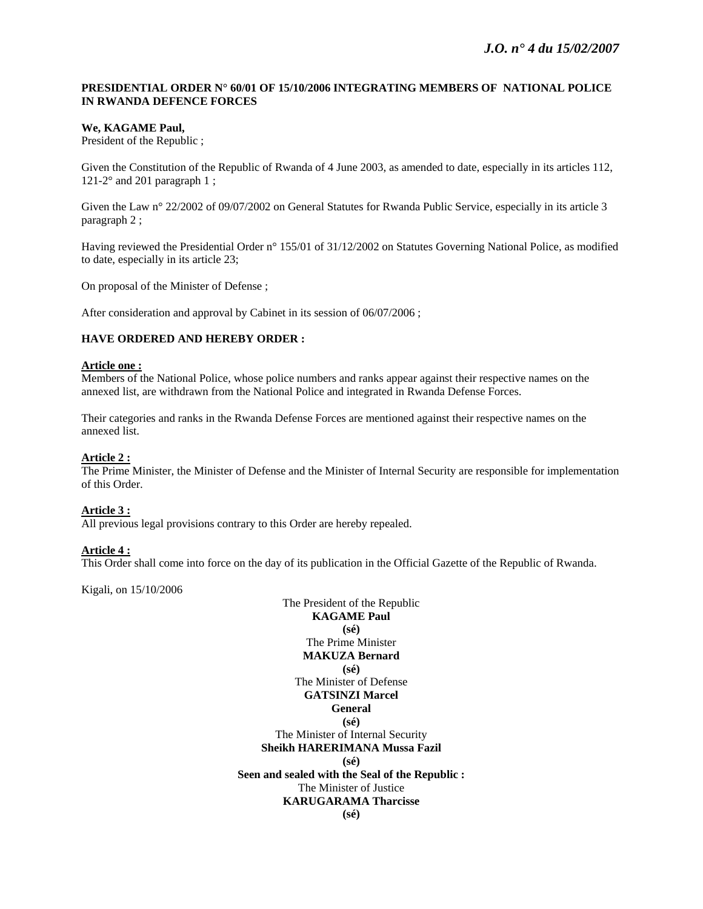## **PRESIDENTIAL ORDER N° 60/01 OF 15/10/2006 INTEGRATING MEMBERS OF NATIONAL POLICE IN RWANDA DEFENCE FORCES**

### **We, KAGAME Paul,**

President of the Republic ;

Given the Constitution of the Republic of Rwanda of 4 June 2003, as amended to date, especially in its articles 112, 121-2 $\degree$  and 201 paragraph 1;

Given the Law n° 22/2002 of 09/07/2002 on General Statutes for Rwanda Public Service, especially in its article 3 paragraph 2 ;

Having reviewed the Presidential Order n° 155/01 of 31/12/2002 on Statutes Governing National Police, as modified to date, especially in its article 23;

On proposal of the Minister of Defense ;

After consideration and approval by Cabinet in its session of 06/07/2006 ;

### **HAVE ORDERED AND HEREBY ORDER :**

#### **Article one :**

Members of the National Police, whose police numbers and ranks appear against their respective names on the annexed list, are withdrawn from the National Police and integrated in Rwanda Defense Forces.

Their categories and ranks in the Rwanda Defense Forces are mentioned against their respective names on the annexed list.

#### **Article 2 :**

The Prime Minister, the Minister of Defense and the Minister of Internal Security are responsible for implementation of this Order.

#### **Article 3 :**

All previous legal provisions contrary to this Order are hereby repealed.

#### **Article 4 :**

This Order shall come into force on the day of its publication in the Official Gazette of the Republic of Rwanda.

Kigali, on 15/10/2006

The President of the Republic **KAGAME Paul (sé)**  The Prime Minister **MAKUZA Bernard (sé)**  The Minister of Defense **GATSINZI Marcel General (sé)**  The Minister of Internal Security **Sheikh HARERIMANA Mussa Fazil (sé) Seen and sealed with the Seal of the Republic :**  The Minister of Justice **KARUGARAMA Tharcisse (sé)**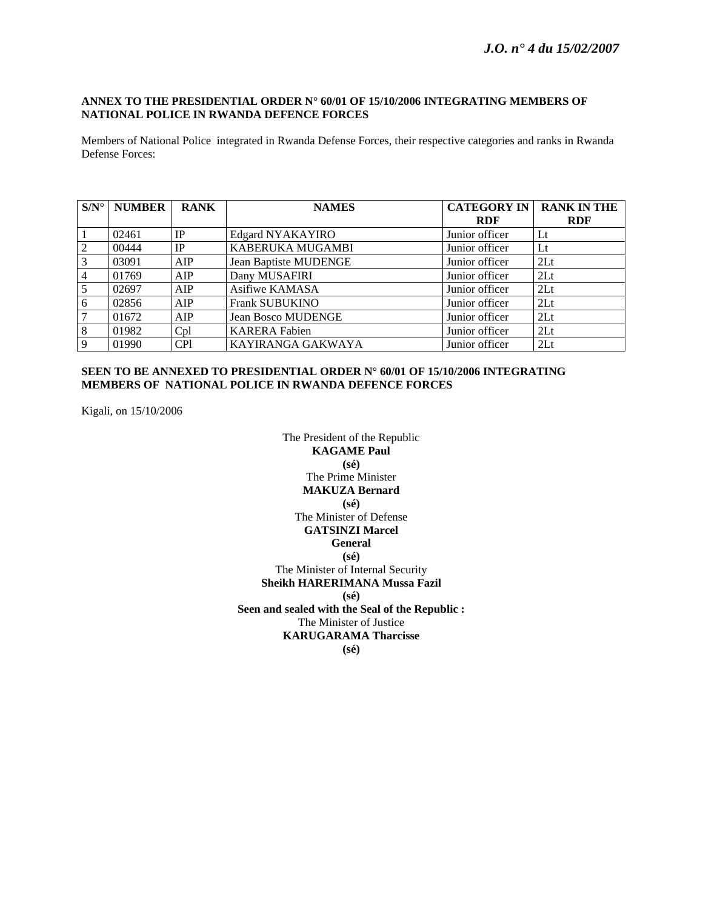## **ANNEX TO THE PRESIDENTIAL ORDER N° 60/01 OF 15/10/2006 INTEGRATING MEMBERS OF NATIONAL POLICE IN RWANDA DEFENCE FORCES**

Members of National Police integrated in Rwanda Defense Forces, their respective categories and ranks in Rwanda Defense Forces:

| $S/N^{\circ}$   | <b>NUMBER</b> | <b>RANK</b> | <b>NAMES</b>                 | <b>CATEGORY IN</b> | <b>RANK IN THE</b> |
|-----------------|---------------|-------------|------------------------------|--------------------|--------------------|
|                 |               |             |                              | <b>RDF</b>         | <b>RDF</b>         |
|                 | 02461         | IP          | Edgard NYAKAYIRO             | Junior officer     | Lt                 |
| $\overline{2}$  | 00444         | IP          | KABERUKA MUGAMBI             | Junior officer     | $_{\rm Lt}$        |
| $\overline{3}$  | 03091         | AIP         | <b>Jean Baptiste MUDENGE</b> | Junior officer     | 2 <sub>Lt</sub>    |
| $\overline{4}$  | 01769         | AIP         | Dany MUSAFIRI                | Junior officer     | 2Lt                |
| $5\overline{)}$ | 02697         | AIP         | Asifiwe KAMASA               | Junior officer     | 2Lt                |
| 6               | 02856         | AIP         | <b>Frank SUBUKINO</b>        | Junior officer     | 2 <sub>Lt</sub>    |
| 7               | 01672         | AIP         | <b>Jean Bosco MUDENGE</b>    | Junior officer     | 2Lt                |
| 8               | 01982         | Cpl         | <b>KARERA Fabien</b>         | Junior officer     | 2 <sub>Lt</sub>    |
| $\overline{9}$  | 01990         | <b>CPI</b>  | KAYIRANGA GAKWAYA            | Junior officer     | 2Lt                |

## **SEEN TO BE ANNEXED TO PRESIDENTIAL ORDER N° 60/01 OF 15/10/2006 INTEGRATING MEMBERS OF NATIONAL POLICE IN RWANDA DEFENCE FORCES**

Kigali, on 15/10/2006

The President of the Republic **KAGAME Paul (sé)**  The Prime Minister **MAKUZA Bernard (sé)**  The Minister of Defense **GATSINZI Marcel General (sé)**  The Minister of Internal Security **Sheikh HARERIMANA Mussa Fazil (sé) Seen and sealed with the Seal of the Republic :**  The Minister of Justice **KARUGARAMA Tharcisse (sé)**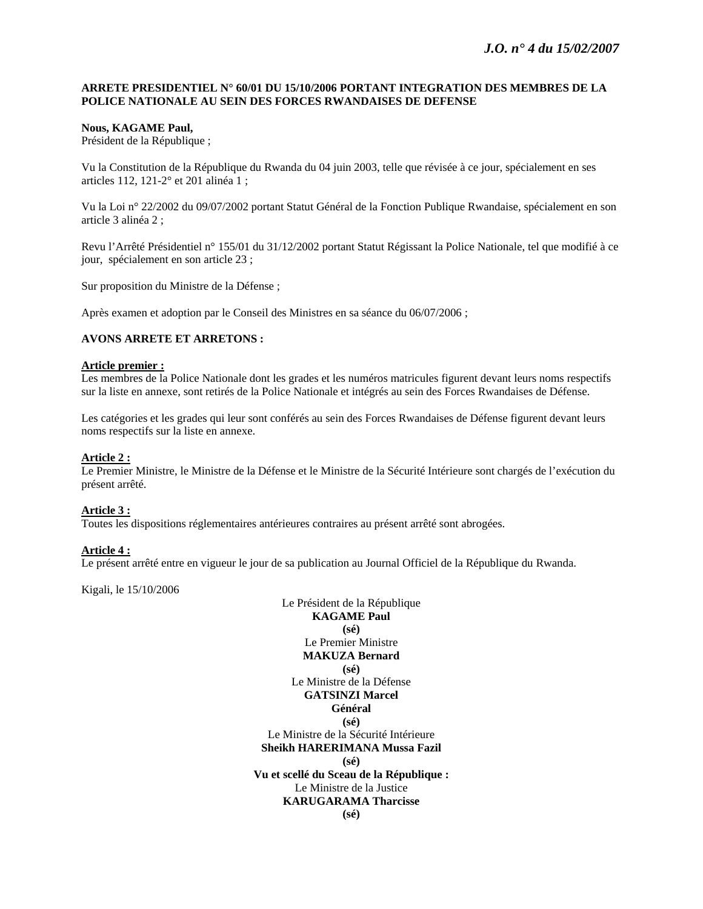### **ARRETE PRESIDENTIEL N° 60/01 DU 15/10/2006 PORTANT INTEGRATION DES MEMBRES DE LA POLICE NATIONALE AU SEIN DES FORCES RWANDAISES DE DEFENSE**

### **Nous, KAGAME Paul,**

Président de la République ;

Vu la Constitution de la République du Rwanda du 04 juin 2003, telle que révisée à ce jour, spécialement en ses articles 112, 121-2° et 201 alinéa 1 ;

Vu la Loi n° 22/2002 du 09/07/2002 portant Statut Général de la Fonction Publique Rwandaise, spécialement en son article 3 alinéa 2 ;

Revu l'Arrêté Présidentiel n° 155/01 du 31/12/2002 portant Statut Régissant la Police Nationale, tel que modifié à ce jour, spécialement en son article 23 ;

Sur proposition du Ministre de la Défense ;

Après examen et adoption par le Conseil des Ministres en sa séance du 06/07/2006 ;

#### **AVONS ARRETE ET ARRETONS :**

#### **Article premier :**

Les membres de la Police Nationale dont les grades et les numéros matricules figurent devant leurs noms respectifs sur la liste en annexe, sont retirés de la Police Nationale et intégrés au sein des Forces Rwandaises de Défense.

Les catégories et les grades qui leur sont conférés au sein des Forces Rwandaises de Défense figurent devant leurs noms respectifs sur la liste en annexe.

#### **Article 2 :**

Le Premier Ministre, le Ministre de la Défense et le Ministre de la Sécurité Intérieure sont chargés de l'exécution du présent arrêté.

#### **Article 3 :**

Toutes les dispositions réglementaires antérieures contraires au présent arrêté sont abrogées.

#### **Article 4 :**

Le présent arrêté entre en vigueur le jour de sa publication au Journal Officiel de la République du Rwanda.

Kigali, le 15/10/2006

Le Président de la République **KAGAME Paul (sé)**  Le Premier Ministre **MAKUZA Bernard (sé)**  Le Ministre de la Défense **GATSINZI Marcel Général (sé)**  Le Ministre de la Sécurité Intérieure **Sheikh HARERIMANA Mussa Fazil (sé) Vu et scellé du Sceau de la République :**  Le Ministre de la Justice **KARUGARAMA Tharcisse (sé)**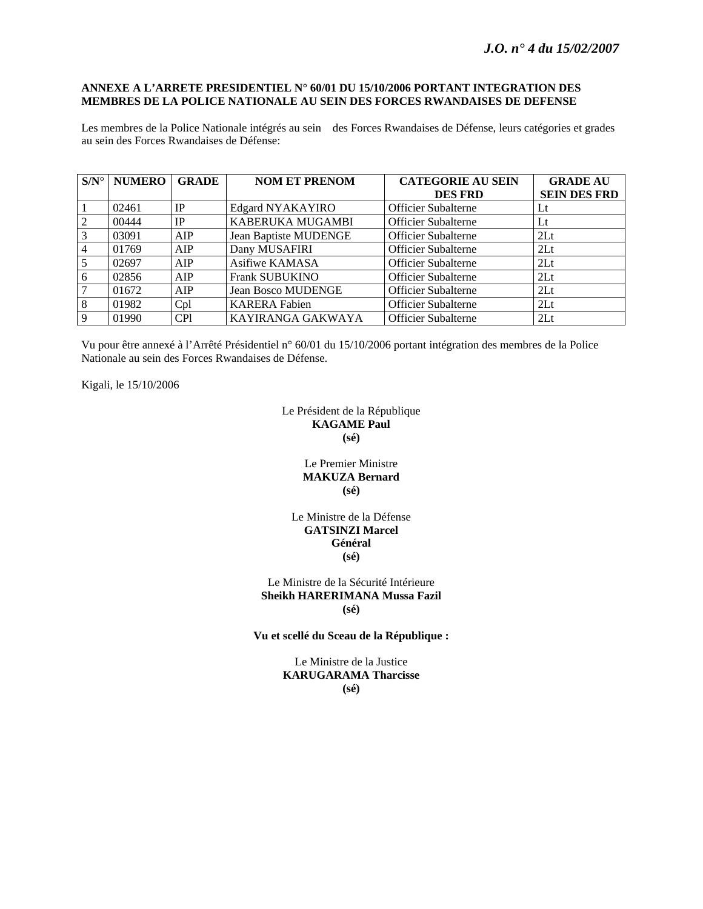### **ANNEXE A L'ARRETE PRESIDENTIEL N° 60/01 DU 15/10/2006 PORTANT INTEGRATION DES MEMBRES DE LA POLICE NATIONALE AU SEIN DES FORCES RWANDAISES DE DEFENSE**

Les membres de la Police Nationale intégrés au sein des Forces Rwandaises de Défense, leurs catégories et grades au sein des Forces Rwandaises de Défense:

| $S/N^{\circ}$  | <b>NUMERO</b> | <b>GRADE</b> | <b>NOM ET PRENOM</b>         | <b>CATEGORIE AU SEIN</b>   | <b>GRADE AU</b>     |
|----------------|---------------|--------------|------------------------------|----------------------------|---------------------|
|                |               |              |                              | <b>DES FRD</b>             | <b>SEIN DES FRD</b> |
|                | 02461         | IP           | Edgard NYAKAYIRO             | <b>Officier Subalterne</b> | Lt                  |
| 2              | 00444         | IP           | KABERUKA MUGAMBI             | <b>Officier Subalterne</b> | $_{\rm Lt}$         |
| 3              | 03091         | AIP          | <b>Jean Baptiste MUDENGE</b> | <b>Officier Subalterne</b> | 2Lt                 |
| $\overline{4}$ | 01769         | AIP          | Dany MUSAFIRI                | <b>Officier Subalterne</b> | 2 <sub>Lt</sub>     |
| 5              | 02697         | AIP          | Asifiwe KAMASA               | <b>Officier Subalterne</b> | 2Lt                 |
| 6              | 02856         | AIP          | <b>Frank SUBUKINO</b>        | Officier Subalterne        | 2Lt                 |
| 7              | 01672         | AIP          | <b>Jean Bosco MUDENGE</b>    | <b>Officier Subalterne</b> | 2 <sub>Lt</sub>     |
| 8              | 01982         | Cpl          | <b>KARERA Fabien</b>         | <b>Officier Subalterne</b> | 2Lt                 |
| 9              | 01990         | <b>CP1</b>   | KAYIRANGA GAKWAYA            | <b>Officier Subalterne</b> | 2Lt                 |

Vu pour être annexé à l'Arrêté Présidentiel n° 60/01 du 15/10/2006 portant intégration des membres de la Police Nationale au sein des Forces Rwandaises de Défense.

Kigali, le 15/10/2006

Le Président de la République **KAGAME Paul (sé)** 

### Le Premier Ministre **MAKUZA Bernard (sé)**

### Le Ministre de la Défense **GATSINZI Marcel Général (sé)**

Le Ministre de la Sécurité Intérieure **Sheikh HARERIMANA Mussa Fazil (sé)** 

**Vu et scellé du Sceau de la République :** 

Le Ministre de la Justice **KARUGARAMA Tharcisse (sé)**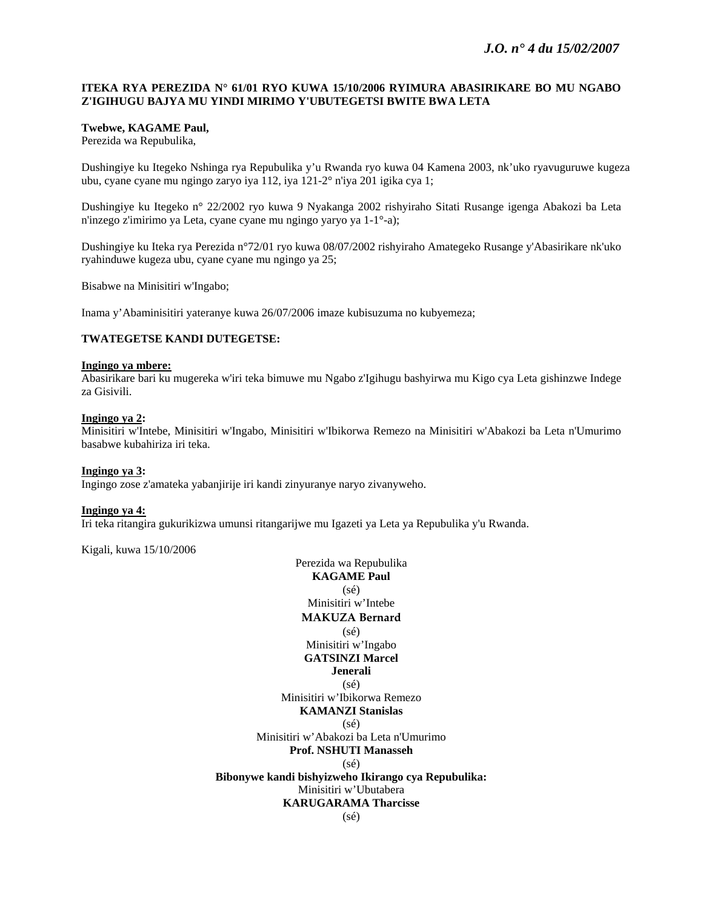### **ITEKA RYA PEREZIDA N° 61/01 RYO KUWA 15/10/2006 RYIMURA ABASIRIKARE BO MU NGABO Z'IGIHUGU BAJYA MU YINDI MIRIMO Y'UBUTEGETSI BWITE BWA LETA**

### **Twebwe, KAGAME Paul,**

Perezida wa Repubulika,

Dushingiye ku Itegeko Nshinga rya Repubulika y'u Rwanda ryo kuwa 04 Kamena 2003, nk'uko ryavuguruwe kugeza ubu, cyane cyane mu ngingo zaryo iya 112, iya 121-2° n'iya 201 igika cya 1;

Dushingiye ku Itegeko n° 22/2002 ryo kuwa 9 Nyakanga 2002 rishyiraho Sitati Rusange igenga Abakozi ba Leta n'inzego z'imirimo ya Leta, cyane cyane mu ngingo yaryo ya 1-1°-a);

Dushingiye ku Iteka rya Perezida n°72/01 ryo kuwa 08/07/2002 rishyiraho Amategeko Rusange y'Abasirikare nk'uko ryahinduwe kugeza ubu, cyane cyane mu ngingo ya 25;

Bisabwe na Minisitiri w'Ingabo;

Inama y'Abaminisitiri yateranye kuwa 26/07/2006 imaze kubisuzuma no kubyemeza;

#### **TWATEGETSE KANDI DUTEGETSE:**

#### **Ingingo ya mbere:**

Abasirikare bari ku mugereka w'iri teka bimuwe mu Ngabo z'Igihugu bashyirwa mu Kigo cya Leta gishinzwe Indege za Gisivili.

#### **Ingingo ya 2:**

Minisitiri w'Intebe, Minisitiri w'Ingabo, Minisitiri w'Ibikorwa Remezo na Minisitiri w'Abakozi ba Leta n'Umurimo basabwe kubahiriza iri teka.

#### **Ingingo ya 3:**

Ingingo zose z'amateka yabanjirije iri kandi zinyuranye naryo zivanyweho.

#### **Ingingo ya 4:**

Iri teka ritangira gukurikizwa umunsi ritangarijwe mu Igazeti ya Leta ya Repubulika y'u Rwanda.

Kigali, kuwa 15/10/2006

Perezida wa Repubulika **KAGAME Paul**  (sé) Minisitiri w'Intebe **MAKUZA Bernard** (sé) Minisitiri w'Ingabo **GATSINZI Marcel Jenerali**   $(sé)$ Minisitiri w'Ibikorwa Remezo **KAMANZI Stanislas**  (sé) Minisitiri w'Abakozi ba Leta n'Umurimo **Prof. NSHUTI Manasseh**  (sé) **Bibonywe kandi bishyizweho Ikirango cya Repubulika:**  Minisitiri w'Ubutabera **KARUGARAMA Tharcisse**  (sé)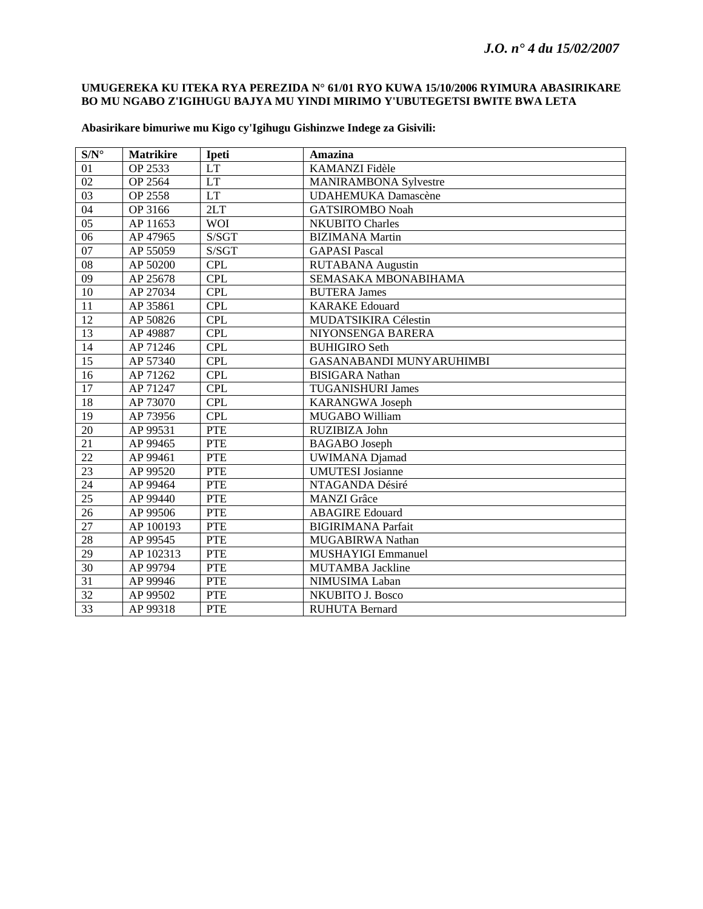## **UMUGEREKA KU ITEKA RYA PEREZIDA N° 61/01 RYO KUWA 15/10/2006 RYIMURA ABASIRIKARE BO MU NGABO Z'IGIHUGU BAJYA MU YINDI MIRIMO Y'UBUTEGETSI BWITE BWA LETA**

| $S/N^{\circ}$   | <b>Matrikire</b> | <b>Ipeti</b>               | Amazina                      |
|-----------------|------------------|----------------------------|------------------------------|
| 01              | OP 2533          | $\mathop{\rm LT}\nolimits$ | KAMANZI Fidèle               |
| $\overline{02}$ | OP 2564          | LT                         | <b>MANIRAMBONA Sylvestre</b> |
| 03              | OP 2558          | <b>LT</b>                  | <b>UDAHEMUKA Damascène</b>   |
| 04              | OP 3166          | 2LT                        | <b>GATSIROMBO Noah</b>       |
| $\overline{05}$ | AP 11653         | <b>WOI</b>                 | <b>NKUBITO Charles</b>       |
| 06              | AP 47965         | S/SGT                      | <b>BIZIMANA</b> Martin       |
| 07              | AP 55059         | S/SGT                      | <b>GAPASI</b> Pascal         |
| ${\bf 08}$      | AP 50200         | <b>CPL</b>                 | <b>RUTABANA</b> Augustin     |
| $\overline{09}$ | AP 25678         | <b>CPL</b>                 | SEMASAKA MBONABIHAMA         |
| 10              | AP 27034         | <b>CPL</b>                 | <b>BUTERA James</b>          |
| 11              | AP 35861         | <b>CPL</b>                 | <b>KARAKE</b> Edouard        |
| 12              | AP 50826         | <b>CPL</b>                 | MUDATSIKIRA Célestin         |
| 13              | AP 49887         | <b>CPL</b>                 | NIYONSENGA BARERA            |
| 14              | AP 71246         | <b>CPL</b>                 | <b>BUHIGIRO Seth</b>         |
| 15              | AP 57340         | <b>CPL</b>                 | GASANABANDI MUNYARUHIMBI     |
| 16              | AP 71262         | <b>CPL</b>                 | <b>BISIGARA</b> Nathan       |
| 17              | AP 71247         | <b>CPL</b>                 | <b>TUGANISHURI James</b>     |
| 18              | AP 73070         | <b>CPL</b>                 | <b>KARANGWA Joseph</b>       |
| $\overline{19}$ | AP 73956         | CPL                        | MUGABO William               |
| $20\,$          | AP 99531         | <b>PTE</b>                 | RUZIBIZA John                |
| 21              | AP 99465         | <b>PTE</b>                 | <b>BAGABO</b> Joseph         |
| $\overline{22}$ | AP 99461         | <b>PTE</b>                 | <b>UWIMANA Djamad</b>        |
| 23              | AP 99520         | <b>PTE</b>                 | <b>UMUTESI</b> Josianne      |
| 24              | AP 99464         | <b>PTE</b>                 | NTAGANDA Désiré              |
| 25              | AP 99440         | <b>PTE</b>                 | <b>MANZI</b> Grâce           |
| 26              | AP 99506         | <b>PTE</b>                 | <b>ABAGIRE</b> Edouard       |
| $\overline{27}$ | AP 100193        | <b>PTE</b>                 | <b>BIGIRIMANA Parfait</b>    |
| $\overline{28}$ | AP 99545         | <b>PTE</b>                 | MUGABIRWA Nathan             |
| 29              | AP 102313        | <b>PTE</b>                 | <b>MUSHAYIGI Emmanuel</b>    |
| 30              | AP 99794         | <b>PTE</b>                 | <b>MUTAMBA Jackline</b>      |
| 31              | AP 99946         | <b>PTE</b>                 | NIMUSIMA Laban               |
| $\overline{32}$ | AP 99502         | <b>PTE</b>                 | <b>NKUBITO J. Bosco</b>      |
| 33              | AP 99318         | <b>PTE</b>                 | <b>RUHUTA Bernard</b>        |

## **Abasirikare bimuriwe mu Kigo cy'Igihugu Gishinzwe Indege za Gisivili:**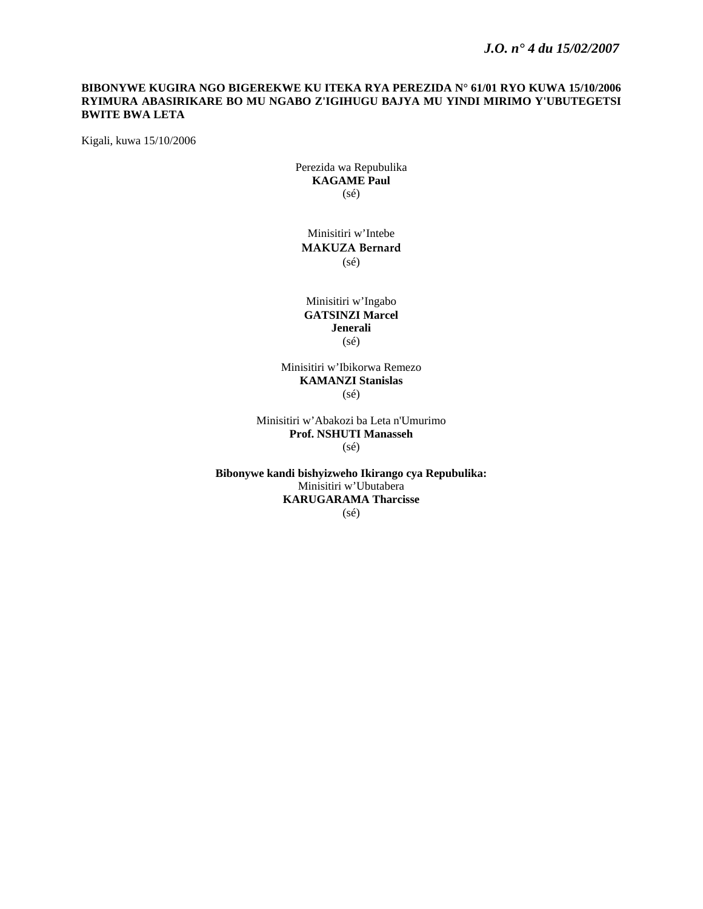## **BIBONYWE KUGIRA NGO BIGEREKWE KU ITEKA RYA PEREZIDA N° 61/01 RYO KUWA 15/10/2006 RYIMURA ABASIRIKARE BO MU NGABO Z'IGIHUGU BAJYA MU YINDI MIRIMO Y'UBUTEGETSI BWITE BWA LETA**

Kigali, kuwa 15/10/2006

Perezida wa Repubulika **KAGAME Paul**  (sé)

Minisitiri w'Intebe **MAKUZA Bernard** (sé)

Minisitiri w'Ingabo **GATSINZI Marcel Jenerali**  (sé)

Minisitiri w'Ibikorwa Remezo **KAMANZI Stanislas**   $(sé)$ 

Minisitiri w'Abakozi ba Leta n'Umurimo **Prof. NSHUTI Manasseh**  (sé)

**Bibonywe kandi bishyizweho Ikirango cya Repubulika:**  Minisitiri w'Ubutabera **KARUGARAMA Tharcisse**  (sé)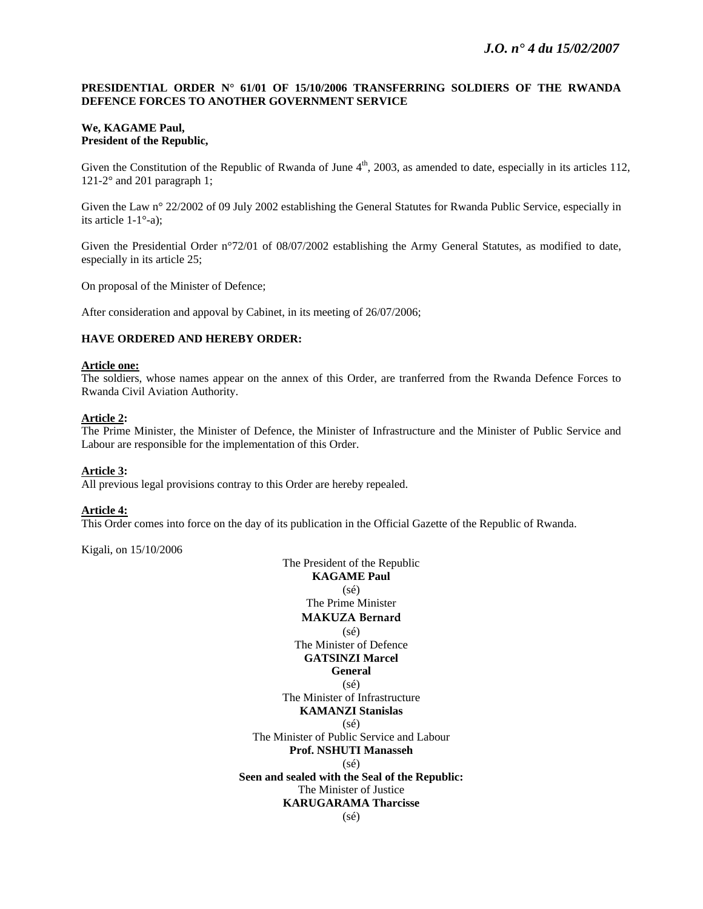### **PRESIDENTIAL ORDER N° 61/01 OF 15/10/2006 TRANSFERRING SOLDIERS OF THE RWANDA DEFENCE FORCES TO ANOTHER GOVERNMENT SERVICE**

#### **We, KAGAME Paul, President of the Republic,**

Given the Constitution of the Republic of Rwanda of June  $4<sup>th</sup>$ , 2003, as amended to date, especially in its articles 112, 121-2° and 201 paragraph 1;

Given the Law n° 22/2002 of 09 July 2002 establishing the General Statutes for Rwanda Public Service, especially in its article 1-1°-a);

Given the Presidential Order n°72/01 of 08/07/2002 establishing the Army General Statutes, as modified to date, especially in its article 25;

On proposal of the Minister of Defence;

After consideration and appoval by Cabinet, in its meeting of 26/07/2006;

#### **HAVE ORDERED AND HEREBY ORDER:**

#### **Article one:**

The soldiers, whose names appear on the annex of this Order, are tranferred from the Rwanda Defence Forces to Rwanda Civil Aviation Authority.

#### **Article 2:**

The Prime Minister, the Minister of Defence, the Minister of Infrastructure and the Minister of Public Service and Labour are responsible for the implementation of this Order.

#### **Article 3:**

All previous legal provisions contray to this Order are hereby repealed.

#### **Article 4:**

This Order comes into force on the day of its publication in the Official Gazette of the Republic of Rwanda.

Kigali, on 15/10/2006

The President of the Republic **KAGAME Paul**  (sé) The Prime Minister **MAKUZA Bernard** (sé) The Minister of Defence **GATSINZI Marcel General**   $(sé)$ The Minister of Infrastructure **KAMANZI Stanislas**  (sé) The Minister of Public Service and Labour **Prof. NSHUTI Manasseh**  (sé) **Seen and sealed with the Seal of the Republic:**  The Minister of Justice **KARUGARAMA Tharcisse**  (sé)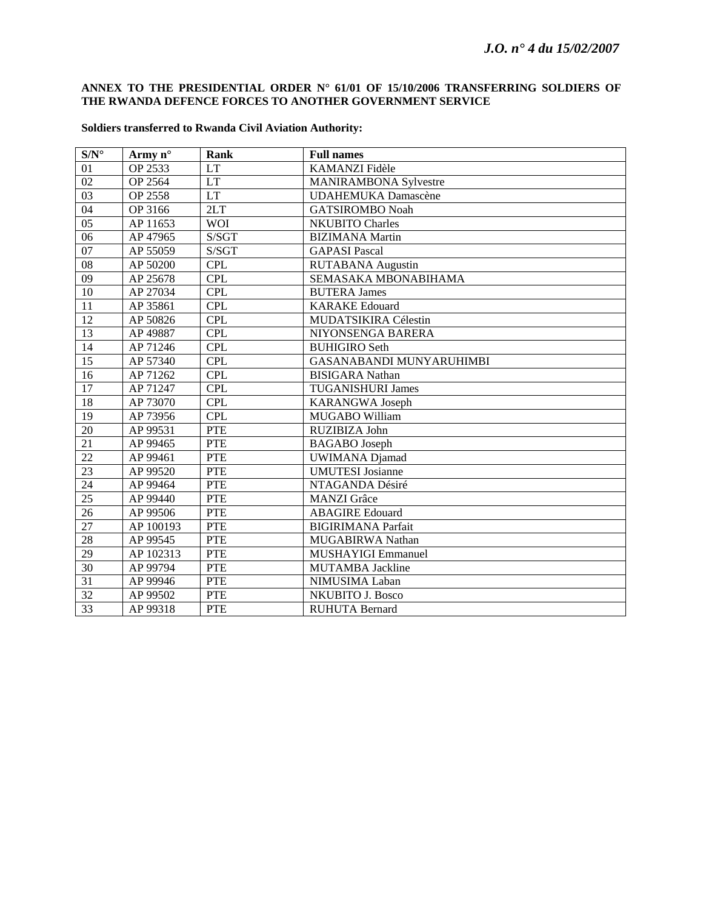## **ANNEX TO THE PRESIDENTIAL ORDER N° 61/01 OF 15/10/2006 TRANSFERRING SOLDIERS OF THE RWANDA DEFENCE FORCES TO ANOTHER GOVERNMENT SERVICE**

| $S/N^{\circ}$   | Army $n^{\circ}$ | Rank       | <b>Full names</b>               |
|-----------------|------------------|------------|---------------------------------|
| 01              | OP 2533          | <b>LT</b>  | KAMANZI Fidèle                  |
| 02              | OP 2564          | <b>LT</b>  | <b>MANIRAMBONA Sylvestre</b>    |
| 03              | OP 2558          | <b>LT</b>  | <b>UDAHEMUKA Damascène</b>      |
| 04              | OP 3166          | 2LT        | <b>GATSIROMBO Noah</b>          |
| $\overline{05}$ | AP 11653         | <b>WOI</b> | <b>NKUBITO Charles</b>          |
| 06              | AP 47965         | S/SGT      | <b>BIZIMANA</b> Martin          |
| 07              | AP 55059         | S/SGT      | <b>GAPASI</b> Pascal            |
| ${\bf 08}$      | AP 50200         | <b>CPL</b> | <b>RUTABANA</b> Augustin        |
| 09              | AP 25678         | <b>CPL</b> | SEMASAKA MBONABIHAMA            |
| $10\,$          | AP 27034         | <b>CPL</b> | <b>BUTERA James</b>             |
| 11              | AP 35861         | <b>CPL</b> | <b>KARAKE Edouard</b>           |
| 12              | AP 50826         | <b>CPL</b> | MUDATSIKIRA Célestin            |
| $\overline{13}$ | AP 49887         | <b>CPL</b> | NIYONSENGA BARERA               |
| 14              | AP 71246         | <b>CPL</b> | <b>BUHIGIRO</b> Seth            |
| 15              | AP 57340         | <b>CPL</b> | <b>GASANABANDI MUNYARUHIMBI</b> |
| 16              | AP 71262         | <b>CPL</b> | <b>BISIGARA</b> Nathan          |
| $\overline{17}$ | AP 71247         | <b>CPL</b> | <b>TUGANISHURI James</b>        |
| $18\,$          | AP 73070         | <b>CPL</b> | <b>KARANGWA Joseph</b>          |
| 19              | AP 73956         | CPL        | MUGABO William                  |
| 20              | AP 99531         | <b>PTE</b> | RUZIBIZA John                   |
| $\overline{21}$ | AP 99465         | <b>PTE</b> | <b>BAGABO</b> Joseph            |
| $\overline{22}$ | AP 99461         | <b>PTE</b> | <b>UWIMANA</b> Djamad           |
| 23              | AP 99520         | <b>PTE</b> | <b>UMUTESI</b> Josianne         |
| 24              | AP 99464         | <b>PTE</b> | NTAGANDA Désiré                 |
| $\overline{25}$ | AP 99440         | <b>PTE</b> | <b>MANZI</b> Grâce              |
| 26              | AP 99506         | <b>PTE</b> | <b>ABAGIRE</b> Edouard          |
| 27              | AP 100193        | <b>PTE</b> | <b>BIGIRIMANA Parfait</b>       |
| 28              | AP 99545         | <b>PTE</b> | MUGABIRWA Nathan                |
| $\overline{29}$ | AP 102313        | <b>PTE</b> | <b>MUSHAYIGI Emmanuel</b>       |
| 30              | AP 99794         | <b>PTE</b> | <b>MUTAMBA Jackline</b>         |
| 31              | AP 99946         | <b>PTE</b> | NIMUSIMA Laban                  |
| $\overline{32}$ | AP 99502         | <b>PTE</b> | <b>NKUBITO J. Bosco</b>         |
| 33              | AP 99318         | <b>PTE</b> | <b>RUHUTA Bernard</b>           |

## **Soldiers transferred to Rwanda Civil Aviation Authority:**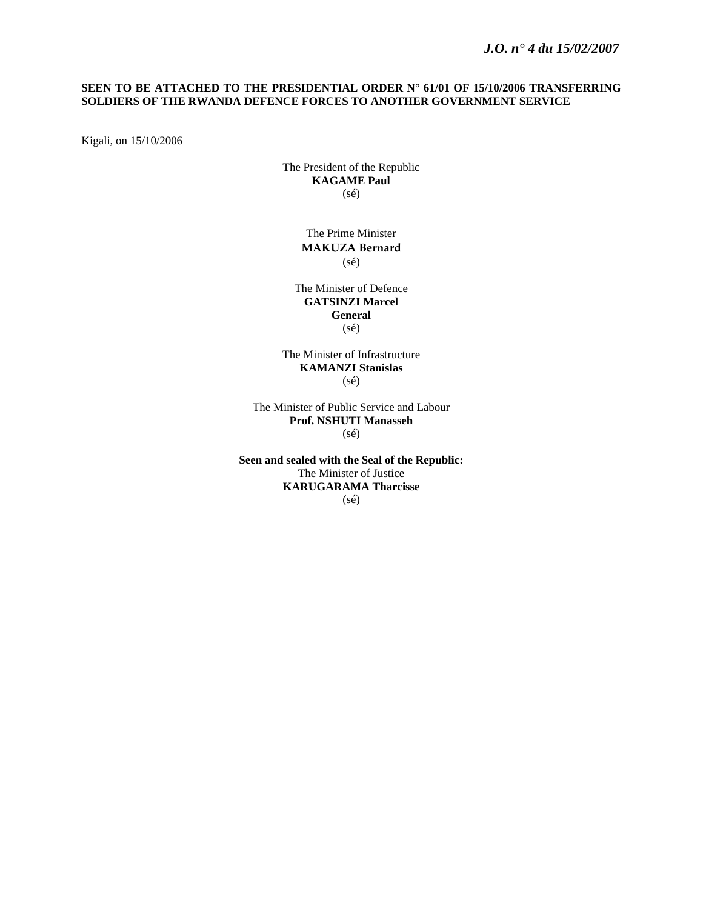## *J.O. n° 4 du 15/02/2007*

### **SEEN TO BE ATTACHED TO THE PRESIDENTIAL ORDER N° 61/01 OF 15/10/2006 TRANSFERRING SOLDIERS OF THE RWANDA DEFENCE FORCES TO ANOTHER GOVERNMENT SERVICE**

Kigali, on 15/10/2006

The President of the Republic **KAGAME Paul** (sé)

> The Prime Minister **MAKUZA Bernard** (sé)

The Minister of Defence **GATSINZI Marcel General**  (sé)

The Minister of Infrastructure **KAMANZI Stanislas**  (sé)

The Minister of Public Service and Labour **Prof. NSHUTI Manasseh**  (sé)

**Seen and sealed with the Seal of the Republic:**  The Minister of Justice **KARUGARAMA Tharcisse**  (sé)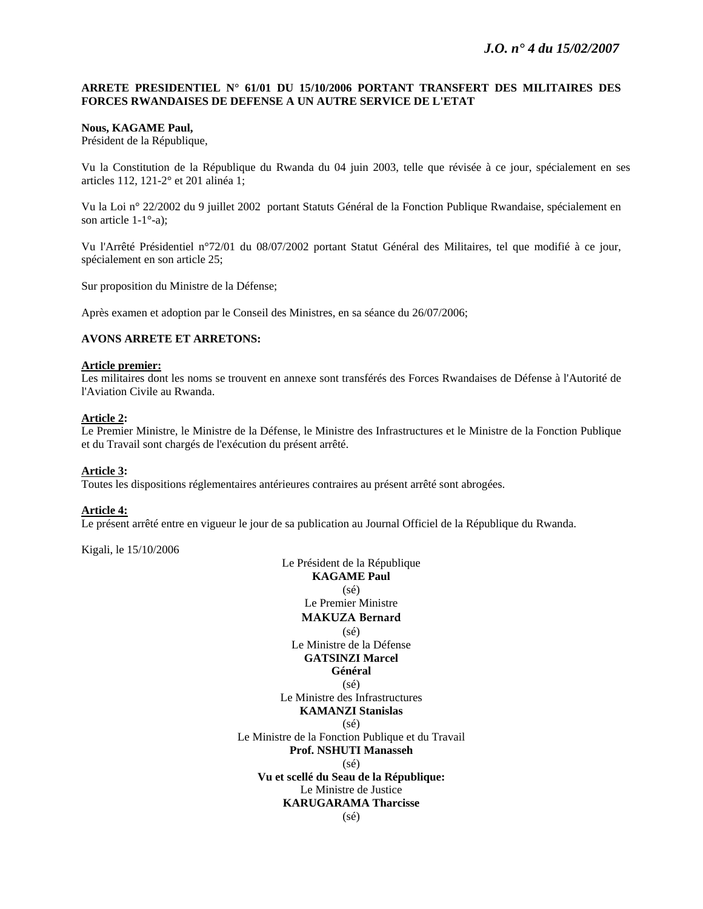### **ARRETE PRESIDENTIEL N° 61/01 DU 15/10/2006 PORTANT TRANSFERT DES MILITAIRES DES FORCES RWANDAISES DE DEFENSE A UN AUTRE SERVICE DE L'ETAT**

#### **Nous, KAGAME Paul,**

Président de la République,

Vu la Constitution de la République du Rwanda du 04 juin 2003, telle que révisée à ce jour, spécialement en ses articles 112, 121-2° et 201 alinéa 1;

Vu la Loi n° 22/2002 du 9 juillet 2002 portant Statuts Général de la Fonction Publique Rwandaise, spécialement en son article 1-1°-a);

Vu l'Arrêté Présidentiel n°72/01 du 08/07/2002 portant Statut Général des Militaires, tel que modifié à ce jour, spécialement en son article 25;

Sur proposition du Ministre de la Défense;

Après examen et adoption par le Conseil des Ministres, en sa séance du 26/07/2006;

#### **AVONS ARRETE ET ARRETONS:**

#### **Article premier:**

Les militaires dont les noms se trouvent en annexe sont transférés des Forces Rwandaises de Défense à l'Autorité de l'Aviation Civile au Rwanda.

## **Article 2:**

Le Premier Ministre, le Ministre de la Défense, le Ministre des Infrastructures et le Ministre de la Fonction Publique et du Travail sont chargés de l'exécution du présent arrêté.

#### **Article 3:**

Toutes les dispositions réglementaires antérieures contraires au présent arrêté sont abrogées.

#### **Article 4:**

Le présent arrêté entre en vigueur le jour de sa publication au Journal Officiel de la République du Rwanda.

Kigali, le 15/10/2006

Le Président de la République **KAGAME Paul**  (sé) Le Premier Ministre **MAKUZA Bernard** (sé) Le Ministre de la Défense **GATSINZI Marcel Général**   $(sé)$ Le Ministre des Infrastructures **KAMANZI Stanislas**  (sé) Le Ministre de la Fonction Publique et du Travail **Prof. NSHUTI Manasseh**  (sé) **Vu et scellé du Seau de la République:**  Le Ministre de Justice **KARUGARAMA Tharcisse**  (sé)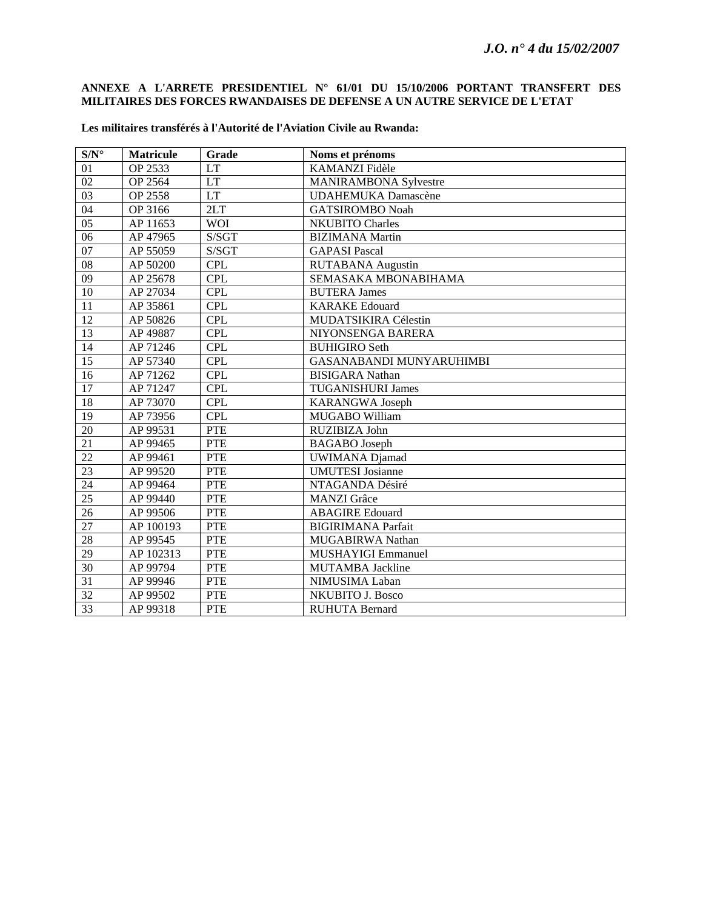## **ANNEXE A L'ARRETE PRESIDENTIEL N° 61/01 DU 15/10/2006 PORTANT TRANSFERT DES MILITAIRES DES FORCES RWANDAISES DE DEFENSE A UN AUTRE SERVICE DE L'ETAT**

| $S/N^{\circ}$   | <b>Matricule</b> | Grade      | Noms et prénoms                 |
|-----------------|------------------|------------|---------------------------------|
| 01              | OP 2533          | <b>LT</b>  | KAMANZI Fidèle                  |
| 02              | OP 2564          | LT         | <b>MANIRAMBONA Sylvestre</b>    |
| 03              | OP 2558          | <b>LT</b>  | <b>UDAHEMUKA Damascène</b>      |
| 04              | OP 3166          | 2LT        | <b>GATSIROMBO Noah</b>          |
| 0 <sub>5</sub>  | AP 11653         | <b>WOI</b> | <b>NKUBITO Charles</b>          |
| 06              | AP 47965         | S/SGT      | <b>BIZIMANA</b> Martin          |
| $07\,$          | AP 55059         | S/SGT      | <b>GAPASI Pascal</b>            |
| $\overline{08}$ | AP 50200         | <b>CPL</b> | <b>RUTABANA</b> Augustin        |
| 09              | AP 25678         | <b>CPL</b> | SEMASAKA MBONABIHAMA            |
| 10              | AP 27034         | <b>CPL</b> | <b>BUTERA James</b>             |
| 11              | AP 35861         | CPL        | <b>KARAKE</b> Edouard           |
| 12              | AP 50826         | <b>CPL</b> | MUDATSIKIRA Célestin            |
| 13              | AP 49887         | <b>CPL</b> | NIYONSENGA BARERA               |
| 14              | AP 71246         | <b>CPL</b> | <b>BUHIGIRO</b> Seth            |
| $\overline{15}$ | AP 57340         | <b>CPL</b> | <b>GASANABANDI MUNYARUHIMBI</b> |
| 16              | AP 71262         | <b>CPL</b> | <b>BISIGARA</b> Nathan          |
| 17              | AP 71247         | <b>CPL</b> | <b>TUGANISHURI James</b>        |
| 18              | AP 73070         | <b>CPL</b> | <b>KARANGWA Joseph</b>          |
| 19              | AP 73956         | <b>CPL</b> | MUGABO William                  |
| 20              | AP 99531         | <b>PTE</b> | RUZIBIZA John                   |
| 21              | AP 99465         | <b>PTE</b> | <b>BAGABO</b> Joseph            |
| $\overline{22}$ | AP 99461         | <b>PTE</b> | <b>UWIMANA</b> Djamad           |
| 23              | AP 99520         | <b>PTE</b> | <b>UMUTESI</b> Josianne         |
| 24              | AP 99464         | <b>PTE</b> | NTAGANDA Désiré                 |
| 25              | AP 99440         | <b>PTE</b> | <b>MANZI</b> Grâce              |
| 26              | AP 99506         | <b>PTE</b> | <b>ABAGIRE Edouard</b>          |
| $\overline{27}$ | AP 100193        | <b>PTE</b> | <b>BIGIRIMANA Parfait</b>       |
| 28              | AP 99545         | <b>PTE</b> | MUGABIRWA Nathan                |
| 29              | AP 102313        | <b>PTE</b> | MUSHAYIGI Emmanuel              |
| 30              | AP 99794         | <b>PTE</b> | <b>MUTAMBA Jackline</b>         |
| 31              | AP 99946         | <b>PTE</b> | NIMUSIMA Laban                  |
| $\overline{32}$ | AP 99502         | <b>PTE</b> | <b>NKUBITO J. Bosco</b>         |
| 33              | AP 99318         | <b>PTE</b> | <b>RUHUTA Bernard</b>           |

### **Les militaires transférés à l'Autorité de l'Aviation Civile au Rwanda:**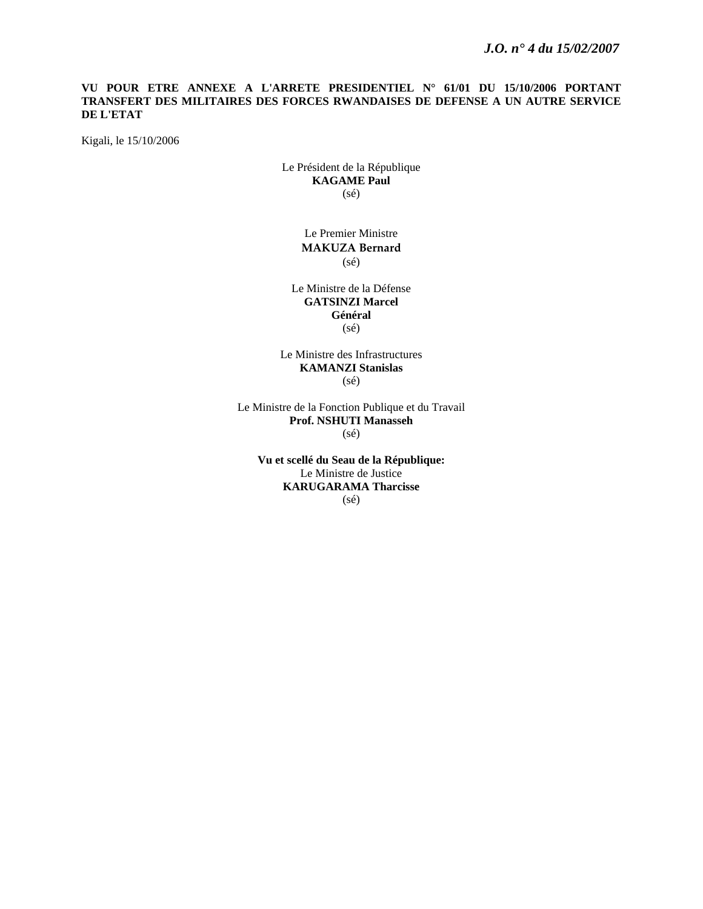### **VU POUR ETRE ANNEXE A L'ARRETE PRESIDENTIEL N° 61/01 DU 15/10/2006 PORTANT TRANSFERT DES MILITAIRES DES FORCES RWANDAISES DE DEFENSE A UN AUTRE SERVICE DE L'ETAT**

Kigali, le 15/10/2006

Le Président de la République **KAGAME Paul**  (sé)

> Le Premier Ministre **MAKUZA Bernard** (sé)

Le Ministre de la Défense **GATSINZI Marcel Général**  (sé)

Le Ministre des Infrastructures **KAMANZI Stanislas**  (sé)

Le Ministre de la Fonction Publique et du Travail **Prof. NSHUTI Manasseh**  (sé)

**Vu et scellé du Seau de la République:**  Le Ministre de Justice **KARUGARAMA Tharcisse**  (sé)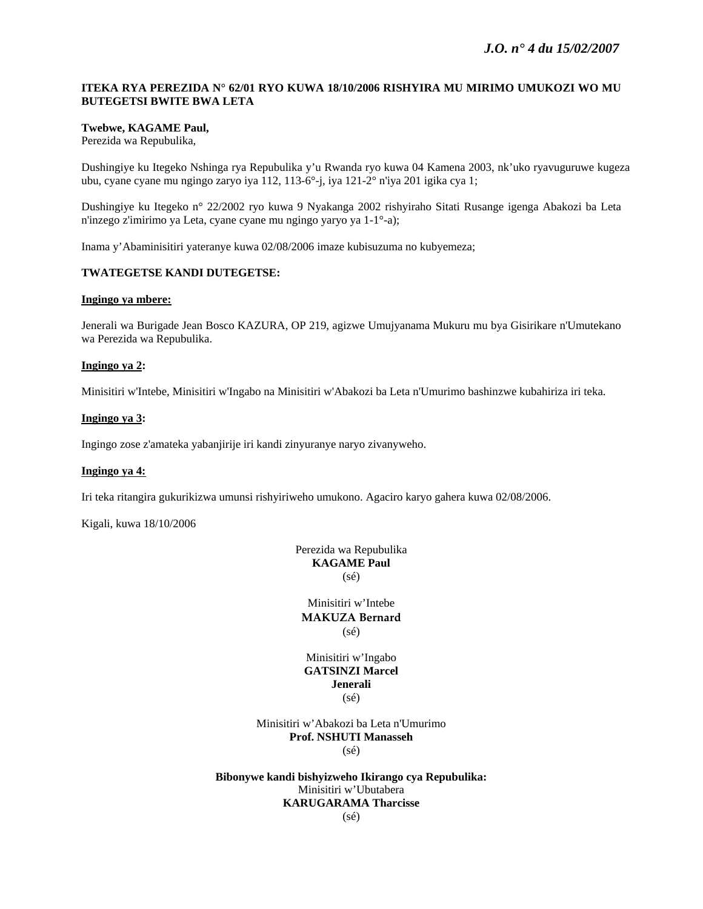## **ITEKA RYA PEREZIDA N° 62/01 RYO KUWA 18/10/2006 RISHYIRA MU MIRIMO UMUKOZI WO MU BUTEGETSI BWITE BWA LETA**

### **Twebwe, KAGAME Paul,**

Perezida wa Repubulika,

Dushingiye ku Itegeko Nshinga rya Repubulika y'u Rwanda ryo kuwa 04 Kamena 2003, nk'uko ryavuguruwe kugeza ubu, cyane cyane mu ngingo zaryo iya 112, 113-6°-j, iya 121-2° n'iya 201 igika cya 1;

Dushingiye ku Itegeko n° 22/2002 ryo kuwa 9 Nyakanga 2002 rishyiraho Sitati Rusange igenga Abakozi ba Leta n'inzego z'imirimo ya Leta, cyane cyane mu ngingo yaryo ya 1-1°-a);

Inama y'Abaminisitiri yateranye kuwa 02/08/2006 imaze kubisuzuma no kubyemeza;

### **TWATEGETSE KANDI DUTEGETSE:**

#### **Ingingo ya mbere:**

Jenerali wa Burigade Jean Bosco KAZURA, OP 219, agizwe Umujyanama Mukuru mu bya Gisirikare n'Umutekano wa Perezida wa Repubulika.

### **Ingingo ya 2:**

Minisitiri w'Intebe, Minisitiri w'Ingabo na Minisitiri w'Abakozi ba Leta n'Umurimo bashinzwe kubahiriza iri teka.

#### **Ingingo ya 3:**

Ingingo zose z'amateka yabanjirije iri kandi zinyuranye naryo zivanyweho.

#### **Ingingo ya 4:**

Iri teka ritangira gukurikizwa umunsi rishyiriweho umukono. Agaciro karyo gahera kuwa 02/08/2006.

Kigali, kuwa 18/10/2006

## Perezida wa Repubulika **KAGAME Paul**  (sé)

Minisitiri w'Intebe **MAKUZA Bernard** (sé)

#### Minisitiri w'Ingabo **GATSINZI Marcel Jenerali**  (sé)

Minisitiri w'Abakozi ba Leta n'Umurimo **Prof. NSHUTI Manasseh**  (sé)

**Bibonywe kandi bishyizweho Ikirango cya Repubulika:**  Minisitiri w'Ubutabera **KARUGARAMA Tharcisse** 

(sé)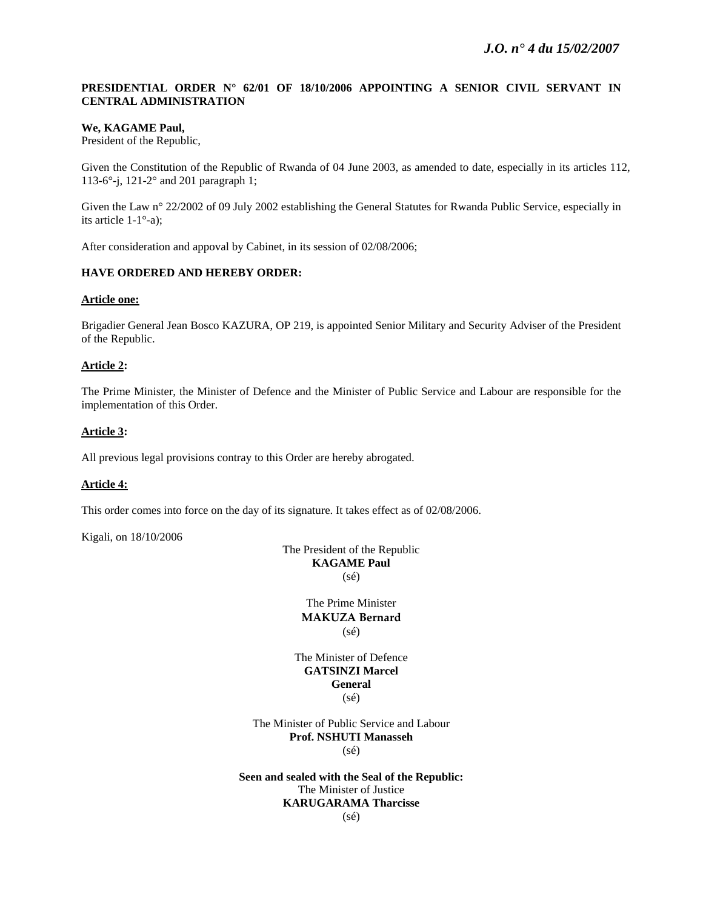## **PRESIDENTIAL ORDER N° 62/01 OF 18/10/2006 APPOINTING A SENIOR CIVIL SERVANT IN CENTRAL ADMINISTRATION**

### **We, KAGAME Paul,**

President of the Republic,

Given the Constitution of the Republic of Rwanda of 04 June 2003, as amended to date, especially in its articles 112, 113-6°-j, 121-2° and 201 paragraph 1;

Given the Law n° 22/2002 of 09 July 2002 establishing the General Statutes for Rwanda Public Service, especially in its article 1-1°-a);

After consideration and appoval by Cabinet, in its session of 02/08/2006;

## **HAVE ORDERED AND HEREBY ORDER:**

#### **Article one:**

Brigadier General Jean Bosco KAZURA, OP 219, is appointed Senior Military and Security Adviser of the President of the Republic.

## **Article 2:**

The Prime Minister, the Minister of Defence and the Minister of Public Service and Labour are responsible for the implementation of this Order.

### **Article 3:**

All previous legal provisions contray to this Order are hereby abrogated.

## **Article 4:**

This order comes into force on the day of its signature. It takes effect as of 02/08/2006.

Kigali, on 18/10/2006

The President of the Republic **KAGAME Paul**  (sé)

> The Prime Minister **MAKUZA Bernard** (sé)

The Minister of Defence **GATSINZI Marcel General**  (sé)

The Minister of Public Service and Labour **Prof. NSHUTI Manasseh**  (sé)

**Seen and sealed with the Seal of the Republic:**  The Minister of Justice **KARUGARAMA Tharcisse**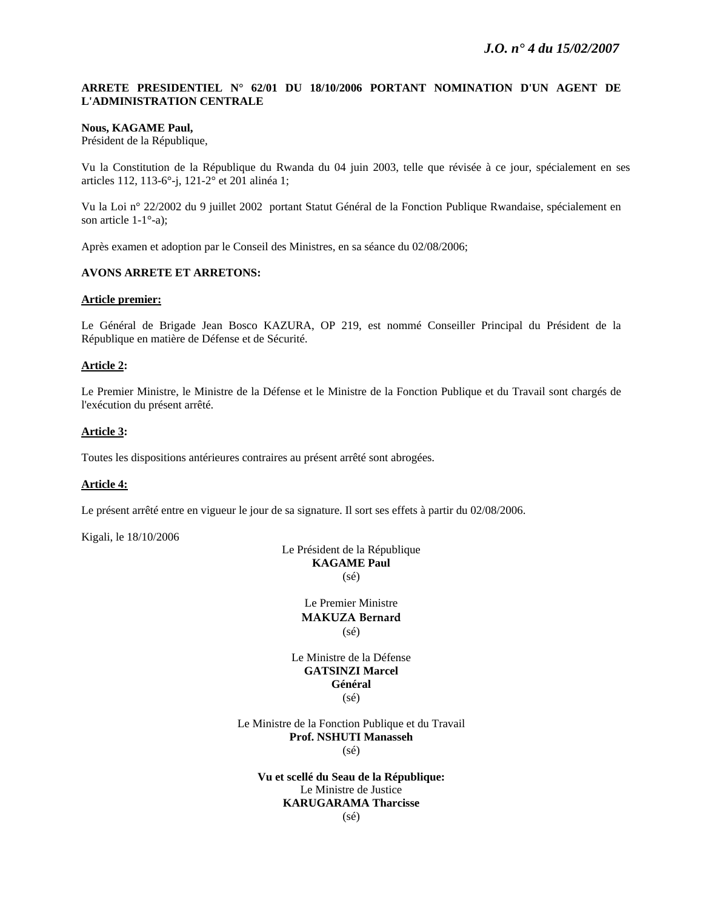## **ARRETE PRESIDENTIEL N° 62/01 DU 18/10/2006 PORTANT NOMINATION D'UN AGENT DE L'ADMINISTRATION CENTRALE**

#### **Nous, KAGAME Paul,**

Président de la République,

Vu la Constitution de la République du Rwanda du 04 juin 2003, telle que révisée à ce jour, spécialement en ses articles 112, 113-6°-j, 121-2° et 201 alinéa 1;

Vu la Loi n° 22/2002 du 9 juillet 2002 portant Statut Général de la Fonction Publique Rwandaise, spécialement en son article 1-1°-a);

Après examen et adoption par le Conseil des Ministres, en sa séance du 02/08/2006;

#### **AVONS ARRETE ET ARRETONS:**

#### **Article premier:**

Le Général de Brigade Jean Bosco KAZURA, OP 219, est nommé Conseiller Principal du Président de la République en matière de Défense et de Sécurité.

#### **Article 2:**

Le Premier Ministre, le Ministre de la Défense et le Ministre de la Fonction Publique et du Travail sont chargés de l'exécution du présent arrêté.

#### **Article 3:**

Toutes les dispositions antérieures contraires au présent arrêté sont abrogées.

#### **Article 4:**

Le présent arrêté entre en vigueur le jour de sa signature. Il sort ses effets à partir du 02/08/2006.

Kigali, le 18/10/2006

Le Président de la République **KAGAME Paul**  (sé)

> Le Premier Ministre **MAKUZA Bernard** (sé)

Le Ministre de la Défense **GATSINZI Marcel Général**  (sé)

Le Ministre de la Fonction Publique et du Travail **Prof. NSHUTI Manasseh**  (sé)

**Vu et scellé du Seau de la République:**  Le Ministre de Justice **KARUGARAMA Tharcisse** 

(sé)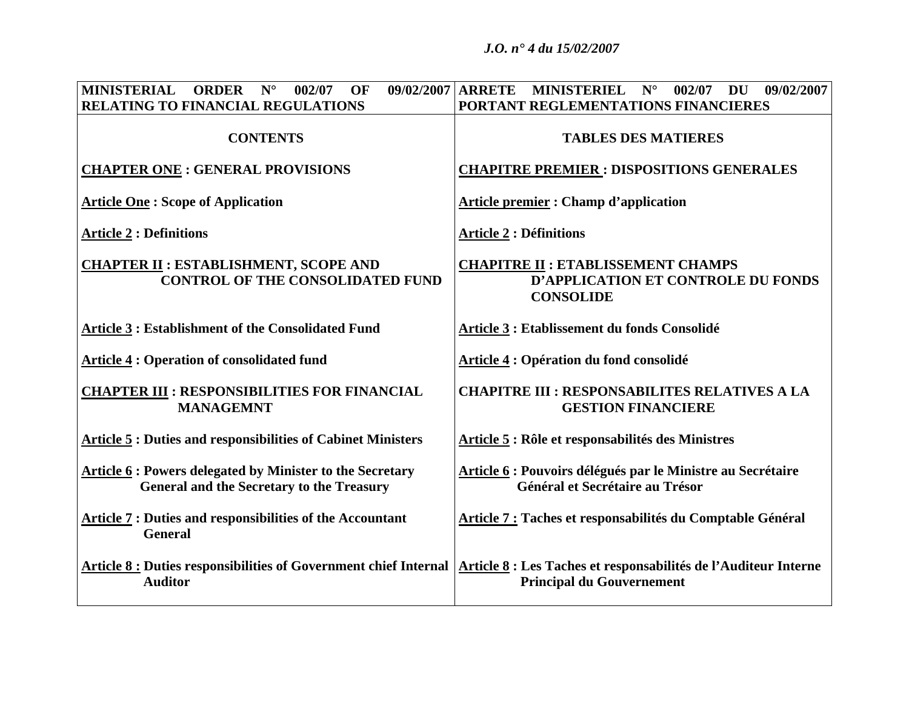*J.O. n° 4 du 15/02/2007* 

| <b>MINISTERIAL</b><br><b>ORDER</b><br>$N^{\circ}$<br>002/07<br>OF                                                                                    | $09/02/2007$ ARRETE MINISTERIEL N°<br>DU 09/02/2007<br>002/07                                       |
|------------------------------------------------------------------------------------------------------------------------------------------------------|-----------------------------------------------------------------------------------------------------|
| RELATING TO FINANCIAL REGULATIONS                                                                                                                    | PORTANT REGLEMENTATIONS FINANCIERES                                                                 |
| <b>CONTENTS</b>                                                                                                                                      | <b>TABLES DES MATIERES</b>                                                                          |
| <b>CHAPTER ONE : GENERAL PROVISIONS</b>                                                                                                              | <b>CHAPITRE PREMIER: DISPOSITIONS GENERALES</b>                                                     |
| <b>Article One: Scope of Application</b>                                                                                                             | <b>Article premier: Champ d'application</b>                                                         |
| <b>Article 2: Definitions</b>                                                                                                                        | <b>Article 2 : Définitions</b>                                                                      |
| <b>CHAPTER II: ESTABLISHMENT, SCOPE AND</b><br><b>CONTROL OF THE CONSOLIDATED FUND</b>                                                               | <b>CHAPITRE II : ETABLISSEMENT CHAMPS</b><br>D'APPLICATION ET CONTROLE DU FONDS<br><b>CONSOLIDE</b> |
| <b>Article 3: Establishment of the Consolidated Fund</b>                                                                                             | Article 3 : Etablissement du fonds Consolidé                                                        |
| <b>Article 4: Operation of consolidated fund</b>                                                                                                     | <b>Article 4: Opération du fond consolidé</b>                                                       |
| <b>CHAPTER III : RESPONSIBILITIES FOR FINANCIAL</b><br><b>MANAGEMNT</b>                                                                              | <b>CHAPITRE III : RESPONSABILITES RELATIVES A LA</b><br><b>GESTION FINANCIERE</b>                   |
| <b>Article 5 : Duties and responsibilities of Cabinet Ministers</b>                                                                                  | Article 5 : Rôle et responsabilités des Ministres                                                   |
| Article 6 : Powers delegated by Minister to the Secretary<br><b>General and the Secretary to the Treasury</b>                                        | Article 6 : Pouvoirs délégués par le Ministre au Secrétaire<br>Général et Secrétaire au Trésor      |
| <b>Article 7: Duties and responsibilities of the Accountant</b><br><b>General</b>                                                                    | Article 7 : Taches et responsabilités du Comptable Général                                          |
| Article 8 : Duties responsibilities of Government chief Internal   Article 8 : Les Taches et responsabilités de l'Auditeur Interne<br><b>Auditor</b> | <b>Principal du Gouvernement</b>                                                                    |
|                                                                                                                                                      |                                                                                                     |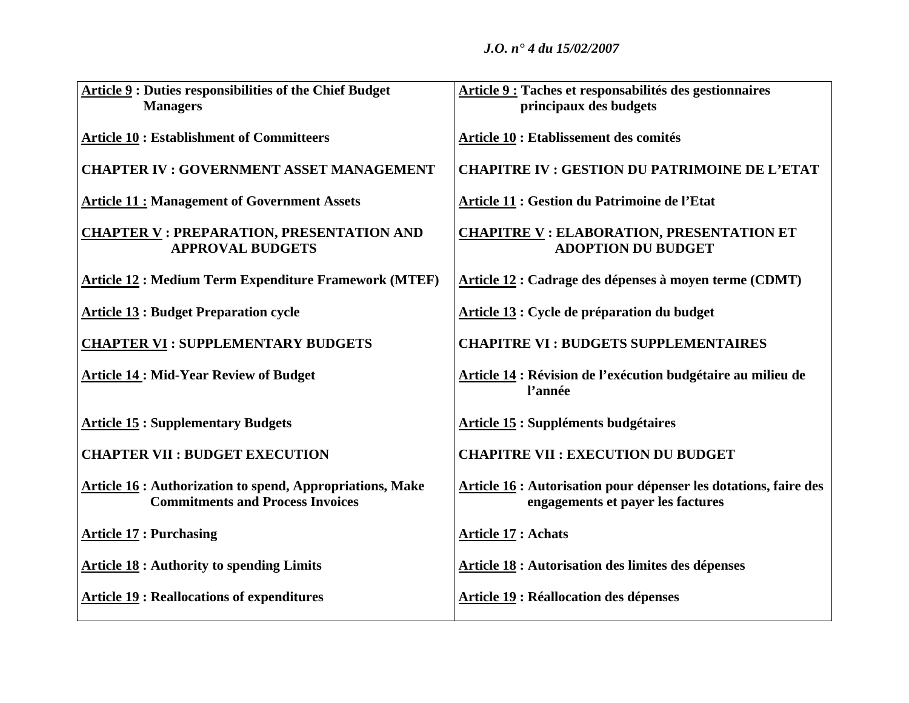| <b>Article 9: Duties responsibilities of the Chief Budget</b>                                              | Article 9 : Taches et responsabilités des gestionnaires                                               |
|------------------------------------------------------------------------------------------------------------|-------------------------------------------------------------------------------------------------------|
| <b>Managers</b>                                                                                            | principaux des budgets                                                                                |
| <b>Article 10: Establishment of Committeers</b>                                                            | Article 10 : Etablissement des comités                                                                |
| <b>CHAPTER IV: GOVERNMENT ASSET MANAGEMENT</b>                                                             | <b>CHAPITRE IV : GESTION DU PATRIMOINE DE L'ETAT</b>                                                  |
| <b>Article 11: Management of Government Assets</b>                                                         | Article 11 : Gestion du Patrimoine de l'Etat                                                          |
| <b>CHAPTER V: PREPARATION, PRESENTATION AND</b><br><b>APPROVAL BUDGETS</b>                                 | <b>CHAPITRE V : ELABORATION, PRESENTATION ET</b><br><b>ADOPTION DU BUDGET</b>                         |
| <b>Article 12: Medium Term Expenditure Framework (MTEF)</b>                                                | Article 12 : Cadrage des dépenses à moyen terme (CDMT)                                                |
| <b>Article 13: Budget Preparation cycle</b>                                                                | Article 13 : Cycle de préparation du budget                                                           |
| <b>CHAPTER VI: SUPPLEMENTARY BUDGETS</b>                                                                   | <b>CHAPITRE VI: BUDGETS SUPPLEMENTAIRES</b>                                                           |
| <b>Article 14: Mid-Year Review of Budget</b>                                                               | Article 14 : Révision de l'exécution budgétaire au milieu de<br>l'année                               |
| <b>Article 15: Supplementary Budgets</b>                                                                   | <b>Article 15 : Suppléments budgétaires</b>                                                           |
| <b>CHAPTER VII : BUDGET EXECUTION</b>                                                                      | <b>CHAPITRE VII : EXECUTION DU BUDGET</b>                                                             |
| <b>Article 16: Authorization to spend, Appropriations, Make</b><br><b>Commitments and Process Invoices</b> | Article 16 : Autorisation pour dépenser les dotations, faire des<br>engagements et payer les factures |
| <b>Article 17: Purchasing</b>                                                                              | <b>Article 17 : Achats</b>                                                                            |
| <b>Article 18:</b> Authority to spending Limits                                                            | <b>Article 18 : Autorisation des limites des dépenses</b>                                             |
| <b>Article 19: Reallocations of expenditures</b>                                                           | <b>Article 19: Réallocation des dépenses</b>                                                          |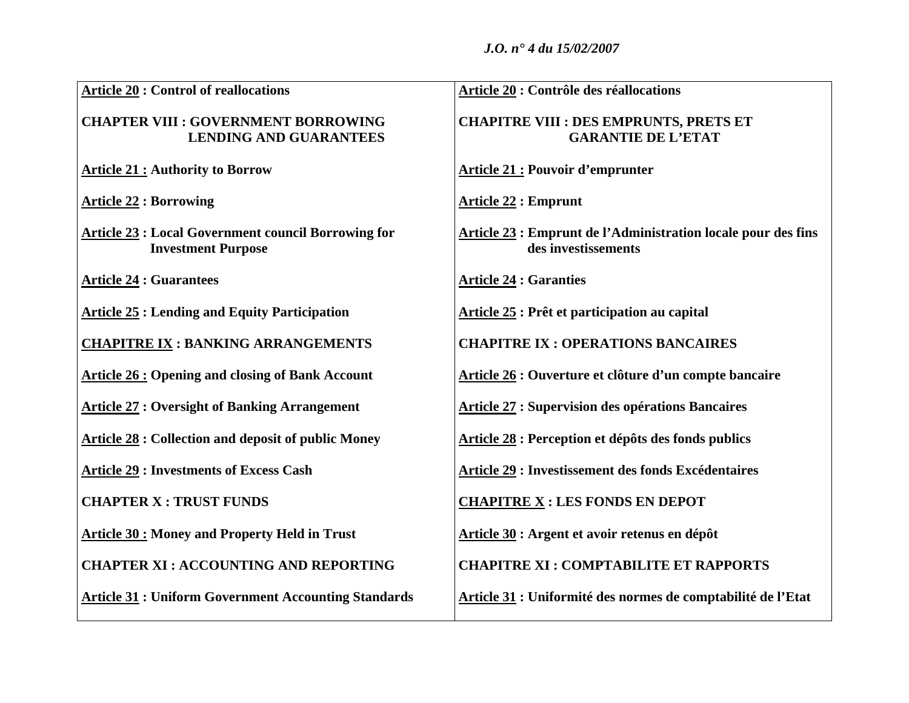| <b>Article 20: Control of reallocations</b>                                             | Article 20 : Contrôle des réallocations                                              |
|-----------------------------------------------------------------------------------------|--------------------------------------------------------------------------------------|
| <b>CHAPTER VIII : GOVERNMENT BORROWING</b><br><b>LENDING AND GUARANTEES</b>             | <b>CHAPITRE VIII : DES EMPRUNTS, PRETS ET</b><br><b>GARANTIE DE L'ETAT</b>           |
| <b>Article 21: Authority to Borrow</b>                                                  | <b>Article 21 : Pouvoir d'emprunter</b>                                              |
| <b>Article 22 : Borrowing</b>                                                           | <b>Article 22 : Emprunt</b>                                                          |
| <b>Article 23 : Local Government council Borrowing for</b><br><b>Investment Purpose</b> | Article 23 : Emprunt de l'Administration locale pour des fins<br>des investissements |
| <b>Article 24 : Guarantees</b>                                                          | <b>Article 24 : Garanties</b>                                                        |
| <b>Article 25: Lending and Equity Participation</b>                                     | Article 25 : Prêt et participation au capital                                        |
| <b>CHAPITRE IX: BANKING ARRANGEMENTS</b>                                                | <b>CHAPITRE IX : OPERATIONS BANCAIRES</b>                                            |
| <b>Article 26: Opening and closing of Bank Account</b>                                  | Article 26 : Ouverture et clôture d'un compte bancaire                               |
| <b>Article 27: Oversight of Banking Arrangement</b>                                     | <b>Article 27 : Supervision des opérations Bancaires</b>                             |
| <b>Article 28 : Collection and deposit of public Money</b>                              | Article 28 : Perception et dépôts des fonds publics                                  |
| <b>Article 29: Investments of Excess Cash</b>                                           | Article 29 : Investissement des fonds Excédentaires                                  |
| <b>CHAPTER X : TRUST FUNDS</b>                                                          | <b>CHAPITRE X : LES FONDS EN DEPOT</b>                                               |
| <b>Article 30: Money and Property Held in Trust</b>                                     | Article 30 : Argent et avoir retenus en dépôt                                        |
| <b>CHAPTER XI: ACCOUNTING AND REPORTING</b>                                             | <b>CHAPITRE XI: COMPTABILITE ET RAPPORTS</b>                                         |
| <b>Article 31 : Uniform Government Accounting Standards</b>                             | Article 31 : Uniformité des normes de comptabilité de l'Etat                         |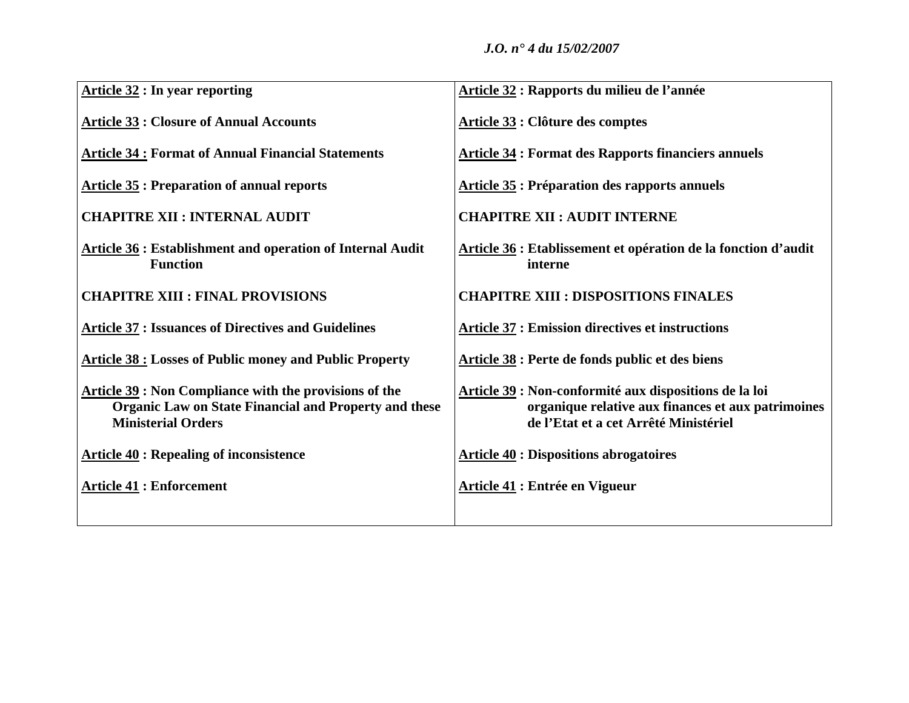| <b>Article 32 : In year reporting</b>                                                                                                               | Article 32 : Rapports du milieu de l'année                                                                                                            |
|-----------------------------------------------------------------------------------------------------------------------------------------------------|-------------------------------------------------------------------------------------------------------------------------------------------------------|
| <b>Article 33: Closure of Annual Accounts</b>                                                                                                       | Article 33 : Clôture des comptes                                                                                                                      |
| <b>Article 34: Format of Annual Financial Statements</b>                                                                                            | <b>Article 34: Format des Rapports financiers annuels</b>                                                                                             |
| <b>Article 35: Preparation of annual reports</b>                                                                                                    | <b>Article 35: Préparation des rapports annuels</b>                                                                                                   |
| <b>CHAPITRE XII : INTERNAL AUDIT</b>                                                                                                                | <b>CHAPITRE XII : AUDIT INTERNE</b>                                                                                                                   |
| <b>Article 36: Establishment and operation of Internal Audit</b><br><b>Function</b>                                                                 | Article 36 : Etablissement et opération de la fonction d'audit<br>interne                                                                             |
| <b>CHAPITRE XIII : FINAL PROVISIONS</b>                                                                                                             | <b>CHAPITRE XIII : DISPOSITIONS FINALES</b>                                                                                                           |
| <b>Article 37 : Issuances of Directives and Guidelines</b>                                                                                          | <b>Article 37 : Emission directives et instructions</b>                                                                                               |
| <b>Article 38 : Losses of Public money and Public Property</b>                                                                                      | Article 38 : Perte de fonds public et des biens                                                                                                       |
| Article 39 : Non Compliance with the provisions of the<br><b>Organic Law on State Financial and Property and these</b><br><b>Ministerial Orders</b> | Article 39 : Non-conformité aux dispositions de la loi<br>organique relative aux finances et aux patrimoines<br>de l'Etat et a cet Arrêté Ministériel |
| <b>Article 40 : Repealing of inconsistence</b>                                                                                                      | <b>Article 40 : Dispositions abrogatoires</b>                                                                                                         |
| <b>Article 41: Enforcement</b>                                                                                                                      | <b>Article 41 : Entrée en Vigueur</b>                                                                                                                 |
|                                                                                                                                                     |                                                                                                                                                       |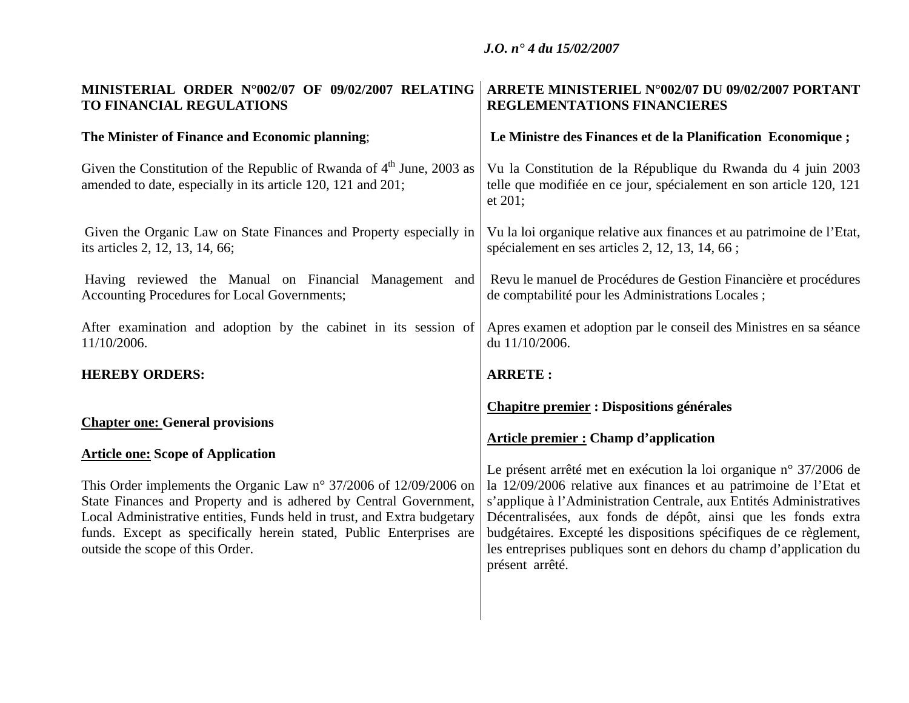| MINISTERIAL ORDER N°002/07 OF 09/02/2007 RELATING                                                                                                                                                                                                                                                                                                                                                                           | ARRETE MINISTERIEL N°002/07 DU 09/02/2007 PORTANT                                                                                                                                                                                                                                                                                                                                                                                                                                                                                                 |
|-----------------------------------------------------------------------------------------------------------------------------------------------------------------------------------------------------------------------------------------------------------------------------------------------------------------------------------------------------------------------------------------------------------------------------|---------------------------------------------------------------------------------------------------------------------------------------------------------------------------------------------------------------------------------------------------------------------------------------------------------------------------------------------------------------------------------------------------------------------------------------------------------------------------------------------------------------------------------------------------|
| TO FINANCIAL REGULATIONS                                                                                                                                                                                                                                                                                                                                                                                                    | REGLEMENTATIONS FINANCIERES                                                                                                                                                                                                                                                                                                                                                                                                                                                                                                                       |
| The Minister of Finance and Economic planning;                                                                                                                                                                                                                                                                                                                                                                              | Le Ministre des Finances et de la Planification Economique;                                                                                                                                                                                                                                                                                                                                                                                                                                                                                       |
| Given the Constitution of the Republic of Rwanda of $4th$ June, 2003 as<br>amended to date, especially in its article 120, 121 and 201;                                                                                                                                                                                                                                                                                     | Vu la Constitution de la République du Rwanda du 4 juin 2003<br>telle que modifiée en ce jour, spécialement en son article 120, 121<br>et 201;                                                                                                                                                                                                                                                                                                                                                                                                    |
| Given the Organic Law on State Finances and Property especially in                                                                                                                                                                                                                                                                                                                                                          | Vu la loi organique relative aux finances et au patrimoine de l'Etat,                                                                                                                                                                                                                                                                                                                                                                                                                                                                             |
| its articles 2, 12, 13, 14, 66;                                                                                                                                                                                                                                                                                                                                                                                             | spécialement en ses articles 2, 12, 13, 14, 66;                                                                                                                                                                                                                                                                                                                                                                                                                                                                                                   |
| Having reviewed the Manual on Financial Management and                                                                                                                                                                                                                                                                                                                                                                      | Revu le manuel de Procédures de Gestion Financière et procédures                                                                                                                                                                                                                                                                                                                                                                                                                                                                                  |
| Accounting Procedures for Local Governments;                                                                                                                                                                                                                                                                                                                                                                                | de comptabilité pour les Administrations Locales;                                                                                                                                                                                                                                                                                                                                                                                                                                                                                                 |
| After examination and adoption by the cabinet in its session of                                                                                                                                                                                                                                                                                                                                                             | Apres examen et adoption par le conseil des Ministres en sa séance                                                                                                                                                                                                                                                                                                                                                                                                                                                                                |
| 11/10/2006.                                                                                                                                                                                                                                                                                                                                                                                                                 | du 11/10/2006.                                                                                                                                                                                                                                                                                                                                                                                                                                                                                                                                    |
| <b>HEREBY ORDERS:</b>                                                                                                                                                                                                                                                                                                                                                                                                       | <b>ARRETE:</b>                                                                                                                                                                                                                                                                                                                                                                                                                                                                                                                                    |
| <b>Chapter one: General provisions</b><br><b>Article one: Scope of Application</b><br>This Order implements the Organic Law $n^{\circ}$ 37/2006 of 12/09/2006 on<br>State Finances and Property and is adhered by Central Government,<br>Local Administrative entities, Funds held in trust, and Extra budgetary<br>funds. Except as specifically herein stated, Public Enterprises are<br>outside the scope of this Order. | <b>Chapitre premier : Dispositions générales</b><br><b>Article premier : Champ d'application</b><br>Le présent arrêté met en exécution la loi organique n° 37/2006 de<br>la 12/09/2006 relative aux finances et au patrimoine de l'Etat et<br>s'applique à l'Administration Centrale, aux Entités Administratives<br>Décentralisées, aux fonds de dépôt, ainsi que les fonds extra<br>budgétaires. Excepté les dispositions spécifiques de ce règlement,<br>les entreprises publiques sont en dehors du champ d'application du<br>présent arrêté. |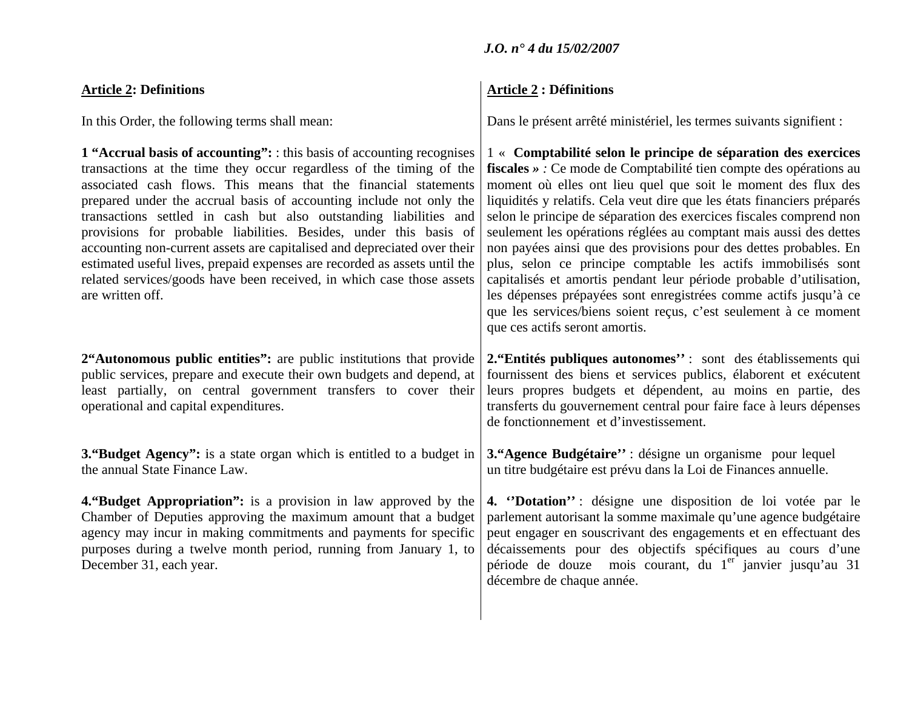# **Article 2: Definitions**

In this Order, the following terms shall mean:

**1 "Accrual basis of accounting":** : this basis of accounting recognises transactions at the time they occur regardless of the timing of the associated cash flows. This means that the financial statements prepared under the accrual basis of accounting include not only the transactions settled in cash but also outstanding liabilities and provisions for probable liabilities. Besides, under this basis of accounting non-current assets are capitalised and depreciated over their estimated useful lives, prepaid expenses are recorded as assets until the related services/goods have been received, in which case those assets are written off.

**2"Autonomous public entities":** are public institutions that provide public services, prepare and execute their own budgets and depend, at least partially, on central government transfers to cover their operational and capital expenditures.

**3. "Budget Agency":** is a state organ which is entitled to a budget in the annual State Finance Law.

**4."Budget Appropriation":** is a provision in law approved by the Chamber of Deputies approving the maximum amount that a budget agency may incur in making commitments and payments for specific purposes during a twelve month period, running from January 1, to December 31, each year.

# *J.O. n° 4 du 15/02/2007*

# **Article 2 : Définitions**

Dans le présent arrêté ministériel, les termes suivants signifient :

1 « **Comptabilité selon le principe de séparation des exercices fiscales** *» :* Ce mode de Comptabilité tien compte des opérations au moment où elles ont lieu quel que soit le moment des flux des liquidités y relatifs. Cela veut dire que les états financiers préparés selon le principe de séparation des exercices fiscales comprend non seulement les opérations réglées au comptant mais aussi des dettes non payées ainsi que des provisions pour des dettes probables. En plus, selon ce principe comptable les actifs immobilisés sont capitalisés et amortis pendant leur période probable d'utilisation, les dépenses prépayées sont enregistrées comme actifs jusqu'à ce que les services/biens soient reçus, c'est seulement à ce moment que ces actifs seront amortis. **2."Entités publiques autonomes''** : sont des établissements qui fournissent des biens et services publics, élaborent et exécutent leurs propres budgets et dépendent, au moins en partie, des transferts du gouvernement central pour faire face à leurs dépenses de fonctionnement et d'investissement. **3."Agence Budgétaire''** : désigne un organisme pour lequel un titre budgétaire est prévu dans la Loi de Finances annuelle. **4. ''Dotation''** : désigne une disposition de loi votée par le parlement autorisant la somme maximale qu'une agence budgétaire peut engager en souscrivant des engagements et en effectuant des décaissements pour des objectifs spécifiques au cours d'une période de douze mois courant, du 1<sup>er</sup> janvier jusqu'au 31 décembre de chaque année.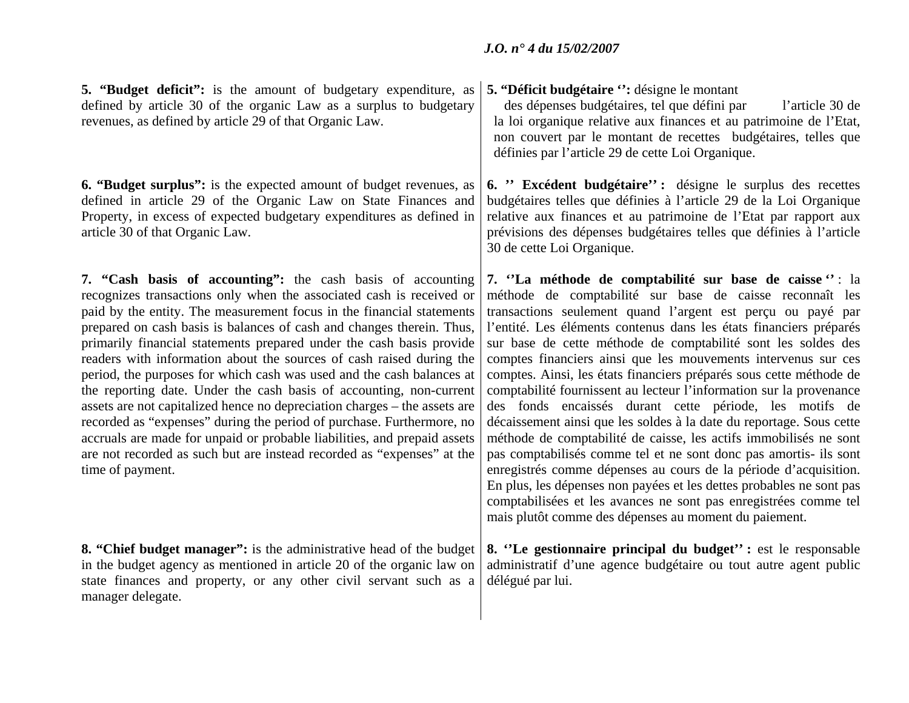**5. "Budget deficit":** is the amount of budgetary expenditure, as defined by article 30 of the organic Law as a surplus to budgetary revenues, as defined by article 29 of that Organic Law.

**6. "Budget surplus":** is the expected amount of budget revenues, as defined in article 29 of the Organic Law on State Finances and Property, in excess of expected budgetary expenditures as defined in article 30 of that Organic Law.

**7. "Cash basis of accounting":** the cash basis of accounting recognizes transactions only when the associated cash is received or paid by the entity. The measurement focus in the financial statements prepared on cash basis is balances of cash and changes therein. Thus, primarily financial statements prepared under the cash basis provide readers with information about the sources of cash raised during the period, the purposes for which cash was used and the cash balances at the reporting date. Under the cash basis of accounting, non-current assets are not capitalized hence no depreciation charges – the assets are recorded as "expenses" during the period of purchase. Furthermore, no accruals are made for unpaid or probable liabilities, and prepaid assets are not recorded as such but are instead recorded as "expenses" at the time of payment.

**8. "Chief budget manager":** is the administrative head of the budget in the budget agency as mentioned in article 20 of the organic law on state finances and property, or any other civil servant such as a manager delegate.

# **5. "Déficit budgétaire '':** désigne le montant

 des dépenses budgétaires, tel que défini par l'article 30 de la loi organique relative aux finances et au patrimoine de l'Etat, non couvert par le montant de recettes budgétaires, telles que définies par l'article 29 de cette Loi Organique.

**6. '' Excédent budgétaire'' :** désigne le surplus des recettes budgétaires telles que définies à l'article 29 de la Loi Organique relative aux finances et au patrimoine de l'Etat par rapport aux prévisions des dépenses budgétaires telles que définies à l'article 30 de cette Loi Organique.

**7. ''La méthode de comptabilité sur base de caisse ''** : la méthode de comptabilité sur base de caisse reconnaît les transactions seulement quand l'argent est perçu ou payé par l'entité. Les éléments contenus dans les états financiers préparés sur base de cette méthode de comptabilité sont les soldes des comptes financiers ainsi que les mouvements intervenus sur ces comptes. Ainsi, les états financiers préparés sous cette méthode de comptabilité fournissent au lecteur l'information sur la provenance des fonds encaissés durant cette période, les motifs de décaissement ainsi que les soldes à la date du reportage. Sous cette méthode de comptabilité de caisse, les actifs immobilisés ne sont pas comptabilisés comme tel et ne sont donc pas amortis- ils sont enregistrés comme dépenses au cours de la période d'acquisition. En plus, les dépenses non payées et les dettes probables ne sont pas comptabilisées et les avances ne sont pas enregistrées comme tel mais plutôt comme des dépenses au moment du paiement.

**8. ''Le gestionnaire principal du budget'' :** est le responsable administratif d'une agence budgétaire ou tout autre agent public délégué par lui.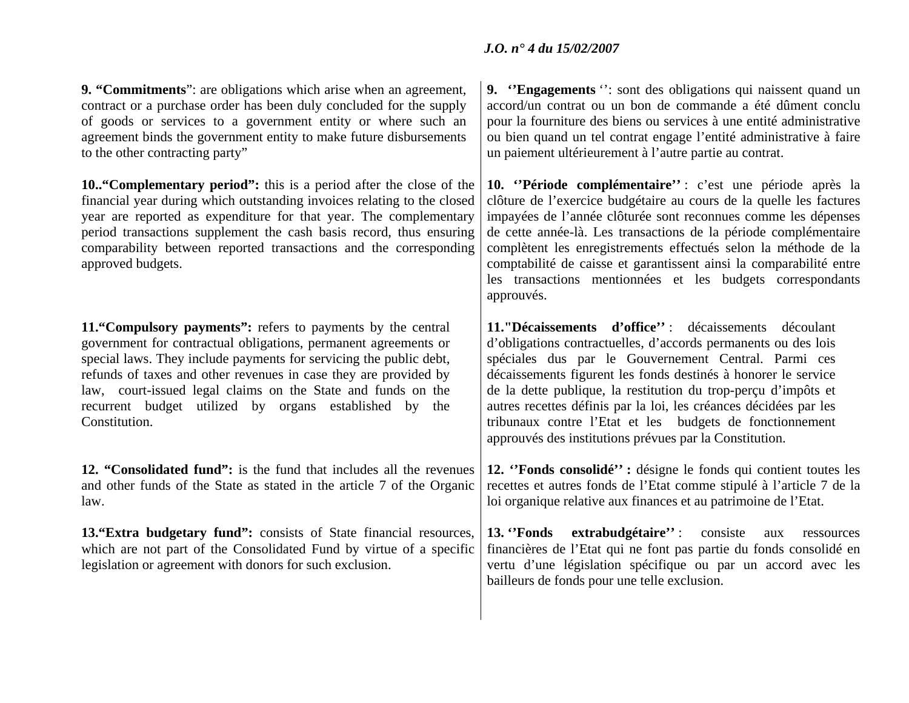**9. "Commitments**": are obligations which arise when an agreement, contract or a purchase order has been duly concluded for the supply of goods or services to a government entity or where such an agreement binds the government entity to make future disbursements to the other contracting party"

**10.."Complementary period":** this is a period after the close of the financial year during which outstanding invoices relating to the closed year are reported as expenditure for that year. The complementary period transactions supplement the cash basis record, thus ensuring comparability between reported transactions and the corresponding approved budgets.

**11."Compulsory payments":** refers to payments by the central government for contractual obligations, permanent agreements or special laws. They include payments for servicing the public debt, refunds of taxes and other revenues in case they are provided by law, court-issued legal claims on the State and funds on the recurrent budget utilized by organs established by the Constitution.

**12. "Consolidated fund":** is the fund that includes all the revenues and other funds of the State as stated in the article 7 of the Organic law.

**13."Extra budgetary fund":** consists of State financial resources, which are not part of the Consolidated Fund by virtue of a specific legislation or agreement with donors for such exclusion.

**9. ''Engagements** ": sont des obligations qui naissent quand un accord/un contrat ou un bon de commande a été dûment conclu pour la fourniture des biens ou services à une entité administrative ou bien quand un tel contrat engage l'entité administrative à faire un paiement ultérieurement à l'autre partie au contrat.

**10. ''Période complémentaire''** : c'est une période après la clôture de l'exercice budgétaire au cours de la quelle les factures impayées de l'année clôturée sont reconnues comme les dépenses de cette année-là. Les transactions de la période complémentaire complètent les enregistrements effectués selon la méthode de la comptabilité de caisse et garantissent ainsi la comparabilité entre les transactions mentionnées et les budgets correspondants approuvés.

**11."Décaissements d'office''** : décaissements découlant d'obligations contractuelles, d'accords permanents ou des lois spéciales dus par le Gouvernement Central. Parmi ces décaissements figurent les fonds destinés à honorer le service de la dette publique, la restitution du trop-perçu d'impôts et autres recettes définis par la loi, les créances décidées par les tribunaux contre l'Etat et les budgets de fonctionnement approuvés des institutions prévues par la Constitution.

**12. ''Fonds consolidé'' :** désigne le fonds qui contient toutes les recettes et autres fonds de l'Etat comme stipulé à l'article 7 de la loi organique relative aux finances et au patrimoine de l'Etat.

**13. ''Fonds extrabudgétaire''** : consiste aux ressources financières de l'Etat qui ne font pas partie du fonds consolidé en vertu d'une législation spécifique ou par un accord avec les bailleurs de fonds pour une telle exclusion.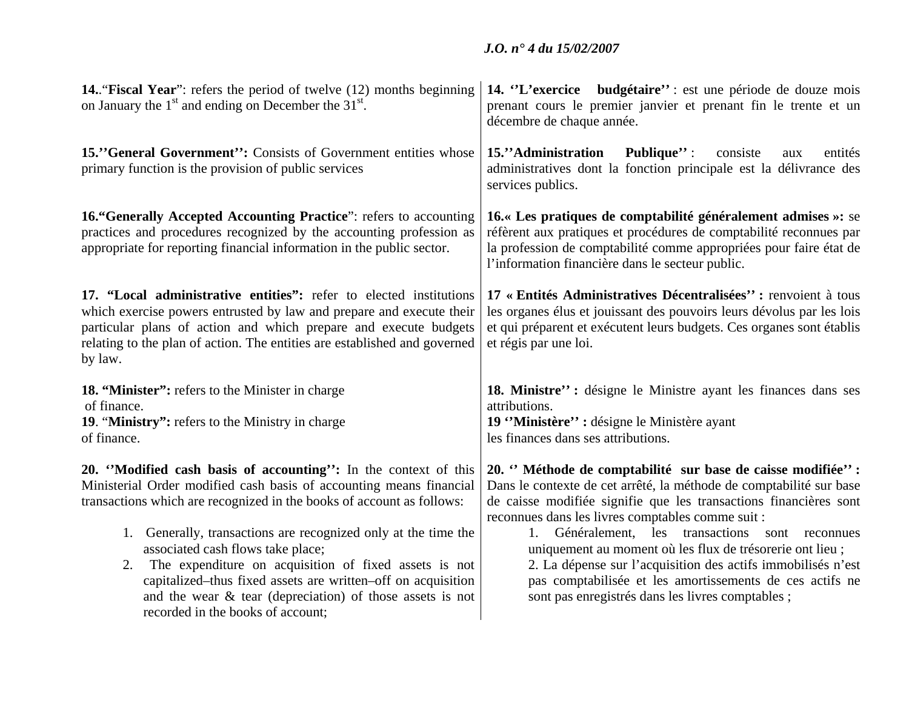| <b>14. "Fiscal Year":</b> refers the period of twelve (12) months beginning<br>on January the $1st$ and ending on December the 31 <sup>st</sup> .                                                                                                                                                                                                                                                                                                                                                                                                          | 14. "L'exercice budgétaire": est une période de douze mois<br>prenant cours le premier janvier et prenant fin le trente et un<br>décembre de chaque année.                                                                                                                                                                                                                                                                                                                                                                                                         |
|------------------------------------------------------------------------------------------------------------------------------------------------------------------------------------------------------------------------------------------------------------------------------------------------------------------------------------------------------------------------------------------------------------------------------------------------------------------------------------------------------------------------------------------------------------|--------------------------------------------------------------------------------------------------------------------------------------------------------------------------------------------------------------------------------------------------------------------------------------------------------------------------------------------------------------------------------------------------------------------------------------------------------------------------------------------------------------------------------------------------------------------|
| 15."General Government": Consists of Government entities whose<br>primary function is the provision of public services                                                                                                                                                                                                                                                                                                                                                                                                                                     | 15."Administration<br><b>Publique</b> ":<br>consiste<br>entités<br>aux<br>administratives dont la fonction principale est la délivrance des<br>services publics.                                                                                                                                                                                                                                                                                                                                                                                                   |
| 16. "Generally Accepted Accounting Practice": refers to accounting<br>practices and procedures recognized by the accounting profession as<br>appropriate for reporting financial information in the public sector.                                                                                                                                                                                                                                                                                                                                         | 16.« Les pratiques de comptabilité généralement admises »: se<br>réfèrent aux pratiques et procédures de comptabilité reconnues par<br>la profession de comptabilité comme appropriées pour faire état de<br>l'information financière dans le secteur public.                                                                                                                                                                                                                                                                                                      |
| 17. "Local administrative entities": refer to elected institutions<br>which exercise powers entrusted by law and prepare and execute their<br>particular plans of action and which prepare and execute budgets<br>relating to the plan of action. The entities are established and governed<br>by law.                                                                                                                                                                                                                                                     | 17 « Entités Administratives Décentralisées": renvoient à tous<br>les organes élus et jouissant des pouvoirs leurs dévolus par les lois<br>et qui préparent et exécutent leurs budgets. Ces organes sont établis<br>et régis par une loi.                                                                                                                                                                                                                                                                                                                          |
| <b>18. "Minister":</b> refers to the Minister in charge<br>of finance.<br>19. "Ministry": refers to the Ministry in charge<br>of finance.                                                                                                                                                                                                                                                                                                                                                                                                                  | 18. Ministre": désigne le Ministre ayant les finances dans ses<br>attributions.<br>19 "Ministère" : désigne le Ministère ayant<br>les finances dans ses attributions.                                                                                                                                                                                                                                                                                                                                                                                              |
| 20. "Modified cash basis of accounting": In the context of this<br>Ministerial Order modified cash basis of accounting means financial<br>transactions which are recognized in the books of account as follows:<br>1. Generally, transactions are recognized only at the time the<br>associated cash flows take place;<br>The expenditure on acquisition of fixed assets is not<br>2.<br>capitalized–thus fixed assets are written–off on acquisition<br>and the wear $\&$ tear (depreciation) of those assets is not<br>recorded in the books of account; | 20. "Méthode de comptabilité sur base de caisse modifiée":<br>Dans le contexte de cet arrêté, la méthode de comptabilité sur base<br>de caisse modifiée signifie que les transactions financières sont<br>reconnues dans les livres comptables comme suit :<br>Généralement, les transactions<br>1.<br>sont reconnues<br>uniquement au moment où les flux de trésorerie ont lieu ;<br>2. La dépense sur l'acquisition des actifs immobilisés n'est<br>pas comptabilisée et les amortissements de ces actifs ne<br>sont pas enregistrés dans les livres comptables; |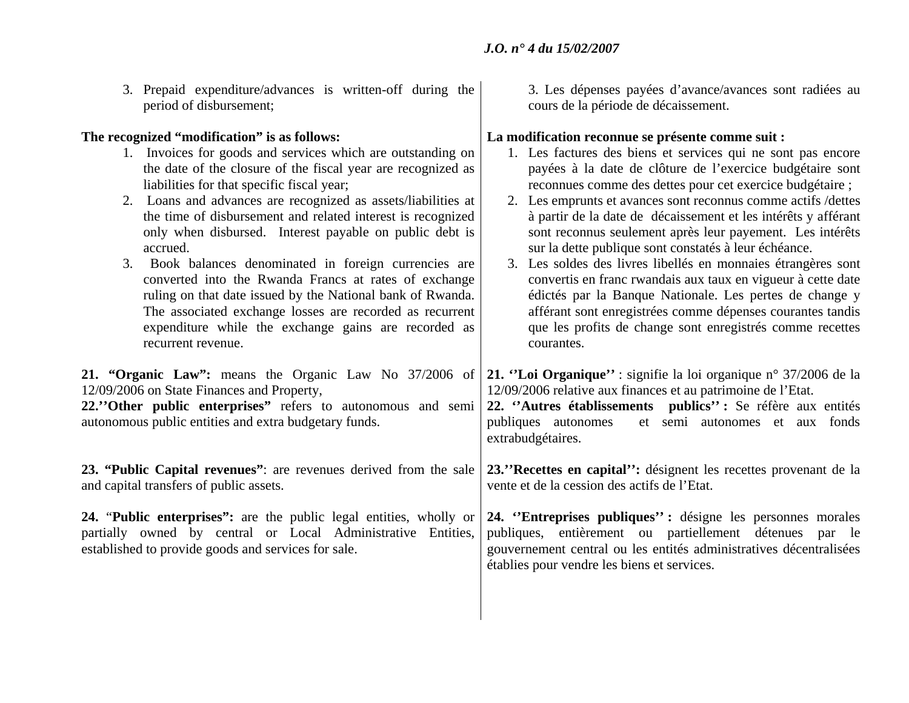3. Prepaid expenditure/advances is written-off during the period of disbursement;

### **The recognized "modification" is as follows:**

- 1. Invoices for goods and services which are outstanding on the date of the closure of the fiscal year are recognized as liabilities for that specific fiscal year;
- 2. Loans and advances are recognized as assets/liabilities at the time of disbursement and related interest is recognized only when disbursed. Interest payable on public debt is accrued.
- 3. Book balances denominated in foreign currencies are converted into the Rwanda Francs at rates of exchange ruling on that date issued by the National bank of Rwanda. The associated exchange losses are recorded as recurrent expenditure while the exchange gains are recorded as recurrent revenue.

**21. "Organic Law":** means the Organic Law No 37/2006 of 12/09/2006 on State Finances and Property,

**22.''Other public enterprises"** refers to autonomous and semi autonomous public entities and extra budgetary funds.

**23. "Public Capital revenues"**: are revenues derived from the sale and capital transfers of public assets.

**24.** "**Public enterprises":** are the public legal entities, wholly or partially owned by central or Local Administrative Entities, established to provide goods and services for sale.

3. Les dépenses payées d'avance/avances sont radiées au cours de la période de décaissement.

### **La modification reconnue se présente comme suit :**

- 1. Les factures des biens et services qui ne sont pas encore payées à la date de clôture de l'exercice budgétaire sont reconnues comme des dettes pour cet exercice budgétaire ; 2. Les emprunts et avances sont reconnus comme actifs /dettes à partir de la date de décaissement et les intérêts y afférant sont reconnus seulement après leur payement. Les intérêts sur la dette publique sont constatés à leur échéance.
- 3. Les soldes des livres libellés en monnaies étrangères sont convertis en franc rwandais aux taux en vigueur à cette date édictés par la Banque Nationale. Les pertes de change y afférant sont enregistrées comme dépenses courantes tandis que les profits de change sont enregistrés comme recettes courantes.

**21. ''Loi Organique''** : signifie la loi organique n° 37/2006 de la 12/09/2006 relative aux finances et au patrimoine de l'Etat.

**22. ''Autres établissements publics'' :** Se réfère aux entités publiques autonomes et semi autonomes et aux fonds extrabudgétaires.

**23.''Recettes en capital'':** désignent les recettes provenant de la vente et de la cession des actifs de l'Etat.

**24. ''Entreprises publiques'' :** désigne les personnes morales publiques, entièrement ou partiellement détenues par le gouvernement central ou les entités administratives décentralisées établies pour vendre les biens et services.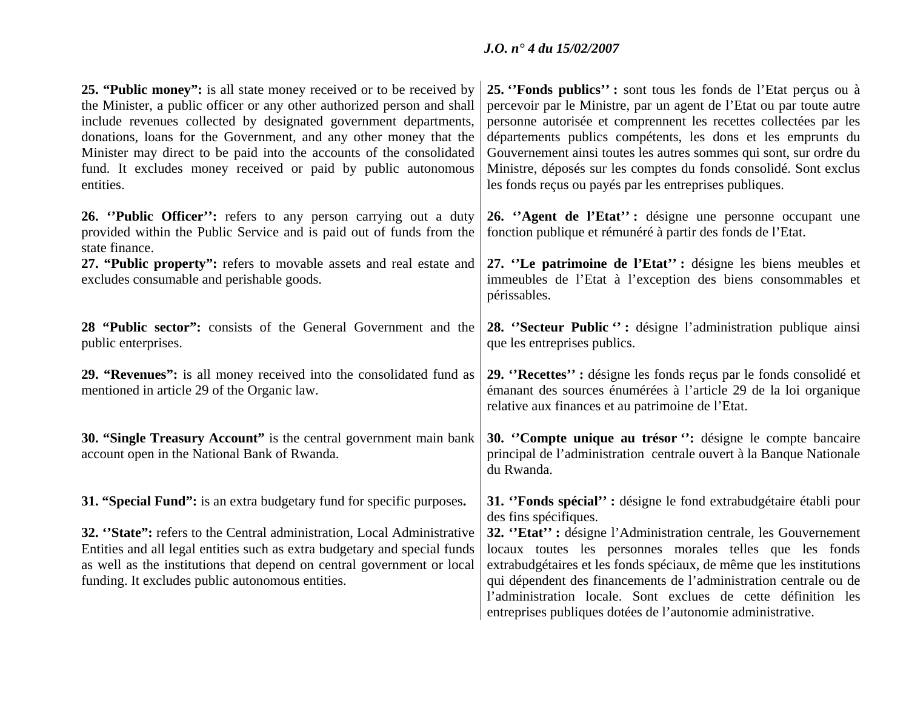| 25. "Public money": is all state money received or to be received by<br>the Minister, a public officer or any other authorized person and shall<br>include revenues collected by designated government departments,<br>donations, loans for the Government, and any other money that the<br>Minister may direct to be paid into the accounts of the consolidated<br>fund. It excludes money received or paid by public autonomous<br>entities. | 25. "Fonds publics": sont tous les fonds de l'Etat perçus ou à<br>percevoir par le Ministre, par un agent de l'Etat ou par toute autre<br>personne autorisée et comprennent les recettes collectées par les<br>départements publics compétents, les dons et les emprunts du<br>Gouvernement ainsi toutes les autres sommes qui sont, sur ordre du<br>Ministre, déposés sur les comptes du fonds consolidé. Sont exclus<br>les fonds reçus ou payés par les entreprises publiques. |
|------------------------------------------------------------------------------------------------------------------------------------------------------------------------------------------------------------------------------------------------------------------------------------------------------------------------------------------------------------------------------------------------------------------------------------------------|-----------------------------------------------------------------------------------------------------------------------------------------------------------------------------------------------------------------------------------------------------------------------------------------------------------------------------------------------------------------------------------------------------------------------------------------------------------------------------------|
| 26. "Public Officer": refers to any person carrying out a duty<br>provided within the Public Service and is paid out of funds from the<br>state finance.                                                                                                                                                                                                                                                                                       | 26. "Agent de l'Etat": désigne une personne occupant une<br>fonction publique et rémunéré à partir des fonds de l'Etat.                                                                                                                                                                                                                                                                                                                                                           |
| 27. "Public property": refers to movable assets and real estate and<br>excludes consumable and perishable goods.                                                                                                                                                                                                                                                                                                                               | 27. "Le patrimoine de l'Etat": désigne les biens meubles et<br>immeubles de l'Etat à l'exception des biens consommables et<br>périssables.                                                                                                                                                                                                                                                                                                                                        |
| 28 "Public sector": consists of the General Government and the<br>public enterprises.                                                                                                                                                                                                                                                                                                                                                          | 28. "Secteur Public": désigne l'administration publique ainsi<br>que les entreprises publics.                                                                                                                                                                                                                                                                                                                                                                                     |
| 29. "Revenues": is all money received into the consolidated fund as<br>mentioned in article 29 of the Organic law.                                                                                                                                                                                                                                                                                                                             | 29. "Recettes": désigne les fonds reçus par le fonds consolidé et<br>émanant des sources énumérées à l'article 29 de la loi organique<br>relative aux finances et au patrimoine de l'Etat.                                                                                                                                                                                                                                                                                        |
| 30. "Single Treasury Account" is the central government main bank<br>account open in the National Bank of Rwanda.                                                                                                                                                                                                                                                                                                                              | 30. "Compte unique au trésor": désigne le compte bancaire<br>principal de l'administration centrale ouvert à la Banque Nationale<br>du Rwanda.                                                                                                                                                                                                                                                                                                                                    |
| 31. "Special Fund": is an extra budgetary fund for specific purposes.                                                                                                                                                                                                                                                                                                                                                                          | 31. "Fonds spécial": désigne le fond extrabudgétaire établi pour<br>des fins spécifiques.                                                                                                                                                                                                                                                                                                                                                                                         |
| 32. "State": refers to the Central administration, Local Administrative<br>Entities and all legal entities such as extra budgetary and special funds<br>as well as the institutions that depend on central government or local<br>funding. It excludes public autonomous entities.                                                                                                                                                             | 32. "Etat": désigne l'Administration centrale, les Gouvernement<br>locaux toutes les personnes morales telles que les fonds<br>extrabudgétaires et les fonds spéciaux, de même que les institutions<br>qui dépendent des financements de l'administration centrale ou de<br>l'administration locale. Sont exclues de cette définition les<br>entreprises publiques dotées de l'autonomie administrative.                                                                          |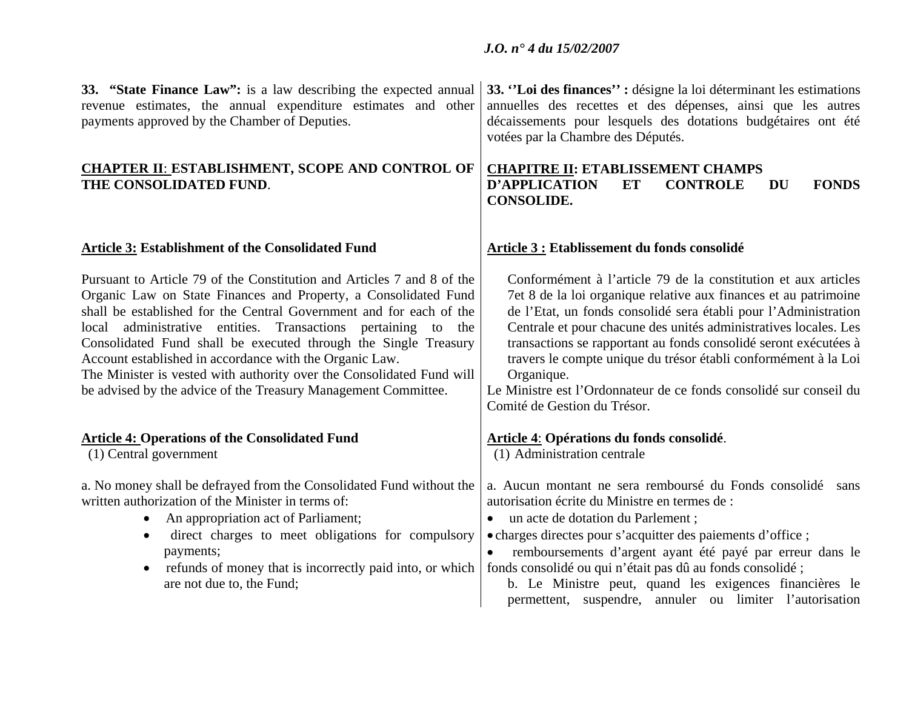| 33. "State Finance Law": is a law describing the expected annual<br>revenue estimates, the annual expenditure estimates and other<br>payments approved by the Chamber of Deputies.                                                                                                                                                                                                                                                                                                                                                                         | 33. "Loi des finances" : désigne la loi déterminant les estimations<br>annuelles des recettes et des dépenses, ainsi que les autres<br>décaissements pour lesquels des dotations budgétaires ont été<br>votées par la Chambre des Députés.                                                                                                                                                                                                                                                                                           |
|------------------------------------------------------------------------------------------------------------------------------------------------------------------------------------------------------------------------------------------------------------------------------------------------------------------------------------------------------------------------------------------------------------------------------------------------------------------------------------------------------------------------------------------------------------|--------------------------------------------------------------------------------------------------------------------------------------------------------------------------------------------------------------------------------------------------------------------------------------------------------------------------------------------------------------------------------------------------------------------------------------------------------------------------------------------------------------------------------------|
| <b>CHAPTER II: ESTABLISHMENT, SCOPE AND CONTROL OF</b><br>THE CONSOLIDATED FUND.                                                                                                                                                                                                                                                                                                                                                                                                                                                                           | <b>CHAPITRE II: ETABLISSEMENT CHAMPS</b><br><b>D'APPLICATION</b><br><b>ET</b><br><b>CONTROLE</b><br><b>FONDS</b><br><b>DU</b><br><b>CONSOLIDE.</b>                                                                                                                                                                                                                                                                                                                                                                                   |
| <b>Article 3: Establishment of the Consolidated Fund</b>                                                                                                                                                                                                                                                                                                                                                                                                                                                                                                   | Article 3 : Etablissement du fonds consolidé                                                                                                                                                                                                                                                                                                                                                                                                                                                                                         |
| Pursuant to Article 79 of the Constitution and Articles 7 and 8 of the<br>Organic Law on State Finances and Property, a Consolidated Fund<br>shall be established for the Central Government and for each of the<br>local administrative entities. Transactions pertaining to the<br>Consolidated Fund shall be executed through the Single Treasury<br>Account established in accordance with the Organic Law.<br>The Minister is vested with authority over the Consolidated Fund will<br>be advised by the advice of the Treasury Management Committee. | Conformément à l'article 79 de la constitution et aux articles<br>7et 8 de la loi organique relative aux finances et au patrimoine<br>de l'Etat, un fonds consolidé sera établi pour l'Administration<br>Centrale et pour chacune des unités administratives locales. Les<br>transactions se rapportant au fonds consolidé seront exécutées à<br>travers le compte unique du trésor établi conformément à la Loi<br>Organique.<br>Le Ministre est l'Ordonnateur de ce fonds consolidé sur conseil du<br>Comité de Gestion du Trésor. |
| <b>Article 4: Operations of the Consolidated Fund</b><br>(1) Central government                                                                                                                                                                                                                                                                                                                                                                                                                                                                            | <b>Article 4: Opérations du fonds consolidé.</b><br>(1) Administration centrale                                                                                                                                                                                                                                                                                                                                                                                                                                                      |
| a. No money shall be defrayed from the Consolidated Fund without the<br>written authorization of the Minister in terms of:<br>An appropriation act of Parliament;<br>$\bullet$<br>direct charges to meet obligations for compulsory<br>$\bullet$<br>payments;<br>refunds of money that is incorrectly paid into, or which<br>$\bullet$<br>are not due to, the Fund;                                                                                                                                                                                        | a. Aucun montant ne sera remboursé du Fonds consolidé<br>sans<br>autorisation écrite du Ministre en termes de :<br>un acte de dotation du Parlement;<br>$\bullet$<br>• charges directes pour s'acquitter des paiements d'office ;<br>remboursements d'argent ayant été payé par erreur dans le<br>fonds consolidé ou qui n'était pas dû au fonds consolidé;<br>b. Le Ministre peut, quand les exigences financières le<br>permettent, suspendre, annuler ou limiter l'autorisation                                                   |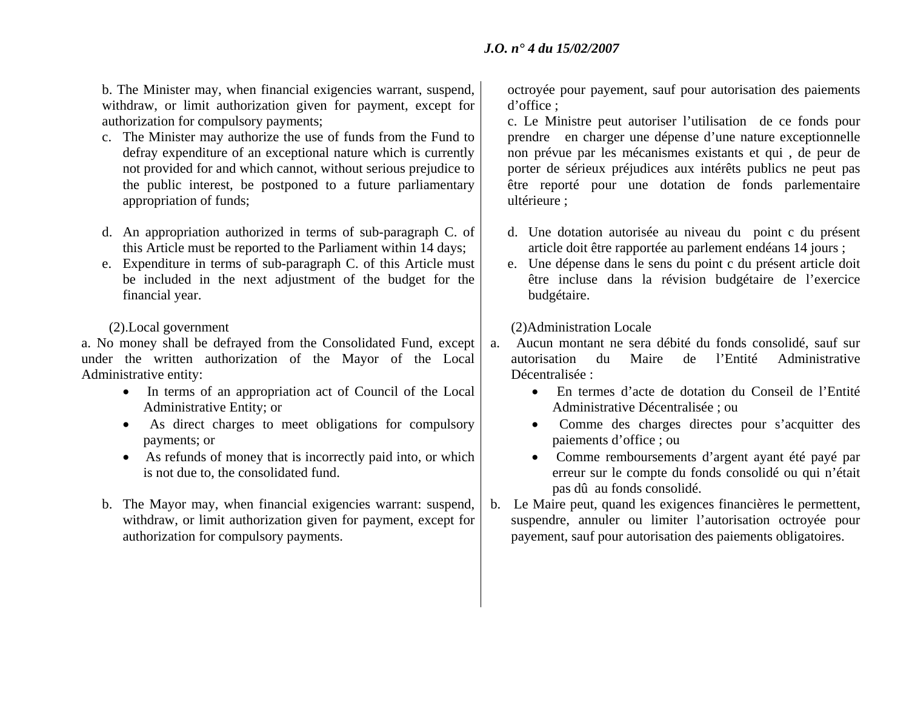b. The Minister may, when financial exigencies warrant, suspend, withdraw, or limit authorization given for payment, except for authorization for compulsory payments;

- c. The Minister may authorize the use of funds from the Fund to defray expenditure of an exceptional nature which is currently not provided for and which cannot, without serious prejudice to the public interest, be postponed to a future parliamentary appropriation of funds;
- d. An appropriation authorized in terms of sub-paragraph C. of this Article must be reported to the Parliament within 14 days;
- e. Expenditure in terms of sub-paragraph C. of this Article must be included in the next adjustment of the budget for the financial year.

### (2).Local government

a. No money shall be defrayed from the Consolidated Fund, except under the written authorization of the Mayor of the Local Administrative entity:

- In terms of an appropriation act of Council of the Local Administrative Entity; or
- As direct charges to meet obligations for compulsory payments; or
- As refunds of money that is incorrectly paid into, or which is not due to, the consolidated fund.
- b. The Mayor may, when financial exigencies warrant: suspend, withdraw, or limit authorization given for payment, except for authorization for compulsory payments.

octroyée pour payement, sauf pour autorisation des paiements d'office ;

c. Le Ministre peut autoriser l'utilisation de ce fonds pour prendre en charger une dépense d'une nature exceptionnelle non prévue par les mécanismes existants et qui , de peur de porter de sérieux préjudices aux intérêts publics ne peut pas être reporté pour une dotation de fonds parlementaire ultérieure ;

- d. Une dotation autorisée au niveau du point c du présent article doit être rapportée au parlement endéans 14 jours ;
- e. Une dépense dans le sens du point c du présent article doit être incluse dans la révision budgétaire de l'exercice budgétaire.

(2)Administration Locale

- a. Aucun montant ne sera débité du fonds consolidé, sauf sur autorisation du Maire de l'Entité Administrative Décentralisée :
	- En termes d'acte de dotation du Conseil de l'Entité Administrative Décentralisée ; ou
	- Comme des charges directes pour s'acquitter des paiements d'office ; ou
	- Comme remboursements d'argent ayant été payé par erreur sur le compte du fonds consolidé ou qui n'était pas dû au fonds consolidé.
- b. Le Maire peut, quand les exigences financières le permettent, suspendre, annuler ou limiter l'autorisation octroyée pour payement, sauf pour autorisation des paiements obligatoires.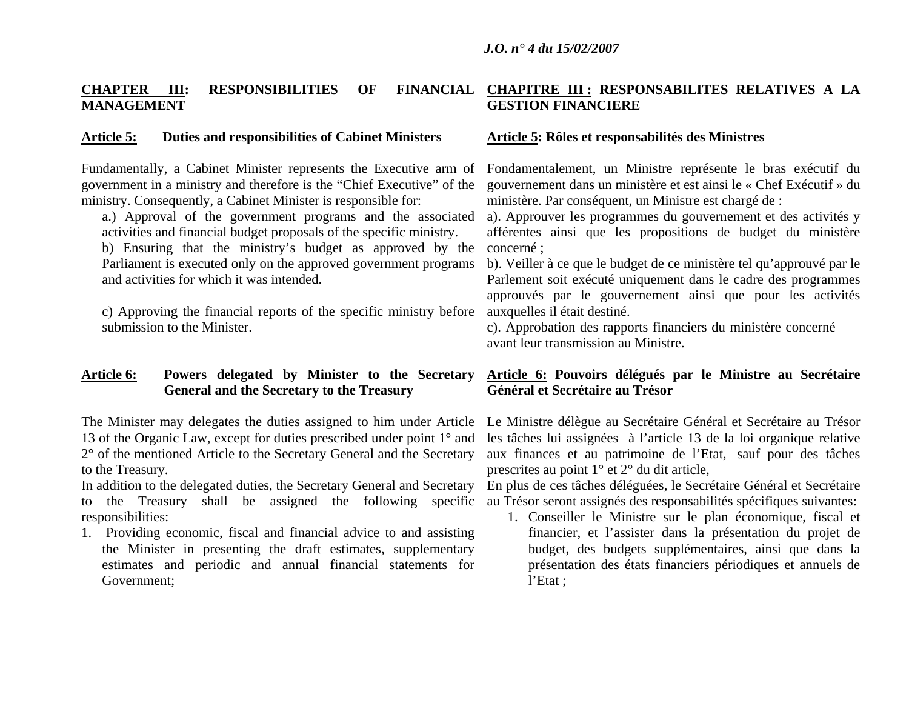### **CHAPTER III:RESPONSIBILITIES** OF **MANAGEMENT CHAPITRE III : RESPONSABILITES RELATIVES A LA GESTION FINANCIERE**

## Article 5: Duties and responsibilities of Cabinet Ministers | Article 5: Rôles et responsabilités des Ministres

| Fundamentally, a Cabinet Minister represents the Executive arm of<br>government in a ministry and therefore is the "Chief Executive" of the<br>ministry. Consequently, a Cabinet Minister is responsible for:<br>a.) Approval of the government programs and the associated<br>activities and financial budget proposals of the specific ministry.<br>b) Ensuring that the ministry's budget as approved by the<br>Parliament is executed only on the approved government programs<br>and activities for which it was intended.<br>c) Approving the financial reports of the specific ministry before<br>submission to the Minister. | Fondamentalement, un Ministre représente le bras exécutif du<br>gouvernement dans un ministère et est ainsi le « Chef Exécutif » du<br>ministère. Par conséquent, un Ministre est chargé de :<br>a). Approuver les programmes du gouvernement et des activités y<br>afférentes ainsi que les propositions de budget du ministère<br>concerné;<br>b). Veiller à ce que le budget de ce ministère tel qu'approuvé par le<br>Parlement soit exécuté uniquement dans le cadre des programmes<br>approuvés par le gouvernement ainsi que pour les activités<br>auxquelles il était destiné.<br>c). Approbation des rapports financiers du ministère concerné<br>avant leur transmission au Ministre. |
|--------------------------------------------------------------------------------------------------------------------------------------------------------------------------------------------------------------------------------------------------------------------------------------------------------------------------------------------------------------------------------------------------------------------------------------------------------------------------------------------------------------------------------------------------------------------------------------------------------------------------------------|-------------------------------------------------------------------------------------------------------------------------------------------------------------------------------------------------------------------------------------------------------------------------------------------------------------------------------------------------------------------------------------------------------------------------------------------------------------------------------------------------------------------------------------------------------------------------------------------------------------------------------------------------------------------------------------------------|
| Article 6:<br>Powers delegated by Minister to the Secretary<br><b>General and the Secretary to the Treasury</b>                                                                                                                                                                                                                                                                                                                                                                                                                                                                                                                      | <b>Article 6: Pouvoirs délégués par le Ministre au Secrétaire</b><br>Général et Secrétaire au Trésor                                                                                                                                                                                                                                                                                                                                                                                                                                                                                                                                                                                            |
| The Minister may delegates the duties assigned to him under Article<br>13 of the Organic Law, except for duties prescribed under point 1° and<br>2° of the mentioned Article to the Secretary General and the Secretary<br>to the Treasury.<br>In addition to the delegated duties, the Secretary General and Secretary<br>the Treasury shall be assigned the following specific<br>to<br>responsibilities:<br>1. Providing economic, fiscal and financial advice to and assisting<br>the Minister in presenting the draft estimates, supplementary<br>estimates and periodic and annual financial statements for<br>Government;     | Le Ministre délègue au Secrétaire Général et Secrétaire au Trésor<br>les tâches lui assignées à l'article 13 de la loi organique relative<br>aux finances et au patrimoine de l'Etat, sauf pour des tâches<br>prescrites au point $1^{\circ}$ et $2^{\circ}$ du dit article,<br>En plus de ces tâches déléguées, le Secrétaire Général et Secrétaire<br>au Trésor seront assignés des responsabilités spécifiques suivantes:<br>1. Conseiller le Ministre sur le plan économique, fiscal et<br>financier, et l'assister dans la présentation du projet de<br>budget, des budgets supplémentaires, ainsi que dans la<br>présentation des états financiers périodiques et annuels de<br>l'Etat;   |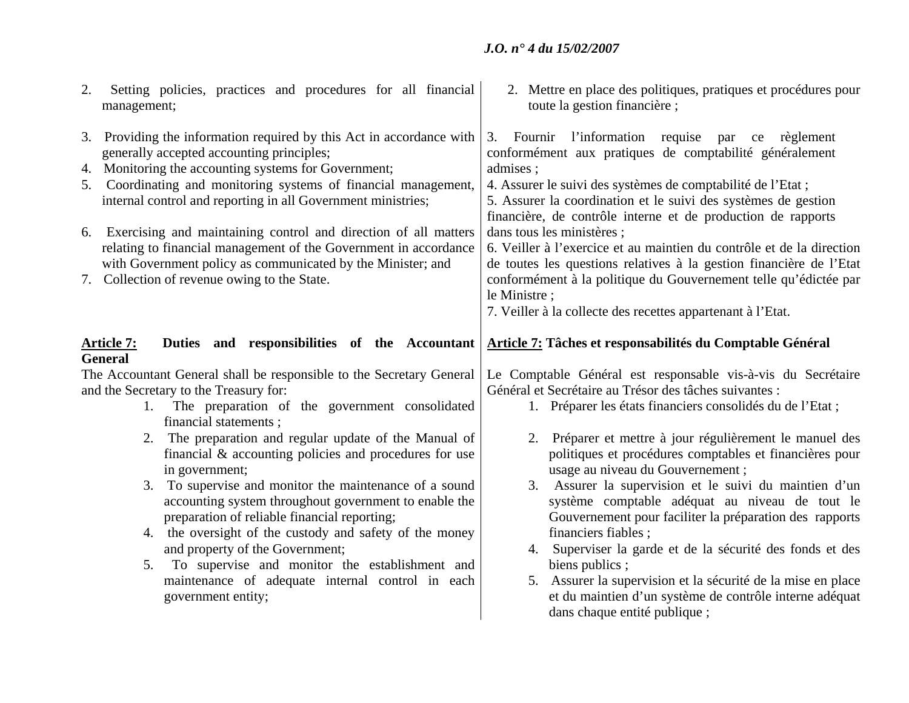| Setting policies, practices and procedures for all financial<br>2.<br>management;                                                                                                                                                                                                                                                                                                                                                                                                                                                                                                                                                                                                                          | 2. Mettre en place des politiques, pratiques et procédures pour<br>toute la gestion financière;                                                                                                                                                                                                                                                                                                                                                                                                                                                                                                                                                                           |
|------------------------------------------------------------------------------------------------------------------------------------------------------------------------------------------------------------------------------------------------------------------------------------------------------------------------------------------------------------------------------------------------------------------------------------------------------------------------------------------------------------------------------------------------------------------------------------------------------------------------------------------------------------------------------------------------------------|---------------------------------------------------------------------------------------------------------------------------------------------------------------------------------------------------------------------------------------------------------------------------------------------------------------------------------------------------------------------------------------------------------------------------------------------------------------------------------------------------------------------------------------------------------------------------------------------------------------------------------------------------------------------------|
| 3. Providing the information required by this Act in accordance with<br>generally accepted accounting principles;<br>4. Monitoring the accounting systems for Government;<br>5. Coordinating and monitoring systems of financial management,<br>internal control and reporting in all Government ministries;<br>6. Exercising and maintaining control and direction of all matters<br>relating to financial management of the Government in accordance<br>with Government policy as communicated by the Minister; and<br>7. Collection of revenue owing to the State.                                                                                                                                      | 3. Fournir l'information requise par ce règlement<br>conformément aux pratiques de comptabilité généralement<br>admises;<br>4. Assurer le suivi des systèmes de comptabilité de l'Etat;<br>5. Assurer la coordination et le suivi des systèmes de gestion<br>financière, de contrôle interne et de production de rapports<br>dans tous les ministères ;<br>6. Veiller à l'exercice et au maintien du contrôle et de la direction<br>de toutes les questions relatives à la gestion financière de l'Etat<br>conformément à la politique du Gouvernement telle qu'édictée par<br>le Ministre ;<br>7. Veiller à la collecte des recettes appartenant à l'Etat.               |
| Duties and responsibilities of the Accountant<br><u> Article 7:</u><br><b>General</b><br>The Accountant General shall be responsible to the Secretary General  <br>and the Secretary to the Treasury for:<br>The preparation of the government consolidated<br>1.<br>financial statements;<br>The preparation and regular update of the Manual of<br>2.<br>financial $\&$ accounting policies and procedures for use<br>in government;<br>To supervise and monitor the maintenance of a sound<br>3.<br>accounting system throughout government to enable the<br>preparation of reliable financial reporting;<br>4. the oversight of the custody and safety of the money<br>and property of the Government; | Article 7: Tâches et responsabilités du Comptable Général<br>Le Comptable Général est responsable vis-à-vis du Secrétaire<br>Général et Secrétaire au Trésor des tâches suivantes :<br>1. Préparer les états financiers consolidés du de l'Etat;<br>2. Préparer et mettre à jour régulièrement le manuel des<br>politiques et procédures comptables et financières pour<br>usage au niveau du Gouvernement;<br>Assurer la supervision et le suivi du maintien d'un<br>3.<br>système comptable adéquat au niveau de tout le<br>Gouvernement pour faciliter la préparation des rapports<br>financiers fiables;<br>4. Superviser la garde et de la sécurité des fonds et des |
| 5. To supervise and monitor the establishment and<br>maintenance of adequate internal control in each<br>government entity;                                                                                                                                                                                                                                                                                                                                                                                                                                                                                                                                                                                | biens publics;<br>5. Assurer la supervision et la sécurité de la mise en place<br>et du maintien d'un système de contrôle interne adéquat<br>dans chaque entité publique;                                                                                                                                                                                                                                                                                                                                                                                                                                                                                                 |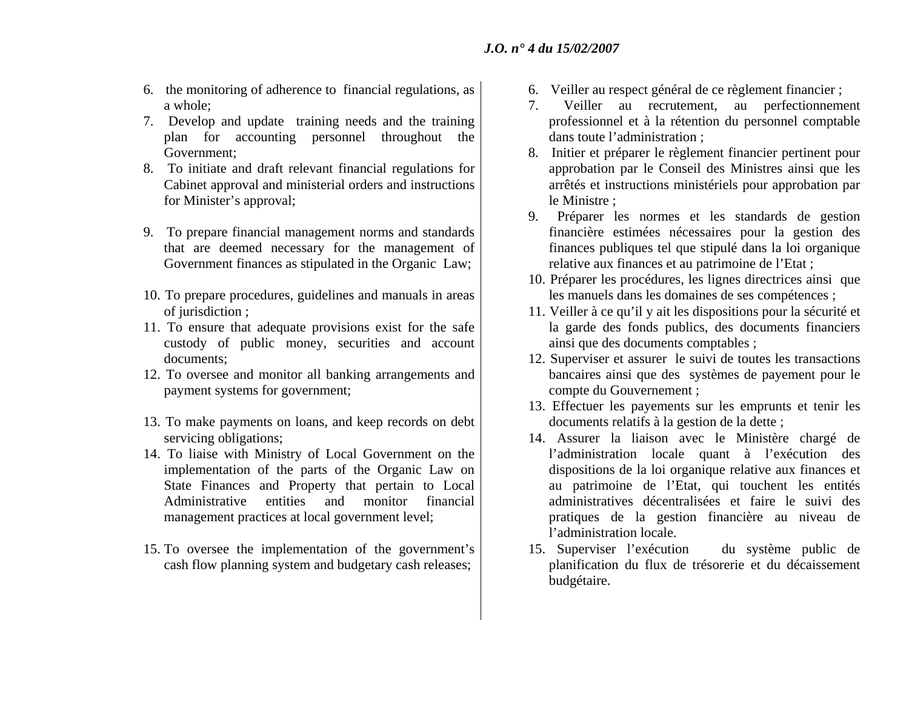- 6. the monitoring of adherence to financial regulations, as a whole;
- 7. Develop and update training needs and the training plan for accounting personnel throughout the Government;
- 8. To initiate and draft relevant financial regulations for Cabinet approval and ministerial orders and instructions for Minister's approval;
- 9. To prepare financial management norms and standards that are deemed necessary for the management of Government finances as stipulated in the Organic Law;
- 10. To prepare procedures, guidelines and manuals in areas of jurisdiction ;
- 11. To ensure that adequate provisions exist for the safe custody of public money, securities and account documents;
- 12. To oversee and monitor all banking arrangements and payment systems for government;
- 13. To make payments on loans, and keep records on debt servicing obligations;
- 14. To liaise with Ministry of Local Government on the implementation of the parts of the Organic Law on State Finances and Property that pertain to Local Administrative entities and monitor financialmanagement practices at local government level;
- 15. To oversee the implementation of the government's cash flow planning system and budgetary cash releases;
- 6. Veiller au respect général de ce règlement financier ;
- 7. Veiller au recrutement, au perfectionnement professionnel et à la rétention du personnel comptable dans toute l'administration ;
- 8. Initier et préparer le règlement financier pertinent pour approbation par le Conseil des Ministres ainsi que les arrêtés et instructions ministériels pour approbation par le Ministre ;
- 9. Préparer les normes et les standards de gestion financière estimées nécessaires pour la gestion des finances publiques tel que stipulé dans la loi organique relative aux finances et au patrimoine de l'Etat ;
- 10. Préparer les procédures, les lignes directrices ainsi que les manuels dans les domaines de ses compétences ;
- 11. Veiller à ce qu'il y ait les dispositions pour la sécurité et la garde des fonds publics, des documents financiers ainsi que des documents comptables ;
- 12. Superviser et assurer le suivi de toutes les transactions bancaires ainsi que des systèmes de payement pour le compte du Gouvernement ;
- 13. Effectuer les payements sur les emprunts et tenir les documents relatifs à la gestion de la dette ;
- 14. Assurer la liaison avec le Ministère chargé de l'administration locale quant à l'exécution des dispositions de la loi organique relative aux finances et au patrimoine de l'Etat, qui touchent les entités administratives décentralisées et faire le suivi des pratiques de la gestion financière au niveau de l'administration locale.
- 15. Superviser l'exécution du système public de planification du flux de trésorerie et du décaissement budgétaire.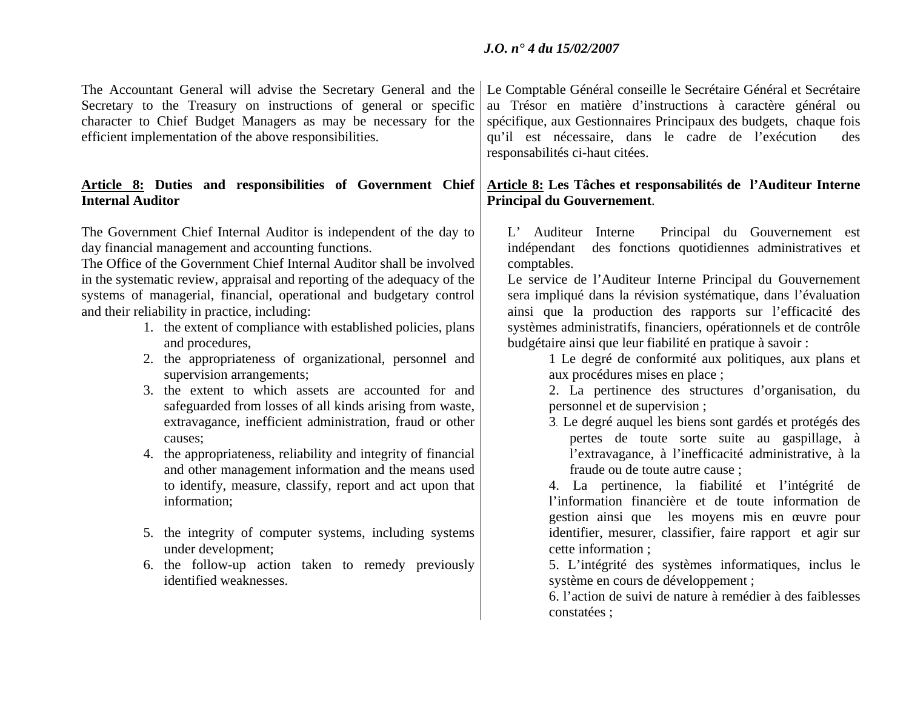The Accountant General will advise the Secretary General and the Secretary to the Treasury on instructions of general or specific character to Chief Budget Managers as may be necessary for the efficient implementation of the above responsibilities.

### **Article 8: Duties and responsibilities of Government Chief Internal Auditor**

The Government Chief Internal Auditor is independent of the day to day financial management and accounting functions.

The Office of the Government Chief Internal Auditor shall be involved in the systematic review, appraisal and reporting of the adequacy of the systems of managerial, financial, operational and budgetary control and their reliability in practice, including:

- 1. the extent of compliance with established policies, plans and procedures,
- 2. the appropriateness of organizational, personnel and supervision arrangements;
- 3. the extent to which assets are accounted for and safeguarded from losses of all kinds arising from waste, extravagance, inefficient administration, fraud or other causes;
- 4. the appropriateness, reliability and integrity of financial and other management information and the means used to identify, measure, classify, report and act upon that information;
- 5. the integrity of computer systems, including systems under development;
- 6. the follow-up action taken to remedy previously identified weaknesses.

Le Comptable Général conseille le Secrétaire Général et Secrétaire au Trésor en matière d'instructions à caractère général ou spécifique, aux Gestionnaires Principaux des budgets, chaque fois qu'il est nécessaire, dans le cadre de l'exécution des responsabilités ci-haut citées.

## **Article 8: Les Tâches et responsabilités de l'Auditeur Interne Principal du Gouvernement**.

L' Auditeur Interne Principal du Gouvernement est indépendant des fonctions quotidiennes administratives et comptables.

Le service de l'Auditeur Interne Principal du Gouvernement sera impliqué dans la révision systématique, dans l'évaluation ainsi que la production des rapports sur l'efficacité des systèmes administratifs, financiers, opérationnels et de contrôle budgétaire ainsi que leur fiabilité en pratique à savoir :

1 Le degré de conformité aux politiques, aux plans et aux procédures mises en place ;

2. La pertinence des structures d'organisation, du personnel et de supervision ;

3. Le degré auquel les biens sont gardés et protégés des pertes de toute sorte suite au gaspillage, à l'extravagance, à l'inefficacité administrative, à la fraude ou de toute autre cause ;

4. La pertinence, la fiabilité et l'intégrité de l'information financière et de toute information de gestion ainsi que les moyens mis en œuvre pour identifier, mesurer, classifier, faire rapport et agir sur cette information ;

5. L'intégrité des systèmes informatiques, inclus le système en cours de développement ;

6. l'action de suivi de nature à remédier à des faiblesses constatées ;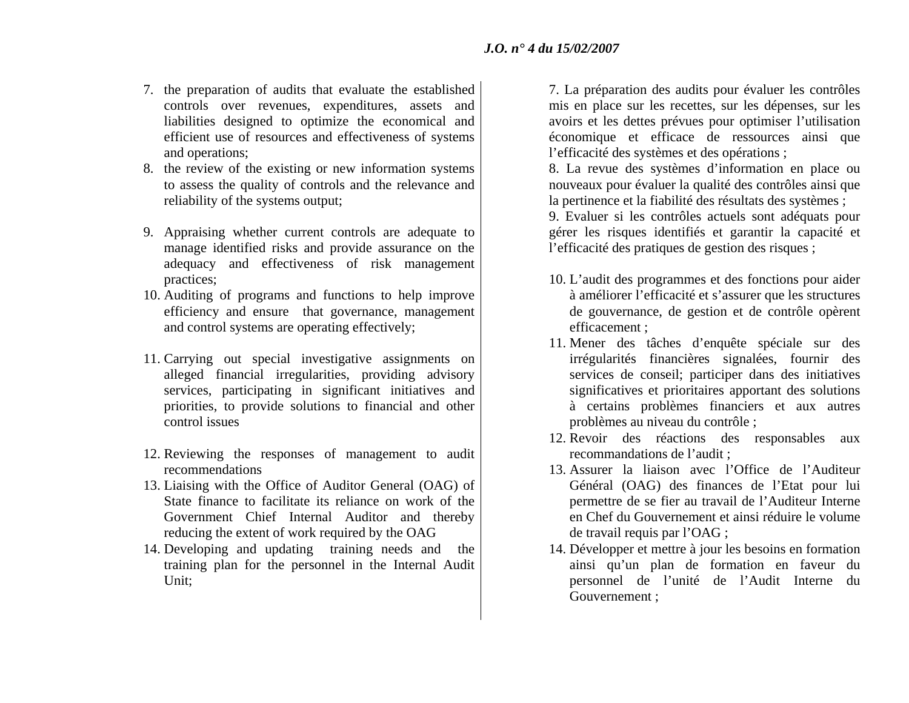- 7. the preparation of audits that evaluate the established controls over revenues, expenditures, assets and liabilities designed to optimize the economical and efficient use of resources and effectiveness of systems and operations;
- 8. the review of the existing or new information systems to assess the quality of controls and the relevance and reliability of the systems output;
- 9. Appraising whether current controls are adequate to manage identified risks and provide assurance on the adequacy and effectiveness of risk management practices;
- 10. Auditing of programs and functions to help improve efficiency and ensure that governance, management and control systems are operating effectively;
- 11. Carrying out special investigative assignments on alleged financial irregularities, providing advisory services, participating in significant initiatives and priorities, to provide solutions to financial and other control issues
- 12. Reviewing the responses of management to audit recommendations
- 13. Liaising with the Office of Auditor General (OAG) of State finance to facilitate its reliance on work of the Government Chief Internal Auditor and thereby reducing the extent of work required by the OAG
- 14. Developing and updating training needs and the training plan for the personnel in the Internal Audit Unit;

7. La préparation des audits pour évaluer les contrôles mis en place sur les recettes, sur les dépenses, sur les avoirs et les dettes prévues pour optimiser l'utilisation économique et efficace de ressources ainsi que l'efficacité des systèmes et des opérations ;

8. La revue des systèmes d'information en place ou nouveaux pour évaluer la qualité des contrôles ainsi que la pertinence et la fiabilité des résultats des systèmes ;

9. Evaluer si les contrôles actuels sont adéquats pour gérer les risques identifiés et garantir la capacité et l'efficacité des pratiques de gestion des risques ;

- 10. L'audit des programmes et des fonctions pour aider à améliorer l'efficacité et s'assurer que les structures de gouvernance, de gestion et de contrôle opèrent efficacement ;
- 11. Mener des tâches d'enquête spéciale sur des irrégularités financières signalées, fournir des services de conseil; participer dans des initiatives significatives et prioritaires apportant des solutions à certains problèmes financiers et aux autres problèmes au niveau du contrôle ;
- 12. Revoir des réactions des responsables aux recommandations de l'audit ;
- 13. Assurer la liaison avec l'Office de l'Auditeur Général (OAG) des finances de l'Etat pour lui permettre de se fier au travail de l'Auditeur Interne en Chef du Gouvernement et ainsi réduire le volume de travail requis par l'OAG ;
- 14. Développer et mettre à jour les besoins en formation ainsi qu'un plan de formation en faveur du personnel de l'unité de l'Audit Interne du Gouvernement ;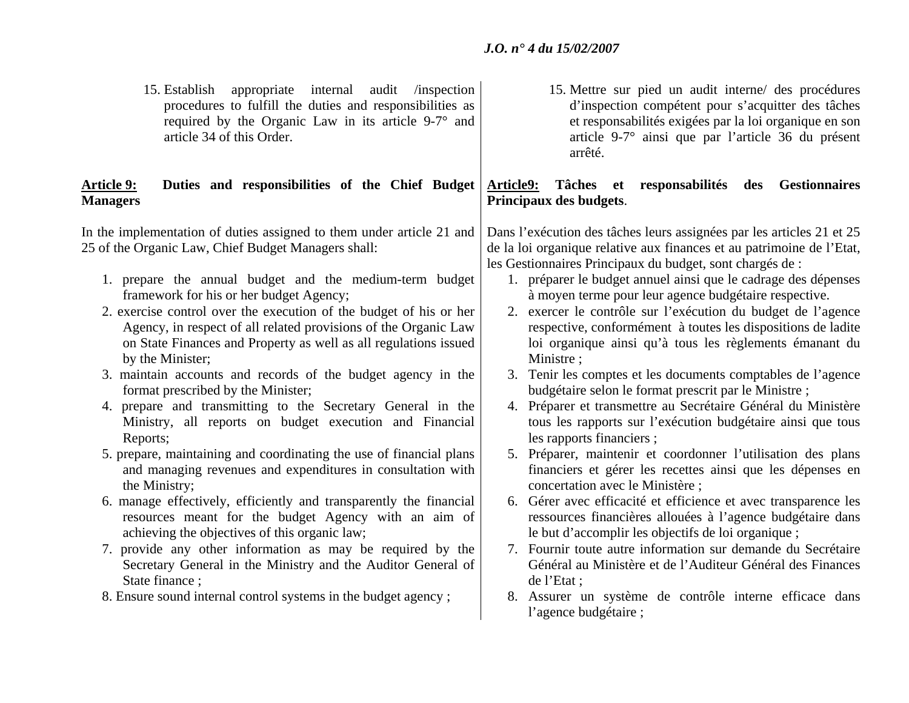15. Establish appropriate internal audit /inspection procedures to fulfill the duties and responsibilities as required by the Organic Law in its article 9-7° and article 34 of this Order.

### **Article 9: Duties and responsibilities of the Chief Budget Article9: Tâches et responsabilités des Gestionnaires Managers**

In the implementation of duties assigned to them under article 21 and 25 of the Organic Law, Chief Budget Managers shall:

- 1. prepare the annual budget and the medium-term budget framework for his or her budget Agency;
- 2. exercise control over the execution of the budget of his or her Agency, in respect of all related provisions of the Organic Law on State Finances and Property as well as all regulations issued by the Minister;
- 3. maintain accounts and records of the budget agency in the format prescribed by the Minister;
- 4. prepare and transmitting to the Secretary General in the Ministry, all reports on budget execution and Financial Reports;
- 5. prepare, maintaining and coordinating the use of financial plans and managing revenues and expenditures in consultation with the Ministry;
- 6. manage effectively, efficiently and transparently the financial resources meant for the budget Agency with an aim of achieving the objectives of this organic law;
- 7. provide any other information as may be required by the Secretary General in the Ministry and the Auditor General of State finance ;
- 8. Ensure sound internal control systems in the budget agency ;

15. Mettre sur pied un audit interne/ des procédures d'inspection compétent pour s'acquitter des tâches et responsabilités exigées par la loi organique en son article 9-7° ainsi que par l'article 36 du présent arrêté.

# **Principaux des budgets**.

Dans l'exécution des tâches leurs assignées par les articles 21 et 25 de la loi organique relative aux finances et au patrimoine de l'Etat, les Gestionnaires Principaux du budget, sont chargés de :

- 1. préparer le budget annuel ainsi que le cadrage des dépenses à moyen terme pour leur agence budgétaire respective.
- 2. exercer le contrôle sur l'exécution du budget de l'agence respective, conformément à toutes les dispositions de ladite loi organique ainsi qu'à tous les règlements émanant du Ministre ;
- 3. Tenir les comptes et les documents comptables de l'agence budgétaire selon le format prescrit par le Ministre ;
- 4. Préparer et transmettre au Secrétaire Général du Ministère tous les rapports sur l'exécution budgétaire ainsi que tous les rapports financiers ;
- 5. Préparer, maintenir et coordonner l'utilisation des plans financiers et gérer les recettes ainsi que les dépenses en concertation avec le Ministère ;
- 6. Gérer avec efficacité et efficience et avec transparence les ressources financières allouées à l'agence budgétaire dans le but d'accomplir les objectifs de loi organique ;
- 7. Fournir toute autre information sur demande du Secrétaire Général au Ministère et de l'Auditeur Général des Finances de l'Etat ;
- 8. Assurer un système de contrôle interne efficace dans l'agence budgétaire ;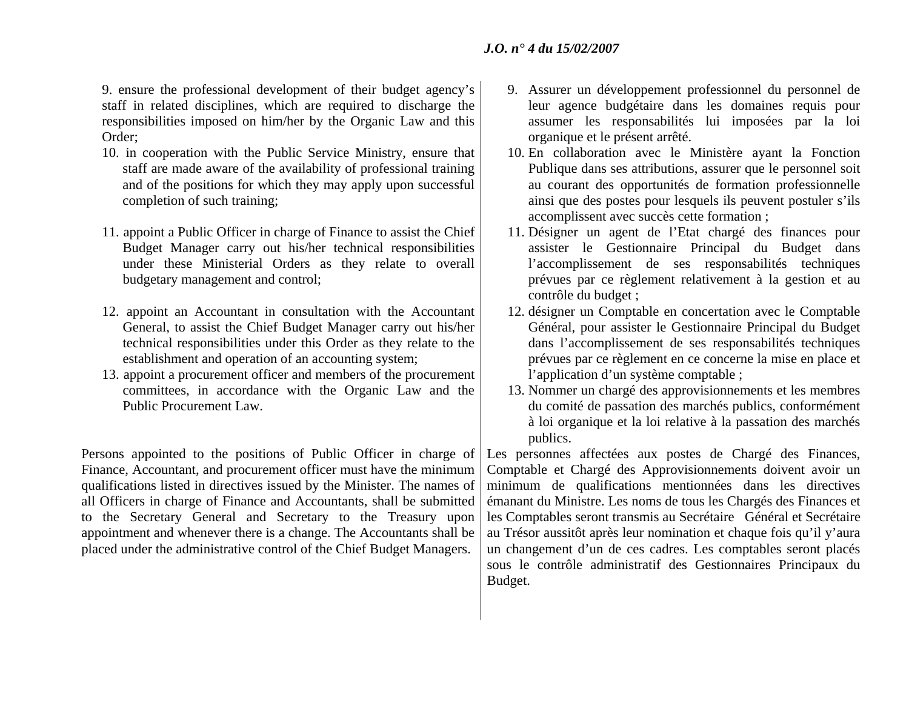9. ensure the professional development of their budget agency's staff in related disciplines, which are required to discharge the responsibilities imposed on him/her by the Organic Law and this Order;

- 10. in cooperation with the Public Service Ministry, ensure that staff are made aware of the availability of professional training and of the positions for which they may apply upon successful completion of such training;
- 11. appoint a Public Officer in charge of Finance to assist the Chief Budget Manager carry out his/her technical responsibilities under these Ministerial Orders as they relate to overall budgetary management and control;
- 12. appoint an Accountant in consultation with the Accountant General, to assist the Chief Budget Manager carry out his/her technical responsibilities under this Order as they relate to the establishment and operation of an accounting system;
- 13. appoint a procurement officer and members of the procurement committees, in accordance with the Organic Law and the Public Procurement Law.

Persons appointed to the positions of Public Officer in charge of Finance, Accountant, and procurement officer must have the minimum qualifications listed in directives issued by the Minister. The names of all Officers in charge of Finance and Accountants, shall be submitted to the Secretary General and Secretary to the Treasury upon appointment and whenever there is a change. The Accountants shall be placed under the administrative control of the Chief Budget Managers.

- 9. Assurer un développement professionnel du personnel de leur agence budgétaire dans les domaines requis pour assumer les responsabilités lui imposées par la loi organique et le présent arrêté.
- 10. En collaboration avec le Ministère ayant la Fonction Publique dans ses attributions, assurer que le personnel soit au courant des opportunités de formation professionnelle ainsi que des postes pour lesquels ils peuvent postuler s'ils accomplissent avec succès cette formation ;
- 11. Désigner un agent de l'Etat chargé des finances pour assister le Gestionnaire Principal du Budget dans l'accomplissement de ses responsabilités techniques prévues par ce règlement relativement à la gestion et au contrôle du budget ;
- 12. désigner un Comptable en concertation avec le Comptable Général, pour assister le Gestionnaire Principal du Budget dans l'accomplissement de ses responsabilités techniques prévues par ce règlement en ce concerne la mise en place et l'application d'un système comptable ;
- 13. Nommer un chargé des approvisionnements et les membres du comité de passation des marchés publics, conformément à loi organique et la loi relative à la passation des marchés publics.

Les personnes affectées aux postes de Chargé des Finances, Comptable et Chargé des Approvisionnements doivent avoir un minimum de qualifications mentionnées dans les directives émanant du Ministre. Les noms de tous les Chargés des Finances et les Comptables seront transmis au Secrétaire Général et Secrétaire au Trésor aussitôt après leur nomination et chaque fois qu'il y'aura un changement d'un de ces cadres. Les comptables seront placés sous le contrôle administratif des Gestionnaires Principaux du Budget.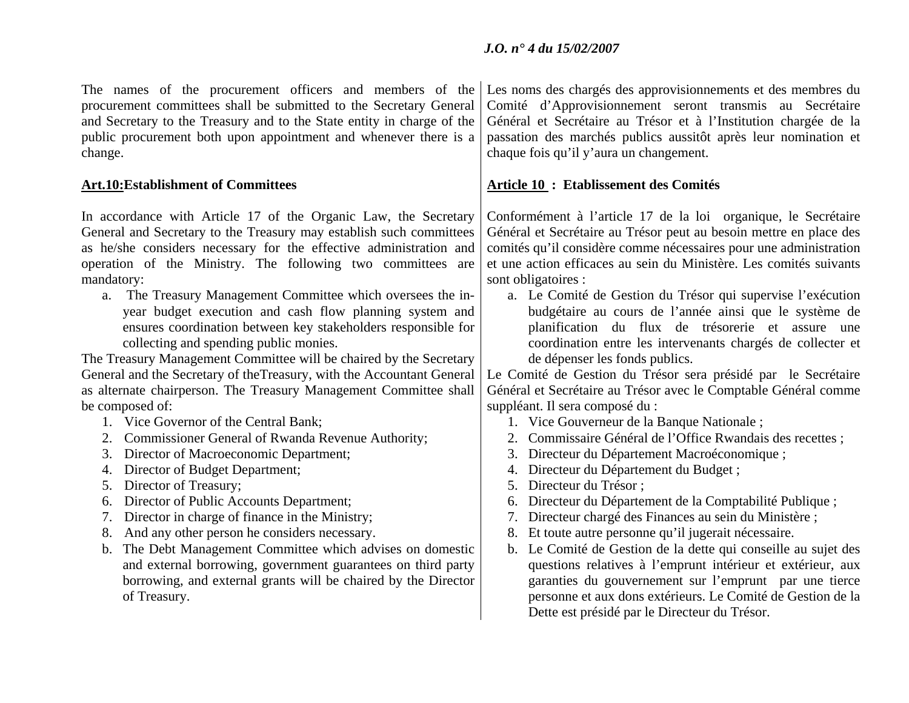The names of the procurement officers and members of the procurement committees shall be submitted to the Secretary General and Secretary to the Treasury and to the State entity in charge of the public procurement both upon appointment and whenever there is a change.

In accordance with Article 17 of the Organic Law, the Secretary General and Secretary to the Treasury may establish such committees as he/she considers necessary for the effective administration and operation of the Ministry. The following two committees are mandatory:

a. The Treasury Management Committee which oversees the inyear budget execution and cash flow planning system and ensures coordination between key stakeholders responsible for collecting and spending public monies.

The Treasury Management Committee will be chaired by the Secretary General and the Secretary of theTreasury, with the Accountant General as alternate chairperson. The Treasury Management Committee shall be composed of:

- 1. Vice Governor of the Central Bank;
- 2. Commissioner General of Rwanda Revenue Authority;
- 3. Director of Macroeconomic Department;
- 4. Director of Budget Department;
- 5. Director of Treasury;
- 6. Director of Public Accounts Department;
- 7. Director in charge of finance in the Ministry;
- 8. And any other person he considers necessary.
- b. The Debt Management Committee which advises on domestic and external borrowing, government guarantees on third party borrowing, and external grants will be chaired by the Director of Treasury.

Les noms des chargés des approvisionnements et des membres du Comité d'Approvisionnement seront transmis au Secrétaire Général et Secrétaire au Trésor et à l'Institution chargée de la passation des marchés publics aussitôt après leur nomination et chaque fois qu'il y'aura un changement.

### **Art.10:Establishment of Committees Article 10 : Etablissement des Comités**

Conformément à l'article 17 de la loi organique, le Secrétaire Général et Secrétaire au Trésor peut au besoin mettre en place des comités qu'il considère comme nécessaires pour une administration et une action efficaces au sein du Ministère. Les comités suivants sont obligatoires :

a. Le Comité de Gestion du Trésor qui supervise l'exécution budgétaire au cours de l'année ainsi que le système de planification du flux de trésorerie et assure une coordination entre les intervenants chargés de collecter et de dépenser les fonds publics.

Le Comité de Gestion du Trésor sera présidé par le Secrétaire Général et Secrétaire au Trésor avec le Comptable Général comme suppléant. Il sera composé du :

- 1. Vice Gouverneur de la Banque Nationale ;
- 2. Commissaire Général de l'Office Rwandais des recettes ;
- 3. Directeur du Département Macroéconomique ;
- 4. Directeur du Département du Budget ;
- 5. Directeur du Trésor ;
- 6. Directeur du Département de la Comptabilité Publique ;
- 7. Directeur chargé des Finances au sein du Ministère ;
- 8. Et toute autre personne qu'il jugerait nécessaire.
- b. Le Comité de Gestion de la dette qui conseille au sujet des questions relatives à l'emprunt intérieur et extérieur, aux garanties du gouvernement sur l'emprunt par une tierce personne et aux dons extérieurs. Le Comité de Gestion de la Dette est présidé par le Directeur du Trésor.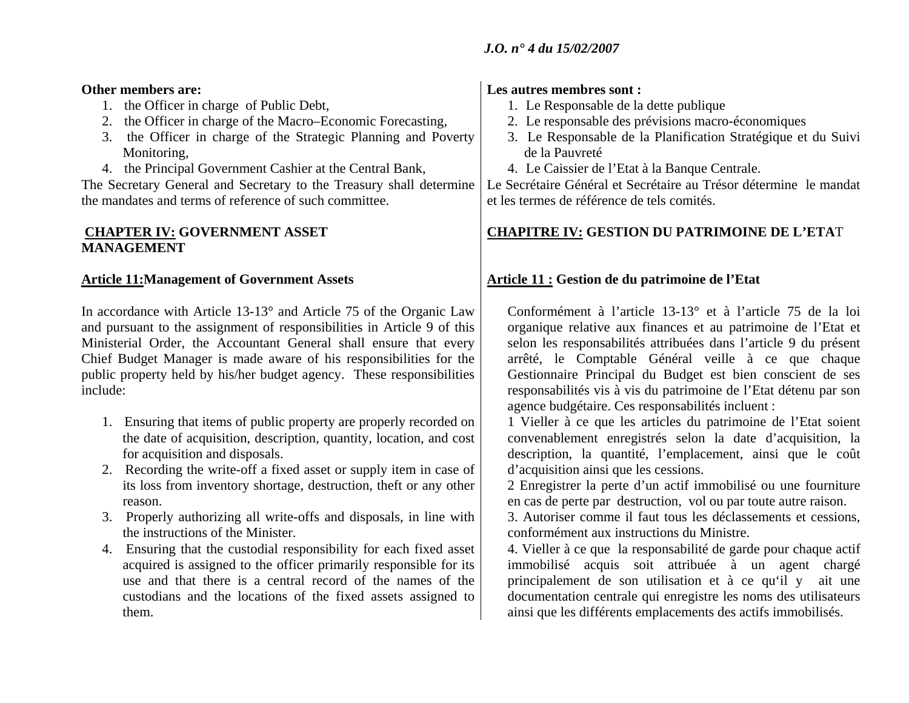### **Other members are:**

- 1. the Officer in charge of Public Debt,
- 2. the Officer in charge of the Macro–Economic Forecasting,
- 3. the Officer in charge of the Strategic Planning and Poverty Monitoring,
- 4. the Principal Government Cashier at the Central Bank,

The Secretary General and Secretary to the Treasury shall determine the mandates and terms of reference of such committee.

## **CHAPTER IV: GOVERNMENT ASSET MANAGEMENT**

In accordance with Article 13-13° and Article 75 of the Organic Law and pursuant to the assignment of responsibilities in Article 9 of this Ministerial Order, the Accountant General shall ensure that every Chief Budget Manager is made aware of his responsibilities for the public property held by his/her budget agency. These responsibilities include:

- 1. Ensuring that items of public property are properly recorded on the date of acquisition, description, quantity, location, and cost for acquisition and disposals.
- 2. Recording the write-off a fixed asset or supply item in case of its loss from inventory shortage, destruction, theft or any other reason.
- 3. Properly authorizing all write-offs and disposals, in line with the instructions of the Minister.
- 4. Ensuring that the custodial responsibility for each fixed asset acquired is assigned to the officer primarily responsible for its use and that there is a central record of the names of the custodians and the locations of the fixed assets assigned to them.

## **Les autres membres sont :**

- 1. Le Responsable de la dette publique
- 2. Le responsable des prévisions macro-économiques
- 3. Le Responsable de la Planification Stratégique et du Suivi de la Pauvreté
- 4. Le Caissier de l'Etat à la Banque Centrale.

Le Secrétaire Général et Secrétaire au Trésor détermine le mandat et les termes de référence de tels comités.

## **CHAPITRE IV: GESTION DU PATRIMOINE DE L'ETA**T

## **Article 11:Management of Government Assets** Article 11 : Gestion de du patrimoine de l'Etat

Conformément à l'article 13-13° et à l'article 75 de la loi organique relative aux finances et au patrimoine de l'Etat et selon les responsabilités attribuées dans l'article 9 du présent arrêté, le Comptable Général veille à ce que chaque Gestionnaire Principal du Budget est bien conscient de ses responsabilités vis à vis du patrimoine de l'Etat détenu par son agence budgétaire. Ces responsabilités incluent :

1 Vieller à ce que les articles du patrimoine de l'Etat soient convenablement enregistrés selon la date d'acquisition, la description, la quantité, l'emplacement, ainsi que le coût d'acquisition ainsi que les cessions.

2 Enregistrer la perte d'un actif immobilisé ou une fourniture en cas de perte par destruction, vol ou par toute autre raison.

3. Autoriser comme il faut tous les déclassements et cessions, conformément aux instructions du Ministre.

4. Vieller à ce que la responsabilité de garde pour chaque actif immobilisé acquis soit attribuée à un agent chargé principalement de son utilisation et à ce qu'il y ait une documentation centrale qui enregistre les noms des utilisateurs ainsi que les différents emplacements des actifs immobilisés.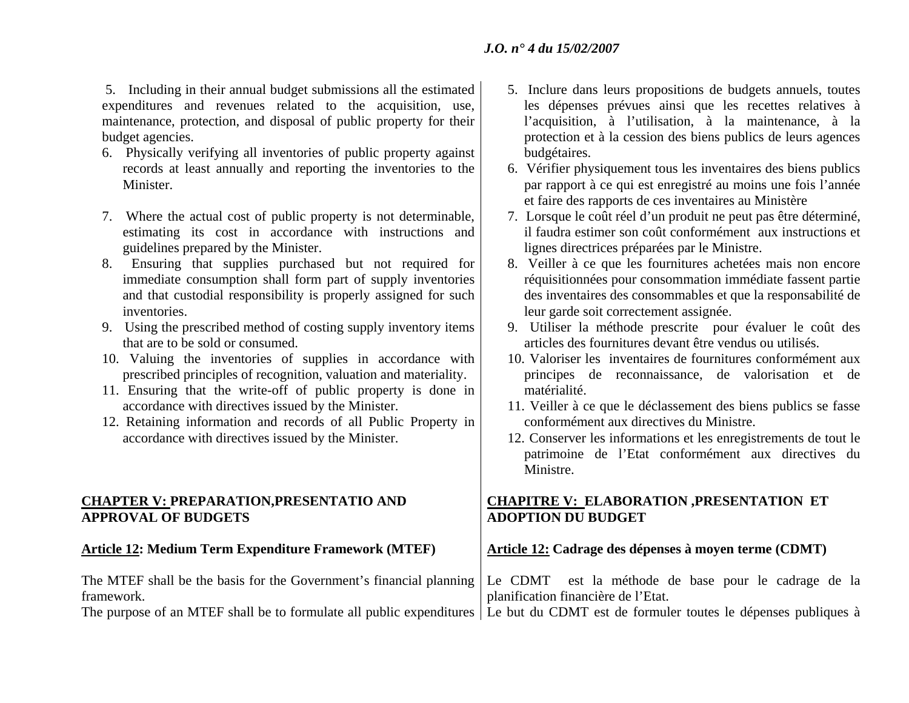5. Including in their annual budget submissions all the estimated expenditures and revenues related to the acquisition, use, maintenance, protection, and disposal of public property for their budget agencies.

- 6. Physically verifying all inventories of public property against records at least annually and reporting the inventories to the Minister.
- 7. Where the actual cost of public property is not determinable, estimating its cost in accordance with instructions and guidelines prepared by the Minister.
- 8. Ensuring that supplies purchased but not required for immediate consumption shall form part of supply inventories and that custodial responsibility is properly assigned for such inventories.
- 9. Using the prescribed method of costing supply inventory items that are to be sold or consumed.
- 10. Valuing the inventories of supplies in accordance with prescribed principles of recognition, valuation and materiality.
- 11. Ensuring that the write-off of public property is done in accordance with directives issued by the Minister.
- 12. Retaining information and records of all Public Property in accordance with directives issued by the Minister.

### **CHAPTER V: PREPARATION,PRESENTATIO AND APPROVAL OF BUDGETS**

### Article 12: Medium Term Expenditure Framework (MTEF) | Article 12: Cadrage des dépenses à moyen terme (CDMT)

- matérialité. 11. Veiller à ce que le déclassement des biens publics se fasse conformément aux directives du Ministre.
	- 12. Conserver les informations et les enregistrements de tout le patrimoine de l'Etat conformément aux directives du Ministre.

## **CHAPITRE V: ELABORATION ,PRESENTATION ET ADOPTION DU BUDGET**

| The MTEF shall be the basis for the Government's financial planning Le CDMT est la méthode de base pour le cadrage de la             |                                     |
|--------------------------------------------------------------------------------------------------------------------------------------|-------------------------------------|
| framework.                                                                                                                           | planification financière de l'Etat. |
| The purpose of an MTEF shall be to formulate all public expenditures   Le but du CDMT est de formuler toutes le dépenses publiques à |                                     |

- 5. Inclure dans leurs propositions de budgets annuels, toutes les dépenses prévues ainsi que les recettes relatives à l'acquisition, à l'utilisation, à la maintenance, à la protection et à la cession des biens publics de leurs agences budgétaires.
- 6. Vérifier physiquement tous les inventaires des biens publics par rapport à ce qui est enregistré au moins une fois l'année et faire des rapports de ces inventaires au Ministère
- 7. Lorsque le coût réel d'un produit ne peut pas être déterminé, il faudra estimer son coût conformément aux instructions et lignes directrices préparées par le Ministre.
- 8. Veiller à ce que les fournitures achetées mais non encore réquisitionnées pour consommation immédiate fassent partie des inventaires des consommables et que la responsabilité de leur garde soit correctement assignée.
- 9. Utiliser la méthode prescrite pour évaluer le coût des articles des fournitures devant être vendus ou utilisés.
- 10. Valoriser les inventaires de fournitures conformément aux principes de reconnaissance, de valorisation et de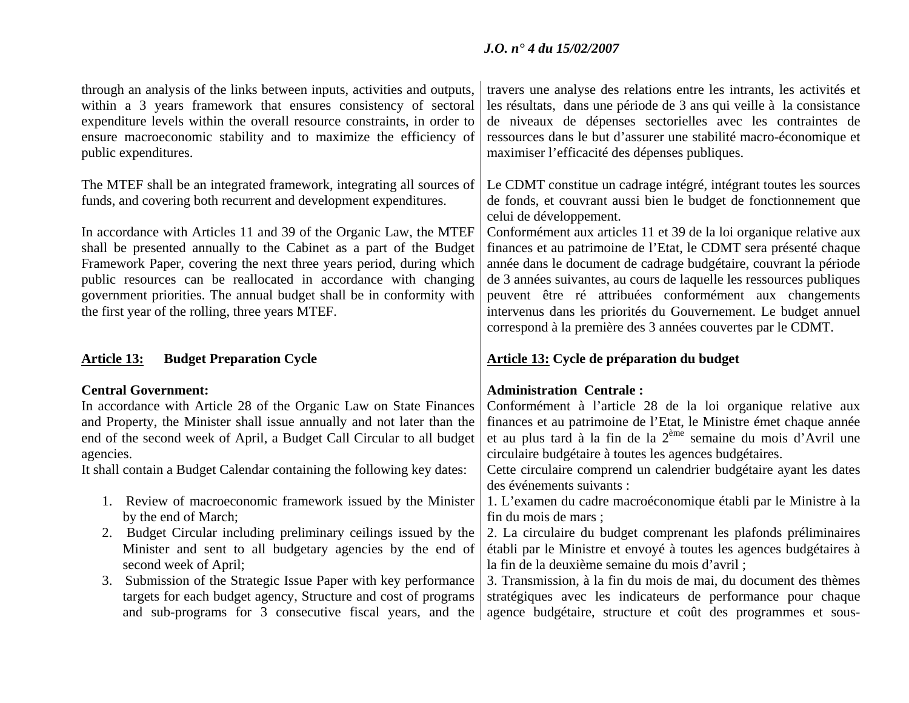| through an analysis of the links between inputs, activities and outputs,<br>within a 3 years framework that ensures consistency of sectoral<br>expenditure levels within the overall resource constraints, in order to<br>ensure macroeconomic stability and to maximize the efficiency of<br>public expenditures.                                                                                                                                                                                                                                          | travers une analyse des relations entre les intrants, les activités et<br>les résultats, dans une période de 3 ans qui veille à la consistance<br>de niveaux de dépenses sectorielles avec les contraintes de<br>ressources dans le but d'assurer une stabilité macro-économique et<br>maximiser l'efficacité des dépenses publiques.                                                                                                                                                                                                                                                                                                                    |
|-------------------------------------------------------------------------------------------------------------------------------------------------------------------------------------------------------------------------------------------------------------------------------------------------------------------------------------------------------------------------------------------------------------------------------------------------------------------------------------------------------------------------------------------------------------|----------------------------------------------------------------------------------------------------------------------------------------------------------------------------------------------------------------------------------------------------------------------------------------------------------------------------------------------------------------------------------------------------------------------------------------------------------------------------------------------------------------------------------------------------------------------------------------------------------------------------------------------------------|
| The MTEF shall be an integrated framework, integrating all sources of<br>funds, and covering both recurrent and development expenditures.<br>In accordance with Articles 11 and 39 of the Organic Law, the MTEF<br>shall be presented annually to the Cabinet as a part of the Budget<br>Framework Paper, covering the next three years period, during which<br>public resources can be reallocated in accordance with changing<br>government priorities. The annual budget shall be in conformity with<br>the first year of the rolling, three years MTEF. | Le CDMT constitue un cadrage intégré, intégrant toutes les sources<br>de fonds, et couvrant aussi bien le budget de fonctionnement que<br>celui de développement.<br>Conformément aux articles 11 et 39 de la loi organique relative aux<br>finances et au patrimoine de l'Etat, le CDMT sera présenté chaque<br>année dans le document de cadrage budgétaire, couvrant la période<br>de 3 années suivantes, au cours de laquelle les ressources publiques<br>peuvent être ré attribuées conformément aux changements<br>intervenus dans les priorités du Gouvernement. Le budget annuel<br>correspond à la première des 3 années couvertes par le CDMT. |
| <b>Budget Preparation Cycle</b><br><b>Article 13:</b>                                                                                                                                                                                                                                                                                                                                                                                                                                                                                                       | <b>Article 13: Cycle de préparation du budget</b>                                                                                                                                                                                                                                                                                                                                                                                                                                                                                                                                                                                                        |
| <b>Central Government:</b><br>In accordance with Article 28 of the Organic Law on State Finances<br>and Property, the Minister shall issue annually and not later than the<br>end of the second week of April, a Budget Call Circular to all budget<br>agencies.<br>It shall contain a Budget Calendar containing the following key dates:                                                                                                                                                                                                                  | <b>Administration Centrale:</b><br>Conformément à l'article 28 de la loi organique relative aux<br>finances et au patrimoine de l'Etat, le Ministre émet chaque année<br>et au plus tard à la fin de la 2 <sup>ème</sup> semaine du mois d'Avril une<br>circulaire budgétaire à toutes les agences budgétaires.<br>Cette circulaire comprend un calendrier budgétaire ayant les dates                                                                                                                                                                                                                                                                    |
| 1. Review of macroeconomic framework issued by the Minister<br>by the end of March;<br>2. Budget Circular including preliminary ceilings issued by the<br>Minister and sent to all budgetary agencies by the end of<br>second week of April;<br>3. Submission of the Strategic Issue Paper with key performance<br>targets for each budget agency, Structure and cost of programs<br>and sub-programs for 3 consecutive fiscal years, and the                                                                                                               | des événements suivants :<br>1. L'examen du cadre macroéconomique établi par le Ministre à la<br>fin du mois de mars;<br>2. La circulaire du budget comprenant les plafonds préliminaires<br>établi par le Ministre et envoyé à toutes les agences budgétaires à<br>la fin de la deuxième semaine du mois d'avril;<br>3. Transmission, à la fin du mois de mai, du document des thèmes<br>stratégiques avec les indicateurs de performance pour chaque<br>agence budgétaire, structure et coût des programmes et sous-                                                                                                                                   |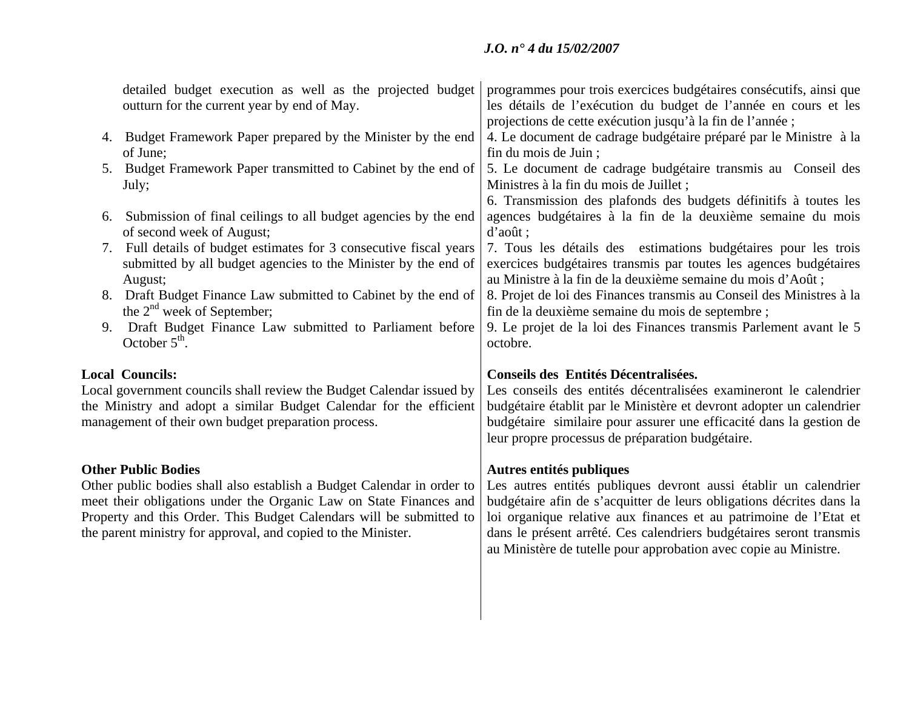| detailed budget execution as well as the projected budget<br>outturn for the current year by end of May.                                                                                                                                                                                                           | programmes pour trois exercices budgétaires consécutifs, ainsi que<br>les détails de l'exécution du budget de l'année en cours et les<br>projections de cette exécution jusqu'à la fin de l'année;                                                                                                                                                                                   |
|--------------------------------------------------------------------------------------------------------------------------------------------------------------------------------------------------------------------------------------------------------------------------------------------------------------------|--------------------------------------------------------------------------------------------------------------------------------------------------------------------------------------------------------------------------------------------------------------------------------------------------------------------------------------------------------------------------------------|
| 4. Budget Framework Paper prepared by the Minister by the end<br>of June;                                                                                                                                                                                                                                          | 4. Le document de cadrage budgétaire préparé par le Ministre à la<br>fin du mois de Juin;                                                                                                                                                                                                                                                                                            |
| 5. Budget Framework Paper transmitted to Cabinet by the end of<br>July;                                                                                                                                                                                                                                            | 5. Le document de cadrage budgétaire transmis au Conseil des<br>Ministres à la fin du mois de Juillet;                                                                                                                                                                                                                                                                               |
| 6. Submission of final ceilings to all budget agencies by the end<br>of second week of August;                                                                                                                                                                                                                     | 6. Transmission des plafonds des budgets définitifs à toutes les<br>agences budgétaires à la fin de la deuxième semaine du mois<br>d'août ;                                                                                                                                                                                                                                          |
| 7. Full details of budget estimates for 3 consecutive fiscal years<br>submitted by all budget agencies to the Minister by the end of<br>August;                                                                                                                                                                    | 7. Tous les détails des estimations budgétaires pour les trois<br>exercices budgétaires transmis par toutes les agences budgétaires<br>au Ministre à la fin de la deuxième semaine du mois d'Août;                                                                                                                                                                                   |
| Draft Budget Finance Law submitted to Cabinet by the end of<br>8.<br>the $2nd$ week of September;                                                                                                                                                                                                                  | 8. Projet de loi des Finances transmis au Conseil des Ministres à la<br>fin de la deuxième semaine du mois de septembre ;                                                                                                                                                                                                                                                            |
| Draft Budget Finance Law submitted to Parliament before<br>9.<br>October $5th$ .                                                                                                                                                                                                                                   | 9. Le projet de la loi des Finances transmis Parlement avant le 5<br>octobre.                                                                                                                                                                                                                                                                                                        |
|                                                                                                                                                                                                                                                                                                                    |                                                                                                                                                                                                                                                                                                                                                                                      |
| <b>Local Councils:</b><br>Local government councils shall review the Budget Calendar issued by<br>the Ministry and adopt a similar Budget Calendar for the efficient<br>management of their own budget preparation process.                                                                                        | Conseils des Entités Décentralisées.<br>Les conseils des entités décentralisées examineront le calendrier<br>budgétaire établit par le Ministère et devront adopter un calendrier<br>budgétaire similaire pour assurer une efficacité dans la gestion de<br>leur propre processus de préparation budgétaire.                                                                         |
| <b>Other Public Bodies</b><br>Other public bodies shall also establish a Budget Calendar in order to<br>meet their obligations under the Organic Law on State Finances and<br>Property and this Order. This Budget Calendars will be submitted to<br>the parent ministry for approval, and copied to the Minister. | Autres entités publiques<br>Les autres entités publiques devront aussi établir un calendrier<br>budgétaire afin de s'acquitter de leurs obligations décrites dans la<br>loi organique relative aux finances et au patrimoine de l'Etat et<br>dans le présent arrêté. Ces calendriers budgétaires seront transmis<br>au Ministère de tutelle pour approbation avec copie au Ministre. |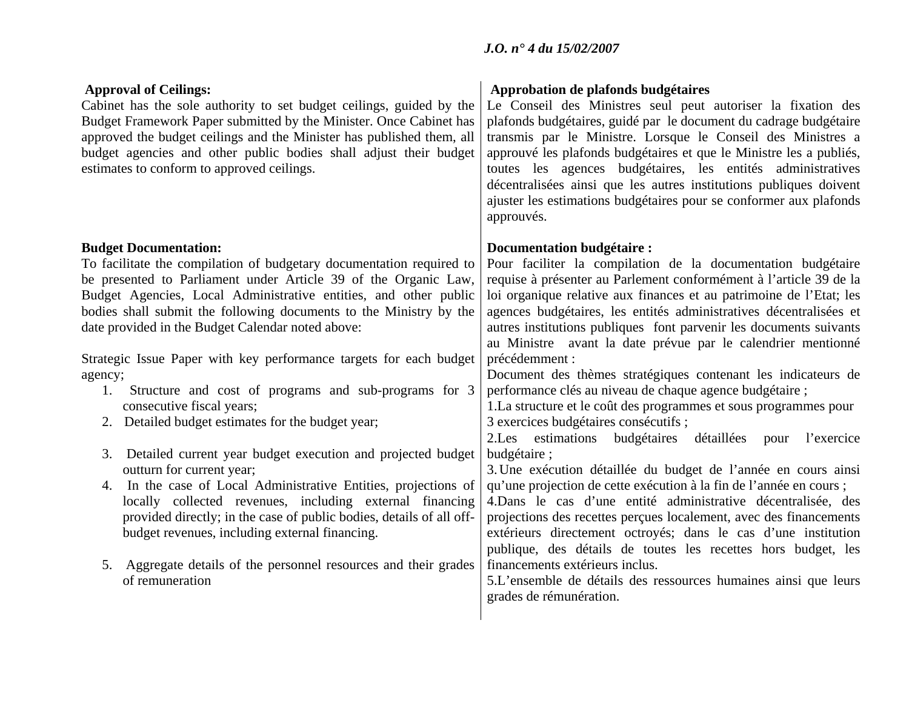| <b>Approval of Ceilings:</b><br>Cabinet has the sole authority to set budget ceilings, guided by the<br>Budget Framework Paper submitted by the Minister. Once Cabinet has<br>approved the budget ceilings and the Minister has published them, all<br>budget agencies and other public bodies shall adjust their budget<br>estimates to conform to approved ceilings.                                                                                                                                                                                                                                                                                                                                                                                                                                                                                                                                                                                                                                                                                           | Approbation de plafonds budgétaires<br>Le Conseil des Ministres seul peut autoriser la fixation des<br>plafonds budgétaires, guidé par le document du cadrage budgétaire<br>transmis par le Ministre. Lorsque le Conseil des Ministres a<br>approuvé les plafonds budgétaires et que le Ministre les a publiés,<br>toutes les agences budgétaires, les entités administratives<br>décentralisées ainsi que les autres institutions publiques doivent<br>ajuster les estimations budgétaires pour se conformer aux plafonds<br>approuvés.                                                                                                                                                                                                                                                                                                                                                                                                                                                                                                                                                                                                                                                                                                                                                                                                          |
|------------------------------------------------------------------------------------------------------------------------------------------------------------------------------------------------------------------------------------------------------------------------------------------------------------------------------------------------------------------------------------------------------------------------------------------------------------------------------------------------------------------------------------------------------------------------------------------------------------------------------------------------------------------------------------------------------------------------------------------------------------------------------------------------------------------------------------------------------------------------------------------------------------------------------------------------------------------------------------------------------------------------------------------------------------------|---------------------------------------------------------------------------------------------------------------------------------------------------------------------------------------------------------------------------------------------------------------------------------------------------------------------------------------------------------------------------------------------------------------------------------------------------------------------------------------------------------------------------------------------------------------------------------------------------------------------------------------------------------------------------------------------------------------------------------------------------------------------------------------------------------------------------------------------------------------------------------------------------------------------------------------------------------------------------------------------------------------------------------------------------------------------------------------------------------------------------------------------------------------------------------------------------------------------------------------------------------------------------------------------------------------------------------------------------|
| <b>Budget Documentation:</b><br>To facilitate the compilation of budgetary documentation required to<br>be presented to Parliament under Article 39 of the Organic Law,<br>Budget Agencies, Local Administrative entities, and other public<br>bodies shall submit the following documents to the Ministry by the<br>date provided in the Budget Calendar noted above:<br>Strategic Issue Paper with key performance targets for each budget<br>agency;<br>Structure and cost of programs and sub-programs for 3<br>1.<br>consecutive fiscal years;<br>2. Detailed budget estimates for the budget year;<br>Detailed current year budget execution and projected budget<br>3.<br>outturn for current year;<br>In the case of Local Administrative Entities, projections of<br>4.<br>locally collected revenues, including external financing<br>provided directly; in the case of public bodies, details of all off-<br>budget revenues, including external financing.<br>Aggregate details of the personnel resources and their grades<br>5.<br>of remuneration | Documentation budgétaire :<br>Pour faciliter la compilation de la documentation budgétaire<br>requise à présenter au Parlement conformément à l'article 39 de la<br>loi organique relative aux finances et au patrimoine de l'Etat; les<br>agences budgétaires, les entités administratives décentralisées et<br>autres institutions publiques font parvenir les documents suivants<br>au Ministre avant la date prévue par le calendrier mentionné<br>précédemment :<br>Document des thèmes stratégiques contenant les indicateurs de<br>performance clés au niveau de chaque agence budgétaire ;<br>1.La structure et le coût des programmes et sous programmes pour<br>3 exercices budgétaires consécutifs ;<br>2.Les estimations budgétaires détaillées pour<br>l'exercice<br>budgétaire;<br>3. Une exécution détaillée du budget de l'année en cours ainsi<br>qu'une projection de cette exécution à la fin de l'année en cours ;<br>4. Dans le cas d'une entité administrative décentralisée, des<br>projections des recettes perçues localement, avec des financements<br>extérieurs directement octroyés; dans le cas d'une institution<br>publique, des détails de toutes les recettes hors budget, les<br>financements extérieurs inclus.<br>5.L'ensemble de détails des ressources humaines ainsi que leurs<br>grades de rémunération. |
|                                                                                                                                                                                                                                                                                                                                                                                                                                                                                                                                                                                                                                                                                                                                                                                                                                                                                                                                                                                                                                                                  |                                                                                                                                                                                                                                                                                                                                                                                                                                                                                                                                                                                                                                                                                                                                                                                                                                                                                                                                                                                                                                                                                                                                                                                                                                                                                                                                                   |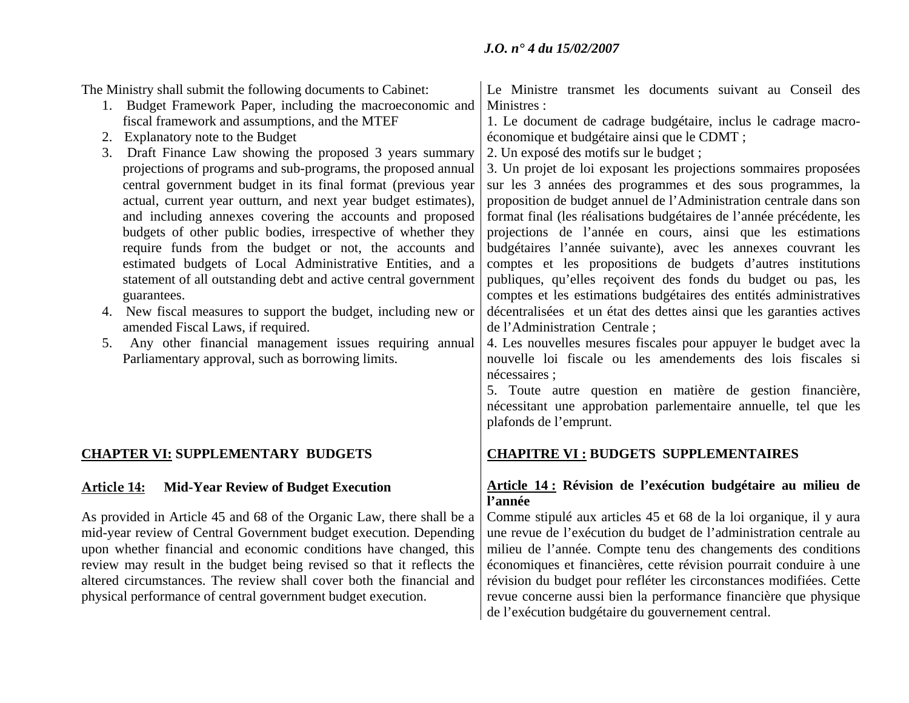The Ministry shall submit the following documents to Cabinet: 1. Budget Framework Paper, including the macroeconomic and fiscal framework and assumptions, and the MTEF 2. Explanatory note to the Budget 3. Draft Finance Law showing the proposed 3 years summary projections of programs and sub-programs, the proposed annual central government budget in its final format (previous year actual, current year outturn, and next year budget estimates), and including annexes covering the accounts and proposed budgets of other public bodies, irrespective of whether they require funds from the budget or not, the accounts and estimated budgets of Local Administrative Entities, and a statement of all outstanding debt and active central government guarantees. 4. New fiscal measures to support the budget, including new or amended Fiscal Laws, if required. 5. Any other financial management issues requiring annual Parliamentary approval, such as borrowing limits. Le Ministre transmet les documents suivant au Conseil des Ministres : 1. Le document de cadrage budgétaire, inclus le cadrage macroéconomique et budgétaire ainsi que le CDMT ; 2. Un exposé des motifs sur le budget ; 3. Un projet de loi exposant les projections sommaires proposées sur les 3 années des programmes et des sous programmes, la proposition de budget annuel de l'Administration centrale dans son format final (les réalisations budgétaires de l'année précédente, les projections de l'année en cours, ainsi que les estimations budgétaires l'année suivante), avec les annexes couvrant les comptes et les propositions de budgets d'autres institutions publiques, qu'elles reçoivent des fonds du budget ou pas, les comptes et les estimations budgétaires des entités administratives décentralisées et un état des dettes ainsi que les garanties actives de l'Administration Centrale ; 4. Les nouvelles mesures fiscales pour appuyer le budget avec la nouvelle loi fiscale ou les amendements des lois fiscales si nécessaires ; 5. Toute autre question en matière de gestion financière, nécessitant une approbation parlementaire annuelle, tel que les plafonds de l'emprunt. **CHAPTER VI: SUPPLEMENTARY BUDGETS CHAPITRE VI : BUDGETS SUPPLEMENTAIRES Article14:** Mid-Year Review of Budget Execution **Article 14:** Révision de l'exécution budgétaire au milieu de **l'année** As provided in Article 45 and 68 of the Organic Law, there shall be a mid-year review of Central Government budget execution. Depending upon whether financial and economic conditions have changed, this review may result in the budget being revised so that it reflects the altered circumstances. The review shall cover both the financial and physical performance of central government budget execution. Comme stipulé aux articles 45 et 68 de la loi organique, il y aura une revue de l'exécution du budget de l'administration centrale au milieu de l'année. Compte tenu des changements des conditions économiques et financières, cette révision pourrait conduire à une révision du budget pour refléter les circonstances modifiées. Cette revue concerne aussi bien la performance financière que physique de l'exécution budgétaire du gouvernement central.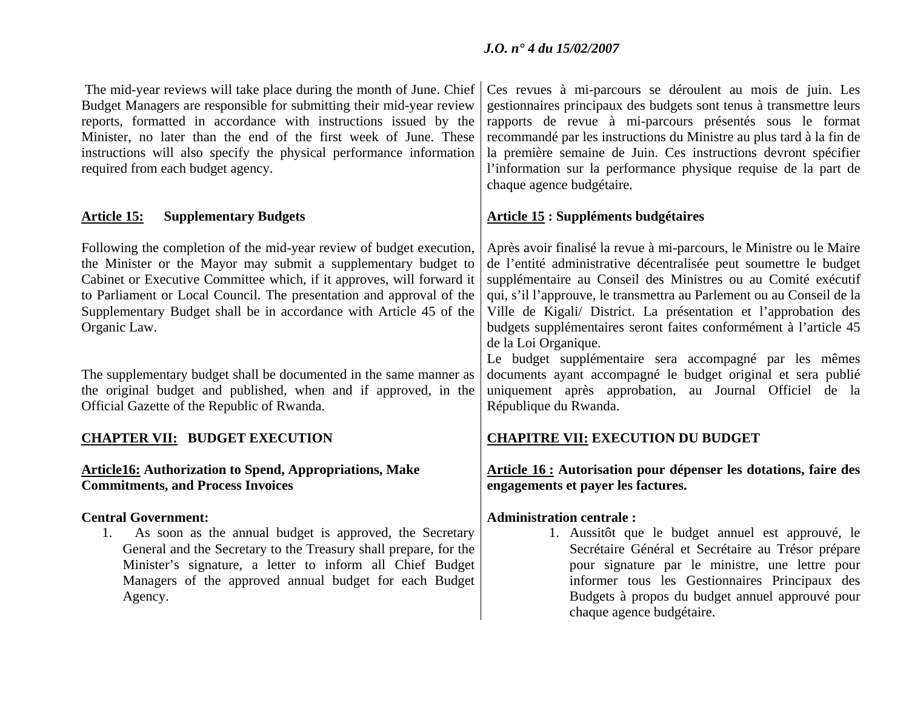chaque agence budgétaire.

| The mid-year reviews will take place during the month of June. Chief<br>Budget Managers are responsible for submitting their mid-year review<br>reports, formatted in accordance with instructions issued by the<br>Minister, no later than the end of the first week of June. These<br>instructions will also specify the physical performance information                   | Ces revues à mi-parcours se déroulent au mois de juin. Les<br>gestionnaires principaux des budgets sont tenus à transmettre leurs<br>rapports de revue à mi-parcours présentés sous le format<br>recommandé par les instructions du Ministre au plus tard à la fin de<br>la première semaine de Juin. Ces instructions devront spécifier                                                                                                            |
|-------------------------------------------------------------------------------------------------------------------------------------------------------------------------------------------------------------------------------------------------------------------------------------------------------------------------------------------------------------------------------|-----------------------------------------------------------------------------------------------------------------------------------------------------------------------------------------------------------------------------------------------------------------------------------------------------------------------------------------------------------------------------------------------------------------------------------------------------|
| required from each budget agency.                                                                                                                                                                                                                                                                                                                                             | l'information sur la performance physique requise de la part de<br>chaque agence budgétaire.                                                                                                                                                                                                                                                                                                                                                        |
| <b>Supplementary Budgets</b><br><u>Article 15:</u>                                                                                                                                                                                                                                                                                                                            | <b>Article 15 : Suppléments budgétaires</b>                                                                                                                                                                                                                                                                                                                                                                                                         |
| Following the completion of the mid-year review of budget execution,<br>the Minister or the Mayor may submit a supplementary budget to<br>Cabinet or Executive Committee which, if it approves, will forward it<br>to Parliament or Local Council. The presentation and approval of the<br>Supplementary Budget shall be in accordance with Article 45 of the<br>Organic Law. | Après avoir finalisé la revue à mi-parcours, le Ministre ou le Maire<br>de l'entité administrative décentralisée peut soumettre le budget<br>supplémentaire au Conseil des Ministres ou au Comité exécutif<br>qui, s'il l'approuve, le transmettra au Parlement ou au Conseil de la<br>Ville de Kigali/ District. La présentation et l'approbation des<br>budgets supplémentaires seront faites conformément à l'article 45<br>de la Loi Organique. |
| The supplementary budget shall be documented in the same manner as<br>the original budget and published, when and if approved, in the<br>Official Gazette of the Republic of Rwanda.                                                                                                                                                                                          | Le budget supplémentaire sera accompagné par les mêmes<br>documents ayant accompagné le budget original et sera publié<br>uniquement après approbation, au Journal Officiel de la<br>République du Rwanda.                                                                                                                                                                                                                                          |
| <b>CHAPTER VII: BUDGET EXECUTION</b>                                                                                                                                                                                                                                                                                                                                          | <b>CHAPITRE VII: EXECUTION DU BUDGET</b>                                                                                                                                                                                                                                                                                                                                                                                                            |
| <b>Article16: Authorization to Spend, Appropriations, Make</b><br><b>Commitments, and Process Invoices</b>                                                                                                                                                                                                                                                                    | Article 16 : Autorisation pour dépenser les dotations, faire des<br>engagements et payer les factures.                                                                                                                                                                                                                                                                                                                                              |
| <b>Central Government:</b><br>As soon as the annual budget is approved, the Secretary<br>1.<br>General and the Secretary to the Treasury shall prepare, for the<br>Minister's signature, a letter to inform all Chief Budget<br>Managers of the approved annual budget for each Budget<br>Agency.                                                                             | <b>Administration centrale:</b><br>1. Aussitôt que le budget annuel est approuvé, le<br>Secrétaire Général et Secrétaire au Trésor prépare<br>pour signature par le ministre, une lettre pour<br>informer tous les Gestionnaires Principaux des<br>Budgets à propos du budget annuel approuvé pour                                                                                                                                                  |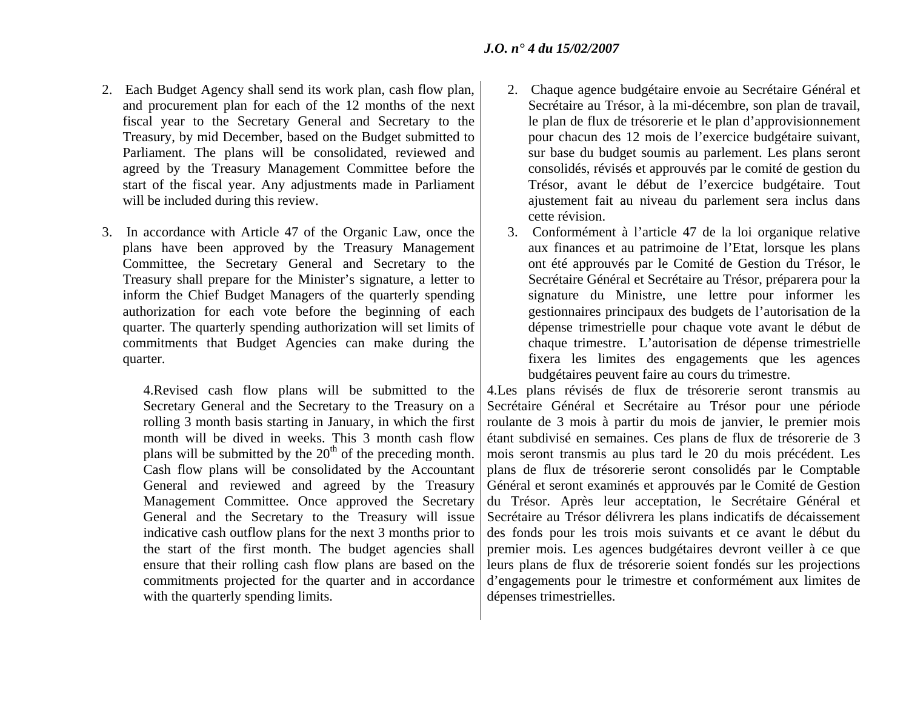- 2. Each Budget Agency shall send its work plan, cash flow plan, and procurement plan for each of the 12 months of the next fiscal year to the Secretary General and Secretary to the Treasury, by mid December, based on the Budget submitted to Parliament. The plans will be consolidated, reviewed and agreed by the Treasury Management Committee before the start of the fiscal year. Any adjustments made in Parliament will be included during this review.
- 3. In accordance with Article 47 of the Organic Law, once the plans have been approved by the Treasury Management Committee, the Secretary General and Secretary to the Treasury shall prepare for the Minister's signature, a letter to inform the Chief Budget Managers of the quarterly spending authorization for each vote before the beginning of each quarter. The quarterly spending authorization will set limits of commitments that Budget Agencies can make during the quarter.

4.Revised cash flow plans will be submitted to the Secretary General and the Secretary to the Treasury on a rolling 3 month basis starting in January, in which the first month will be dived in weeks. This 3 month cash flow plans will be submitted by the  $20<sup>th</sup>$  of the preceding month. Cash flow plans will be consolidated by the Accountant General and reviewed and agreed by the Treasury Management Committee. Once approved the Secretary General and the Secretary to the Treasury will issue indicative cash outflow plans for the next 3 months prior to the start of the first month. The budget agencies shall ensure that their rolling cash flow plans are based on the commitments projected for the quarter and in accordance with the quarterly spending limits.

- 2. Chaque agence budgétaire envoie au Secrétaire Général et Secrétaire au Trésor, à la mi-décembre, son plan de travail, le plan de flux de trésorerie et le plan d'approvisionnement pour chacun des 12 mois de l'exercice budgétaire suivant, sur base du budget soumis au parlement. Les plans seront consolidés, révisés et approuvés par le comité de gestion du Trésor, avant le début de l'exercice budgétaire. Tout ajustement fait au niveau du parlement sera inclus dans cette révision.
- 3. Conformément à l'article 47 de la loi organique relative aux finances et au patrimoine de l'Etat, lorsque les plans ont été approuvés par le Comité de Gestion du Trésor, le Secrétaire Général et Secrétaire au Trésor, préparera pour la signature du Ministre, une lettre pour informer les gestionnaires principaux des budgets de l'autorisation de la dépense trimestrielle pour chaque vote avant le début de chaque trimestre. L'autorisation de dépense trimestrielle fixera les limites des engagements que les agences budgétaires peuvent faire au cours du trimestre.

4.Les plans révisés de flux de trésorerie seront transmis au Secrétaire Général et Secrétaire au Trésor pour une période roulante de 3 mois à partir du mois de janvier, le premier mois étant subdivisé en semaines. Ces plans de flux de trésorerie de 3 mois seront transmis au plus tard le 20 du mois précédent. Les plans de flux de trésorerie seront consolidés par le Comptable Général et seront examinés et approuvés par le Comité de Gestion du Trésor. Après leur acceptation, le Secrétaire Général et Secrétaire au Trésor délivrera les plans indicatifs de décaissement des fonds pour les trois mois suivants et ce avant le début du premier mois. Les agences budgétaires devront veiller à ce que leurs plans de flux de trésorerie soient fondés sur les projections d'engagements pour le trimestre et conformément aux limites de dépenses trimestrielles.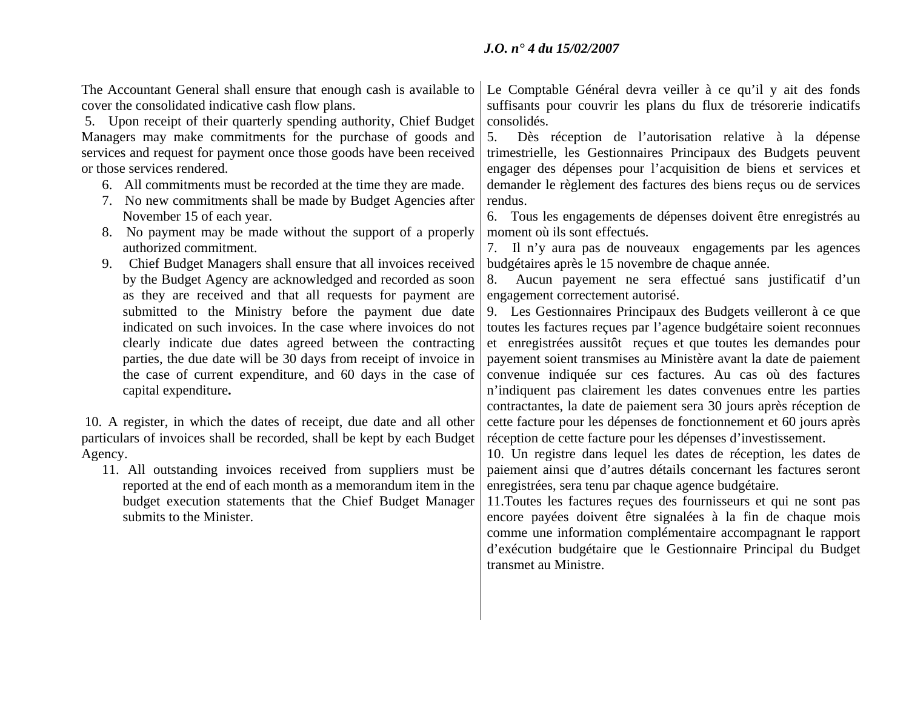The Accountant General shall ensure that enough cash is available to cover the consolidated indicative cash flow plans. 5. Upon receipt of their quarterly spending authority, Chief Budget Managers may make commitments for the purchase of goods and services and request for payment once those goods have been received or those services rendered. 6. All commitments must be recorded at the time they are made. 7. No new commitments shall be made by Budget Agencies after November 15 of each year. 8. No payment may be made without the support of a properly authorized commitment. 9. Chief Budget Managers shall ensure that all invoices received by the Budget Agency are acknowledged and recorded as soon as they are received and that all requests for payment are submitted to the Ministry before the payment due date indicated on such invoices. In the case where invoices do not clearly indicate due dates agreed between the contracting parties, the due date will be 30 days from receipt of invoice in the case of current expenditure, and 60 days in the case of capital expenditure**.**  10. A register, in which the dates of receipt, due date and all other particulars of invoices shall be recorded, shall be kept by each Budget Agency. 11. All outstanding invoices received from suppliers must be reported at the end of each month as a memorandum item in the budget execution statements that the Chief Budget Manager submits to the Minister. Le Comptable Général devra veiller à ce qu'il y ait des fonds suffisants pour couvrir les plans du flux de trésorerie indicatifs consolidés. 5. Dès réception de l'autorisation relative à la dépense trimestrielle, les Gestionnaires Principaux des Budgets peuvent engager des dépenses pour l'acquisition de biens et services et demander le règlement des factures des biens reçus ou de services rendus. 6. Tous les engagements de dépenses doivent être enregistrés au moment où ils sont effectués. 7. Il n'y aura pas de nouveaux engagements par les agences budgétaires après le 15 novembre de chaque année. 8. Aucun payement ne sera effectué sans justificatif d'un engagement correctement autorisé. 9. Les Gestionnaires Principaux des Budgets veilleront à ce que toutes les factures reçues par l'agence budgétaire soient reconnues et enregistrées aussitôt reçues et que toutes les demandes pour payement soient transmises au Ministère avant la date de paiement convenue indiquée sur ces factures. Au cas où des factures <sup>n</sup>'indiquent pas clairement les dates convenues entre les parties contractantes, la date de paiement sera 30 jours après réception de cette facture pour les dépenses de fonctionnement et 60 jours après réception de cette facture pour les dépenses d'investissement. 10. Un registre dans lequel les dates de réception, les dates de paiement ainsi que d'autres détails concernant les factures seront enregistrées, sera tenu par chaque agence budgétaire. 11.Toutes les factures reçues des fournisseurs et qui ne sont pas encore payées doivent être signalées à la fin de chaque mois comme une information complémentaire accompagnant le rapport d'exécution budgétaire que le Gestionnaire Principal du Budget transmet au Ministre.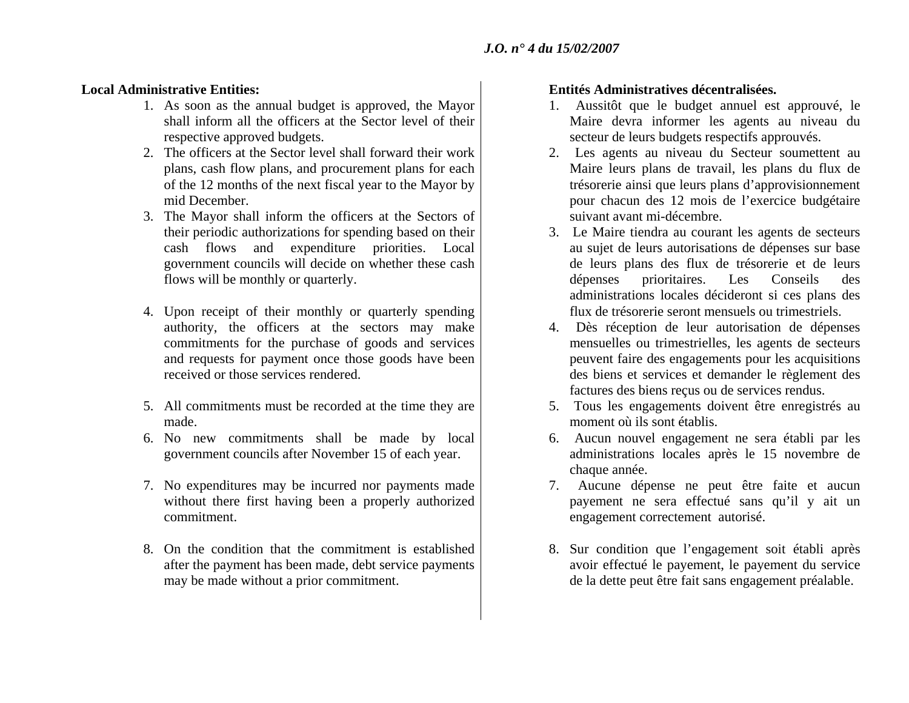### **Local Administrative Entities:**

- 1. As soon as the annual budget is approved, the Mayor shall inform all the officers at the Sector level of their respective approved budgets.
- 2. The officers at the Sector level shall forward their work plans, cash flow plans, and procurement plans for each of the 12 months of the next fiscal year to the Mayor by mid December.
- 3. The Mayor shall inform the officers at the Sectors of their periodic authorizations for spending based on their cash flows and expenditure priorities. Local government councils will decide on whether these cash flows will be monthly or quarterly.
- 4. Upon receipt of their monthly or quarterly spending authority, the officers at the sectors may make commitments for the purchase of goods and services and requests for payment once those goods have been received or those services rendered.
- 5. All commitments must be recorded at the time they are made.
- 6. No new commitments shall be made by local government councils after November 15 of each year.
- 7. No expenditures may be incurred nor payments made without there first having been a properly authorized commitment.
- 8. On the condition that the commitment is established after the payment has been made, debt service payments may be made without a prior commitment.

### **Entités Administratives décentralisées.**

- 1. Aussitôt que le budget annuel est approuvé, le Maire devra informer les agents au niveau du secteur de leurs budgets respectifs approuvés.
- 2. Les agents au niveau du Secteur soumettent au Maire leurs plans de travail, les plans du flux de trésorerie ainsi que leurs plans d'approvisionnement pour chacun des 12 mois de l'exercice budgétaire suivant avant mi-décembre.
- 3. Le Maire tiendra au courant les agents de secteurs au sujet de leurs autorisations de dépenses sur base de leurs plans des flux de trésorerie et de leurs dépenses prioritaires. Les Conseils des administrations locales décideront si ces plans des flux de trésorerie seront mensuels ou trimestriels.
- 4. Dès réception de leur autorisation de dépenses mensuelles ou trimestrielles, les agents de secteurs peuvent faire des engagements pour les acquisitions des biens et services et demander le règlement des factures des biens reçus ou de services rendus.
- 5. Tous les engagements doivent être enregistrés au moment où ils sont établis.
- 6. Aucun nouvel engagement ne sera établi par les administrations locales après le 15 novembre de chaque année.
- 7. Aucune dépense ne peut être faite et aucun payement ne sera effectué sans qu'il y ait un engagement correctement autorisé.
- 8. Sur condition que l'engagement soit établi après avoir effectué le payement, le payement du service de la dette peut être fait sans engagement préalable.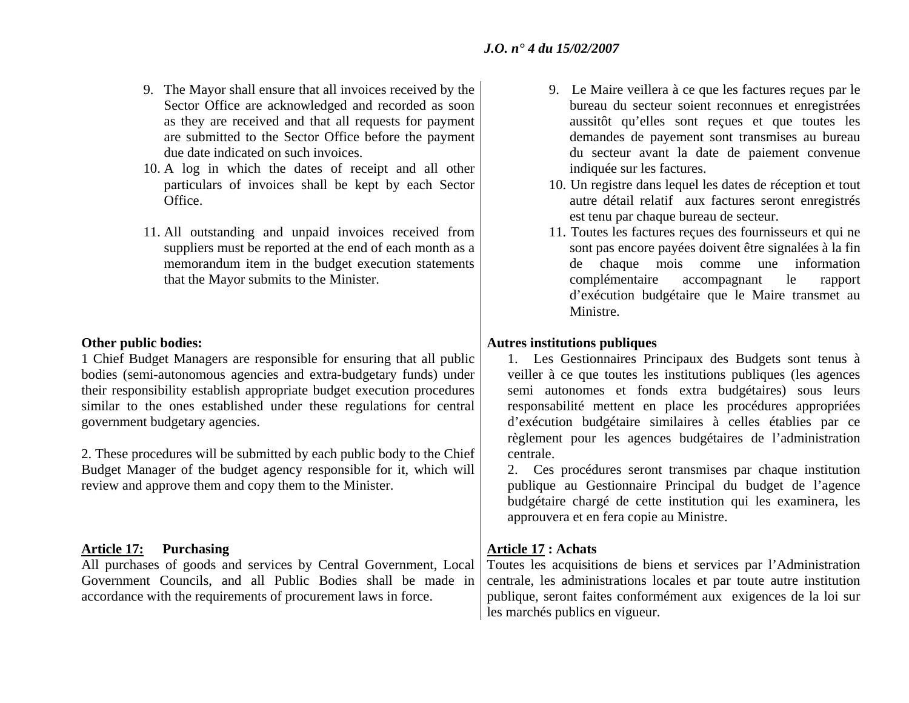- 9. The Mayor shall ensure that all invoices received by the Sector Office are acknowledged and recorded as soon as they are received and that all requests for payment are submitted to the Sector Office before the payment due date indicated on such invoices.
- 10. A log in which the dates of receipt and all other particulars of invoices shall be kept by each Sector Office.
- 11. All outstanding and unpaid invoices received from suppliers must be reported at the end of each month as a memorandum item in the budget execution statements that the Mayor submits to the Minister.

### **Other public bodies:**

1 Chief Budget Managers are responsible for ensuring that all public bodies (semi-autonomous agencies and extra-budgetary funds) under their responsibility establish appropriate budget execution procedures similar to the ones established under these regulations for central government budgetary agencies.

2. These procedures will be submitted by each public body to the Chief Budget Manager of the budget agency responsible for it, which will review and approve them and copy them to the Minister.

### Article 17: Purchasing **Article 17: Achats Article 17: Achats Article 17:** Achats

All purchases of goods and services by Central Government, Local Government Councils, and all Public Bodies shall be made in accordance with the requirements of procurement laws in force.

- 9. Le Maire veillera à ce que les factures reçues par le bureau du secteur soient reconnues et enregistrées aussitôt qu'elles sont reçues et que toutes les demandes de payement sont transmises au bureau du secteur avant la date de paiement convenue indiquée sur les factures.
- 10. Un registre dans lequel les dates de réception et tout autre détail relatif aux factures seront enregistrés est tenu par chaque bureau de secteur.
- 11. Toutes les factures reçues des fournisseurs et qui ne sont pas encore payées doivent être signalées à la fin de chaque mois comme une information complémentaire accompagnant le rapport d'exécution budgétaire que le Maire transmet au Ministre.

### **Autres institutions publiques**

- 1. Les Gestionnaires Principaux des Budgets sont tenus à veiller à ce que toutes les institutions publiques (les agences semi autonomes et fonds extra budgétaires) sous leurs responsabilité mettent en place les procédures appropriées d'exécution budgétaire similaires à celles établies par ce règlement pour les agences budgétaires de l'administration centrale.
- 2. Ces procédures seront transmises par chaque institution publique au Gestionnaire Principal du budget de l'agence budgétaire chargé de cette institution qui les examinera, les approuvera et en fera copie au Ministre.

Toutes les acquisitions de biens et services par l'Administration centrale, les administrations locales et par toute autre institution publique, seront faites conformément aux exigences de la loi sur les marchés publics en vigueur.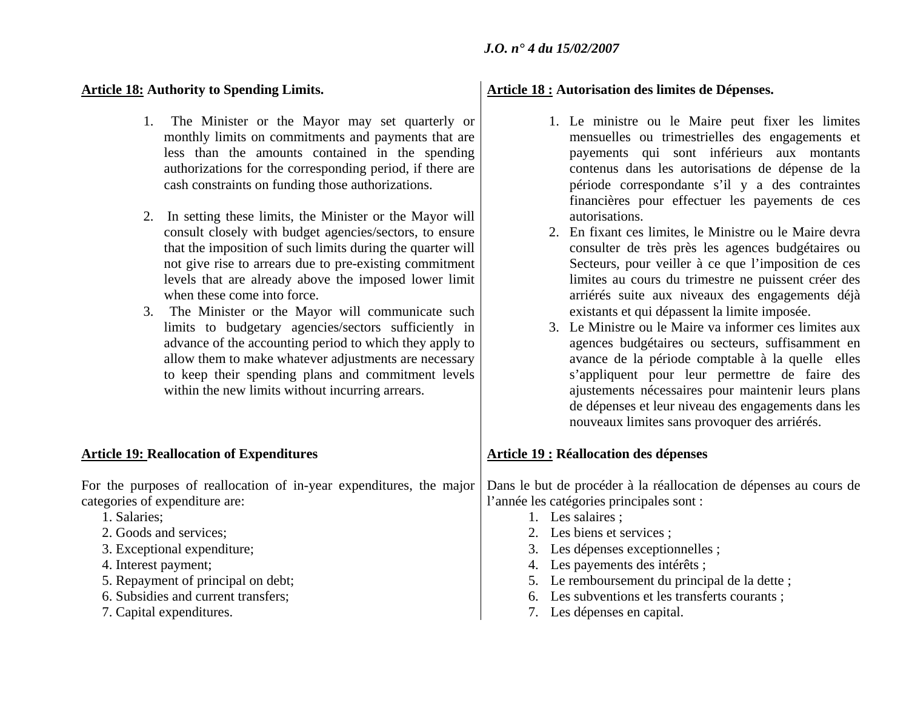- 1. The Minister or the Mayor may set quarterly or monthly limits on commitments and payments that are less than the amounts contained in the spending authorizations for the corresponding period, if there are cash constraints on funding those authorizations.
- 2. In setting these limits, the Minister or the Mayor will consult closely with budget agencies/sectors, to ensure that the imposition of such limits during the quarter will not give rise to arrears due to pre-existing commitment levels that are already above the imposed lower limit when these come into force.
- 3. The Minister or the Mayor will communicate such limits to budgetary agencies/sectors sufficiently in advance of the accounting period to which they apply to allow them to make whatever adjustments are necessary to keep their spending plans and commitment levels within the new limits without incurring arrears.

### **Article 19: Reallocation of Expenditures | Article 19: Réallocation des dépenses**

For the purposes of reallocation of in-year expenditures, the major categories of expenditure are:

- 1. Salaries;
- 2. Goods and services;
- 3. Exceptional expenditure;
- 4. Interest payment;
- 5. Repayment of principal on debt;
- 6. Subsidies and current transfers;
- 7. Capital expenditures.

## Article 18: Authority to Spending Limits. **Article 18: Autorisation des limites de Dépenses.**

- 1. Le ministre ou le Maire peut fixer les limites mensuelles ou trimestrielles des engagements et payements qui sont inférieurs aux montants contenus dans les autorisations de dépense de la période correspondante s'il y a des contraintes financières pour effectuer les payements de ces autorisations.
- 2. En fixant ces limites, le Ministre ou le Maire devra consulter de très près les agences budgétaires ou Secteurs, pour veiller à ce que l'imposition de ces limites au cours du trimestre ne puissent créer des arriérés suite aux niveaux des engagements déjà existants et qui dépassent la limite imposée.
- 3. Le Ministre ou le Maire va informer ces limites aux agences budgétaires ou secteurs, suffisamment en avance de la période comptable à la quelle elles <sup>s</sup>'appliquent pour leur permettre de faire des ajustements nécessaires pour maintenir leurs plans de dépenses et leur niveau des engagements dans les nouveaux limites sans provoquer des arriérés.

Dans le but de procéder à la réallocation de dépenses au cours de l'année les catégories principales sont :

- 1. Les salaires ;
- 2. Les biens et services ;
- 3. Les dépenses exceptionnelles ;
- 4. Les payements des intérêts ;
- 5. Le remboursement du principal de la dette ;
- 6. Les subventions et les transferts courants ;
- 7. Les dépenses en capital.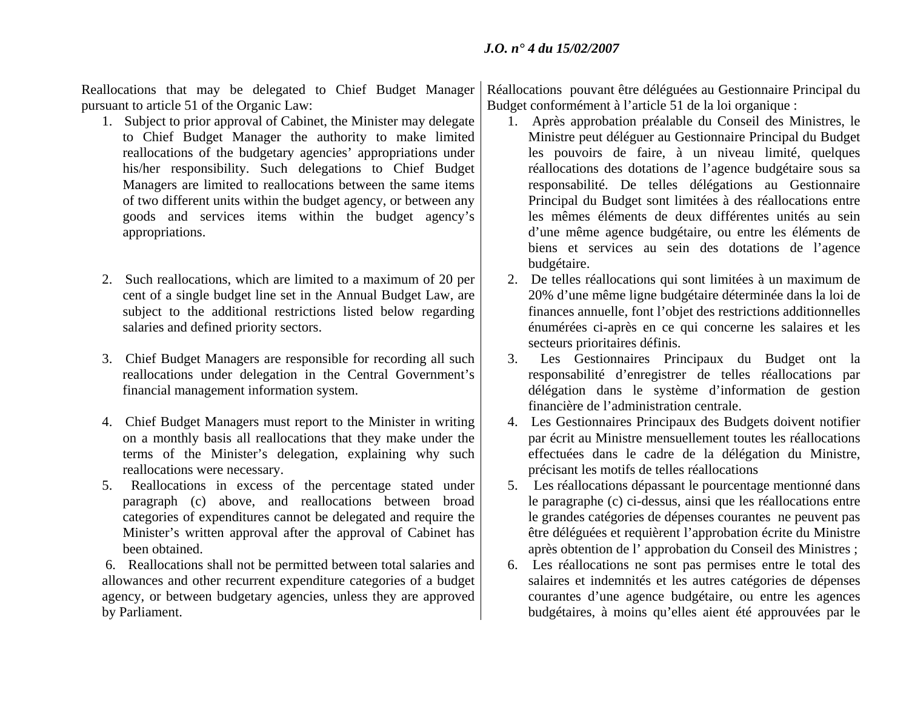Reallocations that may be delegated to Chief Budget Manager pursuant to article 51 of the Organic Law:

- 1. Subject to prior approval of Cabinet, the Minister may delegate to Chief Budget Manager the authority to make limited reallocations of the budgetary agencies' appropriations under his/her responsibility. Such delegations to Chief Budget Managers are limited to reallocations between the same items of two different units within the budget agency, or between any goods and services items within the budget agency's appropriations.
- 2. Such reallocations, which are limited to a maximum of 20 per cent of a single budget line set in the Annual Budget Law, are subject to the additional restrictions listed below regarding salaries and defined priority sectors.
- 3. Chief Budget Managers are responsible for recording all such reallocations under delegation in the Central Government's financial management information system.
- 4. Chief Budget Managers must report to the Minister in writing on a monthly basis all reallocations that they make under the terms of the Minister's delegation, explaining why such reallocations were necessary.
- 5. Reallocations in excess of the percentage stated under paragraph (c) above, and reallocations between broad categories of expenditures cannot be delegated and require the Minister's written approval after the approval of Cabinet has been obtained.

 6. Reallocations shall not be permitted between total salaries and allowances and other recurrent expenditure categories of a budget agency, or between budgetary agencies, unless they are approved by Parliament.

Réallocations pouvant être déléguées au Gestionnaire Principal du Budget conformément à l'article 51 de la loi organique :

- 1. Après approbation préalable du Conseil des Ministres, le Ministre peut déléguer au Gestionnaire Principal du Budget les pouvoirs de faire, à un niveau limité, quelques réallocations des dotations de l'agence budgétaire sous sa responsabilité. De telles délégations au Gestionnaire Principal du Budget sont limitées à des réallocations entre les mêmes éléments de deux différentes unités au sein d'une même agence budgétaire, ou entre les éléments de biens et services au sein des dotations de l'agence budgétaire.
- 2. De telles réallocations qui sont limitées à un maximum de 20% d'une même ligne budgétaire déterminée dans la loi de finances annuelle, font l'objet des restrictions additionnelles énumérées ci-après en ce qui concerne les salaires et les secteurs prioritaires définis.
- 3. Les Gestionnaires Principaux du Budget ont la responsabilité d'enregistrer de telles réallocations par délégation dans le système d'information de gestion financière de l'administration centrale.
- 4. Les Gestionnaires Principaux des Budgets doivent notifier par écrit au Ministre mensuellement toutes les réallocations effectuées dans le cadre de la délégation du Ministre, précisant les motifs de telles réallocations
- 5. Les réallocations dépassant le pourcentage mentionné dans le paragraphe (c) ci-dessus, ainsi que les réallocations entre le grandes catégories de dépenses courantes ne peuvent pas être déléguées et requièrent l'approbation écrite du Ministre après obtention de l' approbation du Conseil des Ministres ;
- 6. Les réallocations ne sont pas permises entre le total des salaires et indemnités et les autres catégories de dépenses courantes d'une agence budgétaire, ou entre les agences budgétaires, à moins qu'elles aient été approuvées par le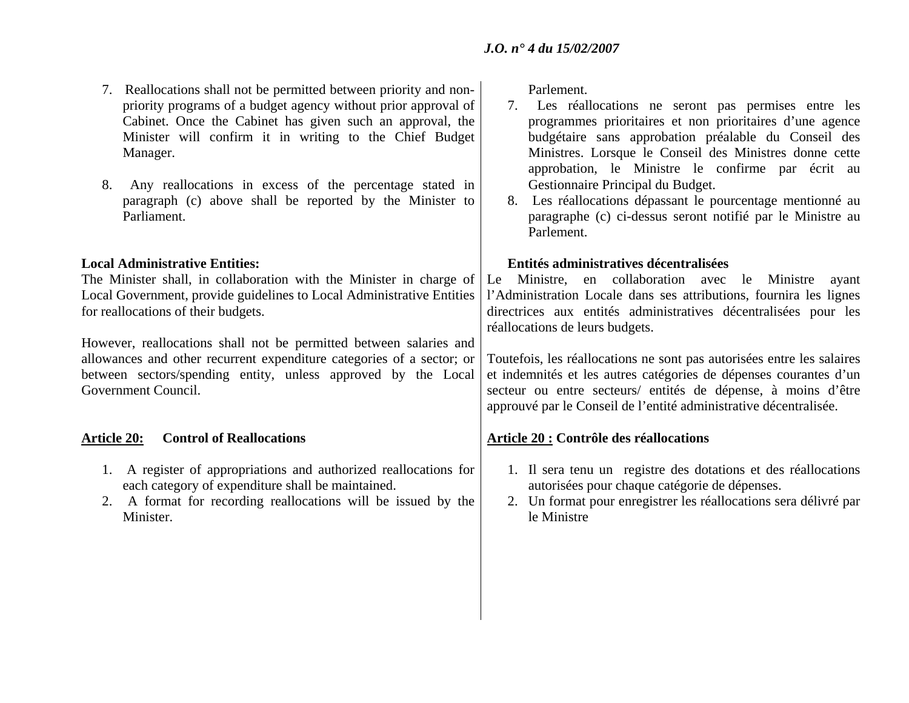- 7. Reallocations shall not be permitted between priority and nonpriority programs of a budget agency without prior approval of Cabinet. Once the Cabinet has given such an approval, the Minister will confirm it in writing to the Chief Budget Manager.
- 8. Any reallocations in excess of the percentage stated in paragraph (c) above shall be reported by the Minister to Parliament.

### **Local Administrative Entities:**

The Minister shall, in collaboration with the Minister in charge of Local Government, provide guidelines to Local Administrative Entities for reallocations of their budgets.

However, reallocations shall not be permitted between salaries and allowances and other recurrent expenditure categories of a sector; or between sectors/spending entity, unless approved by the Local Government Council.

- 1. A register of appropriations and authorized reallocations for each category of expenditure shall be maintained.
- 2. A format for recording reallocations will be issued by the Minister.

Parlement.

- 7. Les réallocations ne seront pas permises entre les programmes prioritaires et non prioritaires d'une agence budgétaire sans approbation préalable du Conseil des Ministres. Lorsque le Conseil des Ministres donne cette approbation, le Ministre le confirme par écrit au Gestionnaire Principal du Budget.
- 8. Les réallocations dépassant le pourcentage mentionné au paragraphe (c) ci-dessus seront notifié par le Ministre au Parlement.

### **Entités administratives décentralisées**

Le Ministre, en collaboration avec le Ministre ayant l'Administration Locale dans ses attributions, fournira les lignes directrices aux entités administratives décentralisées pour les réallocations de leurs budgets.

Toutefois, les réallocations ne sont pas autorisées entre les salaires et indemnités et les autres catégories de dépenses courantes d'un secteur ou entre secteurs/ entités de dépense, à moins d'être approuvé par le Conseil de l'entité administrative décentralisée.

### **Article 20: Control of Reallocations Article 20 : Contrôle des réallocations**

- 1. Il sera tenu un registre des dotations et des réallocations autorisées pour chaque catégorie de dépenses.
- 2. Un format pour enregistrer les réallocations sera délivré par le Ministre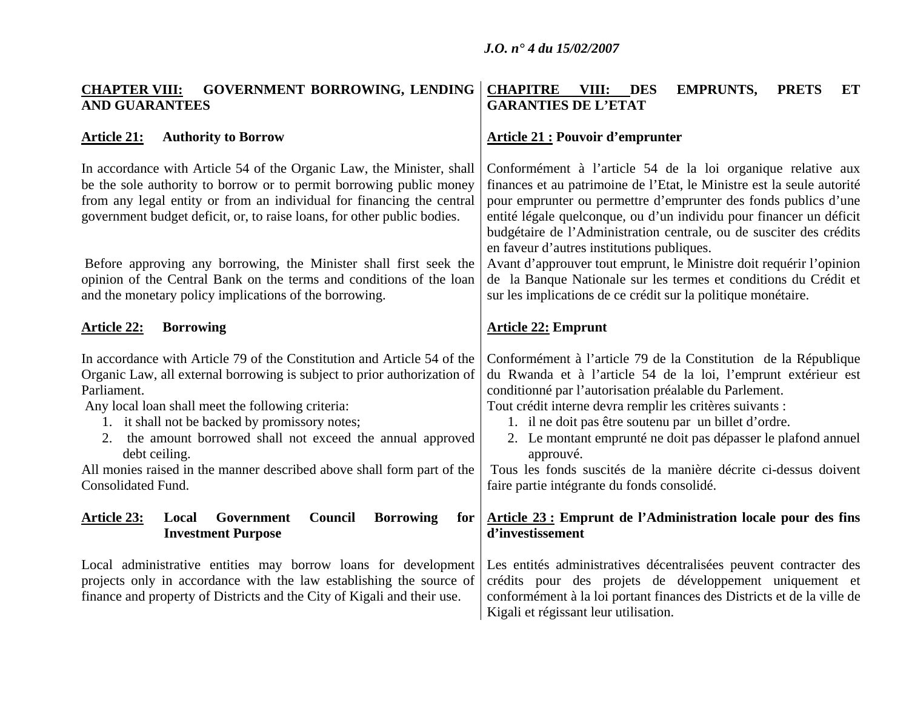### **CHAPTER VIII: GOVERNMENT BORROWING, LENDING AND GUARANTEES CHAPITRE VIII: DES EMPRUNTS, PRETS ET GARANTIES DE L'ETAT**

### Article 21: Authority to Borrow **Article 21: Pouvoir d'emprunter**

In accordance with Article 54 of the Organic Law, the Minister, shall be the sole authority to borrow or to permit borrowing public money from any legal entity or from an individual for financing the central government budget deficit, or, to raise loans, for other public bodies.

 Before approving any borrowing, the Minister shall first seek the opinion of the Central Bank on the terms and conditions of the loan and the monetary policy implications of the borrowing.

### Article 22: Borrowing **Article 22: Emprunt**

In accordance with Article 79 of the Constitution and Article 54 of the Organic Law, all external borrowing is subject to prior authorization of Parliament.

Any local loan shall meet the following criteria:

- 1. it shall not be backed by promissory notes;
- 2. the amount borrowed shall not exceed the annual approved debt ceiling.

All monies raised in the manner described above shall form part of the Consolidated Fund.

### **Article 23: Local Government Council Borrowing for Investment Purpose**

Local administrative entities may borrow loans for development projects only in accordance with the law establishing the source of finance and property of Districts and the City of Kigali and their use.

Conformément à l'article 54 de la loi organique relative aux finances et au patrimoine de l'Etat, le Ministre est la seule autorité pour emprunter ou permettre d'emprunter des fonds publics d'une entité légale quelconque, ou d'un individu pour financer un déficit budgétaire de l'Administration centrale, ou de susciter des crédits en faveur d'autres institutions publiques.

Avant d'approuver tout emprunt, le Ministre doit requérir l'opinion de la Banque Nationale sur les termes et conditions du Crédit et sur les implications de ce crédit sur la politique monétaire.

Conformément à l'article 79 de la Constitution de la République du Rwanda et à l'article 54 de la loi, l'emprunt extérieur est conditionné par l'autorisation préalable du Parlement.

Tout crédit interne devra remplir les critères suivants :

- 1. il ne doit pas être soutenu par un billet d'ordre.
- 2. Le montant emprunté ne doit pas dépasser le plafond annuel approuvé.

 Tous les fonds suscités de la manière décrite ci-dessus doivent faire partie intégrante du fonds consolidé.

### **Article 23 : Emprunt de l'Administration locale pour des fins d'investissement**

Les entités administratives décentralisées peuvent contracter des crédits pour des projets de développement uniquement et conformément à la loi portant finances des Districts et de la ville de Kigali et régissant leur utilisation.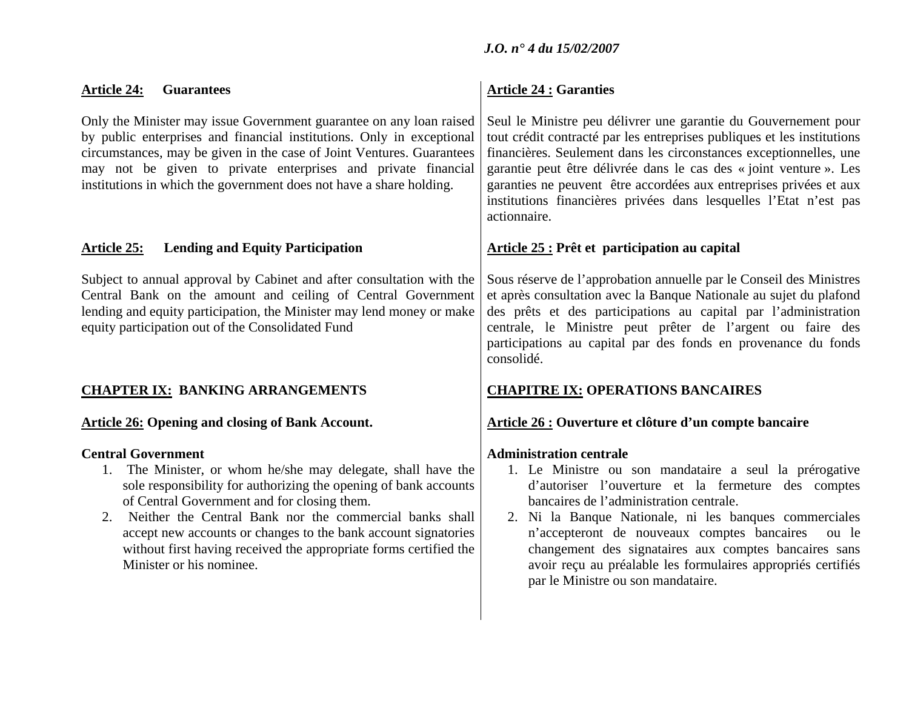| <b>Article 24:</b><br><b>Guarantees</b>                                                                                                                                                                                                                                                                                                                       | <b>Article 24 : Garanties</b>                                                                                                                                                                                                                                                                                                                                                                                                                     |
|---------------------------------------------------------------------------------------------------------------------------------------------------------------------------------------------------------------------------------------------------------------------------------------------------------------------------------------------------------------|---------------------------------------------------------------------------------------------------------------------------------------------------------------------------------------------------------------------------------------------------------------------------------------------------------------------------------------------------------------------------------------------------------------------------------------------------|
| Only the Minister may issue Government guarantee on any loan raised<br>by public enterprises and financial institutions. Only in exceptional<br>circumstances, may be given in the case of Joint Ventures. Guarantees<br>may not be given to private enterprises and private financial<br>institutions in which the government does not have a share holding. | Seul le Ministre peu délivrer une garantie du Gouvernement pour<br>tout crédit contracté par les entreprises publiques et les institutions<br>financières. Seulement dans les circonstances exceptionnelles, une<br>garantie peut être délivrée dans le cas des « joint venture ». Les<br>garanties ne peuvent être accordées aux entreprises privées et aux<br>institutions financières privées dans lesquelles l'Etat n'est pas<br>actionnaire. |
| <b>Lending and Equity Participation</b><br><b>Article 25:</b>                                                                                                                                                                                                                                                                                                 | Article 25 : Prêt et participation au capital                                                                                                                                                                                                                                                                                                                                                                                                     |
| Subject to annual approval by Cabinet and after consultation with the<br>Central Bank on the amount and ceiling of Central Government<br>lending and equity participation, the Minister may lend money or make<br>equity participation out of the Consolidated Fund                                                                                           | Sous réserve de l'approbation annuelle par le Conseil des Ministres<br>et après consultation avec la Banque Nationale au sujet du plafond<br>des prêts et des participations au capital par l'administration<br>centrale, le Ministre peut prêter de l'argent ou faire des<br>participations au capital par des fonds en provenance du fonds<br>consolidé.                                                                                        |
| <b>CHAPTER IX: BANKING ARRANGEMENTS</b>                                                                                                                                                                                                                                                                                                                       | <b>CHAPITRE IX: OPERATIONS BANCAIRES</b>                                                                                                                                                                                                                                                                                                                                                                                                          |
| <b>Article 26: Opening and closing of Bank Account.</b>                                                                                                                                                                                                                                                                                                       | Article 26 : Ouverture et clôture d'un compte bancaire                                                                                                                                                                                                                                                                                                                                                                                            |
|                                                                                                                                                                                                                                                                                                                                                               |                                                                                                                                                                                                                                                                                                                                                                                                                                                   |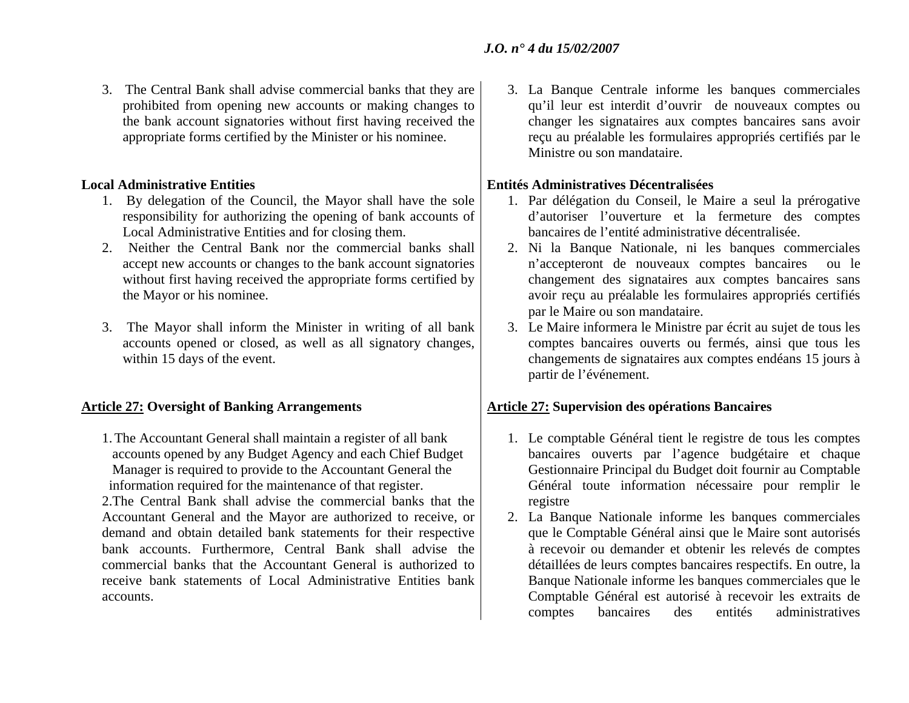3. The Central Bank shall advise commercial banks that they are prohibited from opening new accounts or making changes to the bank account signatories without first having received the appropriate forms certified by the Minister or his nominee.

### **Local Administrative Entities**

- 1. By delegation of the Council, the Mayor shall have the sole responsibility for authorizing the opening of bank accounts of Local Administrative Entities and for closing them.
- 2. Neither the Central Bank nor the commercial banks shall accept new accounts or changes to the bank account signatories without first having received the appropriate forms certified by the Mayor or his nominee.
- 3. The Mayor shall inform the Minister in writing of all bank accounts opened or closed, as well as all signatory changes, within 15 days of the event.

1.The Accountant General shall maintain a register of all bank accounts opened by any Budget Agency and each Chief Budget Manager is required to provide to the Accountant General the information required for the maintenance of that register.

2.The Central Bank shall advise the commercial banks that the Accountant General and the Mayor are authorized to receive, or demand and obtain detailed bank statements for their respective bank accounts. Furthermore, Central Bank shall advise the commercial banks that the Accountant General is authorized to receive bank statements of Local Administrative Entities bank accounts.

3. La Banque Centrale informe les banques commerciales qu'il leur est interdit d'ouvrir de nouveaux comptes ou changer les signataires aux comptes bancaires sans avoir reçu au préalable les formulaires appropriés certifiés par le Ministre ou son mandataire.

### **Entités Administratives Décentralisées**

- 1. Par délégation du Conseil, le Maire a seul la prérogative d'autoriser l'ouverture et la fermeture des comptes bancaires de l'entité administrative décentralisée.
- 2. Ni la Banque Nationale, ni les banques commerciales <sup>n</sup>'accepteront de nouveaux comptes bancaires ou le changement des signataires aux comptes bancaires sans avoir reçu au préalable les formulaires appropriés certifiés par le Maire ou son mandataire.
- 3. Le Maire informera le Ministre par écrit au sujet de tous les comptes bancaires ouverts ou fermés, ainsi que tous les changements de signataires aux comptes endéans 15 jours à partir de l'événement.

## Article 27: Oversight of Banking Arrangements **Article 27: Supervision des opérations Bancaires**

- 1. Le comptable Général tient le registre de tous les comptes bancaires ouverts par l'agence budgétaire et chaque Gestionnaire Principal du Budget doit fournir au Comptable Général toute information nécessaire pour remplir le registre
- 2. La Banque Nationale informe les banques commerciales que le Comptable Général ainsi que le Maire sont autorisés à recevoir ou demander et obtenir les relevés de comptes détaillées de leurs comptes bancaires respectifs. En outre, la Banque Nationale informe les banques commerciales que le Comptable Général est autorisé à recevoir les extraits de comptes bancaires des entités administratives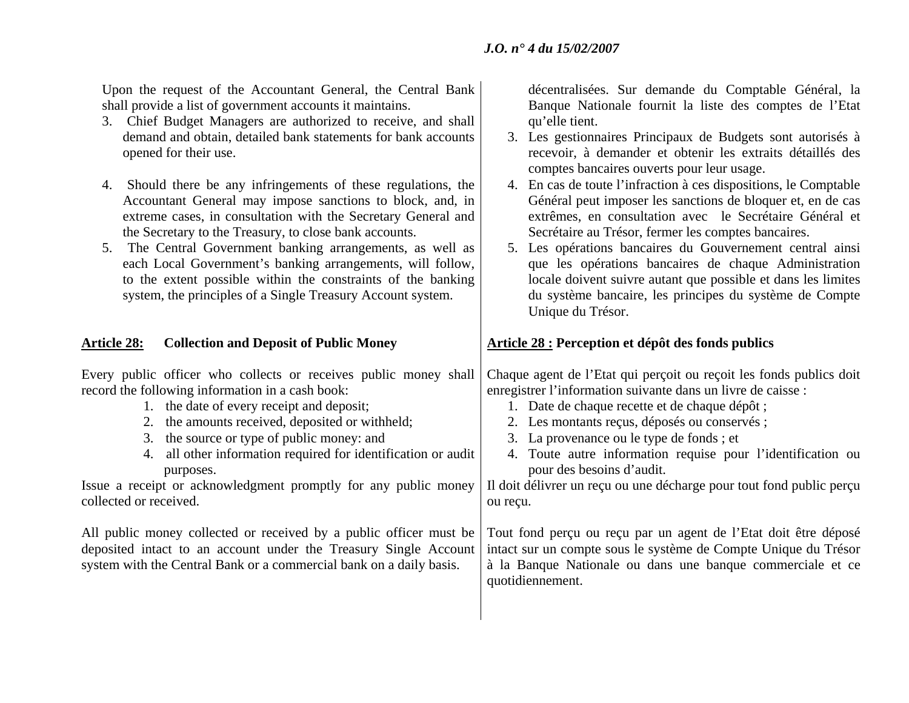Upon the request of the Accountant General, the Central Bank shall provide a list of government accounts it maintains.

- 3. Chief Budget Managers are authorized to receive, and shall demand and obtain, detailed bank statements for bank accounts opened for their use.
- 4. Should there be any infringements of these regulations, the Accountant General may impose sanctions to block, and, in extreme cases, in consultation with the Secretary General and the Secretary to the Treasury, to close bank accounts.
- 5. The Central Government banking arrangements, as well as each Local Government's banking arrangements, will follow, to the extent possible within the constraints of the banking system, the principles of a Single Treasury Account system.

### Article 28: Collection and Deposit of Public Money **Article 28** : Perception et dépôt des fonds publics

Every public officer who collects or receives public money shall record the following information in a cash book:

- 1. the date of every receipt and deposit;
- 2. the amounts received, deposited or withheld;
- 3. the source or type of public money: and
- 4. all other information required for identification or audit purposes.

Issue a receipt or acknowledgment promptly for any public money collected or received.

All public money collected or received by a public officer must be deposited intact to an account under the Treasury Single Account system with the Central Bank or a commercial bank on a daily basis.

décentralisées. Sur demande du Comptable Général, la Banque Nationale fournit la liste des comptes de l'Etat qu'elle tient.

- 3. Les gestionnaires Principaux de Budgets sont autorisés à recevoir, à demander et obtenir les extraits détaillés des comptes bancaires ouverts pour leur usage.
- 4. En cas de toute l'infraction à ces dispositions, le Comptable Général peut imposer les sanctions de bloquer et, en de cas extrêmes, en consultation avec le Secrétaire Général et Secrétaire au Trésor, fermer les comptes bancaires.
- 5. Les opérations bancaires du Gouvernement central ainsi que les opérations bancaires de chaque Administration locale doivent suivre autant que possible et dans les limites du système bancaire, les principes du système de Compte Unique du Trésor.

Chaque agent de l'Etat qui perçoit ou reçoit les fonds publics doit enregistrer l'information suivante dans un livre de caisse :

- 1. Date de chaque recette et de chaque dépôt ;
- 2. Les montants reçus, déposés ou conservés ;
- 3. La provenance ou le type de fonds ; et
- 4. Toute autre information requise pour l'identification ou pour des besoins d'audit.

Il doit délivrer un reçu ou une décharge pour tout fond public perçu ou reçu.

Tout fond perçu ou reçu par un agent de l'Etat doit être déposé intact sur un compte sous le système de Compte Unique du Trésor à la Banque Nationale ou dans une banque commerciale et ce quotidiennement.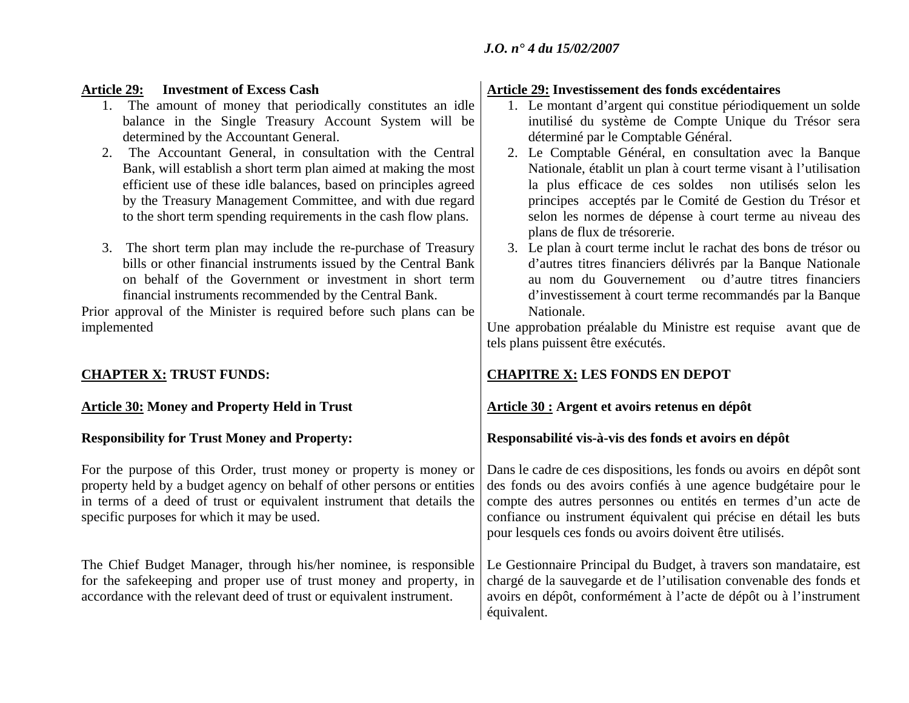### **Article 29: Investment of Excess Cash**

- 1. The amount of money that periodically constitutes an idle balance in the Single Treasury Account System will be determined by the Accountant General.
- 2. The Accountant General, in consultation with the Central Bank, will establish a short term plan aimed at making the most efficient use of these idle balances, based on principles agreed by the Treasury Management Committee, and with due regard to the short term spending requirements in the cash flow plans.
- 3. The short term plan may include the re-purchase of Treasury bills or other financial instruments issued by the Central Bank on behalf of the Government or investment in short term financial instruments recommended by the Central Bank.

Prior approval of the Minister is required before such plans can be implemented

## Article 30: Money and Property Held in Trust **Article 30 : Argent et avoirs retenus en dépôt**

## **Responsibility for Trust Money and Property:**

For the purpose of this Order, trust money or property is money or property held by a budget agency on behalf of other persons or entities in terms of a deed of trust or equivalent instrument that details the specific purposes for which it may be used.

The Chief Budget Manager, through his/her nominee, is responsible for the safekeeping and proper use of trust money and property, in accordance with the relevant deed of trust or equivalent instrument.

### **Article 29: Investissement des fonds excédentaires**

- 1. Le montant d'argent qui constitue périodiquement un solde inutilisé du système de Compte Unique du Trésor sera déterminé par le Comptable Général.
- 2. Le Comptable Général, en consultation avec la Banque Nationale, établit un plan à court terme visant à l'utilisation la plus efficace de ces soldes non utilisés selon les principes acceptés par le Comité de Gestion du Trésor et selon les normes de dépense à court terme au niveau des plans de flux de trésorerie.
- 3. Le plan à court terme inclut le rachat des bons de trésor ou d'autres titres financiers délivrés par la Banque Nationale au nom du Gouvernement ou d'autre titres financiers d'investissement à court terme recommandés par la Banque Nationale.

Une approbation préalable du Ministre est requise avant que de tels plans puissent être exécutés.

## **CHAPTER X: TRUST FUNDS: CHAPITRE X: LES FONDS EN DEPOT**

## **Responsabilité vis-à-vis des fonds et avoirs en dépôt**

Dans le cadre de ces dispositions, les fonds ou avoirs en dépôt sont des fonds ou des avoirs confiés à une agence budgétaire pour le compte des autres personnes ou entités en termes d'un acte de confiance ou instrument équivalent qui précise en détail les buts pour lesquels ces fonds ou avoirs doivent être utilisés.

Le Gestionnaire Principal du Budget, à travers son mandataire, est chargé de la sauvegarde et de l'utilisation convenable des fonds et avoirs en dépôt, conformément à l'acte de dépôt ou à l'instrument équivalent.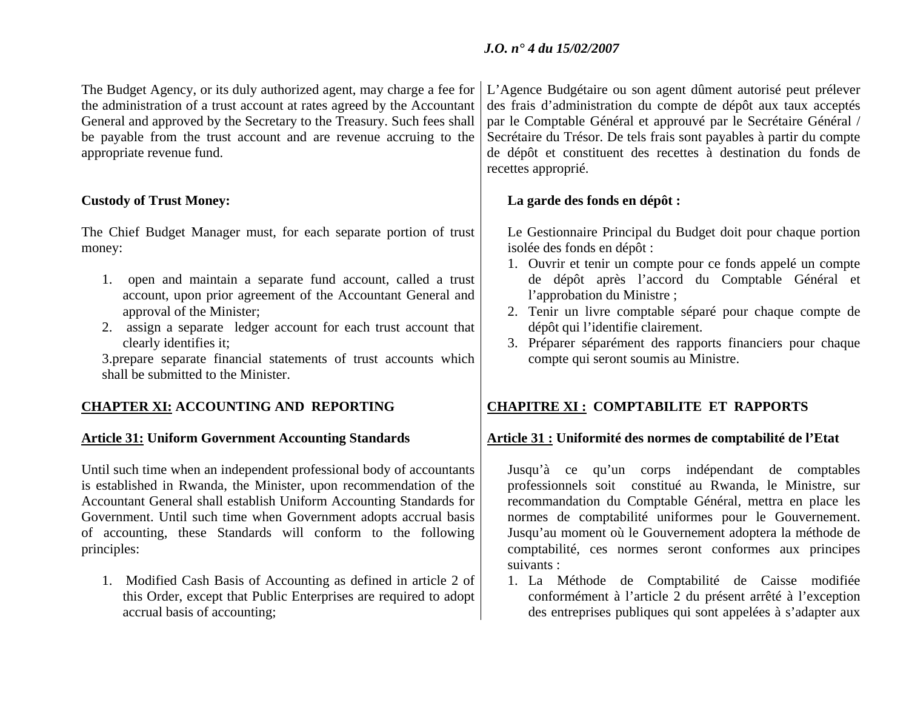The Budget Agency, or its duly authorized agent, may charge a fee for the administration of a trust account at rates agreed by the Accountant General and approved by the Secretary to the Treasury. Such fees shall be payable from the trust account and are revenue accruing to the appropriate revenue fund.

## **Custody of Trust Money:**

The Chief Budget Manager must, for each separate portion of trust money:

- 1. open and maintain a separate fund account, called a trust account, upon prior agreement of the Accountant General and approval of the Minister;
- 2. assign a separate ledger account for each trust account that clearly identifies it;

3.prepare separate financial statements of trust accounts which shall be submitted to the Minister.

Until such time when an independent professional body of accountants is established in Rwanda, the Minister, upon recommendation of the Accountant General shall establish Uniform Accounting Standards for Government. Until such time when Government adopts accrual basis of accounting, these Standards will conform to the following principles:

1. Modified Cash Basis of Accounting as defined in article 2 of this Order, except that Public Enterprises are required to adopt accrual basis of accounting;

L'Agence Budgétaire ou son agent dûment autorisé peut prélever des frais d'administration du compte de dépôt aux taux acceptés par le Comptable Général et approuvé par le Secrétaire Général / Secrétaire du Trésor. De tels frais sont payables à partir du compte de dépôt et constituent des recettes à destination du fonds de recettes approprié.

## **La garde des fonds en dépôt :**

Le Gestionnaire Principal du Budget doit pour chaque portion isolée des fonds en dépôt :

- 1. Ouvrir et tenir un compte pour ce fonds appelé un compte de dépôt après l'accord du Comptable Général et l'approbation du Ministre ;
- 2. Tenir un livre comptable séparé pour chaque compte de dépôt qui l'identifie clairement.
- 3. Préparer séparément des rapports financiers pour chaque compte qui seront soumis au Ministre.

## **CHAPTER XI: ACCOUNTING AND REPORTING CHAPITRE XI : COMPTABILITE ET RAPPORTS**

### **Article 31: Uniform Government Accounting Standards Article 31 : Uniformité des normes de comptabilité de l'Etat**

Jusqu'à ce qu'un corps indépendant de comptables professionnels soit constitué au Rwanda, le Ministre, sur recommandation du Comptable Général, mettra en place les normes de comptabilité uniformes pour le Gouvernement. Jusqu'au moment où le Gouvernement adoptera la méthode de comptabilité, ces normes seront conformes aux principes suivants :

1. La Méthode de Comptabilité de Caisse modifiée conformément à l'article 2 du présent arrêté à l'exception des entreprises publiques qui sont appelées à s'adapter aux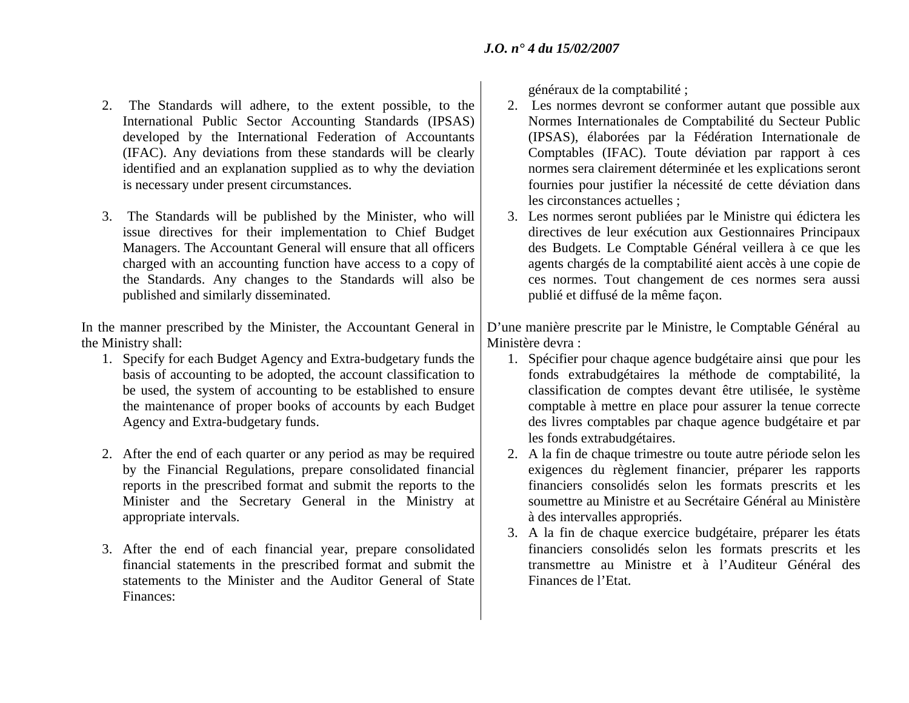- 2. The Standards will adhere, to the extent possible, to the International Public Sector Accounting Standards (IPSAS) developed by the International Federation of Accountants (IFAC). Any deviations from these standards will be clearly identified and an explanation supplied as to why the deviation is necessary under present circumstances.
- 3. The Standards will be published by the Minister, who will issue directives for their implementation to Chief Budget Managers. The Accountant General will ensure that all officers charged with an accounting function have access to a copy of the Standards. Any changes to the Standards will also be published and similarly disseminated.

In the manner prescribed by the Minister, the Accountant General in the Ministry shall:

- 1. Specify for each Budget Agency and Extra-budgetary funds the basis of accounting to be adopted, the account classification to be used, the system of accounting to be established to ensure the maintenance of proper books of accounts by each Budget Agency and Extra-budgetary funds.
- 2. After the end of each quarter or any period as may be required by the Financial Regulations, prepare consolidated financial reports in the prescribed format and submit the reports to the Minister and the Secretary General in the Ministry at appropriate intervals.
- 3. After the end of each financial year, prepare consolidated financial statements in the prescribed format and submit the statements to the Minister and the Auditor General of State Finances:

généraux de la comptabilité ;

- 2. Les normes devront se conformer autant que possible aux Normes Internationales de Comptabilité du Secteur Public (IPSAS), élaborées par la Fédération Internationale de Comptables (IFAC). Toute déviation par rapport à ces normes sera clairement déterminée et les explications seront fournies pour justifier la nécessité de cette déviation dans les circonstances actuelles ;
- 3. Les normes seront publiées par le Ministre qui édictera les directives de leur exécution aux Gestionnaires Principaux des Budgets. Le Comptable Général veillera à ce que les agents chargés de la comptabilité aient accès à une copie de ces normes. Tout changement de ces normes sera aussi publié et diffusé de la même façon.

D'une manière prescrite par le Ministre, le Comptable Général au Ministère devra :

- 1. Spécifier pour chaque agence budgétaire ainsi que pour les fonds extrabudgétaires la méthode de comptabilité, la classification de comptes devant être utilisée, le système comptable à mettre en place pour assurer la tenue correcte des livres comptables par chaque agence budgétaire et par les fonds extrabudgétaires.
- 2. A la fin de chaque trimestre ou toute autre période selon les exigences du règlement financier, préparer les rapports financiers consolidés selon les formats prescrits et les soumettre au Ministre et au Secrétaire Général au Ministère à des intervalles appropriés.
- 3. A la fin de chaque exercice budgétaire, préparer les états financiers consolidés selon les formats prescrits et les transmettre au Ministre et à l'Auditeur Général des Finances de l'Etat.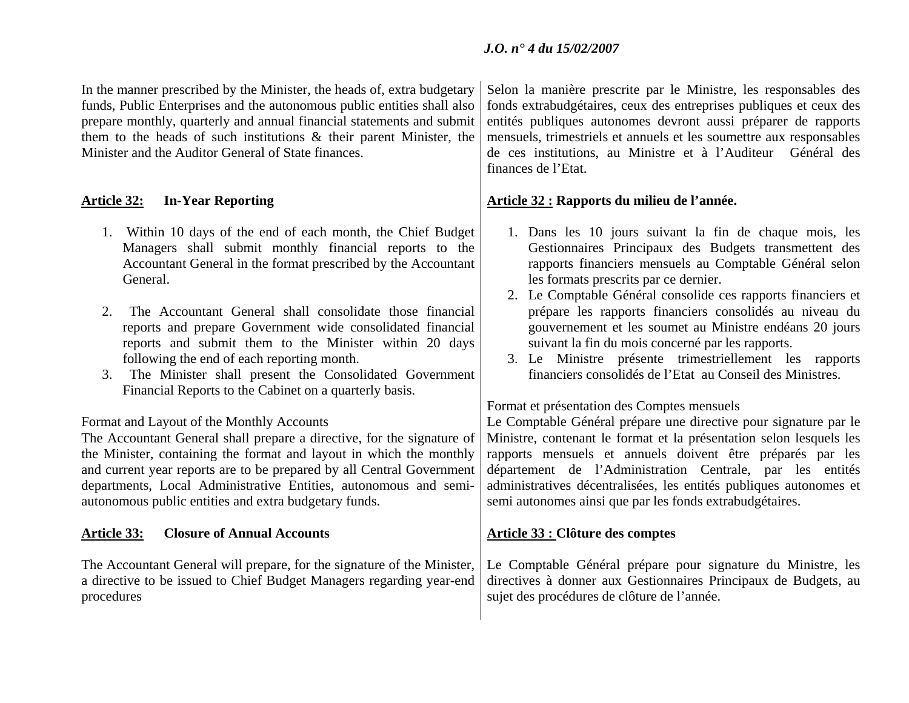In the manner prescribed by the Minister, the heads of, extra budgetary funds, Public Enterprises and the autonomous public entities shall also prepare monthly, quarterly and annual financial statements and submit them to the heads of such institutions & their parent Minister, the Minister and the Auditor General of State finances.

- 1. Within 10 days of the end of each month, the Chief Budget Managers shall submit monthly financial reports to the Accountant General in the format prescribed by the Accountant General.
- 2. The Accountant General shall consolidate those financial reports and prepare Government wide consolidated financial reports and submit them to the Minister within 20 days following the end of each reporting month.
- 3. The Minister shall present the Consolidated Government Financial Reports to the Cabinet on a quarterly basis.

## Format and Layout of the Monthly Accounts

The Accountant General shall prepare a directive, for the signature of the Minister, containing the format and layout in which the monthly and current year reports are to be prepared by all Central Government departments, Local Administrative Entities, autonomous and semiautonomous public entities and extra budgetary funds.

## Article 33: Closure of Annual Accounts **Article 33** : Clôture des comptes

The Accountant General will prepare, for the signature of the Minister, a directive to be issued to Chief Budget Managers regarding year-end procedures

Selon la manière prescrite par le Ministre, les responsables des fonds extrabudgétaires, ceux des entreprises publiques et ceux des entités publiques autonomes devront aussi préparer de rapports mensuels, trimestriels et annuels et les soumettre aux responsables de ces institutions, au Ministre et à l'Auditeur Général des finances de l'Etat.

## **Article 32: In-Year Reporting Article 32 : Rapports du milieu de l'année.**

- 1. Dans les 10 jours suivant la fin de chaque mois, les Gestionnaires Principaux des Budgets transmettent des rapports financiers mensuels au Comptable Général selon les formats prescrits par ce dernier.
- 2. Le Comptable Général consolide ces rapports financiers et prépare les rapports financiers consolidés au niveau du gouvernement et les soumet au Ministre endéans 20 jours suivant la fin du mois concerné par les rapports.
- 3. Le Ministre présente trimestriellement les rapports financiers consolidés de l'Etat au Conseil des Ministres.

Format et présentation des Comptes mensuels

Le Comptable Général prépare une directive pour signature par le Ministre, contenant le format et la présentation selon lesquels les rapports mensuels et annuels doivent être préparés par les département de l'Administration Centrale, par les entités administratives décentralisées, les entités publiques autonomes et semi autonomes ainsi que par les fonds extrabudgétaires.

Le Comptable Général prépare pour signature du Ministre, les directives à donner aux Gestionnaires Principaux de Budgets, au sujet des procédures de clôture de l'année.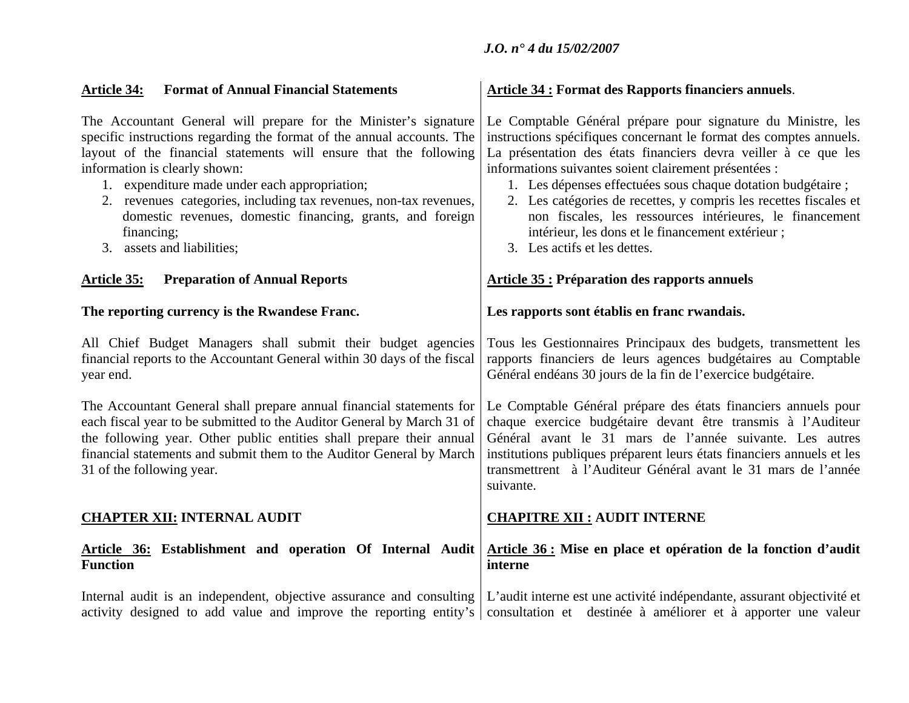| <b>Format of Annual Financial Statements</b><br><b>Article 34:</b>                                                                                                                                                                                                                                                                                                                                                                                                               | <b>Article 34: Format des Rapports financiers annuels.</b>                                                                                                                                                                                                                                                                                                                                                                                                                                                                                          |  |  |
|----------------------------------------------------------------------------------------------------------------------------------------------------------------------------------------------------------------------------------------------------------------------------------------------------------------------------------------------------------------------------------------------------------------------------------------------------------------------------------|-----------------------------------------------------------------------------------------------------------------------------------------------------------------------------------------------------------------------------------------------------------------------------------------------------------------------------------------------------------------------------------------------------------------------------------------------------------------------------------------------------------------------------------------------------|--|--|
| The Accountant General will prepare for the Minister's signature<br>specific instructions regarding the format of the annual accounts. The<br>layout of the financial statements will ensure that the following<br>information is clearly shown:<br>1. expenditure made under each appropriation;<br>2. revenues categories, including tax revenues, non-tax revenues,<br>domestic revenues, domestic financing, grants, and foreign<br>financing;<br>3. assets and liabilities; | Le Comptable Général prépare pour signature du Ministre, les<br>instructions spécifiques concernant le format des comptes annuels.<br>La présentation des états financiers devra veiller à ce que les<br>informations suivantes soient clairement présentées :<br>1. Les dépenses effectuées sous chaque dotation budgétaire ;<br>2. Les catégories de recettes, y compris les recettes fiscales et<br>non fiscales, les ressources intérieures, le financement<br>intérieur, les dons et le financement extérieur;<br>3. Les actifs et les dettes. |  |  |
| <b>Preparation of Annual Reports</b><br><u> Article 35:</u>                                                                                                                                                                                                                                                                                                                                                                                                                      | <b>Article 35 : Préparation des rapports annuels</b>                                                                                                                                                                                                                                                                                                                                                                                                                                                                                                |  |  |
| The reporting currency is the Rwandese Franc.                                                                                                                                                                                                                                                                                                                                                                                                                                    | Les rapports sont établis en franc rwandais.                                                                                                                                                                                                                                                                                                                                                                                                                                                                                                        |  |  |
| All Chief Budget Managers shall submit their budget agencies<br>financial reports to the Accountant General within 30 days of the fiscal<br>year end.                                                                                                                                                                                                                                                                                                                            | Tous les Gestionnaires Principaux des budgets, transmettent les<br>rapports financiers de leurs agences budgétaires au Comptable<br>Général endéans 30 jours de la fin de l'exercice budgétaire.                                                                                                                                                                                                                                                                                                                                                    |  |  |
| The Accountant General shall prepare annual financial statements for<br>each fiscal year to be submitted to the Auditor General by March 31 of<br>the following year. Other public entities shall prepare their annual<br>financial statements and submit them to the Auditor General by March<br>31 of the following year.                                                                                                                                                      | Le Comptable Général prépare des états financiers annuels pour<br>chaque exercice budgétaire devant être transmis à l'Auditeur<br>Général avant le 31 mars de l'année suivante. Les autres<br>institutions publiques préparent leurs états financiers annuels et les<br>transmettrent à l'Auditeur Général avant le 31 mars de l'année<br>suivante.                                                                                                                                                                                                 |  |  |
| <b>CHAPTER XII: INTERNAL AUDIT</b>                                                                                                                                                                                                                                                                                                                                                                                                                                               | <b>CHAPITRE XII : AUDIT INTERNE</b>                                                                                                                                                                                                                                                                                                                                                                                                                                                                                                                 |  |  |
| Article 36: Establishment and operation Of Internal Audit<br><b>Function</b>                                                                                                                                                                                                                                                                                                                                                                                                     | Article 36 : Mise en place et opération de la fonction d'audit<br>interne                                                                                                                                                                                                                                                                                                                                                                                                                                                                           |  |  |
| Internal audit is an independent, objective assurance and consulting   L'audit interne est une activité indépendante, assurant objectivité et<br>activity designed to add value and improve the reporting entity's                                                                                                                                                                                                                                                               | consultation et destinée à améliorer et à apporter une valeur                                                                                                                                                                                                                                                                                                                                                                                                                                                                                       |  |  |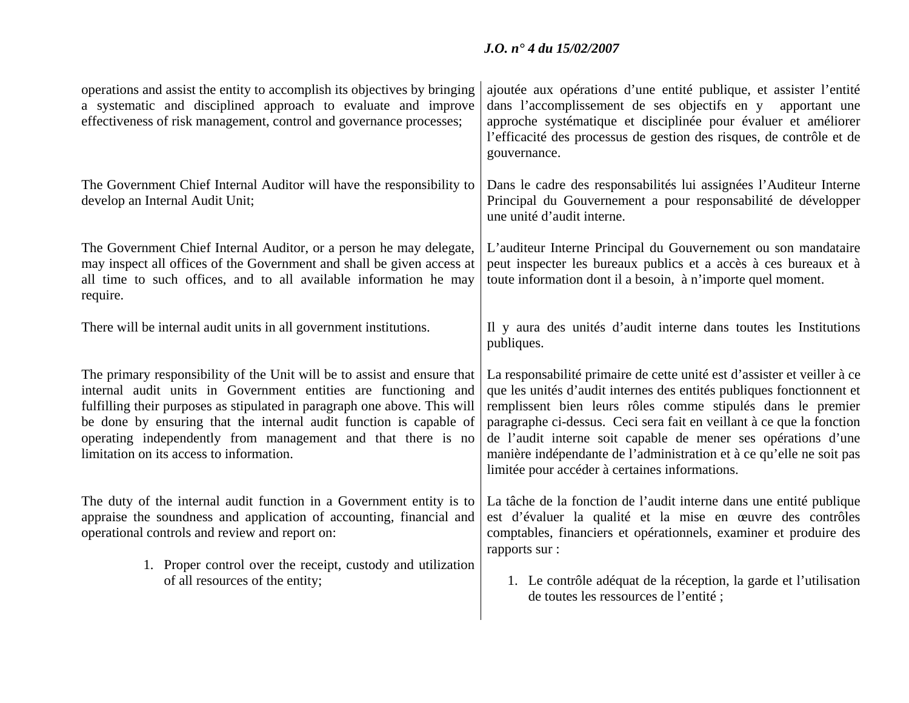| operations and assist the entity to accomplish its objectives by bringing<br>a systematic and disciplined approach to evaluate and improve<br>effectiveness of risk management, control and governance processes;                                                                                                                                                                                          | ajoutée aux opérations d'une entité publique, et assister l'entité<br>dans l'accomplissement de ses objectifs en y apportant une<br>approche systématique et disciplinée pour évaluer et améliorer<br>l'efficacité des processus de gestion des risques, de contrôle et de<br>gouvernance.                                                                                                                                                                                           |  |  |
|------------------------------------------------------------------------------------------------------------------------------------------------------------------------------------------------------------------------------------------------------------------------------------------------------------------------------------------------------------------------------------------------------------|--------------------------------------------------------------------------------------------------------------------------------------------------------------------------------------------------------------------------------------------------------------------------------------------------------------------------------------------------------------------------------------------------------------------------------------------------------------------------------------|--|--|
| The Government Chief Internal Auditor will have the responsibility to<br>develop an Internal Audit Unit;                                                                                                                                                                                                                                                                                                   | Dans le cadre des responsabilités lui assignées l'Auditeur Interne<br>Principal du Gouvernement a pour responsabilité de développer<br>une unité d'audit interne.                                                                                                                                                                                                                                                                                                                    |  |  |
| The Government Chief Internal Auditor, or a person he may delegate,<br>may inspect all offices of the Government and shall be given access at<br>all time to such offices, and to all available information he may<br>require.                                                                                                                                                                             | L'auditeur Interne Principal du Gouvernement ou son mandataire<br>peut inspecter les bureaux publics et a accès à ces bureaux et à<br>toute information dont il a besoin, à n'importe quel moment.                                                                                                                                                                                                                                                                                   |  |  |
| There will be internal audit units in all government institutions.                                                                                                                                                                                                                                                                                                                                         | Il y aura des unités d'audit interne dans toutes les Institutions<br>publiques.                                                                                                                                                                                                                                                                                                                                                                                                      |  |  |
| The primary responsibility of the Unit will be to assist and ensure that<br>internal audit units in Government entities are functioning and<br>fulfilling their purposes as stipulated in paragraph one above. This will<br>be done by ensuring that the internal audit function is capable of<br>operating independently from management and that there is no<br>limitation on its access to information. | La responsabilité primaire de cette unité est d'assister et veiller à ce<br>que les unités d'audit internes des entités publiques fonctionnent et<br>remplissent bien leurs rôles comme stipulés dans le premier<br>paragraphe ci-dessus. Ceci sera fait en veillant à ce que la fonction<br>de l'audit interne soit capable de mener ses opérations d'une<br>manière indépendante de l'administration et à ce qu'elle ne soit pas<br>limitée pour accéder à certaines informations. |  |  |
| The duty of the internal audit function in a Government entity is to<br>appraise the soundness and application of accounting, financial and<br>operational controls and review and report on:<br>1. Proper control over the receipt, custody and utilization<br>of all resources of the entity;                                                                                                            | La tâche de la fonction de l'audit interne dans une entité publique<br>est d'évaluer la qualité et la mise en œuvre des contrôles<br>comptables, financiers et opérationnels, examiner et produire des<br>rapports sur :<br>1. Le contrôle adéquat de la réception, la garde et l'utilisation                                                                                                                                                                                        |  |  |
|                                                                                                                                                                                                                                                                                                                                                                                                            | de toutes les ressources de l'entité ;                                                                                                                                                                                                                                                                                                                                                                                                                                               |  |  |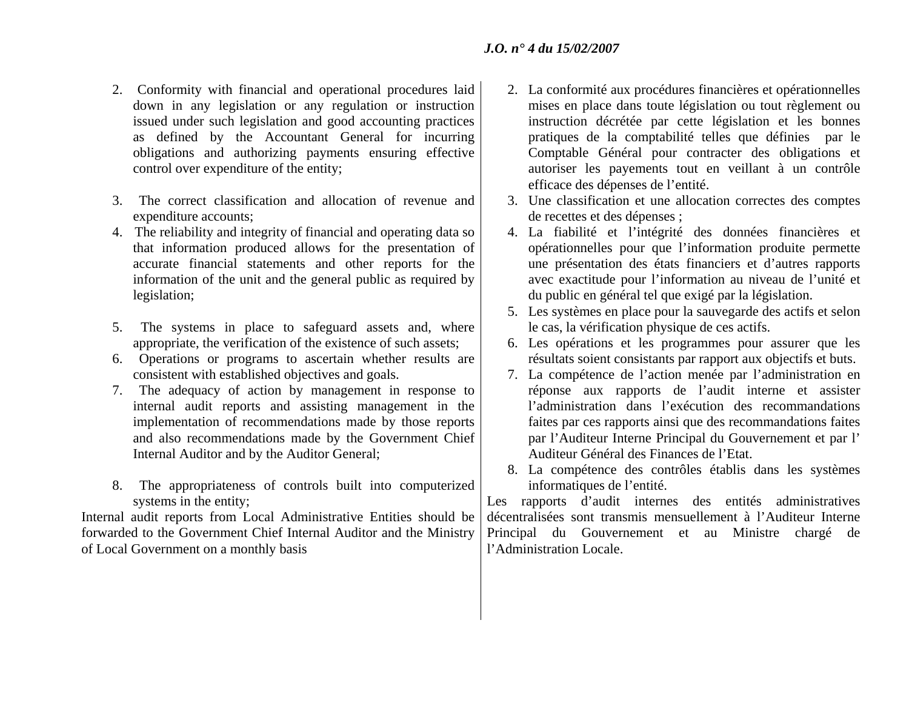- 2. Conformity with financial and operational procedures laid down in any legislation or any regulation or instruction issued under such legislation and good accounting practices as defined by the Accountant General for incurring obligations and authorizing payments ensuring effective control over expenditure of the entity;
- 3. The correct classification and allocation of revenue and expenditure accounts;
- 4. The reliability and integrity of financial and operating data so that information produced allows for the presentation of accurate financial statements and other reports for the information of the unit and the general public as required by legislation;
- 5. The systems in place to safeguard assets and, where appropriate, the verification of the existence of such assets;
- 6. Operations or programs to ascertain whether results are consistent with established objectives and goals.
- 7. The adequacy of action by management in response to internal audit reports and assisting management in the implementation of recommendations made by those reports and also recommendations made by the Government Chief Internal Auditor and by the Auditor General;
- 8. The appropriateness of controls built into computerized systems in the entity;

Internal audit reports from Local Administrative Entities should be forwarded to the Government Chief Internal Auditor and the Ministry of Local Government on a monthly basis

- 2. La conformité aux procédures financières et opérationnelles mises en place dans toute législation ou tout règlement ou instruction décrétée par cette législation et les bonnes pratiques de la comptabilité telles que définies par le Comptable Général pour contracter des obligations et autoriser les payements tout en veillant à un contrôle efficace des dépenses de l'entité.
- 3. Une classification et une allocation correctes des comptes de recettes et des dépenses ;
- 4. La fiabilité et l'intégrité des données financières et opérationnelles pour que l'information produite permette une présentation des états financiers et d'autres rapports avec exactitude pour l'information au niveau de l'unité et du public en général tel que exigé par la législation.
- 5. Les systèmes en place pour la sauvegarde des actifs et selon le cas, la vérification physique de ces actifs.
- 6. Les opérations et les programmes pour assurer que les résultats soient consistants par rapport aux objectifs et buts.
- 7. La compétence de l'action menée par l'administration en réponse aux rapports de l'audit interne et assister l'administration dans l'exécution des recommandations faites par ces rapports ainsi que des recommandations faites par l'Auditeur Interne Principal du Gouvernement et par l' Auditeur Général des Finances de l'Etat.
- 8. La compétence des contrôles établis dans les systèmes informatiques de l'entité.

Les rapports d'audit internes des entités administratives décentralisées sont transmis mensuellement à l'Auditeur Interne Principal du Gouvernement et au Ministre chargé de l'Administration Locale.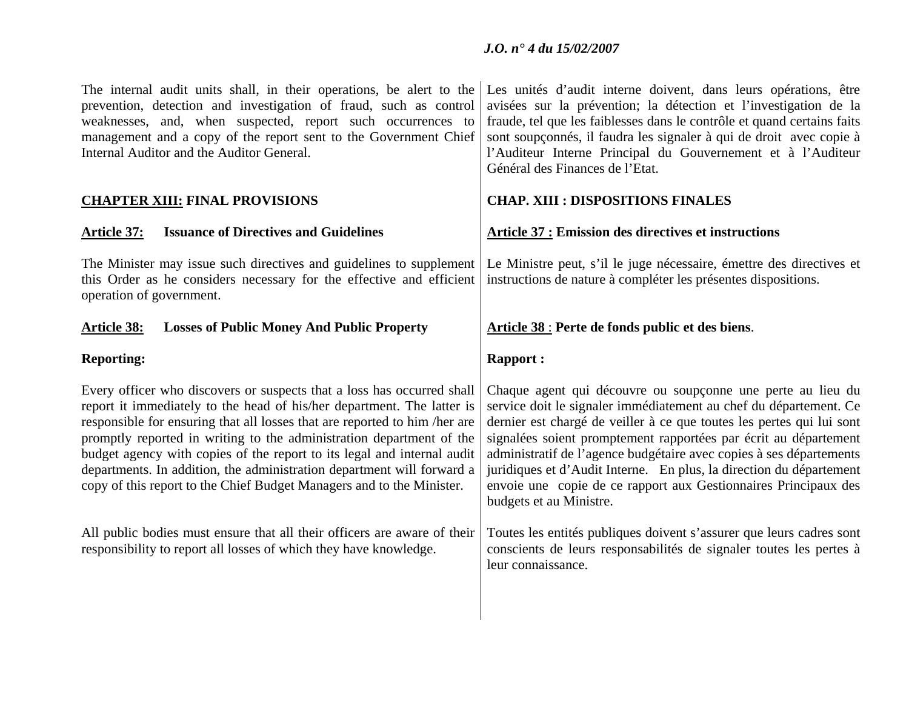| The internal audit units shall, in their operations, be alert to the<br>prevention, detection and investigation of fraud, such as control<br>weaknesses, and, when suspected, report such occurrences to<br>management and a copy of the report sent to the Government Chief<br>Internal Auditor and the Auditor General.                                                                                                                                                                                                                                                                                                                                                            | Les unités d'audit interne doivent, dans leurs opérations, être<br>avisées sur la prévention; la détection et l'investigation de la<br>fraude, tel que les faiblesses dans le contrôle et quand certains faits<br>sont soupçonnés, il faudra les signaler à qui de droit avec copie à<br>l'Auditeur Interne Principal du Gouvernement et à l'Auditeur<br>Général des Finances de l'Etat.                                                                                                                                                                                                                                                                                 |  |  |
|--------------------------------------------------------------------------------------------------------------------------------------------------------------------------------------------------------------------------------------------------------------------------------------------------------------------------------------------------------------------------------------------------------------------------------------------------------------------------------------------------------------------------------------------------------------------------------------------------------------------------------------------------------------------------------------|--------------------------------------------------------------------------------------------------------------------------------------------------------------------------------------------------------------------------------------------------------------------------------------------------------------------------------------------------------------------------------------------------------------------------------------------------------------------------------------------------------------------------------------------------------------------------------------------------------------------------------------------------------------------------|--|--|
| <b>CHAPTER XIII: FINAL PROVISIONS</b>                                                                                                                                                                                                                                                                                                                                                                                                                                                                                                                                                                                                                                                | <b>CHAP. XIII : DISPOSITIONS FINALES</b>                                                                                                                                                                                                                                                                                                                                                                                                                                                                                                                                                                                                                                 |  |  |
| <b>Issuance of Directives and Guidelines</b><br><u>Article 37:</u>                                                                                                                                                                                                                                                                                                                                                                                                                                                                                                                                                                                                                   | <b>Article 37 : Emission des directives et instructions</b>                                                                                                                                                                                                                                                                                                                                                                                                                                                                                                                                                                                                              |  |  |
| The Minister may issue such directives and guidelines to supplement<br>this Order as he considers necessary for the effective and efficient<br>operation of government.                                                                                                                                                                                                                                                                                                                                                                                                                                                                                                              | Le Ministre peut, s'il le juge nécessaire, émettre des directives et<br>instructions de nature à compléter les présentes dispositions.                                                                                                                                                                                                                                                                                                                                                                                                                                                                                                                                   |  |  |
| <b>Article 38:</b><br><b>Losses of Public Money And Public Property</b>                                                                                                                                                                                                                                                                                                                                                                                                                                                                                                                                                                                                              | Article 38 : Perte de fonds public et des biens.                                                                                                                                                                                                                                                                                                                                                                                                                                                                                                                                                                                                                         |  |  |
| <b>Reporting:</b>                                                                                                                                                                                                                                                                                                                                                                                                                                                                                                                                                                                                                                                                    | <b>Rapport:</b>                                                                                                                                                                                                                                                                                                                                                                                                                                                                                                                                                                                                                                                          |  |  |
|                                                                                                                                                                                                                                                                                                                                                                                                                                                                                                                                                                                                                                                                                      |                                                                                                                                                                                                                                                                                                                                                                                                                                                                                                                                                                                                                                                                          |  |  |
| Every officer who discovers or suspects that a loss has occurred shall<br>report it immediately to the head of his/her department. The latter is<br>responsible for ensuring that all losses that are reported to him/her are<br>promptly reported in writing to the administration department of the<br>budget agency with copies of the report to its legal and internal audit<br>departments. In addition, the administration department will forward a<br>copy of this report to the Chief Budget Managers and to the Minister.<br>All public bodies must ensure that all their officers are aware of their<br>responsibility to report all losses of which they have knowledge. | Chaque agent qui découvre ou soupçonne une perte au lieu du<br>service doit le signaler immédiatement au chef du département. Ce<br>dernier est chargé de veiller à ce que toutes les pertes qui lui sont<br>signalées soient promptement rapportées par écrit au département<br>administratif de l'agence budgétaire avec copies à ses départements<br>juridiques et d'Audit Interne. En plus, la direction du département<br>envoie une copie de ce rapport aux Gestionnaires Principaux des<br>budgets et au Ministre.<br>Toutes les entités publiques doivent s'assurer que leurs cadres sont<br>conscients de leurs responsabilités de signaler toutes les pertes à |  |  |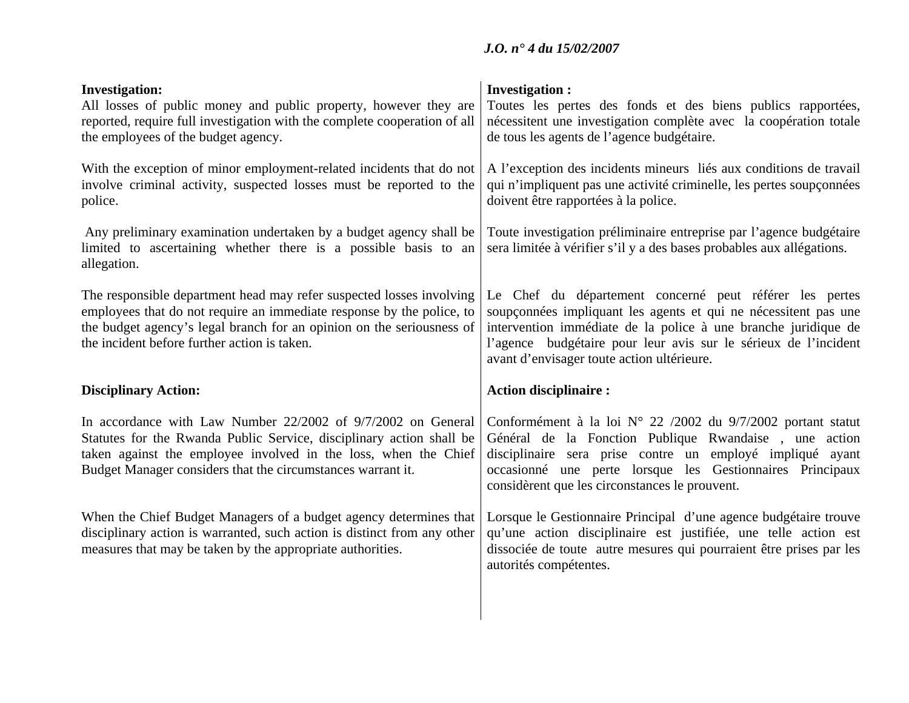| <b>Investigation:</b><br>All losses of public money and public property, however they are<br>reported, require full investigation with the complete cooperation of all<br>the employees of the budget agency.                                                          | <b>Investigation:</b><br>Toutes les pertes des fonds et des biens publics rapportées,<br>nécessitent une investigation complète avec la coopération totale<br>de tous les agents de l'agence budgétaire.                                                                                                      |  |  |
|------------------------------------------------------------------------------------------------------------------------------------------------------------------------------------------------------------------------------------------------------------------------|---------------------------------------------------------------------------------------------------------------------------------------------------------------------------------------------------------------------------------------------------------------------------------------------------------------|--|--|
| With the exception of minor employment-related incidents that do not<br>involve criminal activity, suspected losses must be reported to the<br>police.                                                                                                                 | A l'exception des incidents mineurs liés aux conditions de travail<br>qui n'impliquent pas une activité criminelle, les pertes soupçonnées<br>doivent être rapportées à la police.                                                                                                                            |  |  |
| Any preliminary examination undertaken by a budget agency shall be<br>limited to ascertaining whether there is a possible basis to an<br>allegation.                                                                                                                   | Toute investigation préliminaire entreprise par l'agence budgétaire<br>sera limitée à vérifier s'il y a des bases probables aux allégations.                                                                                                                                                                  |  |  |
| The responsible department head may refer suspected losses involving<br>employees that do not require an immediate response by the police, to<br>the budget agency's legal branch for an opinion on the seriousness of<br>the incident before further action is taken. | Le Chef du département concerné peut référer les pertes<br>soupçonnées impliquant les agents et qui ne nécessitent pas une<br>intervention immédiate de la police à une branche juridique de<br>l'agence budgétaire pour leur avis sur le sérieux de l'incident<br>avant d'envisager toute action ultérieure. |  |  |
| <b>Disciplinary Action:</b>                                                                                                                                                                                                                                            | <b>Action disciplinaire:</b>                                                                                                                                                                                                                                                                                  |  |  |
| In accordance with Law Number 22/2002 of 9/7/2002 on General<br>Statutes for the Rwanda Public Service, disciplinary action shall be<br>taken against the employee involved in the loss, when the Chief<br>Budget Manager considers that the circumstances warrant it. | Conformément à la loi $N^{\circ}$ 22/2002 du 9/7/2002 portant statut<br>Général de la Fonction Publique Rwandaise, une action<br>disciplinaire sera prise contre un employé impliqué ayant<br>occasionné une perte lorsque les Gestionnaires Principaux<br>considèrent que les circonstances le prouvent.     |  |  |
| When the Chief Budget Managers of a budget agency determines that<br>disciplinary action is warranted, such action is distinct from any other<br>measures that may be taken by the appropriate authorities.                                                            | Lorsque le Gestionnaire Principal d'une agence budgétaire trouve<br>qu'une action disciplinaire est justifiée, une telle action est<br>dissociée de toute autre mesures qui pourraient être prises par les<br>autorités compétentes.                                                                          |  |  |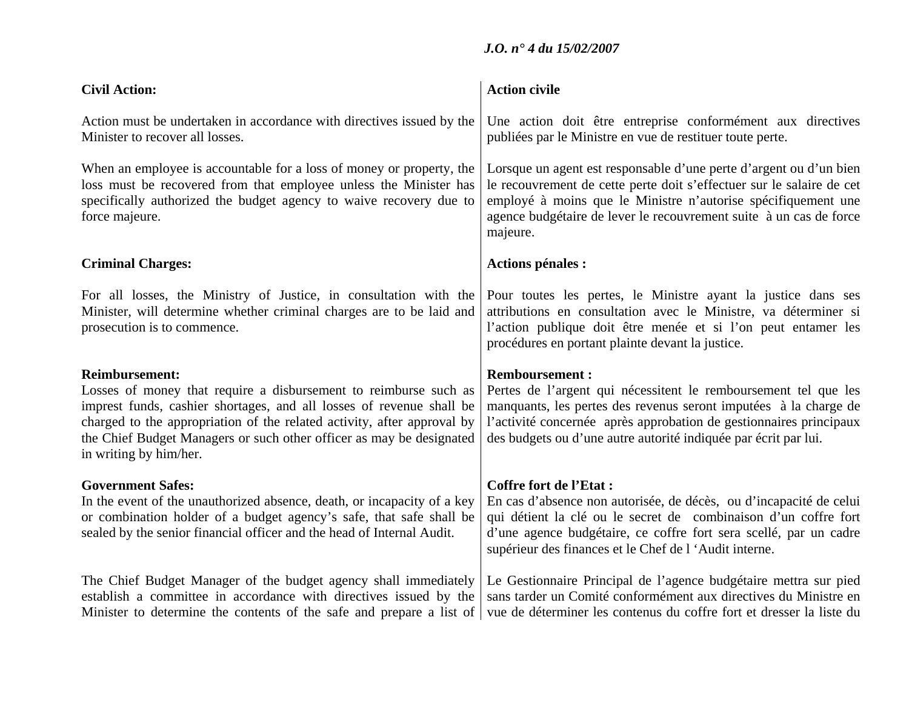| <b>Civil Action:</b>                                                                                                                                                                                                                                                                                                                           | <b>Action civile</b>                                                                                                                                                                                                                                                                                  |  |
|------------------------------------------------------------------------------------------------------------------------------------------------------------------------------------------------------------------------------------------------------------------------------------------------------------------------------------------------|-------------------------------------------------------------------------------------------------------------------------------------------------------------------------------------------------------------------------------------------------------------------------------------------------------|--|
| Action must be undertaken in accordance with directives issued by the<br>Minister to recover all losses.                                                                                                                                                                                                                                       | Une action doit être entreprise conformément aux directives<br>publiées par le Ministre en vue de restituer toute perte.                                                                                                                                                                              |  |
| When an employee is accountable for a loss of money or property, the<br>loss must be recovered from that employee unless the Minister has<br>specifically authorized the budget agency to waive recovery due to<br>force majeure.                                                                                                              | Lorsque un agent est responsable d'une perte d'argent ou d'un bien<br>le recouvrement de cette perte doit s'effectuer sur le salaire de cet<br>employé à moins que le Ministre n'autorise spécifiquement une<br>agence budgétaire de lever le recouvrement suite à un cas de force<br>majeure.        |  |
| <b>Criminal Charges:</b>                                                                                                                                                                                                                                                                                                                       | <b>Actions pénales :</b>                                                                                                                                                                                                                                                                              |  |
| For all losses, the Ministry of Justice, in consultation with the<br>Minister, will determine whether criminal charges are to be laid and<br>prosecution is to commence.                                                                                                                                                                       | Pour toutes les pertes, le Ministre ayant la justice dans ses<br>attributions en consultation avec le Ministre, va déterminer si<br>l'action publique doit être menée et si l'on peut entamer les<br>procédures en portant plainte devant la justice.                                                 |  |
| <b>Reimbursement:</b><br>Losses of money that require a disbursement to reimburse such as<br>imprest funds, cashier shortages, and all losses of revenue shall be<br>charged to the appropriation of the related activity, after approval by<br>the Chief Budget Managers or such other officer as may be designated<br>in writing by him/her. | <b>Remboursement:</b><br>Pertes de l'argent qui nécessitent le remboursement tel que les<br>manquants, les pertes des revenus seront imputées à la charge de<br>l'activité concernée après approbation de gestionnaires principaux<br>des budgets ou d'une autre autorité indiquée par écrit par lui. |  |
| <b>Government Safes:</b><br>In the event of the unauthorized absence, death, or incapacity of a key<br>or combination holder of a budget agency's safe, that safe shall be<br>sealed by the senior financial officer and the head of Internal Audit.                                                                                           | <b>Coffre fort de l'Etat :</b><br>En cas d'absence non autorisée, de décès, ou d'incapacité de celui<br>qui détient la clé ou le secret de combinaison d'un coffre fort<br>d'une agence budgétaire, ce coffre fort sera scellé, par un cadre<br>supérieur des finances et le Chef de l'Audit interne. |  |
| The Chief Budget Manager of the budget agency shall immediately<br>establish a committee in accordance with directives issued by the<br>Minister to determine the contents of the safe and prepare a list of                                                                                                                                   | Le Gestionnaire Principal de l'agence budgétaire mettra sur pied<br>sans tarder un Comité conformément aux directives du Ministre en<br>vue de déterminer les contenus du coffre fort et dresser la liste du                                                                                          |  |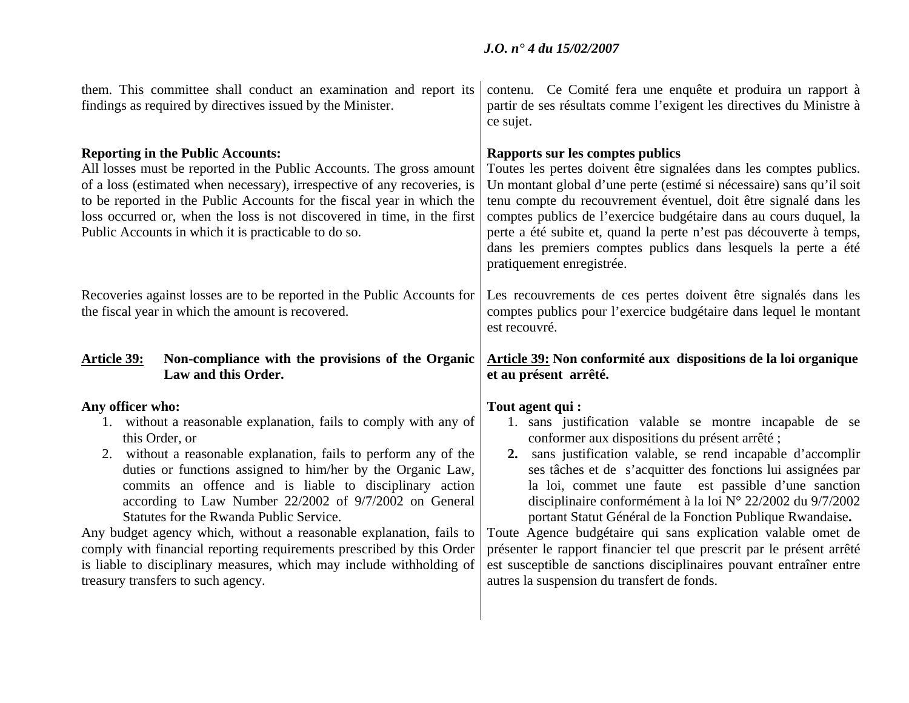| them. This committee shall conduct an examination and report its<br>findings as required by directives issued by the Minister.                                                                                                                                                                                                                                                                            | contenu. Ce Comité fera une enquête et produira un rapport à<br>partir de ses résultats comme l'exigent les directives du Ministre à<br>ce sujet.                                                                                                                                                                                                                                                                                                                                             |  |  |
|-----------------------------------------------------------------------------------------------------------------------------------------------------------------------------------------------------------------------------------------------------------------------------------------------------------------------------------------------------------------------------------------------------------|-----------------------------------------------------------------------------------------------------------------------------------------------------------------------------------------------------------------------------------------------------------------------------------------------------------------------------------------------------------------------------------------------------------------------------------------------------------------------------------------------|--|--|
| <b>Reporting in the Public Accounts:</b><br>All losses must be reported in the Public Accounts. The gross amount<br>of a loss (estimated when necessary), irrespective of any recoveries, is<br>to be reported in the Public Accounts for the fiscal year in which the<br>loss occurred or, when the loss is not discovered in time, in the first<br>Public Accounts in which it is practicable to do so. | Rapports sur les comptes publics<br>Toutes les pertes doivent être signalées dans les comptes publics.<br>Un montant global d'une perte (estimé si nécessaire) sans qu'il soit<br>tenu compte du recouvrement éventuel, doit être signalé dans les<br>comptes publics de l'exercice budgétaire dans au cours duquel, la<br>perte a été subite et, quand la perte n'est pas découverte à temps,<br>dans les premiers comptes publics dans lesquels la perte a été<br>pratiquement enregistrée. |  |  |
| Recoveries against losses are to be reported in the Public Accounts for<br>the fiscal year in which the amount is recovered.                                                                                                                                                                                                                                                                              | Les recouvrements de ces pertes doivent être signalés dans les<br>comptes publics pour l'exercice budgétaire dans lequel le montant<br>est recouvré.                                                                                                                                                                                                                                                                                                                                          |  |  |
| Non-compliance with the provisions of the Organic<br><b>Article 39:</b>                                                                                                                                                                                                                                                                                                                                   | Article 39: Non conformité aux dispositions de la loi organique                                                                                                                                                                                                                                                                                                                                                                                                                               |  |  |
| Law and this Order.                                                                                                                                                                                                                                                                                                                                                                                       | et au présent arrêté.                                                                                                                                                                                                                                                                                                                                                                                                                                                                         |  |  |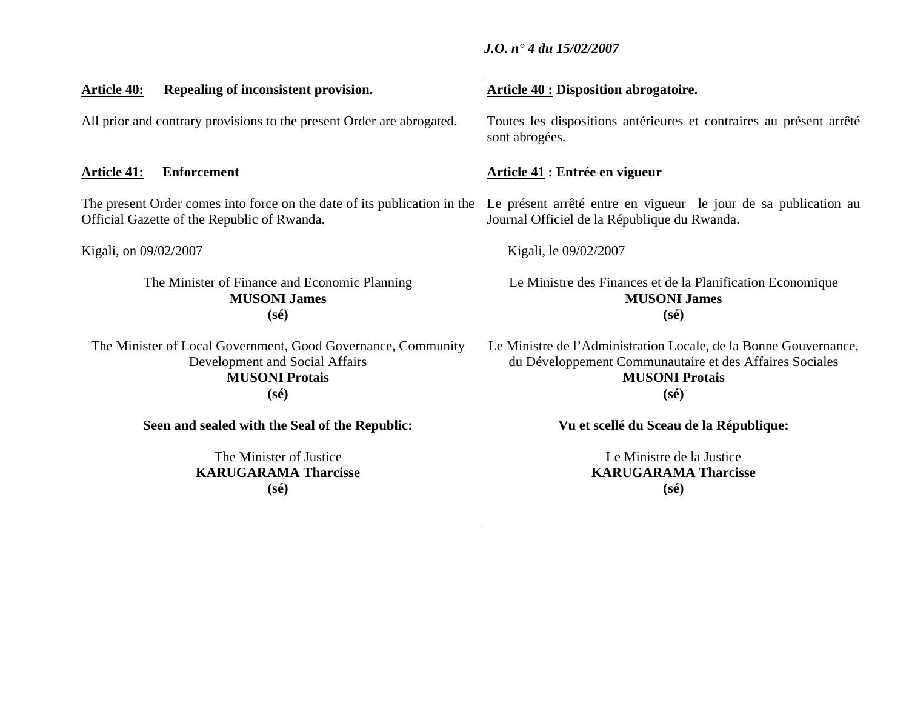| Repealing of inconsistent provision.<br><u>Article 40:</u>                                                                                | <b>Article 40 : Disposition abrogatoire.</b>                                                                                                                           |  |
|-------------------------------------------------------------------------------------------------------------------------------------------|------------------------------------------------------------------------------------------------------------------------------------------------------------------------|--|
| All prior and contrary provisions to the present Order are abrogated.                                                                     | Toutes les dispositions antérieures et contraires au présent arrêté<br>sont abrogées.                                                                                  |  |
| <b>Enforcement</b><br><u>Article 41:</u>                                                                                                  | <b>Article 41: Entrée en vigueur</b>                                                                                                                                   |  |
| The present Order comes into force on the date of its publication in the<br>Official Gazette of the Republic of Rwanda.                   | Le présent arrêté entre en vigueur le jour de sa publication au<br>Journal Officiel de la République du Rwanda.                                                        |  |
| Kigali, on 09/02/2007                                                                                                                     | Kigali, le 09/02/2007                                                                                                                                                  |  |
| The Minister of Finance and Economic Planning<br><b>MUSONI James</b><br>$(s\acute{e})$                                                    | Le Ministre des Finances et de la Planification Economique<br><b>MUSONI James</b><br>$(s\acute{e})$                                                                    |  |
| The Minister of Local Government, Good Governance, Community<br>Development and Social Affairs<br><b>MUSONI Protais</b><br>$(s\acute{e})$ | Le Ministre de l'Administration Locale, de la Bonne Gouvernance,<br>du Développement Communautaire et des Affaires Sociales<br><b>MUSONI Protais</b><br>$(s\acute{e})$ |  |
| Seen and sealed with the Seal of the Republic:                                                                                            | Vu et scellé du Sceau de la République:                                                                                                                                |  |
| The Minister of Justice<br><b>KARUGARAMA Tharcisse</b><br>$(s\acute{e})$                                                                  | Le Ministre de la Justice<br><b>KARUGARAMA Tharcisse</b><br>$(s\acute{e})$                                                                                             |  |
|                                                                                                                                           |                                                                                                                                                                        |  |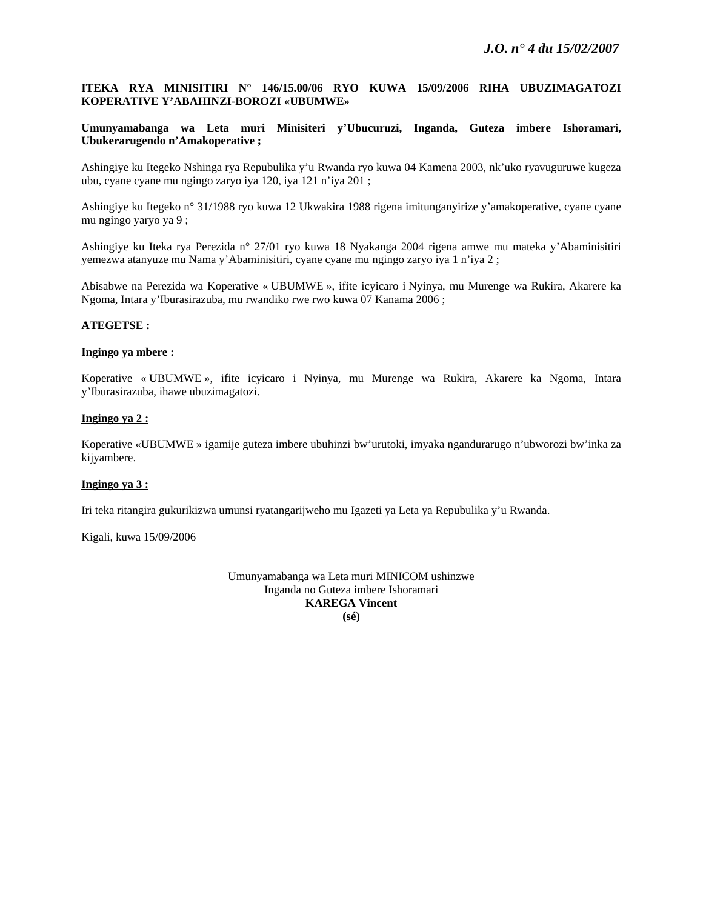## **ITEKA RYA MINISITIRI N° 146/15.00/06 RYO KUWA 15/09/2006 RIHA UBUZIMAGATOZI KOPERATIVE Y'ABAHINZI-BOROZI «UBUMWE»**

**Umunyamabanga wa Leta muri Minisiteri y'Ubucuruzi, Inganda, Guteza imbere Ishoramari, Ubukerarugendo n'Amakoperative ;** 

Ashingiye ku Itegeko Nshinga rya Repubulika y'u Rwanda ryo kuwa 04 Kamena 2003, nk'uko ryavuguruwe kugeza ubu, cyane cyane mu ngingo zaryo iya 120, iya 121 n'iya 201 ;

Ashingiye ku Itegeko n° 31/1988 ryo kuwa 12 Ukwakira 1988 rigena imitunganyirize y'amakoperative, cyane cyane mu ngingo yaryo ya 9 ;

Ashingiye ku Iteka rya Perezida n° 27/01 ryo kuwa 18 Nyakanga 2004 rigena amwe mu mateka y'Abaminisitiri yemezwa atanyuze mu Nama y'Abaminisitiri, cyane cyane mu ngingo zaryo iya 1 n'iya 2 ;

Abisabwe na Perezida wa Koperative « UBUMWE », ifite icyicaro i Nyinya, mu Murenge wa Rukira, Akarere ka Ngoma, Intara y'Iburasirazuba, mu rwandiko rwe rwo kuwa 07 Kanama 2006 ;

## **ATEGETSE :**

## **Ingingo ya mbere :**

Koperative « UBUMWE », ifite icyicaro i Nyinya, mu Murenge wa Rukira, Akarere ka Ngoma, Intara y'Iburasirazuba, ihawe ubuzimagatozi.

## **Ingingo ya 2 :**

Koperative «UBUMWE » igamije guteza imbere ubuhinzi bw'urutoki, imyaka ngandurarugo n'ubworozi bw'inka za kijyambere.

#### **Ingingo ya 3 :**

Iri teka ritangira gukurikizwa umunsi ryatangarijweho mu Igazeti ya Leta ya Repubulika y'u Rwanda.

Kigali, kuwa 15/09/2006

Umunyamabanga wa Leta muri MINICOM ushinzwe Inganda no Guteza imbere Ishoramari **KAREGA Vincent (sé)**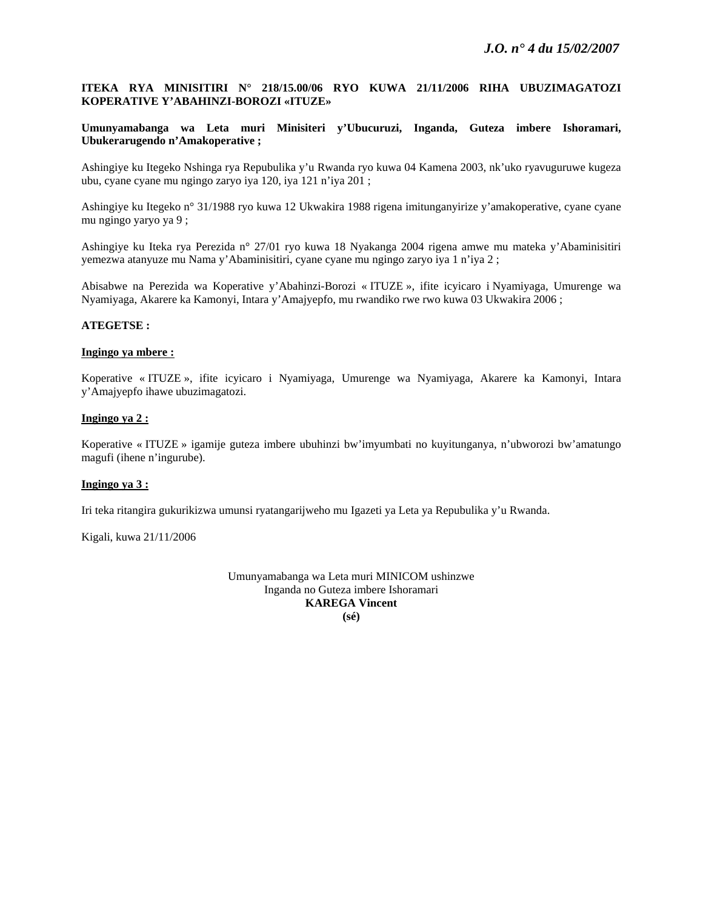## **ITEKA RYA MINISITIRI N° 218/15.00/06 RYO KUWA 21/11/2006 RIHA UBUZIMAGATOZI KOPERATIVE Y'ABAHINZI-BOROZI «ITUZE»**

## **Umunyamabanga wa Leta muri Minisiteri y'Ubucuruzi, Inganda, Guteza imbere Ishoramari, Ubukerarugendo n'Amakoperative ;**

Ashingiye ku Itegeko Nshinga rya Repubulika y'u Rwanda ryo kuwa 04 Kamena 2003, nk'uko ryavuguruwe kugeza ubu, cyane cyane mu ngingo zaryo iya 120, iya 121 n'iya 201 ;

Ashingiye ku Itegeko n° 31/1988 ryo kuwa 12 Ukwakira 1988 rigena imitunganyirize y'amakoperative, cyane cyane mu ngingo yaryo ya 9 ;

Ashingiye ku Iteka rya Perezida n° 27/01 ryo kuwa 18 Nyakanga 2004 rigena amwe mu mateka y'Abaminisitiri yemezwa atanyuze mu Nama y'Abaminisitiri, cyane cyane mu ngingo zaryo iya 1 n'iya 2 ;

Abisabwe na Perezida wa Koperative y'Abahinzi-Borozi « ITUZE », ifite icyicaro i Nyamiyaga, Umurenge wa Nyamiyaga, Akarere ka Kamonyi, Intara y'Amajyepfo, mu rwandiko rwe rwo kuwa 03 Ukwakira 2006 ;

## **ATEGETSE :**

#### **Ingingo ya mbere :**

Koperative « ITUZE », ifite icyicaro i Nyamiyaga, Umurenge wa Nyamiyaga, Akarere ka Kamonyi, Intara y'Amajyepfo ihawe ubuzimagatozi.

## **Ingingo ya 2 :**

Koperative « ITUZE » igamije guteza imbere ubuhinzi bw'imyumbati no kuyitunganya, n'ubworozi bw'amatungo magufi (ihene n'ingurube).

#### **Ingingo ya 3 :**

Iri teka ritangira gukurikizwa umunsi ryatangarijweho mu Igazeti ya Leta ya Repubulika y'u Rwanda.

Kigali, kuwa 21/11/2006

Umunyamabanga wa Leta muri MINICOM ushinzwe Inganda no Guteza imbere Ishoramari **KAREGA Vincent (sé)**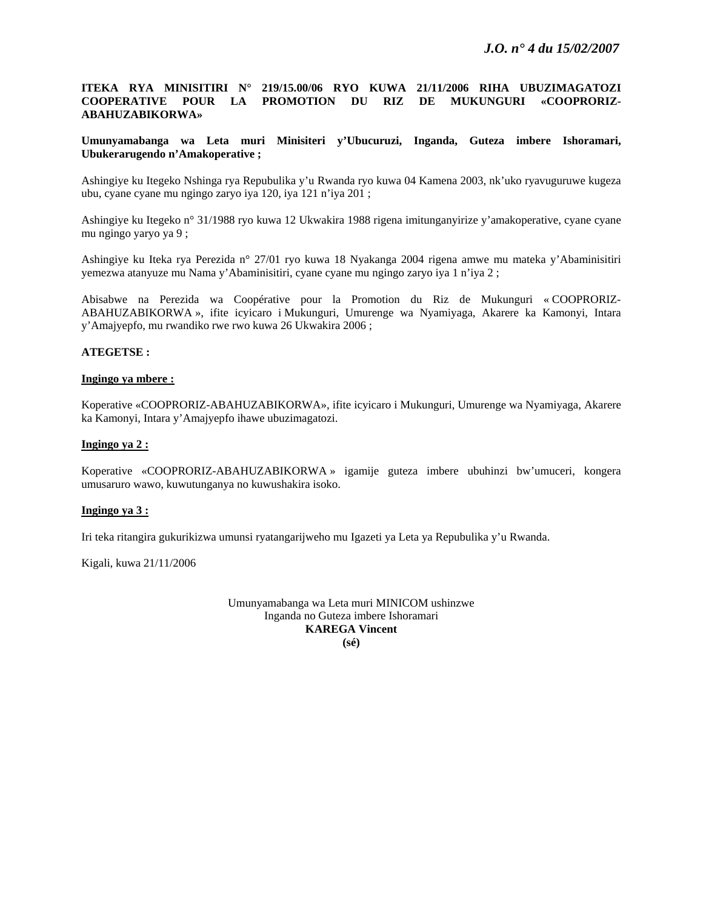## **ITEKA RYA MINISITIRI N° 219/15.00/06 RYO KUWA 21/11/2006 RIHA UBUZIMAGATOZI COOPERATIVE POUR LA PROMOTION DU RIZ DE MUKUNGURI «COOPRORIZ-ABAHUZABIKORWA»**

## **Umunyamabanga wa Leta muri Minisiteri y'Ubucuruzi, Inganda, Guteza imbere Ishoramari, Ubukerarugendo n'Amakoperative ;**

Ashingiye ku Itegeko Nshinga rya Repubulika y'u Rwanda ryo kuwa 04 Kamena 2003, nk'uko ryavuguruwe kugeza ubu, cyane cyane mu ngingo zaryo iya 120, iya 121 n'iya 201 ;

Ashingiye ku Itegeko n° 31/1988 ryo kuwa 12 Ukwakira 1988 rigena imitunganyirize y'amakoperative, cyane cyane mu ngingo yaryo ya 9 ;

Ashingiye ku Iteka rya Perezida n° 27/01 ryo kuwa 18 Nyakanga 2004 rigena amwe mu mateka y'Abaminisitiri yemezwa atanyuze mu Nama y'Abaminisitiri, cyane cyane mu ngingo zaryo iya 1 n'iya 2 ;

Abisabwe na Perezida wa Coopérative pour la Promotion du Riz de Mukunguri « COOPRORIZ-ABAHUZABIKORWA », ifite icyicaro i Mukunguri, Umurenge wa Nyamiyaga, Akarere ka Kamonyi, Intara y'Amajyepfo, mu rwandiko rwe rwo kuwa 26 Ukwakira 2006 ;

## **ATEGETSE :**

#### **Ingingo ya mbere :**

Koperative «COOPRORIZ-ABAHUZABIKORWA», ifite icyicaro i Mukunguri, Umurenge wa Nyamiyaga, Akarere ka Kamonyi, Intara y'Amajyepfo ihawe ubuzimagatozi.

## **Ingingo ya 2 :**

Koperative «COOPRORIZ-ABAHUZABIKORWA » igamije guteza imbere ubuhinzi bw'umuceri, kongera umusaruro wawo, kuwutunganya no kuwushakira isoko.

#### **Ingingo ya 3 :**

Iri teka ritangira gukurikizwa umunsi ryatangarijweho mu Igazeti ya Leta ya Repubulika y'u Rwanda.

Kigali, kuwa 21/11/2006

Umunyamabanga wa Leta muri MINICOM ushinzwe Inganda no Guteza imbere Ishoramari **KAREGA Vincent (sé)**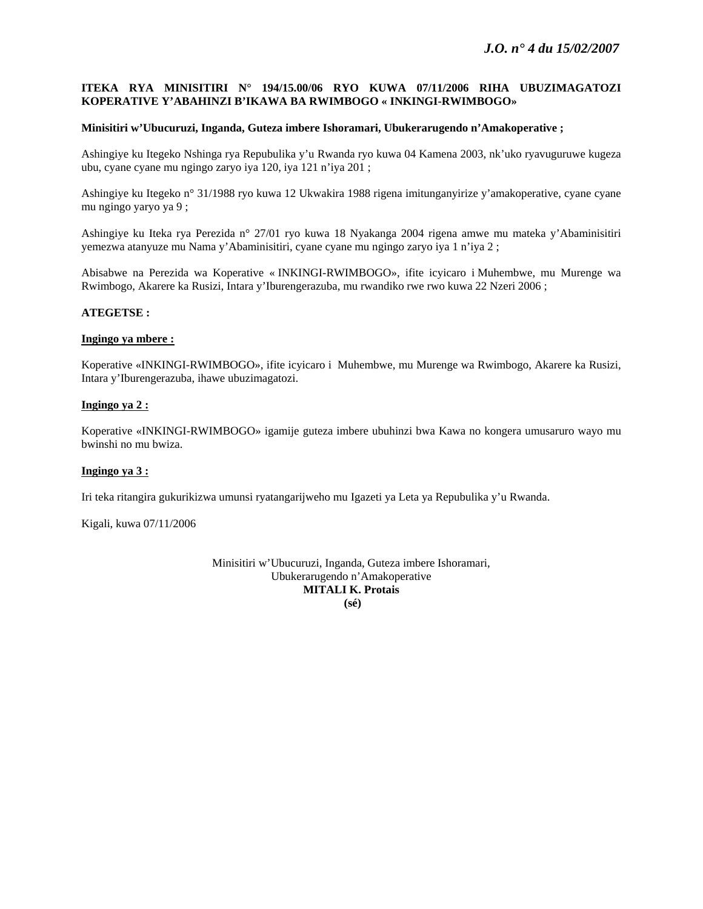## **ITEKA RYA MINISITIRI N° 194/15.00/06 RYO KUWA 07/11/2006 RIHA UBUZIMAGATOZI KOPERATIVE Y'ABAHINZI B'IKAWA BA RWIMBOGO « INKINGI-RWIMBOGO»**

## **Minisitiri w'Ubucuruzi, Inganda, Guteza imbere Ishoramari, Ubukerarugendo n'Amakoperative ;**

Ashingiye ku Itegeko Nshinga rya Repubulika y'u Rwanda ryo kuwa 04 Kamena 2003, nk'uko ryavuguruwe kugeza ubu, cyane cyane mu ngingo zaryo iya 120, iya 121 n'iya 201 ;

Ashingiye ku Itegeko n° 31/1988 ryo kuwa 12 Ukwakira 1988 rigena imitunganyirize y'amakoperative, cyane cyane mu ngingo yaryo ya 9 ;

Ashingiye ku Iteka rya Perezida n° 27/01 ryo kuwa 18 Nyakanga 2004 rigena amwe mu mateka y'Abaminisitiri yemezwa atanyuze mu Nama y'Abaminisitiri, cyane cyane mu ngingo zaryo iya 1 n'iya 2 ;

Abisabwe na Perezida wa Koperative « INKINGI-RWIMBOGO», ifite icyicaro i Muhembwe, mu Murenge wa Rwimbogo, Akarere ka Rusizi, Intara y'Iburengerazuba, mu rwandiko rwe rwo kuwa 22 Nzeri 2006 ;

#### **ATEGETSE :**

#### **Ingingo ya mbere :**

Koperative «INKINGI-RWIMBOGO», ifite icyicaro i Muhembwe, mu Murenge wa Rwimbogo, Akarere ka Rusizi, Intara y'Iburengerazuba, ihawe ubuzimagatozi.

## **Ingingo ya 2 :**

Koperative «INKINGI-RWIMBOGO» igamije guteza imbere ubuhinzi bwa Kawa no kongera umusaruro wayo mu bwinshi no mu bwiza.

## **Ingingo ya 3 :**

Iri teka ritangira gukurikizwa umunsi ryatangarijweho mu Igazeti ya Leta ya Repubulika y'u Rwanda.

Kigali, kuwa 07/11/2006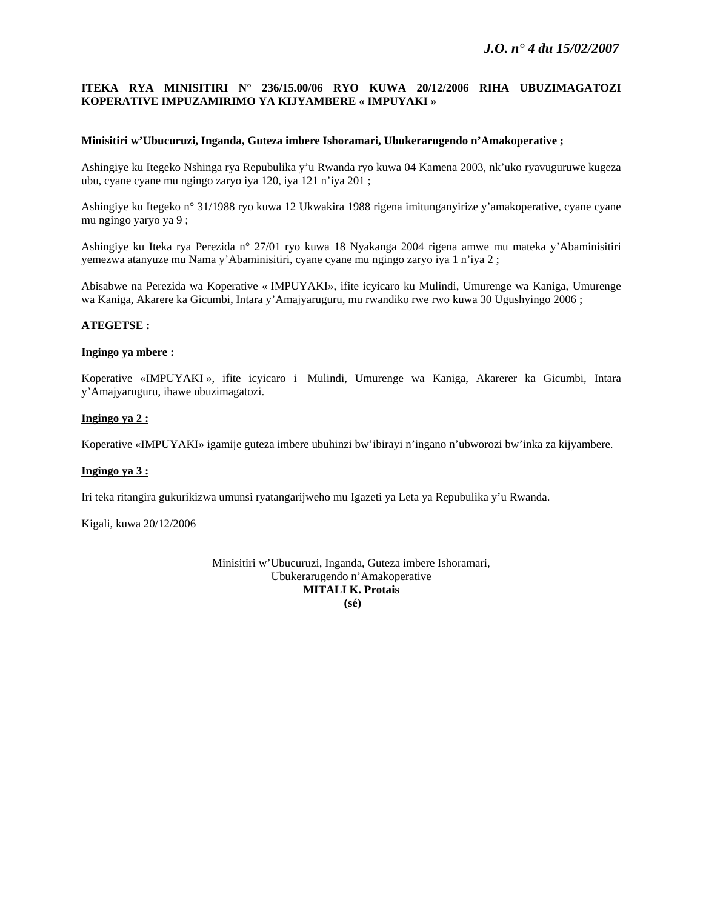## **ITEKA RYA MINISITIRI N° 236/15.00/06 RYO KUWA 20/12/2006 RIHA UBUZIMAGATOZI KOPERATIVE IMPUZAMIRIMO YA KIJYAMBERE « IMPUYAKI »**

#### **Minisitiri w'Ubucuruzi, Inganda, Guteza imbere Ishoramari, Ubukerarugendo n'Amakoperative ;**

Ashingiye ku Itegeko Nshinga rya Repubulika y'u Rwanda ryo kuwa 04 Kamena 2003, nk'uko ryavuguruwe kugeza ubu, cyane cyane mu ngingo zaryo iya 120, iya 121 n'iya 201 ;

Ashingiye ku Itegeko n° 31/1988 ryo kuwa 12 Ukwakira 1988 rigena imitunganyirize y'amakoperative, cyane cyane mu ngingo yaryo ya 9 ;

Ashingiye ku Iteka rya Perezida n° 27/01 ryo kuwa 18 Nyakanga 2004 rigena amwe mu mateka y'Abaminisitiri yemezwa atanyuze mu Nama y'Abaminisitiri, cyane cyane mu ngingo zaryo iya 1 n'iya 2 ;

Abisabwe na Perezida wa Koperative « IMPUYAKI», ifite icyicaro ku Mulindi, Umurenge wa Kaniga, Umurenge wa Kaniga, Akarere ka Gicumbi, Intara y'Amajyaruguru, mu rwandiko rwe rwo kuwa 30 Ugushyingo 2006 ;

## **ATEGETSE :**

## **Ingingo ya mbere :**

Koperative «IMPUYAKI », ifite icyicaro i Mulindi, Umurenge wa Kaniga, Akarerer ka Gicumbi, Intara y'Amajyaruguru, ihawe ubuzimagatozi.

## **Ingingo ya 2 :**

Koperative «IMPUYAKI» igamije guteza imbere ubuhinzi bw'ibirayi n'ingano n'ubworozi bw'inka za kijyambere.

## **Ingingo ya 3 :**

Iri teka ritangira gukurikizwa umunsi ryatangarijweho mu Igazeti ya Leta ya Repubulika y'u Rwanda.

Kigali, kuwa 20/12/2006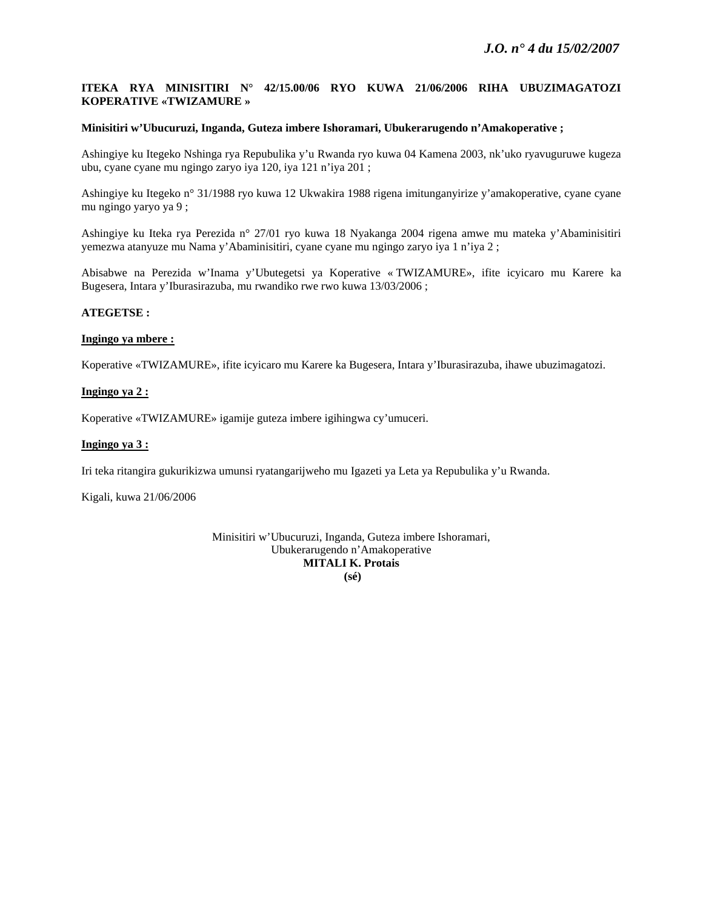## **ITEKA RYA MINISITIRI N° 42/15.00/06 RYO KUWA 21/06/2006 RIHA UBUZIMAGATOZI KOPERATIVE «TWIZAMURE »**

## **Minisitiri w'Ubucuruzi, Inganda, Guteza imbere Ishoramari, Ubukerarugendo n'Amakoperative ;**

Ashingiye ku Itegeko Nshinga rya Repubulika y'u Rwanda ryo kuwa 04 Kamena 2003, nk'uko ryavuguruwe kugeza ubu, cyane cyane mu ngingo zaryo iya 120, iya 121 n'iya 201 ;

Ashingiye ku Itegeko n° 31/1988 ryo kuwa 12 Ukwakira 1988 rigena imitunganyirize y'amakoperative, cyane cyane mu ngingo yaryo ya 9 ;

Ashingiye ku Iteka rya Perezida n° 27/01 ryo kuwa 18 Nyakanga 2004 rigena amwe mu mateka y'Abaminisitiri yemezwa atanyuze mu Nama y'Abaminisitiri, cyane cyane mu ngingo zaryo iya 1 n'iya 2 ;

Abisabwe na Perezida w'Inama y'Ubutegetsi ya Koperative « TWIZAMURE», ifite icyicaro mu Karere ka Bugesera, Intara y'Iburasirazuba, mu rwandiko rwe rwo kuwa 13/03/2006 ;

#### **ATEGETSE :**

## **Ingingo ya mbere :**

Koperative «TWIZAMURE», ifite icyicaro mu Karere ka Bugesera, Intara y'Iburasirazuba, ihawe ubuzimagatozi.

## **Ingingo ya 2 :**

Koperative «TWIZAMURE» igamije guteza imbere igihingwa cy'umuceri.

## **Ingingo ya 3 :**

Iri teka ritangira gukurikizwa umunsi ryatangarijweho mu Igazeti ya Leta ya Repubulika y'u Rwanda.

Kigali, kuwa 21/06/2006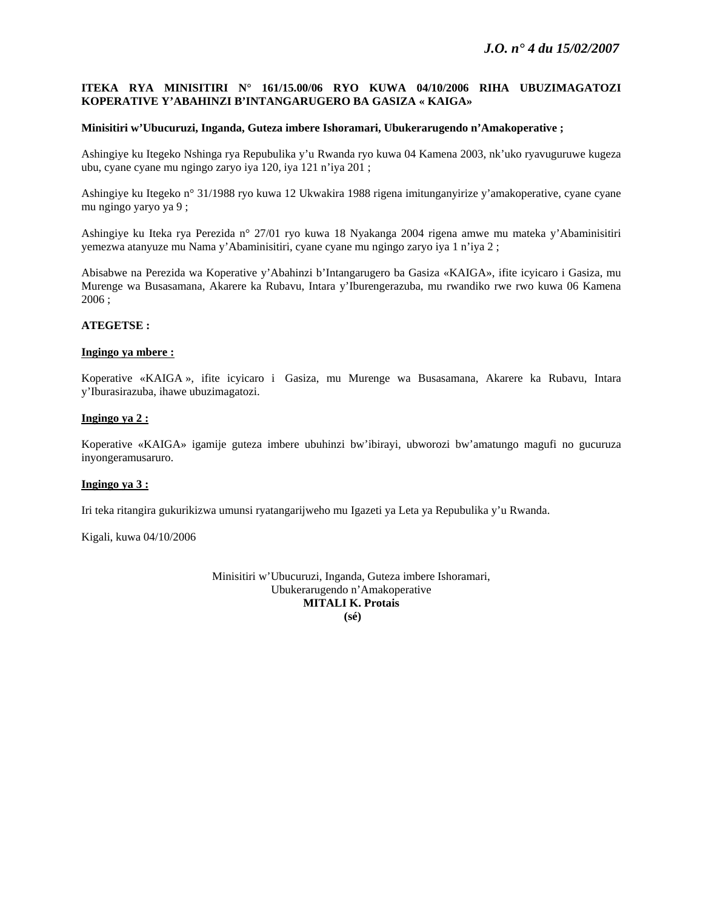## **ITEKA RYA MINISITIRI N° 161/15.00/06 RYO KUWA 04/10/2006 RIHA UBUZIMAGATOZI KOPERATIVE Y'ABAHINZI B'INTANGARUGERO BA GASIZA « KAIGA»**

#### **Minisitiri w'Ubucuruzi, Inganda, Guteza imbere Ishoramari, Ubukerarugendo n'Amakoperative ;**

Ashingiye ku Itegeko Nshinga rya Repubulika y'u Rwanda ryo kuwa 04 Kamena 2003, nk'uko ryavuguruwe kugeza ubu, cyane cyane mu ngingo zaryo iya 120, iya 121 n'iya 201 ;

Ashingiye ku Itegeko n° 31/1988 ryo kuwa 12 Ukwakira 1988 rigena imitunganyirize y'amakoperative, cyane cyane mu ngingo yaryo ya 9 ;

Ashingiye ku Iteka rya Perezida n° 27/01 ryo kuwa 18 Nyakanga 2004 rigena amwe mu mateka y'Abaminisitiri yemezwa atanyuze mu Nama y'Abaminisitiri, cyane cyane mu ngingo zaryo iya 1 n'iya 2 ;

Abisabwe na Perezida wa Koperative y'Abahinzi b'Intangarugero ba Gasiza «KAIGA», ifite icyicaro i Gasiza, mu Murenge wa Busasamana, Akarere ka Rubavu, Intara y'Iburengerazuba, mu rwandiko rwe rwo kuwa 06 Kamena 2006 ;

## **ATEGETSE :**

#### **Ingingo ya mbere :**

Koperative «KAIGA », ifite icyicaro i Gasiza, mu Murenge wa Busasamana, Akarere ka Rubavu, Intara y'Iburasirazuba, ihawe ubuzimagatozi.

## **Ingingo ya 2 :**

Koperative «KAIGA» igamije guteza imbere ubuhinzi bw'ibirayi, ubworozi bw'amatungo magufi no gucuruza inyongeramusaruro.

## **Ingingo ya 3 :**

Iri teka ritangira gukurikizwa umunsi ryatangarijweho mu Igazeti ya Leta ya Repubulika y'u Rwanda.

Kigali, kuwa 04/10/2006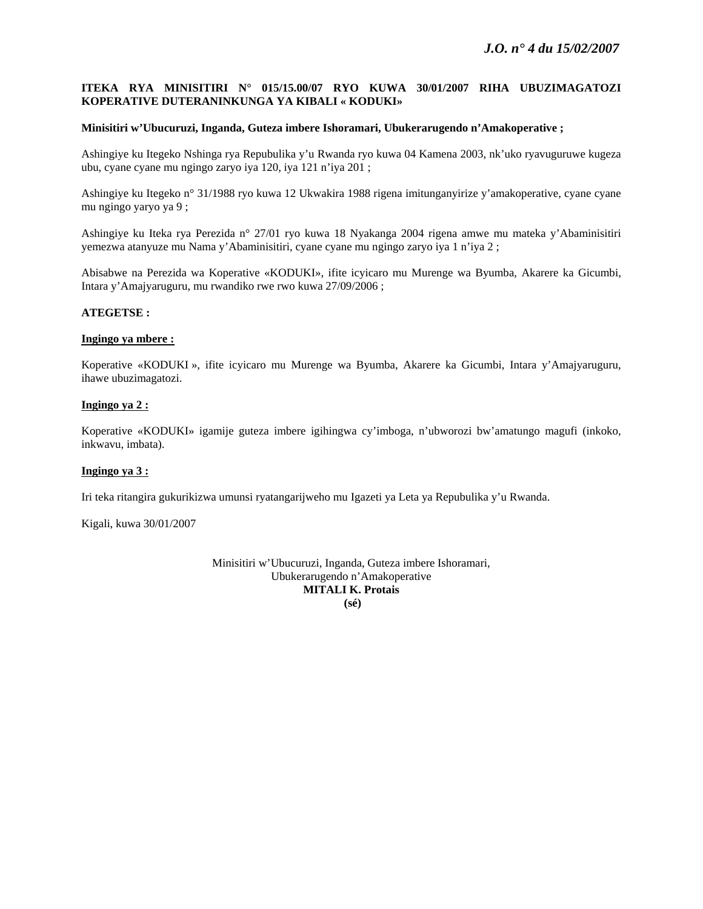## **ITEKA RYA MINISITIRI N° 015/15.00/07 RYO KUWA 30/01/2007 RIHA UBUZIMAGATOZI KOPERATIVE DUTERANINKUNGA YA KIBALI « KODUKI»**

## **Minisitiri w'Ubucuruzi, Inganda, Guteza imbere Ishoramari, Ubukerarugendo n'Amakoperative ;**

Ashingiye ku Itegeko Nshinga rya Repubulika y'u Rwanda ryo kuwa 04 Kamena 2003, nk'uko ryavuguruwe kugeza ubu, cyane cyane mu ngingo zaryo iya 120, iya 121 n'iya 201 ;

Ashingiye ku Itegeko n° 31/1988 ryo kuwa 12 Ukwakira 1988 rigena imitunganyirize y'amakoperative, cyane cyane mu ngingo yaryo ya 9 ;

Ashingiye ku Iteka rya Perezida n° 27/01 ryo kuwa 18 Nyakanga 2004 rigena amwe mu mateka y'Abaminisitiri yemezwa atanyuze mu Nama y'Abaminisitiri, cyane cyane mu ngingo zaryo iya 1 n'iya 2 ;

Abisabwe na Perezida wa Koperative «KODUKI», ifite icyicaro mu Murenge wa Byumba, Akarere ka Gicumbi, Intara y'Amajyaruguru, mu rwandiko rwe rwo kuwa 27/09/2006 ;

#### **ATEGETSE :**

#### **Ingingo ya mbere :**

Koperative «KODUKI », ifite icyicaro mu Murenge wa Byumba, Akarere ka Gicumbi, Intara y'Amajyaruguru, ihawe ubuzimagatozi.

## **Ingingo ya 2 :**

Koperative «KODUKI» igamije guteza imbere igihingwa cy'imboga, n'ubworozi bw'amatungo magufi (inkoko, inkwavu, imbata).

## **Ingingo ya 3 :**

Iri teka ritangira gukurikizwa umunsi ryatangarijweho mu Igazeti ya Leta ya Repubulika y'u Rwanda.

Kigali, kuwa 30/01/2007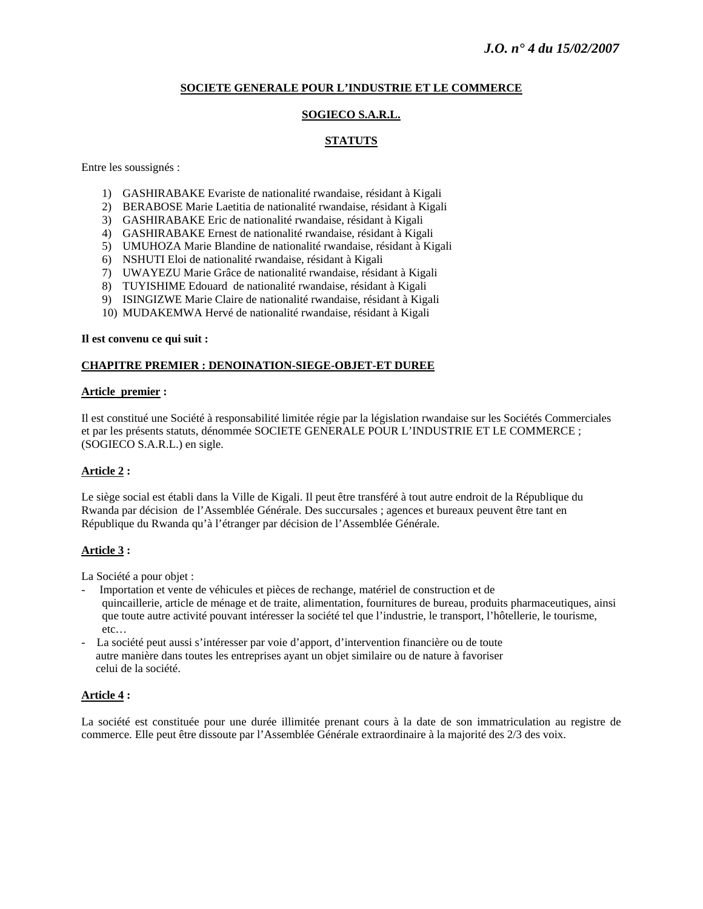## **SOCIETE GENERALE POUR L'INDUSTRIE ET LE COMMERCE**

## **SOGIECO S.A.R.L.**

## **STATUTS**

Entre les soussignés :

- 1) GASHIRABAKE Evariste de nationalité rwandaise, résidant à Kigali
- 2) BERABOSE Marie Laetitia de nationalité rwandaise, résidant à Kigali
- 3) GASHIRABAKE Eric de nationalité rwandaise, résidant à Kigali
- 4) GASHIRABAKE Ernest de nationalité rwandaise, résidant à Kigali
- 5) UMUHOZA Marie Blandine de nationalité rwandaise, résidant à Kigali
- 6) NSHUTI Eloi de nationalité rwandaise, résidant à Kigali
- 7) UWAYEZU Marie Grâce de nationalité rwandaise, résidant à Kigali
- 8) TUYISHIME Edouard de nationalité rwandaise, résidant à Kigali
- 9) ISINGIZWE Marie Claire de nationalité rwandaise, résidant à Kigali
- 10) MUDAKEMWA Hervé de nationalité rwandaise, résidant à Kigali

#### **Il est convenu ce qui suit :**

## **CHAPITRE PREMIER : DENOINATION-SIEGE-OBJET-ET DUREE**

#### **Article premier :**

Il est constitué une Société à responsabilité limitée régie par la législation rwandaise sur les Sociétés Commerciales et par les présents statuts, dénommée SOCIETE GENERALE POUR L'INDUSTRIE ET LE COMMERCE ; (SOGIECO S.A.R.L.) en sigle.

## **Article 2 :**

Le siège social est établi dans la Ville de Kigali. Il peut être transféré à tout autre endroit de la République du Rwanda par décision de l'Assemblée Générale. Des succursales ; agences et bureaux peuvent être tant en République du Rwanda qu'à l'étranger par décision de l'Assemblée Générale.

#### **Article 3 :**

La Société a pour objet :

- Importation et vente de véhicules et pièces de rechange, matériel de construction et de quincaillerie, article de ménage et de traite, alimentation, fournitures de bureau, produits pharmaceutiques, ainsi que toute autre activité pouvant intéresser la société tel que l'industrie, le transport, l'hôtellerie, le tourisme, etc…
- La société peut aussi s'intéresser par voie d'apport, d'intervention financière ou de toute autre manière dans toutes les entreprises ayant un objet similaire ou de nature à favoriser celui de la société.

#### **Article 4 :**

La société est constituée pour une durée illimitée prenant cours à la date de son immatriculation au registre de commerce. Elle peut être dissoute par l'Assemblée Générale extraordinaire à la majorité des 2/3 des voix.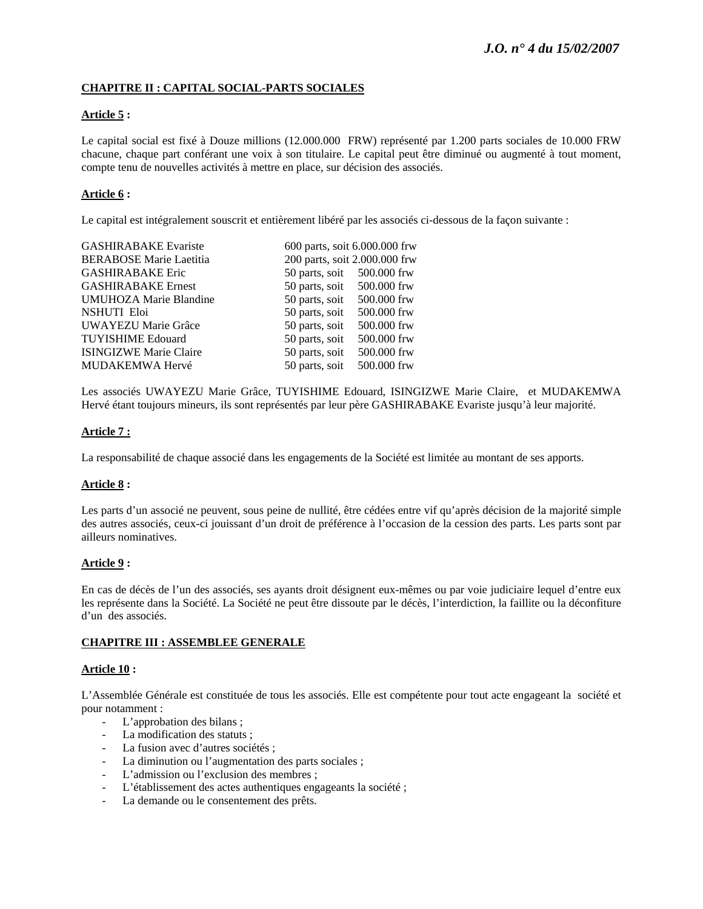# **CHAPITRE II : CAPITAL SOCIAL-PARTS SOCIALES**

## **Article 5 :**

Le capital social est fixé à Douze millions (12.000.000 FRW) représenté par 1.200 parts sociales de 10.000 FRW chacune, chaque part conférant une voix à son titulaire. Le capital peut être diminué ou augmenté à tout moment, compte tenu de nouvelles activités à mettre en place, sur décision des associés.

## **Article 6 :**

Le capital est intégralement souscrit et entièrement libéré par les associés ci-dessous de la façon suivante :

| 600 parts, soit 6.000.000 frw |             |
|-------------------------------|-------------|
| 200 parts, soit 2.000.000 frw |             |
| 50 parts, soit 500.000 frw    |             |
| 50 parts, soit                | 500.000 frw |
| 50 parts, soit                | 500.000 frw |
| 50 parts, soit                | 500,000 frw |
| 50 parts, soit                | 500.000 frw |
| 50 parts, soit                | 500.000 frw |
| 50 parts, soit                | 500.000 frw |
| 50 parts, soit                | 500.000 frw |
|                               |             |

Les associés UWAYEZU Marie Grâce, TUYISHIME Edouard, ISINGIZWE Marie Claire, et MUDAKEMWA Hervé étant toujours mineurs, ils sont représentés par leur père GASHIRABAKE Evariste jusqu'à leur majorité.

## **Article 7 :**

La responsabilité de chaque associé dans les engagements de la Société est limitée au montant de ses apports.

## **Article 8 :**

Les parts d'un associé ne peuvent, sous peine de nullité, être cédées entre vif qu'après décision de la majorité simple des autres associés, ceux-ci jouissant d'un droit de préférence à l'occasion de la cession des parts. Les parts sont par ailleurs nominatives.

## **Article 9 :**

En cas de décès de l'un des associés, ses ayants droit désignent eux-mêmes ou par voie judiciaire lequel d'entre eux les représente dans la Société. La Société ne peut être dissoute par le décès, l'interdiction, la faillite ou la déconfiture d'un des associés.

## **CHAPITRE III : ASSEMBLEE GENERALE**

## **Article 10 :**

L'Assemblée Générale est constituée de tous les associés. Elle est compétente pour tout acte engageant la société et pour notamment :

- L'approbation des bilans ;
- La modification des statuts ;
- La fusion avec d'autres sociétés ;
- La diminution ou l'augmentation des parts sociales ;
- L'admission ou l'exclusion des membres ;
- L'établissement des actes authentiques engageants la société ;
- La demande ou le consentement des prêts.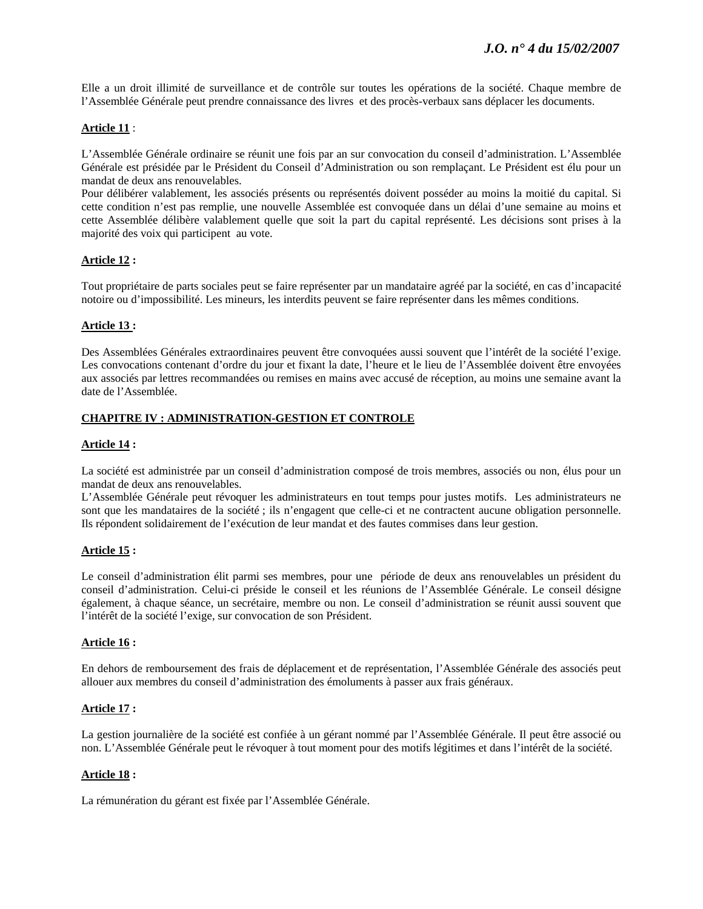Elle a un droit illimité de surveillance et de contrôle sur toutes les opérations de la société. Chaque membre de l'Assemblée Générale peut prendre connaissance des livres et des procès-verbaux sans déplacer les documents.

## **Article 11** :

L'Assemblée Générale ordinaire se réunit une fois par an sur convocation du conseil d'administration. L'Assemblée Générale est présidée par le Président du Conseil d'Administration ou son remplaçant. Le Président est élu pour un mandat de deux ans renouvelables.

Pour délibérer valablement, les associés présents ou représentés doivent posséder au moins la moitié du capital. Si cette condition n'est pas remplie, une nouvelle Assemblée est convoquée dans un délai d'une semaine au moins et cette Assemblée délibère valablement quelle que soit la part du capital représenté. Les décisions sont prises à la majorité des voix qui participent au vote.

## **Article 12 :**

Tout propriétaire de parts sociales peut se faire représenter par un mandataire agréé par la société, en cas d'incapacité notoire ou d'impossibilité. Les mineurs, les interdits peuvent se faire représenter dans les mêmes conditions.

## **Article 13 :**

Des Assemblées Générales extraordinaires peuvent être convoquées aussi souvent que l'intérêt de la société l'exige. Les convocations contenant d'ordre du jour et fixant la date, l'heure et le lieu de l'Assemblée doivent être envoyées aux associés par lettres recommandées ou remises en mains avec accusé de réception, au moins une semaine avant la date de l'Assemblée.

## **CHAPITRE IV : ADMINISTRATION-GESTION ET CONTROLE**

#### **Article 14 :**

La société est administrée par un conseil d'administration composé de trois membres, associés ou non, élus pour un mandat de deux ans renouvelables.

L'Assemblée Générale peut révoquer les administrateurs en tout temps pour justes motifs. Les administrateurs ne sont que les mandataires de la société ; ils n'engagent que celle-ci et ne contractent aucune obligation personnelle. Ils répondent solidairement de l'exécution de leur mandat et des fautes commises dans leur gestion.

#### **Article 15 :**

Le conseil d'administration élit parmi ses membres, pour une période de deux ans renouvelables un président du conseil d'administration. Celui-ci préside le conseil et les réunions de l'Assemblée Générale. Le conseil désigne également, à chaque séance, un secrétaire, membre ou non. Le conseil d'administration se réunit aussi souvent que l'intérêt de la société l'exige, sur convocation de son Président.

## **Article 16 :**

En dehors de remboursement des frais de déplacement et de représentation, l'Assemblée Générale des associés peut allouer aux membres du conseil d'administration des émoluments à passer aux frais généraux.

#### **Article 17 :**

La gestion journalière de la société est confiée à un gérant nommé par l'Assemblée Générale. Il peut être associé ou non. L'Assemblée Générale peut le révoquer à tout moment pour des motifs légitimes et dans l'intérêt de la société.

## **Article 18 :**

La rémunération du gérant est fixée par l'Assemblée Générale.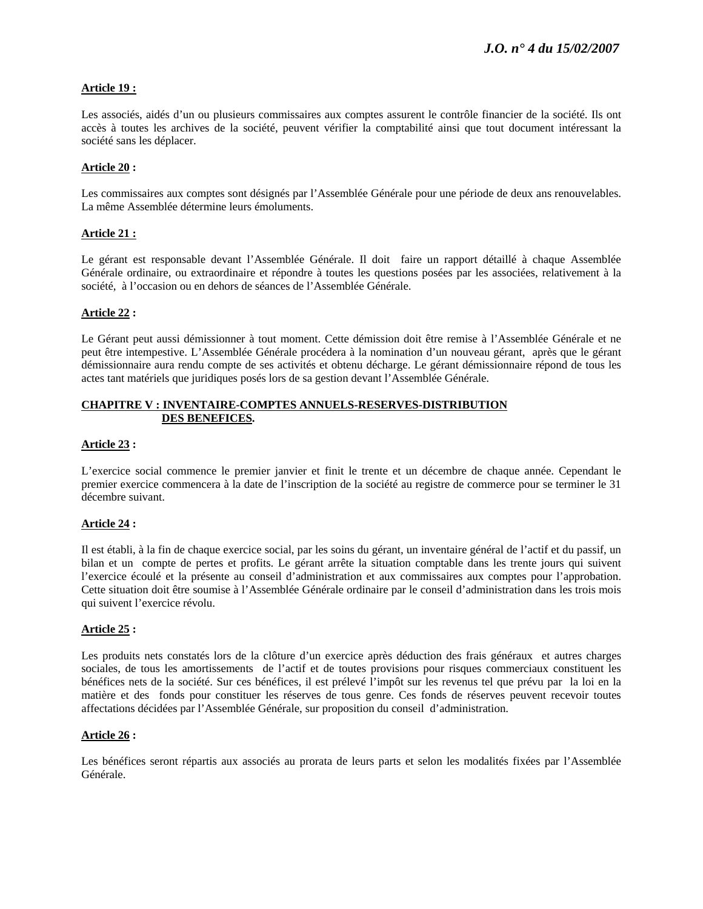## **Article 19 :**

Les associés, aidés d'un ou plusieurs commissaires aux comptes assurent le contrôle financier de la société. Ils ont accès à toutes les archives de la société, peuvent vérifier la comptabilité ainsi que tout document intéressant la société sans les déplacer.

## **Article 20 :**

Les commissaires aux comptes sont désignés par l'Assemblée Générale pour une période de deux ans renouvelables. La même Assemblée détermine leurs émoluments.

## **Article 21 :**

Le gérant est responsable devant l'Assemblée Générale. Il doit faire un rapport détaillé à chaque Assemblée Générale ordinaire, ou extraordinaire et répondre à toutes les questions posées par les associées, relativement à la société, à l'occasion ou en dehors de séances de l'Assemblée Générale.

## **Article 22 :**

Le Gérant peut aussi démissionner à tout moment. Cette démission doit être remise à l'Assemblée Générale et ne peut être intempestive. L'Assemblée Générale procédera à la nomination d'un nouveau gérant, après que le gérant démissionnaire aura rendu compte de ses activités et obtenu décharge. Le gérant démissionnaire répond de tous les actes tant matériels que juridiques posés lors de sa gestion devant l'Assemblée Générale.

## **CHAPITRE V : INVENTAIRE-COMPTES ANNUELS-RESERVES-DISTRIBUTION DES BENEFICES.**

## **Article 23 :**

L'exercice social commence le premier janvier et finit le trente et un décembre de chaque année. Cependant le premier exercice commencera à la date de l'inscription de la société au registre de commerce pour se terminer le 31 décembre suivant.

## **Article 24 :**

Il est établi, à la fin de chaque exercice social, par les soins du gérant, un inventaire général de l'actif et du passif, un bilan et un compte de pertes et profits. Le gérant arrête la situation comptable dans les trente jours qui suivent l'exercice écoulé et la présente au conseil d'administration et aux commissaires aux comptes pour l'approbation. Cette situation doit être soumise à l'Assemblée Générale ordinaire par le conseil d'administration dans les trois mois qui suivent l'exercice révolu.

#### **Article 25 :**

Les produits nets constatés lors de la clôture d'un exercice après déduction des frais généraux et autres charges sociales, de tous les amortissements de l'actif et de toutes provisions pour risques commerciaux constituent les bénéfices nets de la société. Sur ces bénéfices, il est prélevé l'impôt sur les revenus tel que prévu par la loi en la matière et des fonds pour constituer les réserves de tous genre. Ces fonds de réserves peuvent recevoir toutes affectations décidées par l'Assemblée Générale, sur proposition du conseil d'administration.

## **Article 26 :**

Les bénéfices seront répartis aux associés au prorata de leurs parts et selon les modalités fixées par l'Assemblée Générale.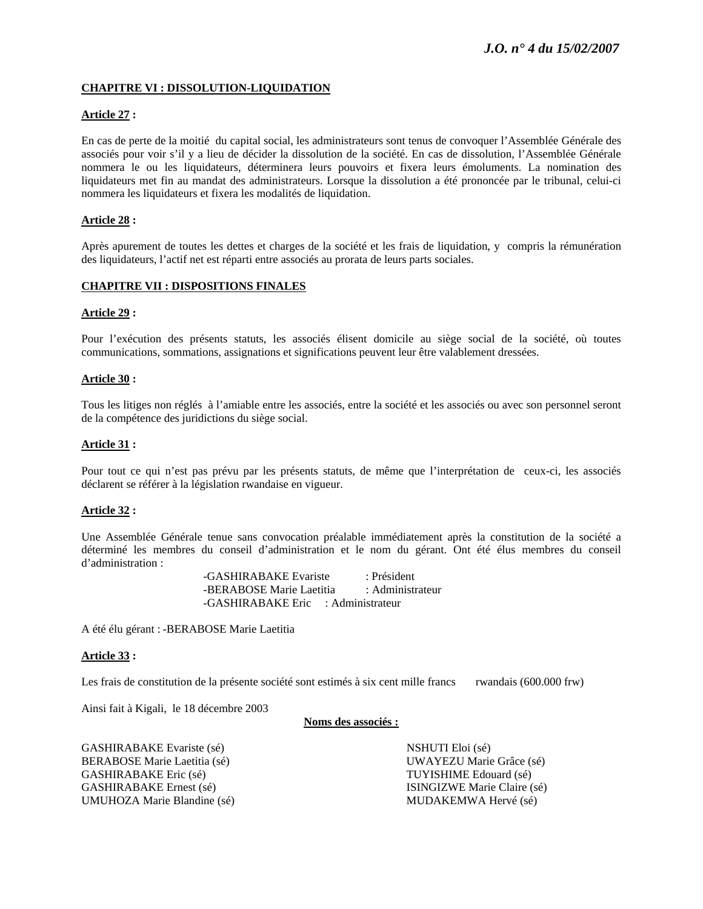## **CHAPITRE VI : DISSOLUTION-LIQUIDATION**

## **Article 27 :**

En cas de perte de la moitié du capital social, les administrateurs sont tenus de convoquer l'Assemblée Générale des associés pour voir s'il y a lieu de décider la dissolution de la société. En cas de dissolution, l'Assemblée Générale nommera le ou les liquidateurs, déterminera leurs pouvoirs et fixera leurs émoluments. La nomination des liquidateurs met fin au mandat des administrateurs. Lorsque la dissolution a été prononcée par le tribunal, celui-ci nommera les liquidateurs et fixera les modalités de liquidation.

## **Article 28 :**

Après apurement de toutes les dettes et charges de la société et les frais de liquidation, y compris la rémunération des liquidateurs, l'actif net est réparti entre associés au prorata de leurs parts sociales.

## **CHAPITRE VII : DISPOSITIONS FINALES**

#### **Article 29 :**

Pour l'exécution des présents statuts, les associés élisent domicile au siège social de la société, où toutes communications, sommations, assignations et significations peuvent leur être valablement dressées.

#### **Article 30 :**

Tous les litiges non réglés à l'amiable entre les associés, entre la société et les associés ou avec son personnel seront de la compétence des juridictions du siège social.

#### **Article 31 :**

Pour tout ce qui n'est pas prévu par les présents statuts, de même que l'interprétation de ceux-ci, les associés déclarent se référer à la législation rwandaise en vigueur.

#### **Article 32 :**

Une Assemblée Générale tenue sans convocation préalable immédiatement après la constitution de la société a déterminé les membres du conseil d'administration et le nom du gérant. Ont été élus membres du conseil d'administration :

> -GASHIRABAKE Evariste : Président -BERABOSE Marie Laetitia : Administrateur -GASHIRABAKE Eric : Administrateur

A été élu gérant : -BERABOSE Marie Laetitia

#### **Article 33 :**

Les frais de constitution de la présente société sont estimés à six cent mille francs rwandais (600.000 frw)

Ainsi fait à Kigali, le 18 décembre 2003

#### **Noms des associés :**

GASHIRABAKE Evariste (sé) NSHUTI Eloi (sé) BERABOSE Marie Laetitia (sé) UWAYEZU Marie Grâce (sé) GASHIRABAKE Eric (sé) TUYISHIME Edouard (sé) GASHIRABAKE Ernest (sé) ISINGIZWE Marie Claire (sé) UMUHOZA Marie Blandine (sé) MUDAKEMWA Hervé (sé)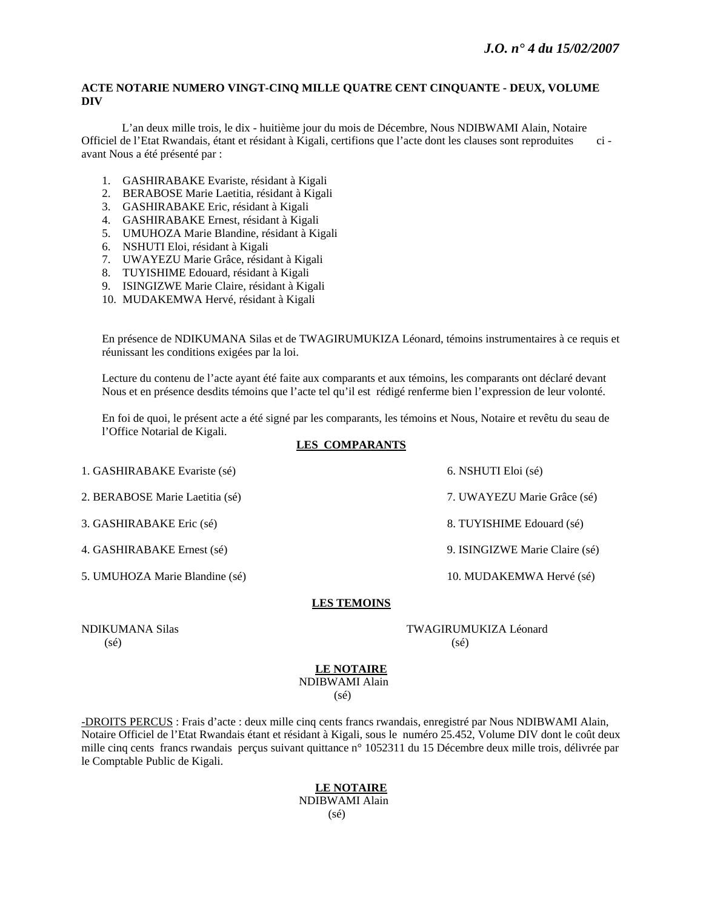## **ACTE NOTARIE NUMERO VINGT-CINQ MILLE QUATRE CENT CINQUANTE - DEUX, VOLUME DIV**

L'an deux mille trois, le dix - huitième jour du mois de Décembre, Nous NDIBWAMI Alain, Notaire Officiel de l'Etat Rwandais, étant et résidant à Kigali, certifions que l'acte dont les clauses sont reproduites ci avant Nous a été présenté par :

- 1. GASHIRABAKE Evariste, résidant à Kigali
- 2. BERABOSE Marie Laetitia, résidant à Kigali
- 3. GASHIRABAKE Eric, résidant à Kigali
- 4. GASHIRABAKE Ernest, résidant à Kigali
- 5. UMUHOZA Marie Blandine, résidant à Kigali
- 6. NSHUTI Eloi, résidant à Kigali
- 7. UWAYEZU Marie Grâce, résidant à Kigali
- 8. TUYISHIME Edouard, résidant à Kigali
- 9. ISINGIZWE Marie Claire, résidant à Kigali
- 10. MUDAKEMWA Hervé, résidant à Kigali

En présence de NDIKUMANA Silas et de TWAGIRUMUKIZA Léonard, témoins instrumentaires à ce requis et réunissant les conditions exigées par la loi.

Lecture du contenu de l'acte ayant été faite aux comparants et aux témoins, les comparants ont déclaré devant Nous et en présence desdits témoins que l'acte tel qu'il est rédigé renferme bien l'expression de leur volonté.

En foi de quoi, le présent acte a été signé par les comparants, les témoins et Nous, Notaire et revêtu du seau de l'Office Notarial de Kigali.

## **LES COMPARANTS**

1. GASHIRABAKE Evariste (sé) 6. NSHUTI Eloi (sé)

2. BERABOSE Marie Laetitia (sé) 7. UWAYEZU Marie Grâce (sé)

3. GASHIRABAKE Eric (sé) 8. TUYISHIME Edouard (sé)

4. GASHIRABAKE Ernest (sé) 9. ISINGIZWE Marie Claire (sé)

5. UMUHOZA Marie Blandine (sé) 10. MUDAKEMWA Hervé (sé)

## **LES TEMOINS**

 $(s\acute{e})$  (sé)

NDIKUMANA Silas TWAGIRUMUKIZA Léonard

## **LE NOTAIRE**

 NDIBWAMI Alain  $(s\acute{e})$ 

-DROITS PERCUS : Frais d'acte : deux mille cinq cents francs rwandais, enregistré par Nous NDIBWAMI Alain, Notaire Officiel de l'Etat Rwandais étant et résidant à Kigali, sous le numéro 25.452, Volume DIV dont le coût deux mille cinq cents francs rwandais perçus suivant quittance n° 1052311 du 15 Décembre deux mille trois, délivrée par le Comptable Public de Kigali.

## **LE NOTAIRE** NDIBWAMI Alain  $(s\acute{e})$